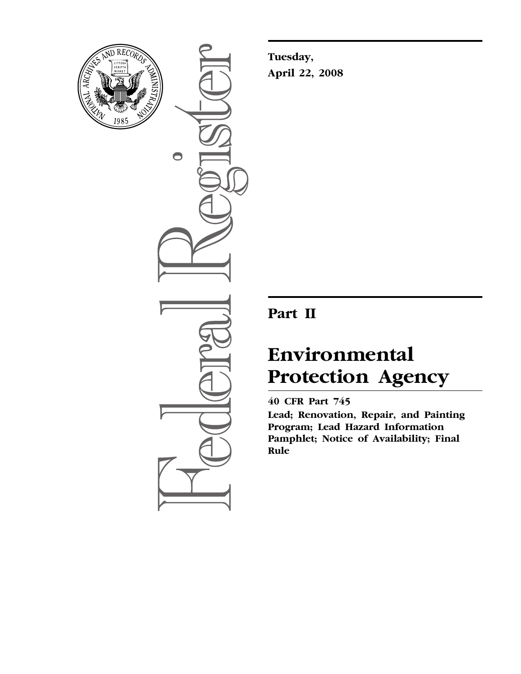

 $\bullet$ 

**Tuesday, April 22, 2008** 

## **Part II**

# **Environmental Protection Agency**

### **40 CFR Part 745**

**Lead; Renovation, Repair, and Painting Program; Lead Hazard Information Pamphlet; Notice of Availability; Final Rule**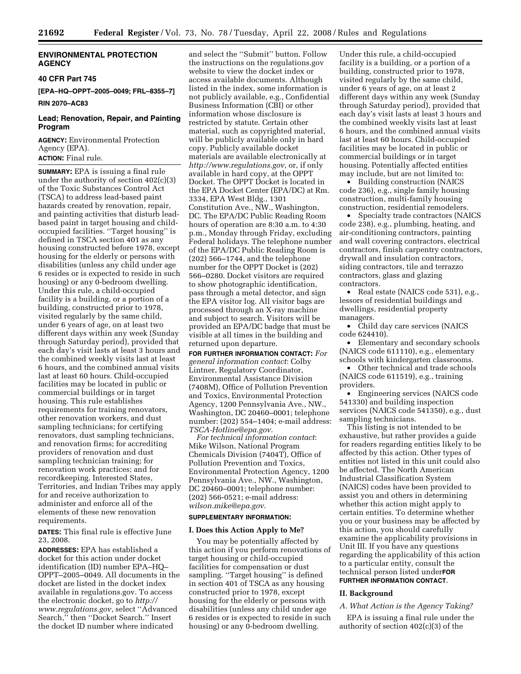#### **ENVIRONMENTAL PROTECTION AGENCY**

#### **40 CFR Part 745**

**[EPA–HQ–OPPT–2005–0049; FRL–8355–7]** 

#### **RIN 2070–AC83**

#### **Lead; Renovation, Repair, and Painting Program**

**AGENCY:** Environmental Protection Agency (EPA). **ACTION:** Final rule.

**SUMMARY:** EPA is issuing a final rule under the authority of section 402(c)(3) of the Toxic Substances Control Act (TSCA) to address lead-based paint hazards created by renovation, repair, and painting activities that disturb leadbased paint in target housing and childoccupied facilities. ''Target housing'' is defined in TSCA section 401 as any housing constructed before 1978, except housing for the elderly or persons with disabilities (unless any child under age 6 resides or is expected to reside in such housing) or any 0-bedroom dwelling. Under this rule, a child-occupied facility is a building, or a portion of a building, constructed prior to 1978, visited regularly by the same child, under 6 years of age, on at least two different days within any week (Sunday through Saturday period), provided that each day's visit lasts at least 3 hours and the combined weekly visits last at least 6 hours, and the combined annual visits last at least 60 hours. Child-occupied facilities may be located in public or commercial buildings or in target housing. This rule establishes requirements for training renovators, other renovation workers, and dust sampling technicians; for certifying renovators, dust sampling technicians, and renovation firms; for accrediting providers of renovation and dust sampling technician training; for renovation work practices; and for recordkeeping. Interested States, Territories, and Indian Tribes may apply for and receive authorization to administer and enforce all of the elements of these new renovation requirements.

**DATES:** This final rule is effective June 23, 2008.

**ADDRESSES:** EPA has established a docket for this action under docket identification (ID) number EPA–HQ– OPPT–2005–0049. All documents in the docket are listed in the docket index available in regulations.gov. To access [the electronic docket, go to](http://www.regulations.gov) *http:// www.regulations.gov*, select ''Advanced Search,'' then ''Docket Search.'' Insert the docket ID number where indicated

and select the ''Submit'' button. Follow the instructions on the regulations.gov website to view the docket index or access available documents. Although listed in the index, some information is not publicly available, e.g., Confidential Business Information (CBI) or other information whose disclosure is restricted by statute. Certain other material, such as copyrighted material, will be publicly available only in hard copy. Publicly available docket materials are available electronically at *<http://www.regulations.gov>*, or, if only available in hard copy, at the OPPT Docket. The OPPT Docket is located in the EPA Docket Center (EPA/DC) at Rm. 3334, EPA West Bldg., 1301 Constitution Ave., NW., Washington, DC. The EPA/DC Public Reading Room hours of operation are 8:30 a.m. to 4:30 p.m., Monday through Friday, excluding Federal holidays. The telephone number of the EPA/DC Public Reading Room is (202) 566–1744, and the telephone number for the OPPT Docket is (202) 566–0280. Docket visitors are required to show photographic identification, pass through a metal detector, and sign the EPA visitor log. All visitor bags are processed through an X-ray machine and subject to search. Visitors will be provided an EPA/DC badge that must be visible at all times in the building and returned upon departure.

**FOR FURTHER INFORMATION CONTACT:** *For general information contact*: Colby Lintner, Regulatory Coordinator, Environmental Assistance Division (7408M), Office of Pollution Prevention and Toxics, Environmental Protection Agency, 1200 Pennsylvania Ave., NW., Washington, DC 20460–0001; telephone number: (202) 554–1404; e-mail address: *[TSCA-Hotline@epa.gov.](mailto:TSCA-Hotline@epa.gov)* 

*For technical information contact*: Mike Wilson, National Program Chemicals Division (7404T), Office of Pollution Prevention and Toxics, Environmental Protection Agency, 1200 Pennsylvania Ave., NW., Washington, DC 20460–0001; telephone number: (202) 566-0521; e-mail address: *[wilson.mike@epa.gov](mailto:wilson.mike@epa.gov)*.

#### **SUPPLEMENTARY INFORMATION:**

#### **I. Does this Action Apply to Me?**

You may be potentially affected by this action if you perform renovations of target housing or child-occupied facilities for compensation or dust sampling. "Target housing" is defined in section 401 of TSCA as any housing constructed prior to 1978, except housing for the elderly or persons with disabilities (unless any child under age 6 resides or is expected to reside in such housing) or any 0-bedroom dwelling.

Under this rule, a child-occupied facility is a building, or a portion of a building, constructed prior to 1978, visited regularly by the same child, under 6 years of age, on at least 2 different days within any week (Sunday through Saturday period), provided that each day's visit lasts at least 3 hours and the combined weekly visits last at least 6 hours, and the combined annual visits last at least 60 hours. Child-occupied facilities may be located in public or commercial buildings or in target housing. Potentially affected entities may include, but are not limited to:

• Building construction (NAICS code 236), e.g., single family housing construction, multi-family housing construction, residential remodelers.

• Specialty trade contractors (NAICS code 238), e.g., plumbing, heating, and air-conditioning contractors, painting and wall covering contractors, electrical contractors, finish carpentry contractors, drywall and insulation contractors, siding contractors, tile and terrazzo contractors, glass and glazing contractors.

• Real estate (NAICS code 531), e.g., lessors of residential buildings and dwellings, residential property managers.

• Child day care services (NAICS code 624410).

• Elementary and secondary schools (NAICS code 611110), e.g., elementary schools with kindergarten classrooms.

• Other technical and trade schools (NAICS code 611519), e.g., training providers.

• Engineering services (NAICS code 541330) and building inspection services (NAICS code 541350), e.g., dust sampling technicians.

This listing is not intended to be exhaustive, but rather provides a guide for readers regarding entities likely to be affected by this action. Other types of entities not listed in this unit could also be affected. The North American Industrial Classification System (NAICS) codes have been provided to assist you and others in determining whether this action might apply to certain entities. To determine whether you or your business may be affected by this action, you should carefully examine the applicability provisions in Unit III. If you have any questions regarding the applicability of this action to a particular entity, consult the technical person listed under**FOR FURTHER INFORMATION CONTACT**.

#### **II. Background**

#### *A. What Action is the Agency Taking?*

EPA is issuing a final rule under the authority of section 402(c)(3) of the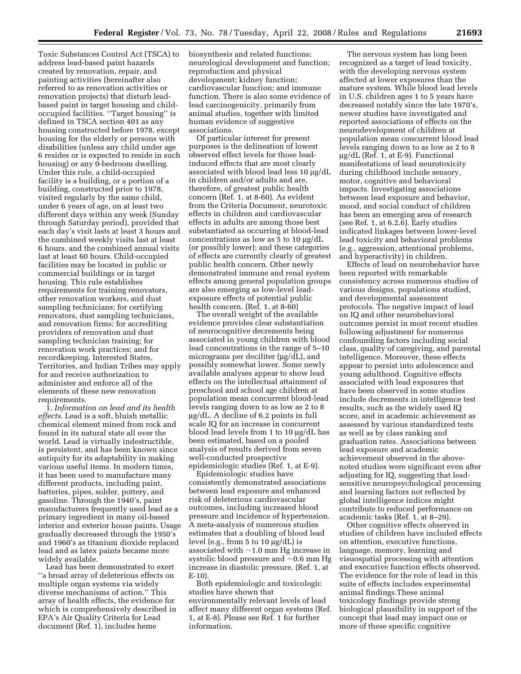Toxic Substances Control Act (TSCA) to address lead-based paint hazards created by renovation, repair, and painting activities (hereinafter also referred to as renovation activities or renovation projects) that disturb leadbased paint in target housing and childoccupied facilities. ''Target housing'' is defined in TSCA section 401 as any housing constructed before 1978, except housing for the elderly or persons with disabilities (unless any child under age 6 resides or is expected to reside in such housing) or any 0-bedroom dwelling. Under this rule, a child-occupied facility is a building, or a portion of a building, constructed prior to 1978, visited regularly by the same child, under 6 years of age, on at least two different days within any week (Sunday through Saturday period), provided that each day's visit lasts at least 3 hours and the combined weekly visits last at least 6 hours, and the combined annual visits last at least 60 hours. Child-occupied facilities may be located in public or commercial buildings or in target housing. This rule establishes requirements for training renovators, other renovation workers, and dust sampling technicians; for certifying renovators, dust sampling technicians, and renovation firms; for accrediting providers of renovation and dust sampling technician training; for renovation work practices; and for recordkeeping. Interested States, Territories, and Indian Tribes may apply for and receive authorization to administer and enforce all of the elements of these new renovation requirements.

1. *Information on lead and its health effects*. Lead is a soft, bluish metallic chemical element mined from rock and found in its natural state all over the world. Lead is virtually indestructible, is persistent, and has been known since antiquity for its adaptability in making various useful items. In modern times, it has been used to manufacture many different products, including paint, batteries, pipes, solder, pottery, and gasoline. Through the 1940's, paint manufacturers frequently used lead as a primary ingredient in many oil-based interior and exterior house paints. Usage gradually decreased through the 1950's and 1960's as titanium dioxide replaced lead and as latex paints became more widely available.

Lead has been demonstrated to exert ''a broad array of deleterious effects on multiple organ systems via widely diverse mechanisms of action.'' This array of health effects, the evidence for which is comprehensively described in EPA's Air Quality Criteria for Lead document (Ref. 1), includes heme

biosynthesis and related functions; neurological development and function; reproduction and physical development; kidney function; cardiovascular function; and immune function. There is also some evidence of lead carcinogenicity, primarily from animal studies, together with limited human evidence of suggestive associations.

Of particular interest for present purposes is the delineation of lowest observed effect levels for those leadinduced effects that are most clearly associated with blood lead less 10 µg/dL in children and/or adults and are, therefore, of greatest public health concern (Ref. 1, at 8-60). As evident from the Criteria Document, neurotoxic effects in children and cardiovascular effects in adults are among those best substantiated as occurring at blood-lead concentrations as low as 5 to 10 µg/dL (or possibly lower); and these categories of effects are currently clearly of greatest public health concern. Other newly demonstrated immune and renal system effects among general population groups are also emerging as low-level leadexposure effects of potential public health concern. (Ref. 1, at 8-60)

The overall weight of the available evidence provides clear substantiation of neurocognitive decrements being associated in young children with blood lead concentrations in the range of 5–10 micrograms per deciliter ( $\mu$ g/dL), and possibly somewhat lower. Some newly available analyses appear to show lead effects on the intellectual attainment of preschool and school age children at population mean concurrent blood-lead levels ranging down to as low as 2 to 8 µg/dL. A decline of 6.2 points in full scale IQ for an increase in concurrent blood lead levels from 1 to 10 µg/dL has been estimated, based on a pooled analysis of results derived from seven well-conducted prospective epidemiologic studies (Ref. 1, at E-9).

Epidemiologic studies have consistently demonstrated associations between lead exposure and enhanced risk of deleterious cardiovascular outcomes, including increased blood pressure and incidence of hypertension. A meta-analysis of numerous studies estimates that a doubling of blood lead level (e.g., from 5 to 10  $\mu$ g/dL) is associated with  $\sim$ 1.0 mm Hg increase in systolic blood pressure and  $\sim 0.6$  mm Hg increase in diastolic pressure. (Ref. 1, at E-10).

Both epidemiologic and toxicologic studies have shown that environmentally relevant levels of lead affect many different organ systems (Ref. 1, at E-8). Please see Ref. 1 for further information.

The nervous system has long been recognized as a target of lead toxicity, with the developing nervous system affected at lower exposures than the mature system. While blood lead levels in U.S. children ages 1 to 5 years have decreased notably since the late 1970's, newer studies have investigated and reported associations of effects on the neurodevelopment of children at population mean concurrent blood lead levels ranging down to as low as 2 to 8 µg/dL (Ref. 1, at E-9). Functional manifestations of lead neurotoxicity during childhood include sensory, motor, cognitive and behavioral impacts. Investigating associations between lead exposure and behavior, mood, and social conduct of children has been an emerging area of research (see Ref. 1, at 6.2.6). Early studies indicated linkages between lower-level lead toxicity and behavioral problems (e.g., aggression, attentional problems, and hyperactivity) in children.

Effects of lead on neurobehavior have been reported with remarkable consistency across numerous studies of various designs, populations studied, and developmental assessment protocols. The negative impact of lead on IQ and other neurobehavioral outcomes persist in most recent studies following adjustment for numerous confounding factors including social class, quality of caregiving, and parental intelligence. Moreover, these effects appear to persist into adolescence and young adulthood. Cognitive effects associated with lead exposures that have been observed in some studies include decrements in intelligence test results, such as the widely used IQ score, and in academic achievement as assessed by various standardized tests as well as by class ranking and graduation rates. Associations between lead exposure and academic achievement observed in the abovenoted studies were significant even after adjusting for IQ, suggesting that leadsensitive neuropsychological processing and learning factors not reflected by global intelligence indices might contribute to reduced performance on academic tasks (Ref. 1, at 8–29).

Other cognitive effects observed in studies of children have included effects on attention, executive functions, language, memory, learning and visuospatial processing with attention and executive function effects observed. The evidence for the role of lead in this suite of effects includes experimental animal findings.These animal toxicology findings provide strong biological plausibility in support of the concept that lead may impact one or more of these specific cognitive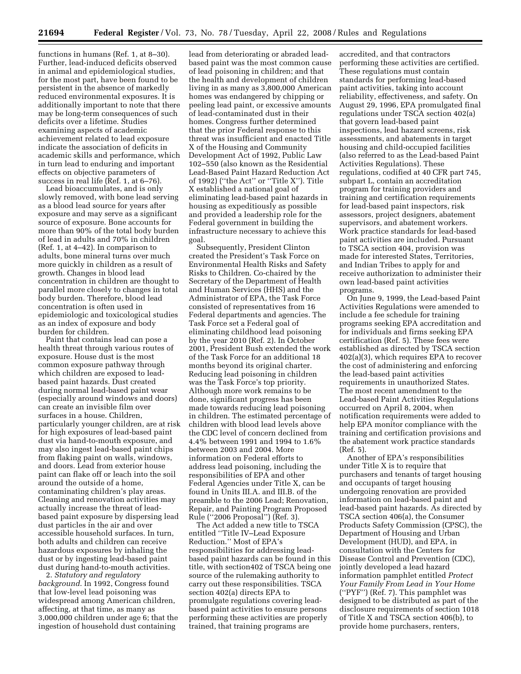functions in humans (Ref. 1, at 8–30). Further, lead-induced deficits observed in animal and epidemiological studies, for the most part, have been found to be persistent in the absence of markedly reduced environmental exposures. It is additionally important to note that there may be long-term consequences of such deficits over a lifetime. Studies examining aspects of academic achievement related to lead exposure indicate the association of deficits in academic skills and performance, which in turn lead to enduring and important effects on objective parameters of success in real life (Ref. 1, at 6–76).

Lead bioaccumulates, and is only slowly removed, with bone lead serving as a blood lead source for years after exposure and may serve as a significant source of exposure. Bone accounts for more than 90% of the total body burden of lead in adults and 70% in children (Ref. 1, at 4–42). In comparison to adults, bone mineral turns over much more quickly in children as a result of growth. Changes in blood lead concentration in children are thought to parallel more closely to changes in total body burden. Therefore, blood lead concentration is often used in epidemiologic and toxicological studies as an index of exposure and body burden for children.

Paint that contains lead can pose a health threat through various routes of exposure. House dust is the most common exposure pathway through which children are exposed to leadbased paint hazards. Dust created during normal lead-based paint wear (especially around windows and doors) can create an invisible film over surfaces in a house. Children, particularly younger children, are at risk for high exposures of lead-based paint dust via hand-to-mouth exposure, and may also ingest lead-based paint chips from flaking paint on walls, windows, and doors. Lead from exterior house paint can flake off or leach into the soil around the outside of a home, contaminating children's play areas. Cleaning and renovation activities may actually increase the threat of leadbased paint exposure by dispersing lead dust particles in the air and over accessible household surfaces. In turn, both adults and children can receive hazardous exposures by inhaling the dust or by ingesting lead-based paint dust during hand-to-mouth activities.

2. *Statutory and regulatory background*. In 1992, Congress found that low-level lead poisoning was widespread among American children, affecting, at that time, as many as 3,000,000 children under age 6; that the ingestion of household dust containing

lead from deteriorating or abraded leadbased paint was the most common cause of lead poisoning in children; and that the health and development of children living in as many as 3,800,000 American homes was endangered by chipping or peeling lead paint, or excessive amounts of lead-contaminated dust in their homes. Congress further determined that the prior Federal response to this threat was insufficient and enacted Title X of the Housing and Community Development Act of 1992, Public Law 102–550 (also known as the Residential Lead-Based Paint Hazard Reduction Act of 1992) (''the Act'' or ''Title X''). Title X established a national goal of eliminating lead-based paint hazards in housing as expeditiously as possible and provided a leadership role for the Federal government in building the infrastructure necessary to achieve this goal.

Subsequently, President Clinton created the President's Task Force on Environmental Health Risks and Safety Risks to Children. Co-chaired by the Secretary of the Department of Health and Human Services (HHS) and the Administrator of EPA, the Task Force consisted of representatives from 16 Federal departments and agencies. The Task Force set a Federal goal of eliminating childhood lead poisoning by the year 2010 (Ref. 2). In October 2001, President Bush extended the work of the Task Force for an additional 18 months beyond its original charter. Reducing lead poisoning in children was the Task Force's top priority. Although more work remains to be done, significant progress has been made towards reducing lead poisoning in children. The estimated percentage of children with blood lead levels above the CDC level of concern declined from 4.4% between 1991 and 1994 to 1.6% between 2003 and 2004. More information on Federal efforts to address lead poisoning, including the responsibilities of EPA and other Federal Agencies under Title X, can be found in Units III.A. and III.B. of the preamble to the 2006 Lead; Renovation, Repair, and Painting Program Proposed Rule (''2006 Proposal'') (Ref. 3).

The Act added a new title to TSCA entitled ''Title IV–Lead Exposure Reduction.'' Most of EPA's responsibilities for addressing leadbased paint hazards can be found in this title, with section402 of TSCA being one source of the rulemaking authority to carry out these responsibilities. TSCA section 402(a) directs EPA to promulgate regulations covering leadbased paint activities to ensure persons performing these activities are properly trained, that training programs are

accredited, and that contractors performing these activities are certified. These regulations must contain standards for performing lead-based paint activities, taking into account reliability, effectiveness, and safety. On August 29, 1996, EPA promulgated final regulations under TSCA section 402(a) that govern lead-based paint inspections, lead hazard screens, risk assessments, and abatements in target housing and child-occupied facilities (also referred to as the Lead-based Paint Activities Regulations). These regulations, codified at 40 CFR part 745, subpart L, contain an accreditation program for training providers and training and certification requirements for lead-based paint inspectors, risk assessors, project designers, abatement supervisors, and abatement workers. Work practice standards for lead-based paint activities are included. Pursuant to TSCA section 404, provision was made for interested States, Territories, and Indian Tribes to apply for and receive authorization to administer their own lead-based paint activities programs.

On June 9, 1999, the Lead-based Paint Activities Regulations were amended to include a fee schedule for training programs seeking EPA accreditation and for individuals and firms seeking EPA certification (Ref. 5). These fees were established as directed by TSCA section 402(a)(3), which requires EPA to recover the cost of administering and enforcing the lead-based paint activities requirements in unauthorized States. The most recent amendment to the Lead-based Paint Activities Regulations occurred on April 8, 2004, when notification requirements were added to help EPA monitor compliance with the training and certification provisions and the abatement work practice standards (Ref. 5).

Another of EPA's responsibilities under Title X is to require that purchasers and tenants of target housing and occupants of target housing undergoing renovation are provided information on lead-based paint and lead-based paint hazards. As directed by TSCA section 406(a), the Consumer Products Safety Commission (CPSC), the Department of Housing and Urban Development (HUD), and EPA, in consultation with the Centers for Disease Control and Prevention (CDC), jointly developed a lead hazard information pamphlet entitled *Protect Your Family From Lead in Your Home*  (''PYF'') (Ref. 7). This pamphlet was designed to be distributed as part of the disclosure requirements of section 1018 of Title X and TSCA section 406(b), to provide home purchasers, renters,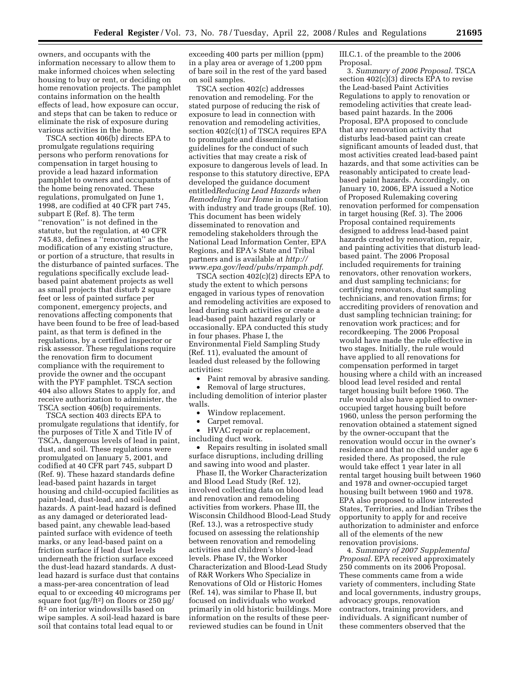owners, and occupants with the information necessary to allow them to make informed choices when selecting housing to buy or rent, or deciding on home renovation projects. The pamphlet contains information on the health effects of lead, how exposure can occur, and steps that can be taken to reduce or eliminate the risk of exposure during various activities in the home.

TSCA section 406(b) directs EPA to promulgate regulations requiring persons who perform renovations for compensation in target housing to provide a lead hazard information pamphlet to owners and occupants of the home being renovated. These regulations, promulgated on June 1, 1998, are codified at 40 CFR part 745, subpart E (Ref. 8). The term ''renovation'' is not defined in the statute, but the regulation, at 40 CFR 745.83, defines a ''renovation'' as the modification of any existing structure, or portion of a structure, that results in the disturbance of painted surfaces. The regulations specifically exclude leadbased paint abatement projects as well as small projects that disturb 2 square feet or less of painted surface per component, emergency projects, and renovations affecting components that have been found to be free of lead-based paint, as that term is defined in the regulations, by a certified inspector or risk assessor. These regulations require the renovation firm to document compliance with the requirement to provide the owner and the occupant with the PYF pamphlet. TSCA section 404 also allows States to apply for, and receive authorization to administer, the TSCA section 406(b) requirements.

TSCA section 403 directs EPA to promulgate regulations that identify, for the purposes of Title X and Title IV of TSCA, dangerous levels of lead in paint, dust, and soil. These regulations were promulgated on January 5, 2001, and codified at 40 CFR part 745, subpart D (Ref. 9). These hazard standards define lead-based paint hazards in target housing and child-occupied facilities as paint-lead, dust-lead, and soil-lead hazards. A paint-lead hazard is defined as any damaged or deteriorated leadbased paint, any chewable lead-based painted surface with evidence of teeth marks, or any lead-based paint on a friction surface if lead dust levels underneath the friction surface exceed the dust-lead hazard standards. A dustlead hazard is surface dust that contains a mass-per-area concentration of lead equal to or exceeding 40 micrograms per square foot ( $\mu$ g/ft<sup>2</sup>) on floors or 250  $\mu$ g/ ft2 on interior windowsills based on wipe samples. A soil-lead hazard is bare soil that contains total lead equal to or

exceeding 400 parts per million (ppm) in a play area or average of 1,200 ppm of bare soil in the rest of the yard based on soil samples.

TSCA section 402(c) addresses renovation and remodeling. For the stated purpose of reducing the risk of exposure to lead in connection with renovation and remodeling activities, section 402(c)(1) of TSCA requires EPA to promulgate and disseminate guidelines for the conduct of such activities that may create a risk of exposure to dangerous levels of lead. In response to this statutory directive, EPA developed the guidance document entitled*Reducing Lead Hazards when Remodeling Your Home* in consultation with industry and trade groups (Ref. 10). This document has been widely disseminated to renovation and remodeling stakeholders through the National Lead Information Center, EPA Regions, and EPA's State and Tribal partners and is available at *http:// [www.epa.gov/lead/pubs/rrpamph.pdf](http://www.epa.gov/lead/pubs/rrpamph.pdf)*.

TSCA section 402(c)(2) directs EPA to study the extent to which persons engaged in various types of renovation and remodeling activities are exposed to lead during such activities or create a lead-based paint hazard regularly or occasionally. EPA conducted this study in four phases. Phase I, the Environmental Field Sampling Study (Ref. 11), evaluated the amount of leaded dust released by the following activities:

• Paint removal by abrasive sanding.

• Removal of large structures, including demolition of interior plaster walls.

- Window replacement.
- Carpet removal.

• HVAC repair or replacement, including duct work.

• Repairs resulting in isolated small surface disruptions, including drilling and sawing into wood and plaster.

Phase II, the Worker Characterization and Blood Lead Study (Ref. 12), involved collecting data on blood lead and renovation and remodeling activities from workers. Phase III, the Wisconsin Childhood Blood-Lead Study (Ref. 13.), was a retrospective study focused on assessing the relationship between renovation and remodeling activities and children's blood-lead levels. Phase IV, the Worker Characterization and Blood-Lead Study of R&R Workers Who Specialize in Renovations of Old or Historic Homes (Ref. 14), was similar to Phase II, but focused on individuals who worked primarily in old historic buildings. More information on the results of these peerreviewed studies can be found in Unit

III.C.1. of the preamble to the 2006 Proposal.

3. *Summary of 2006 Proposal*. TSCA section  $402(c)(3)$  directs EPA to revise the Lead-based Paint Activities Regulations to apply to renovation or remodeling activities that create leadbased paint hazards. In the 2006 Proposal, EPA proposed to conclude that any renovation activity that disturbs lead-based paint can create significant amounts of leaded dust, that most activities created lead-based paint hazards, and that some activities can be reasonably anticipated to create leadbased paint hazards. Accordingly, on January 10, 2006, EPA issued a Notice of Proposed Rulemaking covering renovation performed for compensation in target housing (Ref. 3). The 2006 Proposal contained requirements designed to address lead-based paint hazards created by renovation, repair, and painting activities that disturb leadbased paint. The 2006 Proposal included requirements for training renovators, other renovation workers, and dust sampling technicians; for certifying renovators, dust sampling technicians, and renovation firms; for accrediting providers of renovation and dust sampling technician training; for renovation work practices; and for recordkeeping. The 2006 Proposal would have made the rule effective in two stages. Initially, the rule would have applied to all renovations for compensation performed in target housing where a child with an increased blood lead level resided and rental target housing built before 1960. The rule would also have applied to owneroccupied target housing built before 1960, unless the person performing the renovation obtained a statement signed by the owner-occupant that the renovation would occur in the owner's residence and that no child under age 6 resided there. As proposed, the rule would take effect 1 year later in all rental target housing built between 1960 and 1978 and owner-occupied target housing built between 1960 and 1978. EPA also proposed to allow interested States, Territories, and Indian Tribes the opportunity to apply for and receive authorization to administer and enforce all of the elements of the new renovation provisions.

4. *Summary of 2007 Supplemental Proposal*. EPA received approximately 250 comments on its 2006 Proposal. These comments came from a wide variety of commenters, including State and local governments, industry groups, advocacy groups, renovation contractors, training providers, and individuals. A significant number of these commenters observed that the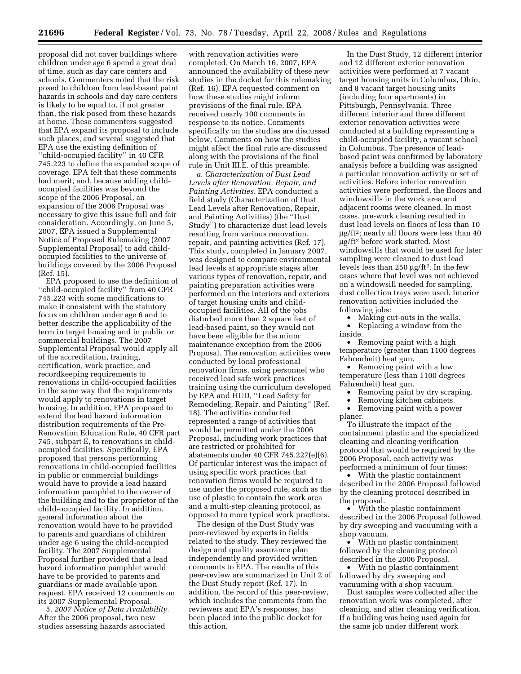proposal did not cover buildings where children under age 6 spend a great deal of time, such as day care centers and schools. Commenters noted that the risk posed to children from lead-based paint hazards in schools and day care centers is likely to be equal to, if not greater than, the risk posed from these hazards at home. These commenters suggested that EPA expand its proposal to include such places, and several suggested that EPA use the existing definition of ''child-occupied facility'' in 40 CFR 745.223 to define the expanded scope of coverage. EPA felt that these comments had merit, and, because adding childoccupied facilities was beyond the scope of the 2006 Proposal, an expansion of the 2006 Proposal was necessary to give this issue full and fair consideration. Accordingly, on June 5, 2007, EPA issued a Supplemental Notice of Proposed Rulemaking (2007 Supplemental Proposal) to add childoccupied facilities to the universe of buildings covered by the 2006 Proposal (Ref. 15).

EPA proposed to use the definition of ''child-occupied facility'' from 40 CFR 745.223 with some modifications to make it consistent with the statutory focus on children under age 6 and to better describe the applicability of the term in target housing and in public or commercial buildings. The 2007 Supplemental Proposal would apply all of the accreditation, training, certification, work practice, and recordkeeping requirements to renovations in child-occupied facilities in the same way that the requirements would apply to renovations in target housing. In addition, EPA proposed to extend the lead hazard information distribution requirements of the Pre-Renovation Education Rule, 40 CFR part 745, subpart E, to renovations in childoccupied facilities. Specifically, EPA proposed that persons performing renovations in child-occupied facilities in public or commercial buildings would have to provide a lead hazard information pamphlet to the owner of the building and to the proprietor of the child-occupied facility. In addition, general information about the renovation would have to be provided to parents and guardians of children under age 6 using the child-occupied facility. The 2007 Supplemental Proposal further provided that a lead hazard information pamphlet would have to be provided to parents and guardians or made available upon request. EPA received 12 comments on its 2007 Supplemental Proposal.

5. *2007 Notice of Data Availability*. After the 2006 proposal, two new studies assessing hazards associated

with renovation activities were completed. On March 16, 2007, EPA announced the availability of these new studies in the docket for this rulemaking (Ref. 16). EPA requested comment on how these studies might inform provisions of the final rule. EPA received nearly 100 comments in response to its notice. Comments specifically on the studies are discussed below. Comments on how the studies might affect the final rule are discussed along with the provisions of the final rule in Unit III.E. of this preamble.

*a. Characterization of Dust Lead Levels after Renovation, Repair, and Painting Activities.* EPA conducted a field study (Characterization of Dust Lead Levels after Renovation, Repair, and Painting Activities) (the ''Dust Study'') to characterize dust lead levels resulting from various renovation, repair, and painting activities (Ref. 17). This study, completed in January 2007, was designed to compare environmental lead levels at appropriate stages after various types of renovation, repair, and painting preparation activities were performed on the interiors and exteriors of target housing units and childoccupied facilities. All of the jobs disturbed more than 2 square feet of lead-based paint, so they would not have been eligible for the minor maintenance exception from the 2006 Proposal. The renovation activities were conducted by local professional renovation firms, using personnel who received lead safe work practices training using the curriculum developed by EPA and HUD, ''Lead Safety for Remodeling, Repair, and Painting'' (Ref. 18). The activities conducted represented a range of activities that would be permitted under the 2006 Proposal, including work practices that are restricted or prohibited for abatements under 40 CFR 745.227(e)(6). Of particular interest was the impact of using specific work practices that renovation firms would be required to use under the proposed rule, such as the use of plastic to contain the work area and a multi-step cleaning protocol, as opposed to more typical work practices.

The design of the Dust Study was peer-reviewed by experts in fields related to the study. They reviewed the design and quality assurance plan independently and provided written comments to EPA. The results of this peer-review are summarized in Unit 2 of the Dust Study report (Ref. 17). In addition, the record of this peer-review, which includes the comments from the reviewers and EPA's responses, has been placed into the public docket for this action.

In the Dust Study, 12 different interior and 12 different exterior renovation activities were performed at 7 vacant target housing units in Columbus, Ohio, and 8 vacant target housing units (including four apartments) in Pittsburgh, Pennsylvania. Three different interior and three different exterior renovation activities were conducted at a building representing a child-occupied facility, a vacant school in Columbus. The presence of leadbased paint was confirmed by laboratory analysis before a building was assigned a particular renovation activity or set of activities. Before interior renovation activities were performed, the floors and windowsills in the work area and adjacent rooms were cleaned. In most cases, pre-work cleaning resulted in dust lead levels on floors of less than 10  $\mu$ g/ft<sup>2</sup>; nearly all floors were less than 40 µg/ft2 before work started. Most windowsills that would be used for later sampling were cleaned to dust lead levels less than 250 µg/ft2. In the few cases where that level was not achieved on a windowsill needed for sampling, dust collection trays were used. Interior renovation activities included the following jobs:

• Making cut-outs in the walls. • Replacing a window from the inside.

• Removing paint with a high temperature (greater than 1100 degrees Fahrenheit) heat gun.

• Removing paint with a low temperature (less than 1100 degrees Fahrenheit) heat gun.

- Removing paint by dry scraping.
- Removing kitchen cabinets.
- Removing paint with a power

planer. To illustrate the impact of the containment plastic and the specialized cleaning and cleaning verification protocol that would be required by the 2006 Proposal, each activity was performed a minimum of four times:

• With the plastic containment described in the 2006 Proposal followed by the cleaning protocol described in the proposal.

• With the plastic containment described in the 2006 Proposal followed by dry sweeping and vacuuming with a shop vacuum.

• With no plastic containment followed by the cleaning protocol described in the 2006 Proposal.

• With no plastic containment followed by dry sweeping and vacuuming with a shop vacuum.

Dust samples were collected after the renovation work was completed, after cleaning, and after cleaning verification. If a building was being used again for the same job under different work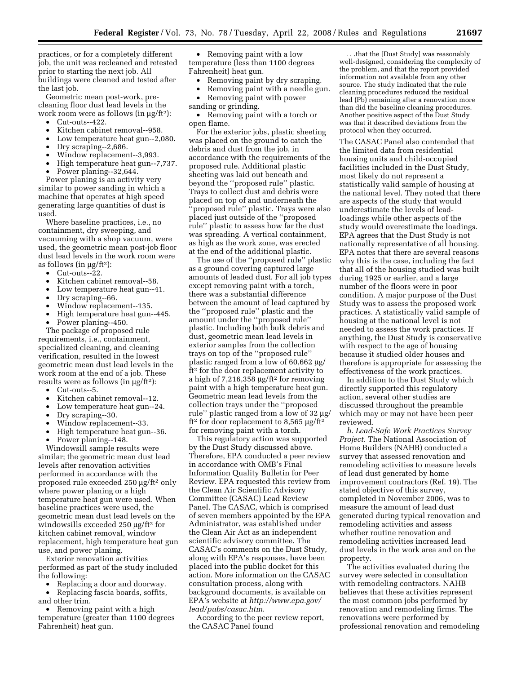practices, or for a completely different job, the unit was recleaned and retested prior to starting the next job. All buildings were cleaned and tested after the last job.

Geometric mean post-work, precleaning floor dust lead levels in the work room were as follows (in  $\mu$ g/ft<sup>2</sup>):

- Cut-outs--422.
- Kitchen cabinet removal--958.
- Low temperature heat gun--2,080.
- Dry scraping--2,686.
- Window replacement--3,993.
- High temperature heat gun--7,737.
- Power planing--32,644.

Power planing is an activity very similar to power sanding in which a machine that operates at high speed generating large quantities of dust is used.

Where baseline practices, i.e., no containment, dry sweeping, and vacuuming with a shop vacuum, were used, the geometric mean post-job floor dust lead levels in the work room were as follows (in  $\mu$ g/ft<sup>2</sup>):

- Cut-outs--22.
- Kitchen cabinet removal--58.
- Low temperature heat gun--41.
- Dry scraping--66.
- Window replacement--135.
- High temperature heat gun--445.
- Power planing--450.

The package of proposed rule requirements, i.e., containment, specialized cleaning, and cleaning verification, resulted in the lowest geometric mean dust lead levels in the work room at the end of a job. These results were as follows (in µg/ft2):

- Cut-outs--5.
- Kitchen cabinet removal--12.
- Low temperature heat gun--24.
- Dry scraping--30.
- Window replacement--33.
- High temperature heat gun--36.
- Power planing--148.

Windowsill sample results were similar; the geometric mean dust lead levels after renovation activities performed in accordance with the proposed rule exceeded 250 µg/ft2 only where power planing or a high temperature heat gun were used. When baseline practices were used, the geometric mean dust lead levels on the windowsills exceeded 250 µg/ft<sup>2</sup> for kitchen cabinet removal, window replacement, high temperature heat gun use, and power planing.

Exterior renovation activities performed as part of the study included the following:

- Replacing a door and doorway.
- Replacing fascia boards, soffits, and other trim.

• Removing paint with a high temperature (greater than 1100 degrees Fahrenheit) heat gun.

• Removing paint with a low temperature (less than 1100 degrees Fahrenheit) heat gun.

- Removing paint by dry scraping.
- Removing paint with a needle gun. • Removing paint with power

sanding or grinding.

• Removing paint with a torch or open flame.

For the exterior jobs, plastic sheeting was placed on the ground to catch the debris and dust from the job, in accordance with the requirements of the proposed rule. Additional plastic sheeting was laid out beneath and beyond the ''proposed rule'' plastic. Trays to collect dust and debris were placed on top of and underneath the ''proposed rule'' plastic. Trays were also placed just outside of the ''proposed rule'' plastic to assess how far the dust was spreading. A vertical containment, as high as the work zone, was erected at the end of the additional plastic.

The use of the ''proposed rule'' plastic as a ground covering captured large amounts of leaded dust. For all job types except removing paint with a torch, there was a substantial difference between the amount of lead captured by the ''proposed rule'' plastic and the amount under the ''proposed rule'' plastic. Including both bulk debris and dust, geometric mean lead levels in exterior samples from the collection trays on top of the ''proposed rule'' plastic ranged from a low of 60,662 µg/ ft2 for the door replacement activity to a high of 7,216,358 µg/ft2 for removing paint with a high temperature heat gun. Geometric mean lead levels from the collection trays under the ''proposed rule'' plastic ranged from a low of 32 µg/ ft<sup>2</sup> for door replacement to 8,565  $\mu$ g/ft<sup>2</sup> for removing paint with a torch.

This regulatory action was supported by the Dust Study discussed above. Therefore, EPA conducted a peer review in accordance with OMB's Final Information Quality Bulletin for Peer Review. EPA requested this review from the Clean Air Scientific Advisory Committee (CASAC) Lead Review Panel. The CASAC, which is comprised of seven members appointed by the EPA Administrator, was established under the Clean Air Act as an independent scientific advisory committee. The CASAC's comments on the Dust Study, along with EPA's responses, have been placed into the public docket for this action. More information on the CASAC consultation process, along with background documents, is available on EPA's website at *[http://www.epa.gov/](http://www.epa.gov/lead/pubs/casac.htm)  lead/pubs/casac.htm*.

According to the peer review report, the CASAC Panel found

. . .that the [Dust Study] was reasonably well-designed, considering the complexity of the problem, and that the report provided information not available from any other source. The study indicated that the rule cleaning procedures reduced the residual lead (Pb) remaining after a renovation more than did the baseline cleaning procedures. Another positive aspect of the Dust Study was that it described deviations from the protocol when they occurred.

The CASAC Panel also contended that the limited data from residential housing units and child-occupied facilities included in the Dust Study, most likely do not represent a statistically valid sample of housing at the national level. They noted that there are aspects of the study that would underestimate the levels of leadloadings while other aspects of the study would overestimate the loadings. EPA agrees that the Dust Study is not nationally representative of all housing. EPA notes that there are several reasons why this is the case, including the fact that all of the housing studied was built during 1925 or earlier, and a large number of the floors were in poor condition. A major purpose of the Dust Study was to assess the proposed work practices. A statistically valid sample of housing at the national level is not needed to assess the work practices. If anything, the Dust Study is conservative with respect to the age of housing because it studied older houses and therefore is appropriate for assessing the effectiveness of the work practices.

In addition to the Dust Study which directly supported this regulatory action, several other studies are discussed throughout the preamble which may or may not have been peer reviewed.

*b. Lead-Safe Work Practices Survey Project.* The National Association of Home Builders (NAHB) conducted a survey that assessed renovation and remodeling activities to measure levels of lead dust generated by home improvement contractors (Ref. 19). The stated objective of this survey, completed in November 2006, was to measure the amount of lead dust generated during typical renovation and remodeling activities and assess whether routine renovation and remodeling activities increased lead dust levels in the work area and on the property.

The activities evaluated during the survey were selected in consultation with remodeling contractors. NAHB believes that these activities represent the most common jobs performed by renovation and remodeling firms. The renovations were performed by professional renovation and remodeling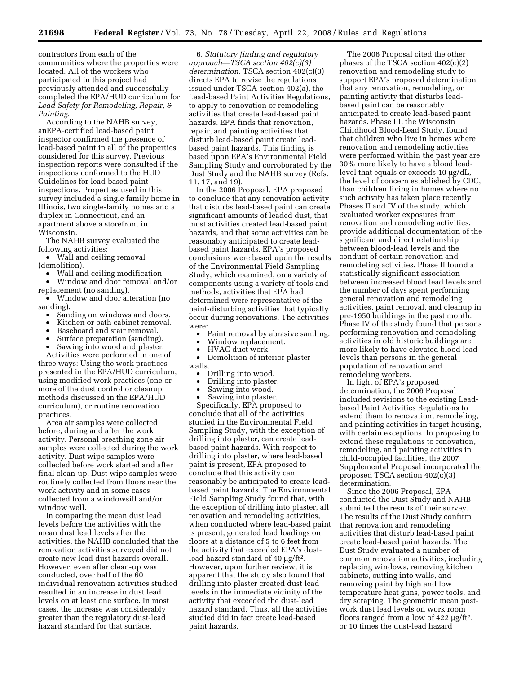contractors from each of the communities where the properties were located. All of the workers who participated in this project had previously attended and successfully completed the EPA/HUD curriculum for *Lead Safety for Remodeling, Repair, & Painting*.

According to the NAHB survey, anEPA-certified lead-based paint inspector confirmed the presence of lead-based paint in all of the properties considered for this survey. Previous inspection reports were consulted if the inspections conformed to the HUD Guidelines for lead-based paint inspections. Properties used in this survey included a single family home in Illinois, two single-family homes and a duplex in Connecticut, and an apartment above a storefront in Wisconsin.

The NAHB survey evaluated the following activities:

• Wall and ceiling removal (demolition).

- Wall and ceiling modification.
- Window and door removal and/or replacement (no sanding).
- Window and door alteration (no sanding).
	- Sanding on windows and doors.
	- Kitchen or bath cabinet removal.
	- Baseboard and stair removal.
	- Surface preparation (sanding).
- Sawing into wood and plaster. Activities were performed in one of three ways: Using the work practices presented in the EPA/HUD curriculum, using modified work practices (one or more of the dust control or cleanup methods discussed in the EPA/HUD curriculum), or routine renovation

practices. Area air samples were collected before, during and after the work activity. Personal breathing zone air samples were collected during the work activity. Dust wipe samples were collected before work started and after final clean-up. Dust wipe samples were routinely collected from floors near the work activity and in some cases collected from a windowsill and/or window well.

In comparing the mean dust lead levels before the activities with the mean dust lead levels after the activities, the NAHB concluded that the renovation activities surveyed did not create new lead dust hazards overall. However, even after clean-up was conducted, over half of the 60 individual renovation activities studied resulted in an increase in dust lead levels on at least one surface. In most cases, the increase was considerably greater than the regulatory dust-lead hazard standard for that surface.

6. *Statutory finding and regulatory approach*—*TSCA section 402(c)(3) determination.* TSCA section 402(c)(3) directs EPA to revise the regulations issued under TSCA section 402(a), the Lead-based Paint Activities Regulations, to apply to renovation or remodeling activities that create lead-based paint hazards. EPA finds that renovation, repair, and painting activities that disturb lead-based paint create leadbased paint hazards. This finding is based upon EPA's Environmental Field Sampling Study and corroborated by the Dust Study and the NAHB survey (Refs. 11, 17, and 19).

In the 2006 Proposal, EPA proposed to conclude that any renovation activity that disturbs lead-based paint can create significant amounts of leaded dust, that most activities created lead-based paint hazards, and that some activities can be reasonably anticipated to create leadbased paint hazards. EPA's proposed conclusions were based upon the results of the Environmental Field Sampling Study, which examined, on a variety of components using a variety of tools and methods, activities that EPA had determined were representative of the paint-disturbing activities that typically occur during renovations. The activities were:

- Paint removal by abrasive sanding.
- Window replacement.
- HVAC duct work.

• Demolition of interior plaster walls.

- Drilling into wood.
- Drilling into plaster.
- Sawing into wood.
- Sawing into plaster.

Specifically, EPA proposed to conclude that all of the activities studied in the Environmental Field Sampling Study, with the exception of drilling into plaster, can create leadbased paint hazards. With respect to drilling into plaster, where lead-based paint is present, EPA proposed to conclude that this activity can reasonably be anticipated to create leadbased paint hazards. The Environmental Field Sampling Study found that, with the exception of drilling into plaster, all renovation and remodeling activities, when conducted where lead-based paint is present, generated lead loadings on floors at a distance of 5 to 6 feet from the activity that exceeded EPA's dustlead hazard standard of 40 µg/ft2. However, upon further review, it is apparent that the study also found that drilling into plaster created dust lead levels in the immediate vicinity of the activity that exceeded the dust-lead hazard standard. Thus, all the activities studied did in fact create lead-based paint hazards.

The 2006 Proposal cited the other phases of the TSCA section 402(c)(2) renovation and remodeling study to support EPA's proposed determination that any renovation, remodeling, or painting activity that disturbs leadbased paint can be reasonably anticipated to create lead-based paint hazards. Phase III, the Wisconsin Childhood Blood-Lead Study, found that children who live in homes where renovation and remodeling activities were performed within the past year are 30% more likely to have a blood leadlevel that equals or exceeds 10 µg/dL, the level of concern established by CDC, than children living in homes where no such activity has taken place recently. Phases II and IV of the study, which evaluated worker exposures from renovation and remodeling activities, provide additional documentation of the significant and direct relationship between blood-lead levels and the conduct of certain renovation and remodeling activities. Phase II found a statistically significant association between increased blood lead levels and the number of days spent performing general renovation and remodeling activities, paint removal, and cleanup in pre-1950 buildings in the past month. Phase IV of the study found that persons performing renovation and remodeling activities in old historic buildings are more likely to have elevated blood lead levels than persons in the general population of renovation and remodeling workers.

In light of EPA's proposed determination, the 2006 Proposal included revisions to the existing Leadbased Paint Activities Regulations to extend them to renovation, remodeling, and painting activities in target housing, with certain exceptions. In proposing to extend these regulations to renovation, remodeling, and painting activities in child-occupied facilities, the 2007 Supplemental Proposal incorporated the proposed TSCA section 402(c)(3) determination.

Since the 2006 Proposal, EPA conducted the Dust Study and NAHB submitted the results of their survey. The results of the Dust Study confirm that renovation and remodeling activities that disturb lead-based paint create lead-based paint hazards. The Dust Study evaluated a number of common renovation activities, including replacing windows, removing kitchen cabinets, cutting into walls, and removing paint by high and low temperature heat guns, power tools, and dry scraping. The geometric mean postwork dust lead levels on work room floors ranged from a low of 422 µg/ft2, or 10 times the dust-lead hazard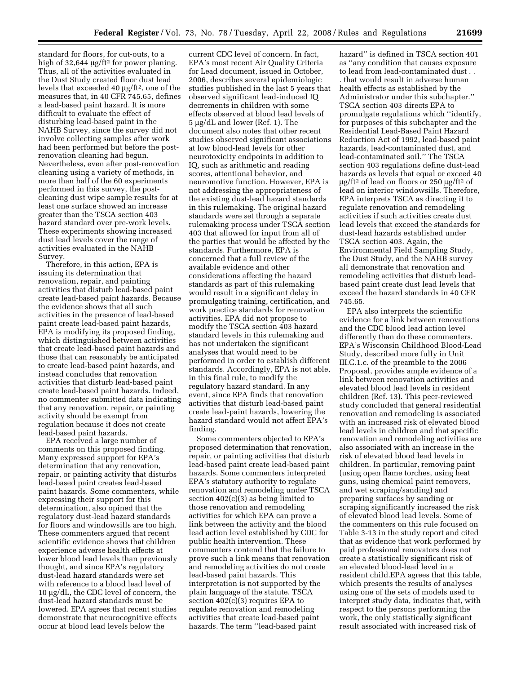standard for floors, for cut-outs, to a high of 32,644 µg/ft<sup>2</sup> for power planing. Thus, all of the activities evaluated in the Dust Study created floor dust lead levels that exceeded 40 µg/ft2, one of the measures that, in 40 CFR 745.65, defines a lead-based paint hazard. It is more difficult to evaluate the effect of disturbing lead-based paint in the NAHB Survey, since the survey did not involve collecting samples after work had been performed but before the postrenovation cleaning had begun. Nevertheless, even after post-renovation cleaning using a variety of methods, in more than half of the 60 experiments performed in this survey, the postcleaning dust wipe sample results for at least one surface showed an increase greater than the TSCA section 403 hazard standard over pre-work levels. These experiments showing increased dust lead levels cover the range of activities evaluated in the NAHB Survey.

Therefore, in this action, EPA is issuing its determination that renovation, repair, and painting activities that disturb lead-based paint create lead-based paint hazards. Because the evidence shows that all such activities in the presence of lead-based paint create lead-based paint hazards, EPA is modifying its proposed finding, which distinguished between activities that create lead-based paint hazards and those that can reasonably be anticipated to create lead-based paint hazards, and instead concludes that renovation activities that disturb lead-based paint create lead-based paint hazards. Indeed, no commenter submitted data indicating that any renovation, repair, or painting activity should be exempt from regulation because it does not create lead-based paint hazards.

EPA received a large number of comments on this proposed finding. Many expressed support for EPA's determination that any renovation, repair, or painting activity that disturbs lead-based paint creates lead-based paint hazards. Some commenters, while expressing their support for this determination, also opined that the regulatory dust-lead hazard standards for floors and windowsills are too high. These commenters argued that recent scientific evidence shows that children experience adverse health effects at lower blood lead levels than previously thought, and since EPA's regulatory dust-lead hazard standards were set with reference to a blood lead level of 10 µg/dL, the CDC level of concern, the dust-lead hazard standards must be lowered. EPA agrees that recent studies demonstrate that neurocognitive effects occur at blood lead levels below the

current CDC level of concern. In fact, EPA's most recent Air Quality Criteria for Lead document, issued in October, 2006, describes several epidemiologic studies published in the last 5 years that observed significant lead-induced IQ decrements in children with some effects observed at blood lead levels of 5 µg/dL and lower (Ref. 1). The document also notes that other recent studies observed significant associations at low blood-lead levels for other neurotoxicity endpoints in addition to IQ, such as arithmetic and reading scores, attentional behavior, and neuromotive function. However, EPA is not addressing the appropriateness of the existing dust-lead hazard standards in this rulemaking. The original hazard standards were set through a separate rulemaking process under TSCA section 403 that allowed for input from all of the parties that would be affected by the standards. Furthermore, EPA is concerned that a full review of the available evidence and other considerations affecting the hazard standards as part of this rulemaking would result in a significant delay in promulgating training, certification, and work practice standards for renovation activities. EPA did not propose to modify the TSCA section 403 hazard standard levels in this rulemaking and has not undertaken the significant analyses that would need to be performed in order to establish different standards. Accordingly, EPA is not able, in this final rule, to modify the regulatory hazard standard. In any event, since EPA finds that renovation activities that disturb lead-based paint create lead-paint hazards, lowering the hazard standard would not affect EPA's finding.

Some commenters objected to EPA's proposed determination that renovation, repair, or painting activities that disturb lead-based paint create lead-based paint hazards. Some commenters interpreted EPA's statutory authority to regulate renovation and remodeling under TSCA section 402(c)(3) as being limited to those renovation and remodeling activities for which EPA can prove a link between the activity and the blood lead action level established by CDC for public health intervention. These commenters contend that the failure to prove such a link means that renovation and remodeling activities do not create lead-based paint hazards. This interpretation is not supported by the plain language of the statute. TSCA section 402(c)(3) requires EPA to regulate renovation and remodeling activities that create lead-based paint hazards. The term ''lead-based paint

hazard'' is defined in TSCA section 401 as ''any condition that causes exposure to lead from lead-contaminated dust . . . that would result in adverse human health effects as established by the Administrator under this subchapter.'' TSCA section 403 directs EPA to promulgate regulations which ''identify, for purposes of this subchapter and the Residential Lead-Based Paint Hazard Reduction Act of 1992, lead-based paint hazards, lead-contaminated dust, and lead-contaminated soil.'' The TSCA section 403 regulations define dust-lead hazards as levels that equal or exceed 40  $\mu$ g/ft<sup>2</sup> of lead on floors or 250  $\mu$ g/ft<sup>2</sup> of lead on interior windowsills. Therefore, EPA interprets TSCA as directing it to regulate renovation and remodeling activities if such activities create dust lead levels that exceed the standards for dust-lead hazards established under TSCA section 403. Again, the Environmental Field Sampling Study, the Dust Study, and the NAHB survey all demonstrate that renovation and remodeling activities that disturb leadbased paint create dust lead levels that exceed the hazard standards in 40 CFR 745.65.

EPA also interprets the scientific evidence for a link between renovations and the CDC blood lead action level differently than do these commenters. EPA's Wisconsin Childhood Blood-Lead Study, described more fully in Unit III.C.1.c. of the preamble to the 2006 Proposal, provides ample evidence of a link between renovation activities and elevated blood lead levels in resident children (Ref. 13). This peer-reviewed study concluded that general residential renovation and remodeling is associated with an increased risk of elevated blood lead levels in children and that specific renovation and remodeling activities are also associated with an increase in the risk of elevated blood lead levels in children. In particular, removing paint (using open flame torches, using heat guns, using chemical paint removers, and wet scraping/sanding) and preparing surfaces by sanding or scraping significantly increased the risk of elevated blood lead levels. Some of the commenters on this rule focused on Table 3-13 in the study report and cited that as evidence that work performed by paid professional renovators does not create a statistically significant risk of an elevated blood-lead level in a resident child.EPA agrees that this table, which presents the results of analyses using one of the sets of models used to interpret study data, indicates that, with respect to the persons performing the work, the only statistically significant result associated with increased risk of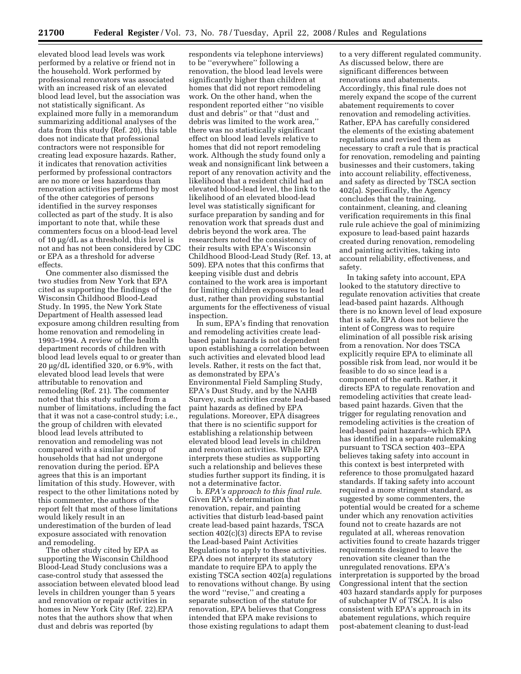elevated blood lead levels was work performed by a relative or friend not in the household. Work performed by professional renovators was associated with an increased risk of an elevated blood lead level, but the association was not statistically significant. As explained more fully in a memorandum summarizing additional analyses of the data from this study (Ref. 20), this table does not indicate that professional contractors were not responsible for creating lead exposure hazards. Rather, it indicates that renovation activities performed by professional contractors are no more or less hazardous than renovation activities performed by most of the other categories of persons identified in the survey responses collected as part of the study. It is also important to note that, while these commenters focus on a blood-lead level of 10 µg/dL as a threshold, this level is not and has not been considered by CDC or EPA as a threshold for adverse effects.

One commenter also dismissed the two studies from New York that EPA cited as supporting the findings of the Wisconsin Childhood Blood-Lead Study. In 1995, the New York State Department of Health assessed lead exposure among children resulting from home renovation and remodeling in 1993–1994. A review of the health department records of children with blood lead levels equal to or greater than 20 µg/dL identified 320, or 6.9%, with elevated blood lead levels that were attributable to renovation and remodeling (Ref. 21). The commenter noted that this study suffered from a number of limitations, including the fact that it was not a case-control study; i.e., the group of children with elevated blood lead levels attributed to renovation and remodeling was not compared with a similar group of households that had not undergone renovation during the period. EPA agrees that this is an important limitation of this study. However, with respect to the other limitations noted by this commenter, the authors of the report felt that most of these limitations would likely result in an underestimation of the burden of lead exposure associated with renovation and remodeling.

The other study cited by EPA as supporting the Wisconsin Childhood Blood-Lead Study conclusions was a case-control study that assessed the association between elevated blood lead levels in children younger than 5 years and renovation or repair activities in homes in New York City (Ref. 22).EPA notes that the authors show that when dust and debris was reported (by

respondents via telephone interviews) to be ''everywhere'' following a renovation, the blood lead levels were significantly higher than children at homes that did not report remodeling work. On the other hand, when the respondent reported either ''no visible dust and debris'' or that ''dust and debris was limited to the work area,'' there was no statistically significant effect on blood lead levels relative to homes that did not report remodeling work. Although the study found only a weak and nonsignificant link between a report of any renovation activity and the likelihood that a resident child had an elevated blood-lead level, the link to the likelihood of an elevated blood-lead level was statistically significant for surface preparation by sanding and for renovation work that spreads dust and debris beyond the work area. The researchers noted the consistency of their results with EPA's Wisconsin Childhood Blood-Lead Study (Ref. 13, at 509). EPA notes that this confirms that keeping visible dust and debris contained to the work area is important for limiting children exposures to lead dust, rather than providing substantial arguments for the effectiveness of visual inspection.

In sum, EPA's finding that renovation and remodeling activities create leadbased paint hazards is not dependent upon establishing a correlation between such activities and elevated blood lead levels. Rather, it rests on the fact that, as demonstrated by EPA's Environmental Field Sampling Study, EPA's Dust Study, and by the NAHB Survey, such activities create lead-based paint hazards as defined by EPA regulations. Moreover, EPA disagrees that there is no scientific support for establishing a relationship between elevated blood lead levels in children and renovation activities. While EPA interprets these studies as supporting such a relationship and believes these studies further support its finding, it is not a determinative factor.

b. *EPA's approach to this final rule*. Given EPA's determination that renovation, repair, and painting activities that disturb lead-based paint create lead-based paint hazards, TSCA section 402(c)(3) directs EPA to revise the Lead-based Paint Activities Regulations to apply to these activities. EPA does not interpret its statutory mandate to require EPA to apply the existing TSCA section 402(a) regulations to renovations without change. By using the word ''revise,'' and creating a separate subsection of the statute for renovation, EPA believes that Congress intended that EPA make revisions to those existing regulations to adapt them

to a very different regulated community. As discussed below, there are significant differences between renovations and abatements. Accordingly, this final rule does not merely expand the scope of the current abatement requirements to cover renovation and remodeling activities. Rather, EPA has carefully considered the elements of the existing abatement regulations and revised them as necessary to craft a rule that is practical for renovation, remodeling and painting businesses and their customers, taking into account reliability, effectiveness, and safety as directed by TSCA section 402(a). Specifically, the Agency concludes that the training, containment, cleaning, and cleaning verification requirements in this final rule rule achieve the goal of minimizing exposure to lead-based paint hazards created during renovation, remodeling and painting activities, taking into account reliability, effectiveness, and safety.

In taking safety into account, EPA looked to the statutory directive to regulate renovation activities that create lead-based paint hazards. Although there is no known level of lead exposure that is safe, EPA does not believe the intent of Congress was to require elimination of all possible risk arising from a renovation. Nor does TSCA explicitly require EPA to eliminate all possible risk from lead, nor would it be feasible to do so since lead is a component of the earth. Rather, it directs EPA to regulate renovation and remodeling activities that create leadbased paint hazards. Given that the trigger for regulating renovation and remodeling activities is the creation of lead-based paint hazards--which EPA has identified in a separate rulemaking pursuant to TSCA section 403--EPA believes taking safety into account in this context is best interpreted with reference to those promulgated hazard standards. If taking safety into account required a more stringent standard, as suggested by some commenters, the potential would be created for a scheme under which any renovation activities found not to create hazards are not regulated at all, whereas renovation activities found to create hazards trigger requirements designed to leave the renovation site cleaner than the unregulated renovations. EPA's interpretation is supported by the broad Congressional intent that the section 403 hazard standards apply for purposes of subchapter IV of TSCA. It is also consistent with EPA's approach in its abatement regulations, which require post-abatement cleaning to dust-lead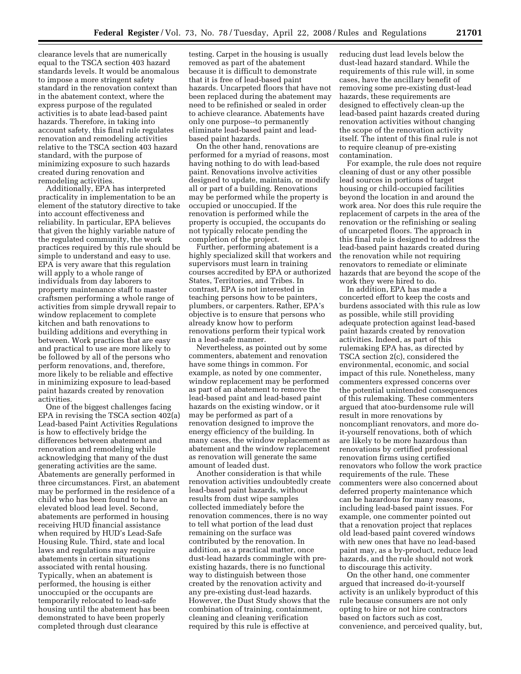clearance levels that are numerically equal to the TSCA section 403 hazard standards levels. It would be anomalous to impose a more stringent safety standard in the renovation context than in the abatement context, where the express purpose of the regulated activities is to abate lead-based paint hazards. Therefore, in taking into account safety, this final rule regulates renovation and remodeling activities relative to the TSCA section 403 hazard standard, with the purpose of minimizing exposure to such hazards created during renovation and remodeling activities.

Additionally, EPA has interpreted practicality in implementation to be an element of the statutory directive to take into account effectiveness and reliability. In particular, EPA believes that given the highly variable nature of the regulated community, the work practices required by this rule should be simple to understand and easy to use. EPA is very aware that this regulation will apply to a whole range of individuals from day laborers to property maintenance staff to master craftsmen performing a whole range of activities from simple drywall repair to window replacement to complete kitchen and bath renovations to building additions and everything in between. Work practices that are easy and practical to use are more likely to be followed by all of the persons who perform renovations, and, therefore, more likely to be reliable and effective in minimizing exposure to lead-based paint hazards created by renovation activities.

One of the biggest challenges facing EPA in revising the TSCA section  $40\overline{2}$ (a) Lead-based Paint Activities Regulations is how to effectively bridge the differences between abatement and renovation and remodeling while acknowledging that many of the dust generating activities are the same. Abatements are generally performed in three circumstances. First, an abatement may be performed in the residence of a child who has been found to have an elevated blood lead level. Second, abatements are performed in housing receiving HUD financial assistance when required by HUD's Lead-Safe Housing Rule. Third, state and local laws and regulations may require abatements in certain situations associated with rental housing. Typically, when an abatement is performed, the housing is either unoccupied or the occupants are temporarily relocated to lead-safe housing until the abatement has been demonstrated to have been properly completed through dust clearance

testing. Carpet in the housing is usually removed as part of the abatement because it is difficult to demonstrate that it is free of lead-based paint hazards. Uncarpeted floors that have not been replaced during the abatement may need to be refinished or sealed in order to achieve clearance. Abatements have only one purpose--to permanently eliminate lead-based paint and leadbased paint hazards.

On the other hand, renovations are performed for a myriad of reasons, most having nothing to do with lead-based paint. Renovations involve activities designed to update, maintain, or modify all or part of a building. Renovations may be performed while the property is occupied or unoccupied. If the renovation is performed while the property is occupied, the occupants do not typically relocate pending the completion of the project.

Further, performing abatement is a highly specialized skill that workers and supervisors must learn in training courses accredited by EPA or authorized States, Territories, and Tribes. In contrast, EPA is not interested in teaching persons how to be painters, plumbers, or carpenters. Rather, EPA's objective is to ensure that persons who already know how to perform renovations perform their typical work in a lead-safe manner.

Nevertheless, as pointed out by some commenters, abatement and renovation have some things in common. For example, as noted by one commenter, window replacement may be performed as part of an abatement to remove the lead-based paint and lead-based paint hazards on the existing window, or it may be performed as part of a renovation designed to improve the energy efficiency of the building. In many cases, the window replacement as abatement and the window replacement as renovation will generate the same amount of leaded dust.

Another consideration is that while renovation activities undoubtedly create lead-based paint hazards, without results from dust wipe samples collected immediately before the renovation commences, there is no way to tell what portion of the lead dust remaining on the surface was contributed by the renovation. In addition, as a practical matter, once dust-lead hazards commingle with preexisting hazards, there is no functional way to distinguish between those created by the renovation activity and any pre-existing dust-lead hazards. However, the Dust Study shows that the combination of training, containment, cleaning and cleaning verification required by this rule is effective at

reducing dust lead levels below the dust-lead hazard standard. While the requirements of this rule will, in some cases, have the ancillary benefit of removing some pre-existing dust-lead hazards, these requirements are designed to effectively clean-up the lead-based paint hazards created during renovation activities without changing the scope of the renovation activity itself. The intent of this final rule is not to require cleanup of pre-existing contamination.

For example, the rule does not require cleaning of dust or any other possible lead sources in portions of target housing or child-occupied facilities beyond the location in and around the work area. Nor does this rule require the replacement of carpets in the area of the renovation or the refinishing or sealing of uncarpeted floors. The approach in this final rule is designed to address the lead-based paint hazards created during the renovation while not requiring renovators to remediate or eliminate hazards that are beyond the scope of the work they were hired to do.

In addition, EPA has made a concerted effort to keep the costs and burdens associated with this rule as low as possible, while still providing adequate protection against lead-based paint hazards created by renovation activities. Indeed, as part of this rulemaking EPA has, as directed by TSCA section 2(c), considered the environmental, economic, and social impact of this rule. Nonetheless, many commenters expressed concerns over the potential unintended consequences of this rulemaking. These commenters argued that atoo-burdensome rule will result in more renovations by noncompliant renovators, and more doit-yourself renovations, both of which are likely to be more hazardous than renovations by certified professional renovation firms using certified renovators who follow the work practice requirements of the rule. These commenters were also concerned about deferred property maintenance which can be hazardous for many reasons, including lead-based paint issues. For example, one commenter pointed out that a renovation project that replaces old lead-based paint covered windows with new ones that have no lead-based paint may, as a by-product, reduce lead hazards, and the rule should not work to discourage this activity.

On the other hand, one commenter argued that increased do-it-yourself activity is an unlikely byproduct of this rule because consumers are not only opting to hire or not hire contractors based on factors such as cost, convenience, and perceived quality, but,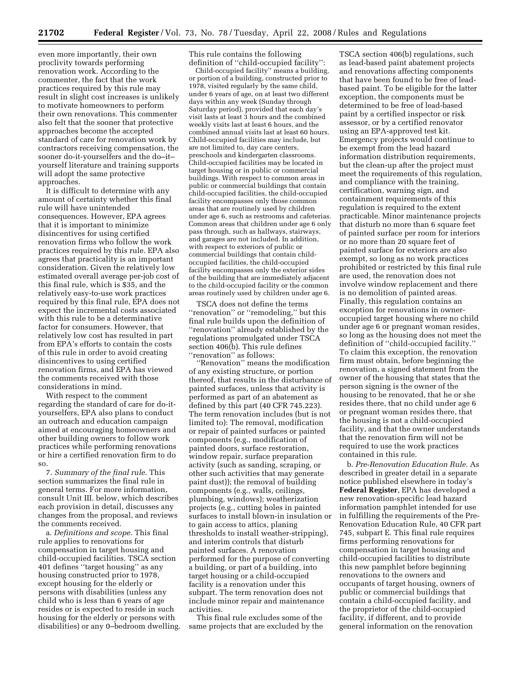even more importantly, their own proclivity towards performing renovation work. According to the commenter, the fact that the work practices required by this rule may result in slight cost increases is unlikely to motivate homeowners to perform their own renovations. This commenter also felt that the sooner that protective approaches become the accepted standard of care for renovation work by contractors receiving compensation, the sooner do-it-yourselfers and the do–it– yourself literature and training supports will adopt the same protective approaches.

It is difficult to determine with any amount of certainty whether this final rule will have unintended consequences. However, EPA agrees that it is important to minimize disincentives for using certified renovation firms who follow the work practices required by this rule. EPA also agrees that practicality is an important consideration. Given the relatively low estimated overall average per-job cost of this final rule, which is \$35, and the relatively easy-to-use work practices required by this final rule, EPA does not expect the incremental costs associated with this rule to be a determinative factor for consumers. However, that relatively low cost has resulted in part from EPA's efforts to contain the costs of this rule in order to avoid creating disincentives to using certified renovation firms, and EPA has viewed the comments received with those considerations in mind.

With respect to the comment regarding the standard of care for do-ityourselfers, EPA also plans to conduct an outreach and education campaign aimed at encouraging homeowners and other building owners to follow work practices while performing renovations or hire a certified renovation firm to do so.

7. *Summary of the final rule*. This section summarizes the final rule in general terms. For more information, consult Unit III. below, which describes each provision in detail, discusses any changes from the proposal, and reviews the comments received.

a. *Definitions and scope.* This final rule applies to renovations for compensation in target housing and child-occupied facilities. TSCA section 401 defines ''target housing'' as any housing constructed prior to 1978, except housing for the elderly or persons with disabilities (unless any child who is less than 6 years of age resides or is expected to reside in such housing for the elderly or persons with disabilities) or any 0–bedroom dwelling. This rule contains the following definition of ''child-occupied facility'':

Child-occupied facility'' means a building, or portion of a building, constructed prior to 1978, visited regularly by the same child, under 6 years of age, on at least two different days within any week (Sunday through Saturday period), provided that each day's visit lasts at least 3 hours and the combined weekly visits last at least 6 hours, and the combined annual visits last at least 60 hours. Child-occupied facilities may include, but are not limited to, day care centers, preschools and kindergarten classrooms. Child-occupied facilities may be located in target housing or in public or commercial buildings. With respect to common areas in public or commercial buildings that contain child-occupied facilities, the child-occupied facility encompasses only those common areas that are routinely used by children under age 6, such as restrooms and cafeterias. Common areas that children under age 6 only pass through, such as hallways, stairways, and garages are not included. In addition, with respect to exteriors of public or commercial buildings that contain childoccupied facilities, the child-occupied facility encompasses only the exterior sides of the building that are immediately adjacent to the child-occupied facility or the common areas routinely used by children under age 6.

TSCA does not define the terms ''renovation'' or ''remodeling,'' but this final rule builds upon the definition of ''renovation'' already established by the regulations promulgated under TSCA section 406(b). This rule defines "renovation" as follows:

'Renovation'' means the modification of any existing structure, or portion thereof, that results in the disturbance of painted surfaces, unless that activity is performed as part of an abatement as defined by this part (40 CFR 745.223). The term renovation includes (but is not limited to): The removal, modification or repair of painted surfaces or painted components (e.g., modification of painted doors, surface restoration, window repair, surface preparation activity (such as sanding, scraping, or other such activities that may generate paint dust)); the removal of building components (e.g., walls, ceilings, plumbing, windows); weatherization projects (e.g., cutting holes in painted surfaces to install blown-in insulation or to gain access to attics, planing thresholds to install weather-stripping), and interim controls that disturb painted surfaces. A renovation performed for the purpose of converting a building, or part of a building, into target housing or a child-occupied facility is a renovation under this subpart. The term renovation does not include minor repair and maintenance activities.

This final rule excludes some of the same projects that are excluded by the

TSCA section 406(b) regulations, such as lead-based paint abatement projects and renovations affecting components that have been found to be free of leadbased paint. To be eligible for the latter exception, the components must be determined to be free of lead-based paint by a certified inspector or risk assessor, or by a certified renovator using an EPA-approved test kit. Emergency projects would continue to be exempt from the lead hazard information distribution requirements, but the clean-up after the project must meet the requirements of this regulation, and compliance with the training, certification, warning sign, and containment requirements of this regulation is required to the extent practicable. Minor maintenance projects that disturb no more than 6 square feet of painted surface per room for interiors or no more than 20 square feet of painted surface for exteriors are also exempt, so long as no work practices prohibited or restricted by this final rule are used, the renovation does not involve window replacement and there is no demolition of painted areas. Finally, this regulation contains an exception for renovations in owneroccupied target housing where no child under age 6 or pregnant woman resides, so long as the housing does not meet the definition of ''child-occupied facility.'' To claim this exception, the renovation firm must obtain, before beginning the renovation, a signed statement from the owner of the housing that states that the person signing is the owner of the housing to be renovated, that he or she resides there, that no child under age 6 or pregnant woman resides there, that the housing is not a child-occupied facility, and that the owner understands that the renovation firm will not be required to use the work practices contained in this rule.

b. *Pre-Renovation Education Rule.* As described in greater detail in a separate notice published elsewhere in today's **Federal Register**, EPA has developed a new renovation-specific lead hazard information pamphlet intended for use in fulfilling the requirements of the Pre-Renovation Education Rule, 40 CFR part 745, subpart E. This final rule requires firms performing renovations for compensation in target housing and child-occupied facilities to distribute this new pamphlet before beginning renovations to the owners and occupants of target housing, owners of public or commercial buildings that contain a child-occupied facility, and the proprietor of the child-occupied facility, if different, and to provide general information on the renovation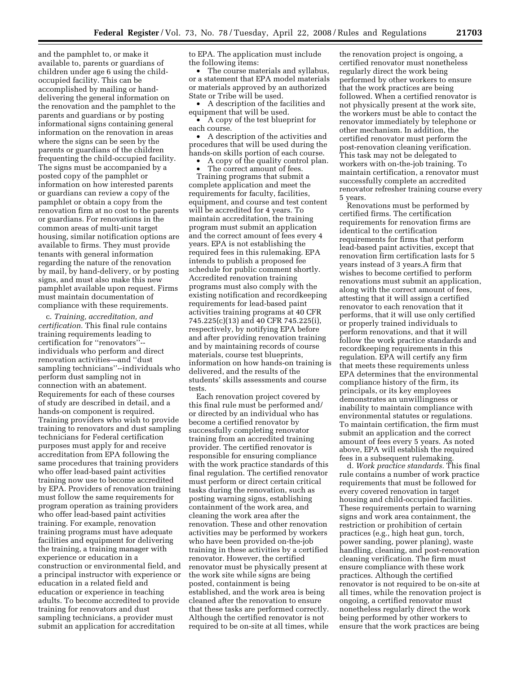and the pamphlet to, or make it available to, parents or guardians of children under age 6 using the childoccupied facility. This can be accomplished by mailing or handdelivering the general information on the renovation and the pamphlet to the parents and guardians or by posting informational signs containing general information on the renovation in areas where the signs can be seen by the parents or guardians of the children frequenting the child-occupied facility. The signs must be accompanied by a posted copy of the pamphlet or information on how interested parents or guardians can review a copy of the pamphlet or obtain a copy from the renovation firm at no cost to the parents or guardians. For renovations in the common areas of multi-unit target housing, similar notification options are available to firms. They must provide tenants with general information regarding the nature of the renovation by mail, by hand-delivery, or by posting signs, and must also make this new pamphlet available upon request. Firms must maintain documentation of compliance with these requirements.

c. *Training, accreditation, and certification.* This final rule contains training requirements leading to certification for ''renovators''- individuals who perform and direct renovation activities—and ''dust sampling technicians''--individuals who perform dust sampling not in connection with an abatement. Requirements for each of these courses of study are described in detail, and a hands-on component is required. Training providers who wish to provide training to renovators and dust sampling technicians for Federal certification purposes must apply for and receive accreditation from EPA following the same procedures that training providers who offer lead-based paint activities training now use to become accredited by EPA. Providers of renovation training must follow the same requirements for program operation as training providers who offer lead-based paint activities training. For example, renovation training programs must have adequate facilities and equipment for delivering the training, a training manager with experience or education in a construction or environmental field, and a principal instructor with experience or education in a related field and education or experience in teaching adults. To become accredited to provide training for renovators and dust sampling technicians, a provider must submit an application for accreditation

to EPA. The application must include the following items:

• The course materials and syllabus, or a statement that EPA model materials or materials approved by an authorized State or Tribe will be used.

• A description of the facilities and equipment that will be used.

• A copy of the test blueprint for each course.

• A description of the activities and procedures that will be used during the hands-on skills portion of each course.

• A copy of the quality control plan. The correct amount of fees.

Training programs that submit a complete application and meet the requirements for faculty, facilities, equipment, and course and test content will be accredited for 4 years. To maintain accreditation, the training program must submit an application and the correct amount of fees every 4 years. EPA is not establishing the required fees in this rulemaking. EPA intends to publish a proposed fee schedule for public comment shortly. Accredited renovation training programs must also comply with the existing notification and recordkeeping requirements for lead-based paint activities training programs at 40 CFR 745.225(c)(13) and 40 CFR 745.225(i), respectively, by notifying EPA before and after providing renovation training and by maintaining records of course materials, course test blueprints, information on how hands-on training is delivered, and the results of the students' skills assessments and course tests.

Each renovation project covered by this final rule must be performed and/ or directed by an individual who has become a certified renovator by successfully completing renovator training from an accredited training provider. The certified renovator is responsible for ensuring compliance with the work practice standards of this final regulation. The certified renovator must perform or direct certain critical tasks during the renovation, such as posting warning signs, establishing containment of the work area, and cleaning the work area after the renovation. These and other renovation activities may be performed by workers who have been provided on-the-job training in these activities by a certified renovator. However, the certified renovator must be physically present at the work site while signs are being posted, containment is being established, and the work area is being cleaned after the renovation to ensure that these tasks are performed correctly. Although the certified renovator is not required to be on-site at all times, while

the renovation project is ongoing, a certified renovator must nonetheless regularly direct the work being performed by other workers to ensure that the work practices are being followed. When a certified renovator is not physically present at the work site, the workers must be able to contact the renovator immediately by telephone or other mechanism. In addition, the certified renovator must perform the post-renovation cleaning verification. This task may not be delegated to workers with on-the-job training. To maintain certification, a renovator must successfully complete an accredited renovator refresher training course every 5 years.

Renovations must be performed by certified firms. The certification requirements for renovation firms are identical to the certification requirements for firms that perform lead-based paint activities, except that renovation firm certification lasts for 5 years instead of 3 years.A firm that wishes to become certified to perform renovations must submit an application, along with the correct amount of fees, attesting that it will assign a certified renovator to each renovation that it performs, that it will use only certified or properly trained individuals to perform renovations, and that it will follow the work practice standards and recordkeeping requirements in this regulation. EPA will certify any firm that meets these requirements unless EPA determines that the environmental compliance history of the firm, its principals, or its key employees demonstrates an unwillingness or inability to maintain compliance with environmental statutes or regulations. To maintain certification, the firm must submit an application and the correct amount of fees every 5 years. As noted above, EPA will establish the required fees in a subsequent rulemaking.

d. *Work practice standards.* This final rule contains a number of work practice requirements that must be followed for every covered renovation in target housing and child-occupied facilities. These requirements pertain to warning signs and work area containment, the restriction or prohibition of certain practices (e.g., high heat gun, torch, power sanding, power planing), waste handling, cleaning, and post-renovation cleaning verification. The firm must ensure compliance with these work practices. Although the certified renovator is not required to be on-site at all times, while the renovation project is ongoing, a certified renovator must nonetheless regularly direct the work being performed by other workers to ensure that the work practices are being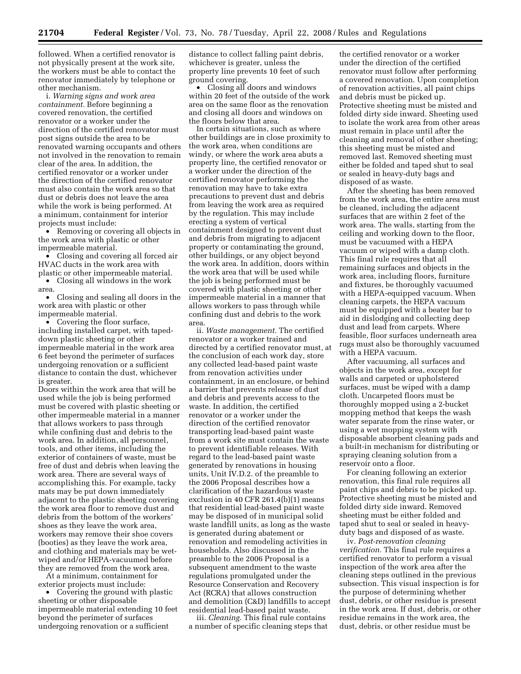followed. When a certified renovator is not physically present at the work site, the workers must be able to contact the renovator immediately by telephone or other mechanism.

i. *Warning signs and work area containment.* Before beginning a covered renovation, the certified renovator or a worker under the direction of the certified renovator must post signs outside the area to be renovated warning occupants and others not involved in the renovation to remain clear of the area. In addition, the certified renovator or a worker under the direction of the certified renovator must also contain the work area so that dust or debris does not leave the area while the work is being performed. At a minimum, containment for interior projects must include:

• Removing or covering all objects in the work area with plastic or other impermeable material.

• Closing and covering all forced air HVAC ducts in the work area with plastic or other impermeable material.

• Closing all windows in the work area.

• Closing and sealing all doors in the work area with plastic or other impermeable material.

• Covering the floor surface, including installed carpet, with tapeddown plastic sheeting or other impermeable material in the work area 6 feet beyond the perimeter of surfaces undergoing renovation or a sufficient distance to contain the dust, whichever is greater.

Doors within the work area that will be used while the job is being performed must be covered with plastic sheeting or other impermeable material in a manner that allows workers to pass through while confining dust and debris to the work area. In addition, all personnel, tools, and other items, including the exterior of containers of waste, must be free of dust and debris when leaving the work area. There are several ways of accomplishing this. For example, tacky mats may be put down immediately adjacent to the plastic sheeting covering the work area floor to remove dust and debris from the bottom of the workers' shoes as they leave the work area, workers may remove their shoe covers (booties) as they leave the work area, and clothing and materials may be wetwiped and/or HEPA-vacuumed before they are removed from the work area.

At a minimum, containment for exterior projects must include:

• Covering the ground with plastic sheeting or other disposable impermeable material extending 10 feet beyond the perimeter of surfaces undergoing renovation or a sufficient

distance to collect falling paint debris, whichever is greater, unless the property line prevents 10 feet of such ground covering.

• Closing all doors and windows within 20 feet of the outside of the work area on the same floor as the renovation and closing all doors and windows on the floors below that area.

In certain situations, such as where other buildings are in close proximity to the work area, when conditions are windy, or where the work area abuts a property line, the certified renovator or a worker under the direction of the certified renovator performing the renovation may have to take extra precautions to prevent dust and debris from leaving the work area as required by the regulation. This may include erecting a system of vertical containment designed to prevent dust and debris from migrating to adjacent property or contaminating the ground, other buildings, or any object beyond the work area. In addition, doors within the work area that will be used while the job is being performed must be covered with plastic sheeting or other impermeable material in a manner that allows workers to pass through while confining dust and debris to the work area.

ii. *Waste management.* The certified renovator or a worker trained and directed by a certified renovator must, at the conclusion of each work day, store any collected lead-based paint waste from renovation activities under containment, in an enclosure, or behind a barrier that prevents release of dust and debris and prevents access to the waste. In addition, the certified renovator or a worker under the direction of the certified renovator transporting lead-based paint waste from a work site must contain the waste to prevent identifiable releases. With regard to the lead-based paint waste generated by renovations in housing units, Unit IV.D.2. of the preamble to the 2006 Proposal describes how a clarification of the hazardous waste exclusion in 40 CFR 261.4(b)(1) means that residential lead-based paint waste may be disposed of in municipal solid waste landfill units, as long as the waste is generated during abatement or renovation and remodeling activities in households. Also discussed in the preamble to the 2006 Proposal is a subsequent amendment to the waste regulations promulgated under the Resource Conservation and Recovery Act (RCRA) that allows construction and demolition (C&D) landfills to accept residential lead-based paint waste.

iii. *Cleaning.* This final rule contains a number of specific cleaning steps that

the certified renovator or a worker under the direction of the certified renovator must follow after performing a covered renovation. Upon completion of renovation activities, all paint chips and debris must be picked up. Protective sheeting must be misted and folded dirty side inward. Sheeting used to isolate the work area from other areas must remain in place until after the cleaning and removal of other sheeting; this sheeting must be misted and removed last. Removed sheeting must either be folded and taped shut to seal or sealed in heavy-duty bags and disposed of as waste.

After the sheeting has been removed from the work area, the entire area must be cleaned, including the adjacent surfaces that are within 2 feet of the work area. The walls, starting from the ceiling and working down to the floor, must be vacuumed with a HEPA vacuum or wiped with a damp cloth. This final rule requires that all remaining surfaces and objects in the work area, including floors, furniture and fixtures, be thoroughly vacuumed with a HEPA-equipped vacuum. When cleaning carpets, the HEPA vacuum must be equipped with a beater bar to aid in dislodging and collecting deep dust and lead from carpets. Where feasible, floor surfaces underneath area rugs must also be thoroughly vacuumed with a HEPA vacuum.

After vacuuming, all surfaces and objects in the work area, except for walls and carpeted or upholstered surfaces, must be wiped with a damp cloth. Uncarpeted floors must be thoroughly mopped using a 2-bucket mopping method that keeps the wash water separate from the rinse water, or using a wet mopping system with disposable absorbent cleaning pads and a built-in mechanism for distributing or spraying cleaning solution from a reservoir onto a floor.

For cleaning following an exterior renovation, this final rule requires all paint chips and debris to be picked up. Protective sheeting must be misted and folded dirty side inward. Removed sheeting must be either folded and taped shut to seal or sealed in heavyduty bags and disposed of as waste.

iv. *Post-renovation cleaning verification.* This final rule requires a certified renovator to perform a visual inspection of the work area after the cleaning steps outlined in the previous subsection. This visual inspection is for the purpose of determining whether dust, debris, or other residue is present in the work area. If dust, debris, or other residue remains in the work area, the dust, debris, or other residue must be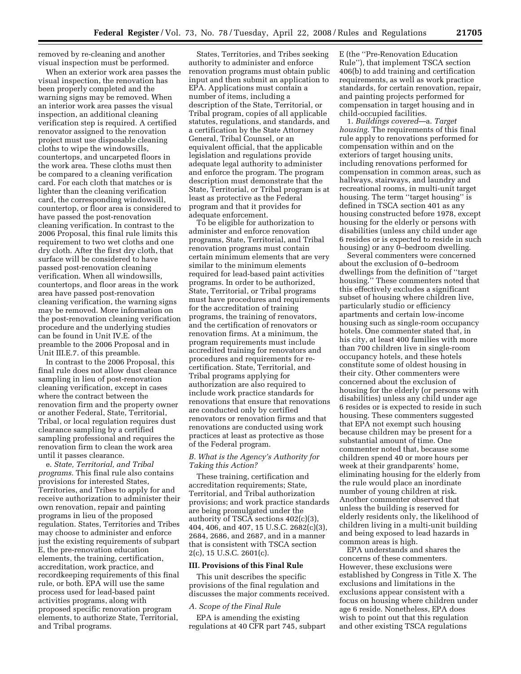removed by re-cleaning and another visual inspection must be performed.

When an exterior work area passes the visual inspection, the renovation has been properly completed and the warning signs may be removed. When an interior work area passes the visual inspection, an additional cleaning verification step is required. A certified renovator assigned to the renovation project must use disposable cleaning cloths to wipe the windowsills, countertops, and uncarpeted floors in the work area. These cloths must then be compared to a cleaning verification card. For each cloth that matches or is lighter than the cleaning verification card, the corresponding windowsill, countertop, or floor area is considered to have passed the post-renovation cleaning verification. In contrast to the 2006 Proposal, this final rule limits this requirement to two wet cloths and one dry cloth. After the first dry cloth, that surface will be considered to have passed post-renovation cleaning verification. When all windowsills, countertops, and floor areas in the work area have passed post-renovation cleaning verification, the warning signs may be removed. More information on the post-renovation cleaning verification procedure and the underlying studies can be found in Unit IV.E. of the preamble to the 2006 Proposal and in Unit III.E.7. of this preamble.

In contrast to the 2006 Proposal, this final rule does not allow dust clearance sampling in lieu of post-renovation cleaning verification, except in cases where the contract between the renovation firm and the property owner or another Federal, State, Territorial, Tribal, or local regulation requires dust clearance sampling by a certified sampling professional and requires the renovation firm to clean the work area until it passes clearance.

e. *State, Territorial, and Tribal programs.* This final rule also contains provisions for interested States, Territories, and Tribes to apply for and receive authorization to administer their own renovation, repair and painting programs in lieu of the proposed regulation. States, Territories and Tribes may choose to administer and enforce just the existing requirements of subpart E, the pre-renovation education elements, the training, certification, accreditation, work practice, and recordkeeping requirements of this final rule, or both. EPA will use the same process used for lead-based paint activities programs, along with proposed specific renovation program elements, to authorize State, Territorial, and Tribal programs.

States, Territories, and Tribes seeking authority to administer and enforce renovation programs must obtain public input and then submit an application to EPA. Applications must contain a number of items, including a description of the State, Territorial, or Tribal program, copies of all applicable statutes, regulations, and standards, and a certification by the State Attorney General, Tribal Counsel, or an equivalent official, that the applicable legislation and regulations provide adequate legal authority to administer and enforce the program. The program description must demonstrate that the State, Territorial, or Tribal program is at least as protective as the Federal program and that it provides for adequate enforcement.

To be eligible for authorization to administer and enforce renovation programs, State, Territorial, and Tribal renovation programs must contain certain minimum elements that are very similar to the minimum elements required for lead-based paint activities programs. In order to be authorized, State, Territorial, or Tribal programs must have procedures and requirements for the accreditation of training programs, the training of renovators, and the certification of renovators or renovation firms. At a minimum, the program requirements must include accredited training for renovators and procedures and requirements for recertification. State, Territorial, and Tribal programs applying for authorization are also required to include work practice standards for renovations that ensure that renovations are conducted only by certified renovators or renovation firms and that renovations are conducted using work practices at least as protective as those of the Federal program.

#### *B. What is the Agency's Authority for Taking this Action?*

These training, certification and accreditation requirements; State, Territorial, and Tribal authorization provisions; and work practice standards are being promulgated under the authority of TSCA sections 402(c)(3), 404, 406, and 407, 15 U.S.C. 2682(c)(3), 2684, 2686, and 2687, and in a manner that is consistent with TSCA section 2(c), 15 U.S.C. 2601(c).

#### **III. Provisions of this Final Rule**

This unit describes the specific provisions of the final regulation and discusses the major comments received.

#### *A. Scope of the Final Rule*

EPA is amending the existing regulations at 40 CFR part 745, subpart E (the ''Pre-Renovation Education Rule''), that implement TSCA section 406(b) to add training and certification requirements, as well as work practice standards, for certain renovation, repair, and painting projects performed for compensation in target housing and in child-occupied facilities.

1. *Buildings covered*—a. *Target housing*. The requirements of this final rule apply to renovations performed for compensation within and on the exteriors of target housing units, including renovations performed for compensation in common areas, such as hallways, stairways, and laundry and recreational rooms, in multi-unit target housing. The term ''target housing'' is defined in TSCA section 401 as any housing constructed before 1978, except housing for the elderly or persons with disabilities (unless any child under age 6 resides or is expected to reside in such housing) or any 0-bedroom dwelling.

Several commenters were concerned about the exclusion of 0–bedroom dwellings from the definition of ''target housing.'' These commenters noted that this effectively excludes a significant subset of housing where children live, particularly studio or efficiency apartments and certain low-income housing such as single-room occupancy hotels. One commenter stated that, in his city, at least 400 families with more than 700 children live in single-room occupancy hotels, and these hotels constitute some of oldest housing in their city. Other commenters were concerned about the exclusion of housing for the elderly (or persons with disabilities) unless any child under age 6 resides or is expected to reside in such housing. These commenters suggested that EPA not exempt such housing because children may be present for a substantial amount of time. One commenter noted that, because some children spend 40 or more hours per week at their grandparents' home, eliminating housing for the elderly from the rule would place an inordinate number of young children at risk. Another commenter observed that unless the building is reserved for elderly residents only, the likelihood of children living in a multi-unit building and being exposed to lead hazards in common areas is high.

EPA understands and shares the concerns of these commenters. However, these exclusions were established by Congress in Title X. The exclusions and limitations in the exclusions appear consistent with a focus on housing where children under age 6 reside. Nonetheless, EPA does wish to point out that this regulation and other existing TSCA regulations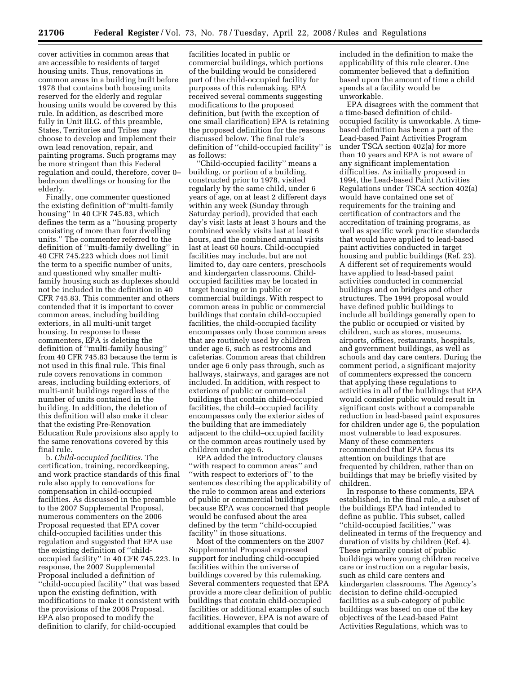cover activities in common areas that are accessible to residents of target housing units. Thus, renovations in common areas in a building built before 1978 that contains both housing units reserved for the elderly and regular housing units would be covered by this rule. In addition, as described more fully in Unit III.G. of this preamble, States, Territories and Tribes may choose to develop and implement their own lead renovation, repair, and painting programs. Such programs may be more stringent than this Federal regulation and could, therefore, cover 0– bedroom dwellings or housing for the elderly.

Finally, one commenter questioned the existing definition of''multi-family housing'' in 40 CFR 745.83, which defines the term as a ''housing property consisting of more than four dwelling units.'' The commenter referred to the definition of ''multi-family dwelling'' in 40 CFR 745.223 which does not limit the term to a specific number of units, and questioned why smaller multifamily housing such as duplexes should not be included in the definition in 40 CFR 745.83. This commenter and others contended that it is important to cover common areas, including building exteriors, in all multi-unit target housing. In response to these commenters, EPA is deleting the definition of ''multi-family housing'' from 40 CFR 745.83 because the term is not used in this final rule. This final rule covers renovations in common areas, including building exteriors, of multi-unit buildings regardless of the number of units contained in the building. In addition, the deletion of this definition will also make it clear that the existing Pre-Renovation Education Rule provisions also apply to the same renovations covered by this final rule.

b. *Child-occupied facilities*. The certification, training, recordkeeping, and work practice standards of this final rule also apply to renovations for compensation in child-occupied facilities. As discussed in the preamble to the 2007 Supplemental Proposal, numerous commenters on the 2006 Proposal requested that EPA cover child-occupied facilities under this regulation and suggested that EPA use the existing definition of ''childoccupied facility'' in 40 CFR 745.223. In response, the 2007 Supplemental Proposal included a definition of ''child-occupied facility'' that was based upon the existing definition, with modifications to make it consistent with the provisions of the 2006 Proposal. EPA also proposed to modify the definition to clarify, for child-occupied

facilities located in public or commercial buildings, which portions of the building would be considered part of the child-occupied facility for purposes of this rulemaking. EPA received several comments suggesting modifications to the proposed definition, but (with the exception of one small clarification) EPA is retaining the proposed definition for the reasons discussed below. The final rule's definition of ''child-occupied facility'' is as follows:

''Child-occupied facility'' means a building, or portion of a building, constructed prior to 1978, visited regularly by the same child, under 6 years of age, on at least 2 different days within any week (Sunday through Saturday period), provided that each day's visit lasts at least 3 hours and the combined weekly visits last at least 6 hours, and the combined annual visits last at least 60 hours. Child-occupied facilities may include, but are not limited to, day care centers, preschools and kindergarten classrooms. Childoccupied facilities may be located in target housing or in public or commercial buildings. With respect to common areas in public or commercial buildings that contain child-occupied facilities, the child-occupied facility encompasses only those common areas that are routinely used by children under age 6, such as restrooms and cafeterias. Common areas that children under age 6 only pass through, such as hallways, stairways, and garages are not included. In addition, with respect to exteriors of public or commercial buildings that contain child–occupied facilities, the child–occupied facility encompasses only the exterior sides of the building that are immediately adjacent to the child–occupied facility or the common areas routinely used by children under age 6.

EPA added the introductory clauses ''with respect to common areas'' and ''with respect to exteriors of'' to the sentences describing the applicability of the rule to common areas and exteriors of public or commercial buildings because EPA was concerned that people would be confused about the area defined by the term ''child-occupied facility'' in those situations.

Most of the commenters on the 2007 Supplemental Proposal expressed support for including child-occupied facilities within the universe of buildings covered by this rulemaking. Several commenters requested that EPA provide a more clear definition of public buildings that contain child-occupied facilities or additional examples of such facilities. However, EPA is not aware of additional examples that could be

included in the definition to make the applicability of this rule clearer. One commenter believed that a definition based upon the amount of time a child spends at a facility would be unworkable.

EPA disagrees with the comment that a time-based definition of childoccupied facility is unworkable. A timebased definition has been a part of the Lead-based Paint Activities Program under TSCA section 402(a) for more than 10 years and EPA is not aware of any significant implementation difficulties. As initially proposed in 1994, the Lead-based Paint Activities Regulations under TSCA section 402(a) would have contained one set of requirements for the training and certification of contractors and the accreditation of training programs, as well as specific work practice standards that would have applied to lead-based paint activities conducted in target housing and public buildings (Ref. 23). A different set of requirements would have applied to lead-based paint activities conducted in commercial buildings and on bridges and other structures. The 1994 proposal would have defined public buildings to include all buildings generally open to the public or occupied or visited by children, such as stores, museums, airports, offices, restaurants, hospitals, and government buildings, as well as schools and day care centers. During the comment period, a significant majority of commenters expressed the concern that applying these regulations to activities in all of the buildings that EPA would consider public would result in significant costs without a comparable reduction in lead-based paint exposures for children under age 6, the population most vulnerable to lead exposures. Many of these commenters recommended that EPA focus its attention on buildings that are frequented by children, rather than on buildings that may be briefly visited by children.

In response to these comments, EPA established, in the final rule, a subset of the buildings EPA had intended to define as public. This subset, called ''child-occupied facilities,'' was delineated in terms of the frequency and duration of visits by children (Ref. 4). These primarily consist of public buildings where young children receive care or instruction on a regular basis, such as child care centers and kindergarten classrooms. The Agency's decision to define child-occupied facilities as a sub-category of public buildings was based on one of the key objectives of the Lead-based Paint Activities Regulations, which was to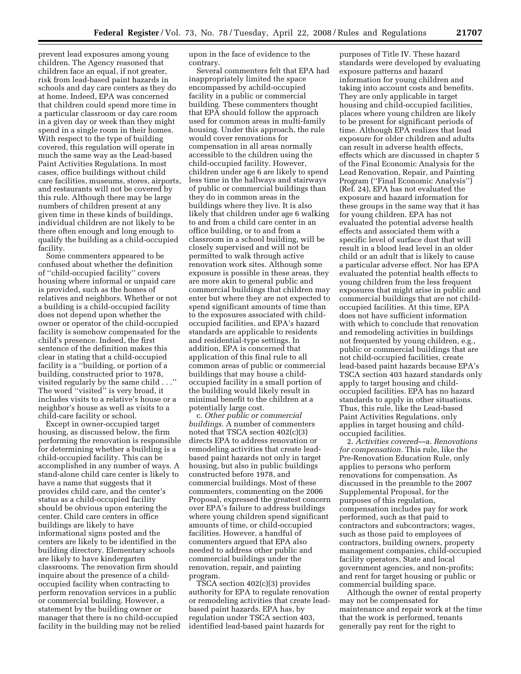prevent lead exposures among young children. The Agency reasoned that children face an equal, if not greater, risk from lead-based paint hazards in schools and day care centers as they do at home. Indeed, EPA was concerned that children could spend more time in a particular classroom or day care room in a given day or week than they might spend in a single room in their homes. With respect to the type of building covered, this regulation will operate in much the same way as the Lead-based Paint Activities Regulations. In most cases, office buildings without child care facilities, museums, stores, airports, and restaurants will not be covered by this rule. Although there may be large numbers of children present at any given time in these kinds of buildings, individual children are not likely to be there often enough and long enough to qualify the building as a child-occupied facility.

Some commenters appeared to be confused about whether the definition of ''child-occupied facility'' covers housing where informal or unpaid care is provided, such as the homes of relatives and neighbors. Whether or not a building is a child-occupied facility does not depend upon whether the owner or operator of the child-occupied facility is somehow compensated for the child's presence. Indeed, the first sentence of the definition makes this clear in stating that a child-occupied facility is a ''building, or portion of a building, constructed prior to 1978, visited regularly by the same child . . .'' The word ''visited'' is very broad, it includes visits to a relative's house or a neighbor's house as well as visits to a child-care facility or school.

Except in owner-occupied target housing, as discussed below, the firm performing the renovation is responsible for determining whether a building is a child-occupied facility. This can be accomplished in any number of ways. A stand-alone child care center is likely to have a name that suggests that it provides child care, and the center's status as a child-occupied facility should be obvious upon entering the center. Child care centers in office buildings are likely to have informational signs posted and the centers are likely to be identified in the building directory. Elementary schools are likely to have kindergarten classrooms. The renovation firm should inquire about the presence of a childoccupied facility when contracting to perform renovation services in a public or commercial building. However, a statement by the building owner or manager that there is no child-occupied facility in the building may not be relied

upon in the face of evidence to the contrary.

Several commenters felt that EPA had inappropriately limited the space encompassed by achild-occupied facility in a public or commercial building. These commenters thought that EPA should follow the approach used for common areas in multi-family housing. Under this approach, the rule would cover renovations for compensation in all areas normally accessible to the children using the child-occupied facility. However, children under age 6 are likely to spend less time in the hallways and stairways of public or commercial buildings than they do in common areas in the buildings where they live. It is also likely that children under age 6 walking to and from a child care center in an office building, or to and from a classroom in a school building, will be closely supervised and will not be permitted to walk through active renovation work sites. Although some exposure is possible in these areas, they are more akin to general public and commercial buildings that children may enter but where they are not expected to spend significant amounts of time than to the exposures associated with childoccupied facilities, and EPA's hazard standards are applicable to residents and residential-type settings. In addition, EPA is concerned that application of this final rule to all common areas of public or commercial buildings that may house a childoccupied facility in a small portion of the building would likely result in minimal benefit to the children at a potentially large cost.

c. *Other public or commercial buildings*. A number of commenters noted that TSCA section 402(c)(3) directs EPA to address renovation or remodeling activities that create leadbased paint hazards not only in target housing, but also in public buildings constructed before 1978, and commercial buildings. Most of these commenters, commenting on the 2006 Proposal, expressed the greatest concern over EPA's failure to address buildings where young children spend significant amounts of time, or child-occupied facilities. However, a handful of commenters argued that EPA also needed to address other public and commercial buildings under the renovation, repair, and painting program.

TSCA section 402(c)(3) provides authority for EPA to regulate renovation or remodeling activities that create leadbased paint hazards. EPA has, by regulation under TSCA section 403, identified lead-based paint hazards for

purposes of Title IV. These hazard standards were developed by evaluating exposure patterns and hazard information for young children and taking into account costs and benefits. They are only applicable in target housing and child-occupied facilities, places where young children are likely to be present for significant periods of time. Although EPA realizes that lead exposure for older children and adults can result in adverse health effects, effects which are discussed in chapter 5 of the Final Economic Analysis for the Lead Renovation, Repair, and Painting Program (''Final Economic Analysis'') (Ref. 24), EPA has not evaluated the exposure and hazard information for these groups in the same way that it has for young children. EPA has not evaluated the potential adverse health effects and associated them with a specific level of surface dust that will result in a blood lead level in an older child or an adult that is likely to cause a particular adverse effect. Nor has EPA evaluated the potential health effects to young children from the less frequent exposures that might arise in public and commercial buildings that are not childoccupied facilities. At this time, EPA does not have sufficient information with which to conclude that renovation and remodeling activities in buildings not frequented by young children, e.g., public or commercial buildings that are not child-occupied facilities, create lead-based paint hazards because EPA's TSCA section 403 hazard standards only apply to target housing and childoccupied facilities. EPA has no hazard standards to apply in other situations. Thus, this rule, like the Lead-based Paint Activities Regulations, only applies in target housing and childoccupied facilities.

2. *Activities covered*—a. *Renovations for compensation.* This rule, like the Pre-Renovation Education Rule, only applies to persons who perform renovations for compensation. As discussed in the preamble to the 2007 Supplemental Proposal, for the purposes of this regulation, compensation includes pay for work performed, such as that paid to contractors and subcontractors; wages, such as those paid to employees of contractors, building owners, property management companies, child-occupied facility operators, State and local government agencies, and non-profits; and rent for target housing or public or commercial building space.

Although the owner of rental property may not be compensated for maintenance and repair work at the time that the work is performed, tenants generally pay rent for the right to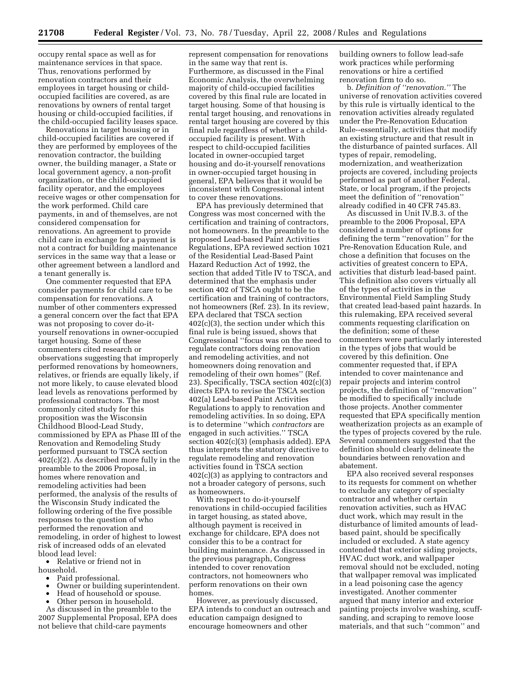occupy rental space as well as for maintenance services in that space. Thus, renovations performed by renovation contractors and their employees in target housing or childoccupied facilities are covered, as are renovations by owners of rental target housing or child-occupied facilities, if the child-occupied facility leases space.

Renovations in target housing or in child-occupied facilities are covered if they are performed by employees of the renovation contractor, the building owner, the building manager, a State or local government agency, a non-profit organization, or the child-occupied facility operator, and the employees receive wages or other compensation for the work performed. Child care payments, in and of themselves, are not considered compensation for renovations. An agreement to provide child care in exchange for a payment is not a contract for building maintenance services in the same way that a lease or other agreement between a landlord and a tenant generally is.

One commenter requested that EPA consider payments for child care to be compensation for renovations. A number of other commenters expressed a general concern over the fact that EPA was not proposing to cover do-ityourself renovations in owner-occupied target housing. Some of these commenters cited research or observations suggesting that improperly performed renovations by homeowners, relatives, or friends are equally likely, if not more likely, to cause elevated blood lead levels as renovations performed by professional contractors. The most commonly cited study for this proposition was the Wisconsin Childhood Blood-Lead Study, commissioned by EPA as Phase III of the Renovation and Remodeling Study performed pursuant to TSCA section 402(c)(2). As described more fully in the preamble to the 2006 Proposal, in homes where renovation and remodeling activities had been performed, the analysis of the results of the Wisconsin Study indicated the following ordering of the five possible responses to the question of who performed the renovation and remodeling, in order of highest to lowest risk of increased odds of an elevated blood lead level:

• Relative or friend not in household.

- Paid professional.
- Owner or building superintendent.
- Head of household or spouse.
- Other person in household.

As discussed in the preamble to the 2007 Supplemental Proposal, EPA does not believe that child-care payments

represent compensation for renovations in the same way that rent is. Furthermore, as discussed in the Final Economic Analysis, the overwhelming majority of child-occupied facilities covered by this final rule are located in target housing. Some of that housing is rental target housing, and renovations in rental target housing are covered by this final rule regardless of whether a childoccupied facility is present. With respect to child-occupied facilities located in owner-occupied target housing and do-it-yourself renovations in owner-occupied target housing in general, EPA believes that it would be inconsistent with Congressional intent to cover these renovations.

EPA has previously determined that Congress was most concerned with the certification and training of contractors, not homeowners. In the preamble to the proposed Lead-based Paint Activities Regulations, EPA reviewed section 1021 of the Residential Lead-Based Paint Hazard Reduction Act of 1992, the section that added Title IV to TSCA, and determined that the emphasis under section 402 of TSCA ought to be the certification and training of contractors, not homeowners (Ref. 23). In its review, EPA declared that TSCA section 402(c)(3), the section under which this final rule is being issued, shows that Congressional ''focus was on the need to regulate contractors doing renovation and remodeling activities, and not homeowners doing renovation and remodeling of their own homes'' (Ref. 23). Specifically, TSCA section 402(c)(3) directs EPA to revise the TSCA section 402(a) Lead-based Paint Activities Regulations to apply to renovation and remodeling activities. In so doing, EPA is to determine ''which *contractors* are engaged in such activities.'' TSCA section 402(c)(3) (emphasis added). EPA thus interprets the statutory directive to regulate remodeling and renovation activities found in TSCA section 402(c)(3) as applying to contractors and not a broader category of persons, such as homeowners.

With respect to do-it-yourself renovations in child-occupied facilities in target housing, as stated above, although payment is received in exchange for childcare, EPA does not consider this to be a contract for building maintenance. As discussed in the previous paragraph, Congress intended to cover renovation contractors, not homeowners who perform renovations on their own homes.

However, as previously discussed, EPA intends to conduct an outreach and education campaign designed to encourage homeowners and other

building owners to follow lead-safe work practices while performing renovations or hire a certified renovation firm to do so.

b. *Definition of ''renovation.''* The universe of renovation activities covered by this rule is virtually identical to the renovation activities already regulated under the Pre-Renovation Education Rule--essentially, activities that modify an existing structure and that result in the disturbance of painted surfaces. All types of repair, remodeling, modernization, and weatherization projects are covered, including projects performed as part of another Federal, State, or local program, if the projects meet the definition of ''renovation'' already codified in 40 CFR 745.83.

As discussed in Unit IV.B.3. of the preamble to the 2006 Proposal, EPA considered a number of options for defining the term ''renovation'' for the Pre-Renovation Education Rule, and chose a definition that focuses on the activities of greatest concern to EPA, activities that disturb lead-based paint. This definition also covers virtually all of the types of activities in the Environmental Field Sampling Study that created lead-based paint hazards. In this rulemaking, EPA received several comments requesting clarification on the definition; some of these commenters were particularly interested in the types of jobs that would be covered by this definition. One commenter requested that, if EPA intended to cover maintenance and repair projects and interim control projects, the definition of ''renovation'' be modified to specifically include those projects. Another commenter requested that EPA specifically mention weatherization projects as an example of the types of projects covered by the rule. Several commenters suggested that the definition should clearly delineate the boundaries between renovation and abatement.

EPA also received several responses to its requests for comment on whether to exclude any category of specialty contractor and whether certain renovation activities, such as HVAC duct work, which may result in the disturbance of limited amounts of leadbased paint, should be specifically included or excluded. A state agency contended that exterior siding projects, HVAC duct work, and wallpaper removal should not be excluded, noting that wallpaper removal was implicated in a lead poisoning case the agency investigated. Another commenter argued that many interior and exterior painting projects involve washing, scuffsanding, and scraping to remove loose materials, and that such ''common'' and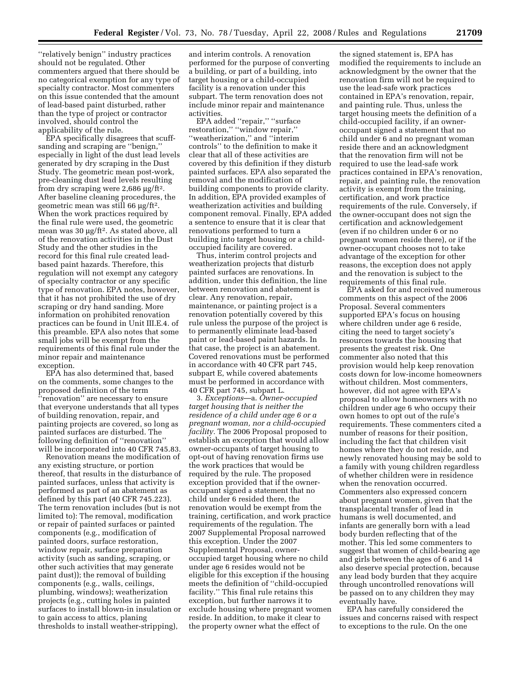''relatively benign'' industry practices should not be regulated. Other commenters argued that there should be no categorical exemption for any type of specialty contractor. Most commenters on this issue contended that the amount of lead-based paint disturbed, rather than the type of project or contractor involved, should control the applicability of the rule.

EPA specifically disagrees that scuffsanding and scraping are ''benign,'' especially in light of the dust lead levels generated by dry scraping in the Dust Study. The geometric mean post-work, pre-cleaning dust lead levels resulting from dry scraping were 2,686 µg/ft2. After baseline cleaning procedures, the geometric mean was still 66 µg/ft2. When the work practices required by the final rule were used, the geometric mean was 30 µg/ft2. As stated above, all of the renovation activities in the Dust Study and the other studies in the record for this final rule created leadbased paint hazards. Therefore, this regulation will not exempt any category of specialty contractor or any specific type of renovation. EPA notes, however, that it has not prohibited the use of dry scraping or dry hand sanding. More information on prohibited renovation practices can be found in Unit III.E.4. of this preamble. EPA also notes that some small jobs will be exempt from the requirements of this final rule under the minor repair and maintenance exception.

EPA has also determined that, based on the comments, some changes to the proposed definition of the term ''renovation'' are necessary to ensure that everyone understands that all types of building renovation, repair, and painting projects are covered, so long as painted surfaces are disturbed. The following definition of ''renovation'' will be incorporated into 40 CFR 745.83.

Renovation means the modification of any existing structure, or portion thereof, that results in the disturbance of painted surfaces, unless that activity is performed as part of an abatement as defined by this part (40 CFR 745.223). The term renovation includes (but is not limited to): The removal, modification or repair of painted surfaces or painted components (e.g., modification of painted doors, surface restoration, window repair, surface preparation activity (such as sanding, scraping, or other such activities that may generate paint dust)); the removal of building components (e.g., walls, ceilings, plumbing, windows); weatherization projects (e.g., cutting holes in painted surfaces to install blown-in insulation or to gain access to attics, planing thresholds to install weather-stripping),

and interim controls. A renovation performed for the purpose of converting a building, or part of a building, into target housing or a child-occupied facility is a renovation under this subpart. The term renovation does not include minor repair and maintenance activities.

EPA added ''repair,'' ''surface restoration,'' ''window repair,'' ''weatherization,'' and ''interim controls'' to the definition to make it clear that all of these activities are covered by this definition if they disturb painted surfaces. EPA also separated the removal and the modification of building components to provide clarity. In addition, EPA provided examples of weatherization activities and building component removal. Finally, EPA added a sentence to ensure that it is clear that renovations performed to turn a building into target housing or a childoccupied facility are covered.

Thus, interim control projects and weatherization projects that disturb painted surfaces are renovations. In addition, under this definition, the line between renovation and abatement is clear. Any renovation, repair, maintenance, or painting project is a renovation potentially covered by this rule unless the purpose of the project is to permanently eliminate lead-based paint or lead-based paint hazards. In that case, the project is an abatement. Covered renovations must be performed in accordance with 40 CFR part 745, subpart E, while covered abatements must be performed in accordance with 40 CFR part 745, subpart L.

3. *Exceptions*—a. *Owner-occupied target housing that is neither the residence of a child under age 6 or a pregnant woman, nor a child-occupied facility.* The 2006 Proposal proposed to establish an exception that would allow owner-occupants of target housing to opt-out of having renovation firms use the work practices that would be required by the rule. The proposed exception provided that if the owneroccupant signed a statement that no child under 6 resided there, the renovation would be exempt from the training, certification, and work practice requirements of the regulation. The 2007 Supplemental Proposal narrowed this exception. Under the 2007 Supplemental Proposal, owneroccupied target housing where no child under age 6 resides would not be eligible for this exception if the housing meets the definition of ''child-occupied facility.'' This final rule retains this exception, but further narrows it to exclude housing where pregnant women reside. In addition, to make it clear to the property owner what the effect of

the signed statement is, EPA has modified the requirements to include an acknowledgment by the owner that the renovation firm will not be required to use the lead-safe work practices contained in EPA's renovation, repair, and painting rule. Thus, unless the target housing meets the definition of a child-occupied facility, if an owneroccupant signed a statement that no child under 6 and no pregnant woman reside there and an acknowledgment that the renovation firm will not be required to use the lead-safe work practices contained in EPA's renovation, repair, and painting rule, the renovation activity is exempt from the training, certification, and work practice requirements of the rule. Conversely, if the owner-occupant does not sign the certification and acknowledgement (even if no children under 6 or no pregnant women reside there), or if the owner-occupant chooses not to take advantage of the exception for other reasons, the exception does not apply and the renovation is subject to the requirements of this final rule.

EPA asked for and received numerous comments on this aspect of the 2006 Proposal. Several commenters supported EPA's focus on housing where children under age 6 reside, citing the need to target society's resources towards the housing that presents the greatest risk. One commenter also noted that this provision would help keep renovation costs down for low-income homeowners without children. Most commenters, however, did not agree with EPA's proposal to allow homeowners with no children under age 6 who occupy their own homes to opt out of the rule's requirements. These commenters cited a number of reasons for their position, including the fact that children visit homes where they do not reside, and newly renovated housing may be sold to a family with young children regardless of whether children were in residence when the renovation occurred. Commenters also expressed concern about pregnant women, given that the transplacental transfer of lead in humans is well documented, and infants are generally born with a lead body burden reflecting that of the mother. This led some commenters to suggest that women of child-bearing age and girls between the ages of 6 and 14 also deserve special protection, because any lead body burden that they acquire through uncontrolled renovations will be passed on to any children they may eventually have.

EPA has carefully considered the issues and concerns raised with respect to exceptions to the rule. On the one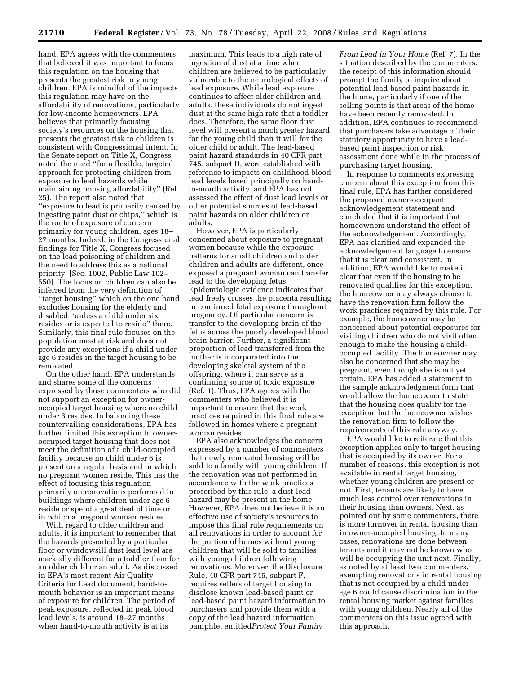hand, EPA agrees with the commenters that believed it was important to focus this regulation on the housing that presents the greatest risk to young children. EPA is mindful of the impacts this regulation may have on the affordability of renovations, particularly for low-income homeowners. EPA believes that primarily focusing society's resources on the housing that presents the greatest risk to children is consistent with Congressional intent. In the Senate report on Title X, Congress noted the need ''for a flexible, targeted approach for protecting children from exposure to lead hazards while maintaining housing affordability'' (Ref. 25). The report also noted that ''exposure to lead is primarily caused by ingesting paint dust or chips,'' which is the route of exposure of concern primarily for young children, ages 18– 27 months. Indeed, in the Congressional findings for Title X, Congress focused on the lead poisoning of children and the need to address this as a national priority. [Sec. 1002, Public Law 102– 550]. The focus on children can also be inferred from the very definition of ''target housing'' which on the one hand excludes housing for the elderly and disabled ''unless a child under six resides or is expected to reside'' there. Similarly, this final rule focuses on the population most at risk and does not provide any exceptions if a child under age 6 resides in the target housing to be renovated.

On the other hand, EPA understands and shares some of the concerns expressed by those commenters who did not support an exception for owneroccupied target housing where no child under 6 resides. In balancing these countervailing considerations, EPA has further limited this exception to owneroccupied target housing that does not meet the definition of a child-occupied facility because no child under 6 is present on a regular basis and in which no pregnant women reside. This has the effect of focusing this regulation primarily on renovations performed in buildings where children under age 6 reside or spend a great deal of time or in which a pregnant woman resides.

With regard to older children and adults, it is important to remember that the hazards presented by a particular floor or windowsill dust lead level are markedly different for a toddler than for an older child or an adult. As discussed in EPA's most recent Air Quality Criteria for Lead document, hand-tomouth behavior is an important means of exposure for children. The period of peak exposure, reflected in peak blood lead levels, is around 18–27 months when hand-to-mouth activity is at its

maximum. This leads to a high rate of ingestion of dust at a time when children are believed to be particularly vulnerable to the neurological effects of lead exposure. While lead exposure continues to affect older children and adults, these individuals do not ingest dust at the same high rate that a toddler does. Therefore, the same floor dust level will present a much greater hazard for the young child than it will for the older child or adult. The lead-based paint hazard standards in 40 CFR part 745, subpart D, were established with reference to impacts on childhood blood lead levels based principally on handto-mouth activity, and EPA has not assessed the effect of dust lead levels or other potential sources of lead-based paint hazards on older children or adults.

However, EPA is particularly concerned about exposure to pregnant women because while the exposure patterns for small children and older children and adults are different, once exposed a pregnant woman can transfer lead to the developing fetus. Epidemiologic evidence indicates that lead freely crosses the placenta resulting in continued fetal exposure throughout pregnancy. Of particular concern is transfer to the developing brain of the fetus across the poorly developed blood brain barrier. Further, a significant proportion of lead transferred from the mother is incorporated into the developing skeletal system of the offspring, where it can serve as a continuing source of toxic exposure (Ref. 1). Thus, EPA agrees with the commenters who believed it is important to ensure that the work practices required in this final rule are followed in homes where a pregnant woman resides.

EPA also acknowledges the concern expressed by a number of commenters that newly renovated housing will be sold to a family with young children. If the renovation was not performed in accordance with the work practices prescribed by this rule, a dust-lead hazard may be present in the home. However, EPA does not believe it is an effective use of society's resources to impose this final rule requirements on all renovations in order to account for the portion of homes without young children that will be sold to families with young children following renovations. Moreover, the Disclosure Rule, 40 CFR part 745, subpart F, requires sellers of target housing to disclose known lead-based paint or lead-based paint hazard information to purchasers and provide them with a copy of the lead hazard information pamphlet entitled*Protect Your Family* 

*From Lead in Your Home* (Ref. 7). In the situation described by the commenters, the receipt of this information should prompt the family to inquire about potential lead-based paint hazards in the home, particularly if one of the selling points is that areas of the home have been recently renovated. In addition, EPA continues to recommend that purchasers take advantage of their statutory opportunity to have a leadbased paint inspection or risk assessment done while in the process of purchasing target housing.

In response to comments expressing concern about this exception from this final rule, EPA has further considered the proposed owner-occupant acknowledgement statement and concluded that it is important that homeowners understand the effect of the acknowledgement. Accordingly, EPA has clarified and expanded the acknowledgement language to ensure that it is clear and consistent. In addition, EPA would like to make it clear that even if the housing to be renovated qualifies for this exception, the homeowner may always choose to have the renovation firm follow the work practices required by this rule. For example, the homeowner may be concerned about potential exposures for visiting children who do not visit often enough to make the housing a childoccupied facility. The homeowner may also be concerned that she may be pregnant, even though she is not yet certain. EPA has added a statement to the sample acknowledgment form that would allow the homeowner to state that the housing does qualify for the exception, but the homeowner wishes the renovation firm to follow the requirements of this rule anyway.

EPA would like to reiterate that this exception applies only to target housing that is occupied by its owner. For a number of reasons, this exception is not available in rental target housing, whether young children are present or not. First, tenants are likely to have much less control over renovations in their housing than owners. Next, as pointed out by some commenters, there is more turnover in rental housing than in owner-occupied housing. In many cases, renovations are done between tenants and it may not be known who will be occupying the unit next. Finally, as noted by at least two commenters, exempting renovations in rental housing that is not occupied by a child under age 6 could cause discrimination in the rental housing market against families with young children. Nearly all of the commenters on this issue agreed with this approach.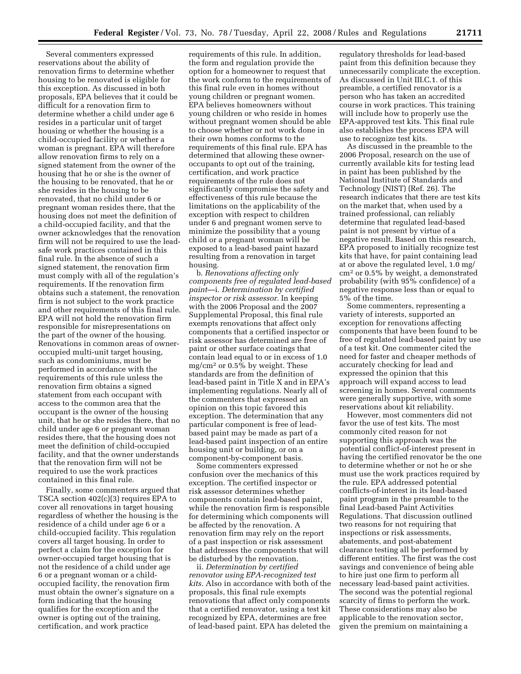Several commenters expressed reservations about the ability of renovation firms to determine whether housing to be renovated is eligible for this exception. As discussed in both proposals, EPA believes that it could be difficult for a renovation firm to determine whether a child under age 6 resides in a particular unit of target housing or whether the housing is a child-occupied facility or whether a woman is pregnant. EPA will therefore allow renovation firms to rely on a signed statement from the owner of the housing that he or she is the owner of the housing to be renovated, that he or she resides in the housing to be renovated, that no child under 6 or pregnant woman resides there, that the housing does not meet the definition of a child-occupied facility, and that the owner acknowledges that the renovation firm will not be required to use the leadsafe work practices contained in this final rule. In the absence of such a signed statement, the renovation firm must comply with all of the regulation's requirements. If the renovation firm obtains such a statement, the renovation firm is not subject to the work practice and other requirements of this final rule. EPA will not hold the renovation firm responsible for misrepresentations on the part of the owner of the housing. Renovations in common areas of owneroccupied multi-unit target housing, such as condominiums, must be performed in accordance with the requirements of this rule unless the renovation firm obtains a signed statement from each occupant with access to the common area that the occupant is the owner of the housing unit, that he or she resides there, that no child under age 6 or pregnant woman resides there, that the housing does not meet the definition of child-occupied facility, and that the owner understands that the renovation firm will not be required to use the work practices contained in this final rule.

Finally, some commenters argued that TSCA section 402(c)(3) requires EPA to cover all renovations in target housing regardless of whether the housing is the residence of a child under age 6 or a child-occupied facility. This regulation covers all target housing. In order to perfect a claim for the exception for owner-occupied target housing that is not the residence of a child under age 6 or a pregnant woman or a childoccupied facility, the renovation firm must obtain the owner's signature on a form indicating that the housing qualifies for the exception and the owner is opting out of the training, certification, and work practice

requirements of this rule. In addition, the form and regulation provide the option for a homeowner to request that the work conform to the requirements of this final rule even in homes without young children or pregnant women. EPA believes homeowners without young children or who reside in homes without pregnant women should be able to choose whether or not work done in their own homes conforms to the requirements of this final rule. EPA has determined that allowing these owneroccupants to opt out of the training, certification, and work practice requirements of the rule does not significantly compromise the safety and effectiveness of this rule because the limitations on the applicability of the exception with respect to children under 6 and pregnant women serve to minimize the possibility that a young child or a pregnant woman will be exposed to a lead-based paint hazard resulting from a renovation in target housing.

b. *Renovations affecting only components free of regulated lead-based paint*—i. *Determination by certified inspector or risk assessor.* In keeping with the 2006 Proposal and the 2007 Supplemental Proposal, this final rule exempts renovations that affect only components that a certified inspector or risk assessor has determined are free of paint or other surface coatings that contain lead equal to or in excess of 1.0 mg/cm2 or 0.5% by weight. These standards are from the definition of lead-based paint in Title X and in EPA's implementing regulations. Nearly all of the commenters that expressed an opinion on this topic favored this exception. The determination that any particular component is free of leadbased paint may be made as part of a lead-based paint inspection of an entire housing unit or building, or on a component-by-component basis.

Some commenters expressed confusion over the mechanics of this exception. The certified inspector or risk assessor determines whether components contain lead-based paint, while the renovation firm is responsible for determining which components will be affected by the renovation. A renovation firm may rely on the report of a past inspection or risk assessment that addresses the components that will be disturbed by the renovation.

ii. *Determination by certified renovator using EPA-recognized test kits*. Also in accordance with both of the proposals, this final rule exempts renovations that affect only components that a certified renovator, using a test kit recognized by EPA, determines are free of lead-based paint. EPA has deleted the

regulatory thresholds for lead-based paint from this definition because they unnecessarily complicate the exception. As discussed in Unit III.C.1. of this preamble, a certified renovator is a person who has taken an accredited course in work practices. This training will include how to properly use the EPA-approved test kits. This final rule also establishes the process EPA will use to recognize test kits.

As discussed in the preamble to the 2006 Proposal, research on the use of currently available kits for testing lead in paint has been published by the National Institute of Standards and Technology (NIST) (Ref. 26). The research indicates that there are test kits on the market that, when used by a trained professional, can reliably determine that regulated lead-based paint is not present by virtue of a negative result. Based on this research, EPA proposed to initially recognize test kits that have, for paint containing lead at or above the regulated level, 1.0 mg/ cm2 or 0.5% by weight, a demonstrated probability (with 95% confidence) of a negative response less than or equal to 5% of the time.

Some commenters, representing a variety of interests, supported an exception for renovations affecting components that have been found to be free of regulated lead-based paint by use of a test kit. One commenter cited the need for faster and cheaper methods of accurately checking for lead and expressed the opinion that this approach will expand access to lead screening in homes. Several comments were generally supportive, with some reservations about kit reliability.

However, most commenters did not favor the use of test kits. The most commonly cited reason for not supporting this approach was the potential conflict-of-interest present in having the certified renovator be the one to determine whether or not he or she must use the work practices required by the rule. EPA addressed potential conflicts-of-interest in its lead-based paint program in the preamble to the final Lead-based Paint Activities Regulations. That discussion outlined two reasons for not requiring that inspections or risk assessments, abatements, and post-abatement clearance testing all be performed by different entities. The first was the cost savings and convenience of being able to hire just one firm to perform all necessary lead-based paint activities. The second was the potential regional scarcity of firms to perform the work. These considerations may also be applicable to the renovation sector, given the premium on maintaining a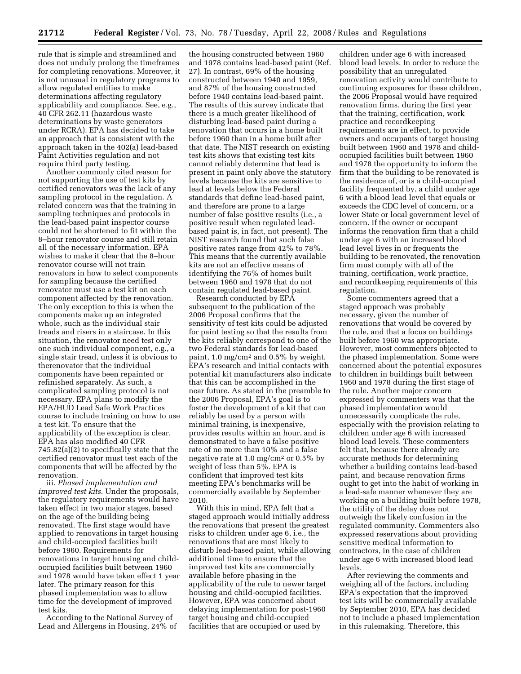rule that is simple and streamlined and does not unduly prolong the timeframes for completing renovations. Moreover, it is not unusual in regulatory programs to allow regulated entities to make determinations affecting regulatory applicability and compliance. See, e.g., 40 CFR 262.11 (hazardous waste determinations by waste generators under RCRA). EPA has decided to take an approach that is consistent with the approach taken in the 402(a) lead-based Paint Activities regulation and not require third party testing.

Another commonly cited reason for not supporting the use of test kits by certified renovators was the lack of any sampling protocol in the regulation. A related concern was that the training in sampling techniques and protocols in the lead-based paint inspector course could not be shortened to fit within the 8–hour renovator course and still retain all of the necessary information. EPA wishes to make it clear that the 8–hour renovator course will not train renovators in how to select components for sampling because the certified renovator must use a test kit on each component affected by the renovation. The only exception to this is when the components make up an integrated whole, such as the individual stair treads and risers in a staircase. In this situation, the renovator need test only one such individual component, e.g., a single stair tread, unless it is obvious to therenovator that the individual components have been repainted or refinished separately. As such, a complicated sampling protocol is not necessary. EPA plans to modify the EPA/HUD Lead Safe Work Practices course to include training on how to use a test kit. To ensure that the applicability of the exception is clear, EPA has also modified 40 CFR 745.82(a)(2) to specifically state that the certified renovator must test each of the components that will be affected by the renovation.

iii. *Phased implementation and improved test kits*. Under the proposals, the regulatory requirements would have taken effect in two major stages, based on the age of the building being renovated. The first stage would have applied to renovations in target housing and child-occupied facilities built before 1960. Requirements for renovations in target housing and childoccupied facilities built between 1960 and 1978 would have taken effect 1 year later. The primary reason for this phased implementation was to allow time for the development of improved test kits.

According to the National Survey of Lead and Allergens in Housing, 24% of

the housing constructed between 1960 and 1978 contains lead-based paint (Ref. 27). In contrast, 69% of the housing constructed between 1940 and 1959, and 87% of the housing constructed before 1940 contains lead-based paint. The results of this survey indicate that there is a much greater likelihood of disturbing lead-based paint during a renovation that occurs in a home built before 1960 than in a home built after that date. The NIST research on existing test kits shows that existing test kits cannot reliably determine that lead is present in paint only above the statutory levels because the kits are sensitive to lead at levels below the Federal standards that define lead-based paint, and therefore are prone to a large number of false positive results (i.e., a positive result when regulated leadbased paint is, in fact, not present). The NIST research found that such false positive rates range from 42% to 78%. This means that the currently available kits are not an effective means of identifying the 76% of homes built between 1960 and 1978 that do not contain regulated lead-based paint.

Research conducted by EPA subsequent to the publication of the 2006 Proposal confirms that the sensitivity of test kits could be adjusted for paint testing so that the results from the kits reliably correspond to one of the two Federal standards for lead-based paint, 1.0 mg/cm2 and 0.5% by weight. EPA's research and initial contacts with potential kit manufacturers also indicate that this can be accomplished in the near future. As stated in the preamble to the 2006 Proposal, EPA's goal is to foster the development of a kit that can reliably be used by a person with minimal training, is inexpensive, provides results within an hour, and is demonstrated to have a false positive rate of no more than 10% and a false negative rate at 1.0 mg/cm2 or 0.5% by weight of less than 5%. EPA is confident that improved test kits meeting EPA's benchmarks will be commercially available by September 2010.

With this in mind, EPA felt that a staged approach would initially address the renovations that present the greatest risks to children under age 6, i.e., the renovations that are most likely to disturb lead-based paint, while allowing additional time to ensure that the improved test kits are commercially available before phasing in the applicability of the rule to newer target housing and child-occupied facilities. However, EPA was concerned about delaying implementation for post-1960 target housing and child-occupied facilities that are occupied or used by

children under age 6 with increased blood lead levels. In order to reduce the possibility that an unregulated renovation activity would contribute to continuing exposures for these children, the 2006 Proposal would have required renovation firms, during the first year that the training, certification, work practice and recordkeeping requirements are in effect, to provide owners and occupants of target housing built between 1960 and 1978 and childoccupied facilities built between 1960 and 1978 the opportunity to inform the firm that the building to be renovated is the residence of, or is a child-occupied facility frequented by, a child under age 6 with a blood lead level that equals or exceeds the CDC level of concern, or a lower State or local government level of concern. If the owner or occupant informs the renovation firm that a child under age 6 with an increased blood lead level lives in or frequents the building to be renovated, the renovation firm must comply with all of the training, certification, work practice, and recordkeeping requirements of this regulation.

Some commenters agreed that a staged approach was probably necessary, given the number of renovations that would be covered by the rule, and that a focus on buildings built before 1960 was appropriate. However, most commenters objected to the phased implementation. Some were concerned about the potential exposures to children in buildings built between 1960 and 1978 during the first stage of the rule. Another major concern expressed by commenters was that the phased implementation would unnecessarily complicate the rule, especially with the provision relating to children under age 6 with increased blood lead levels. These commenters felt that, because there already are accurate methods for determining whether a building contains lead-based paint, and because renovation firms ought to get into the habit of working in a lead-safe manner whenever they are working on a building built before 1978, the utility of the delay does not outweigh the likely confusion in the regulated community. Commenters also expressed reservations about providing sensitive medical information to contractors, in the case of children under age 6 with increased blood lead levels.

After reviewing the comments and weighing all of the factors, including EPA's expectation that the improved test kits will be commercially available by September 2010, EPA has decided not to include a phased implementation in this rulemaking. Therefore, this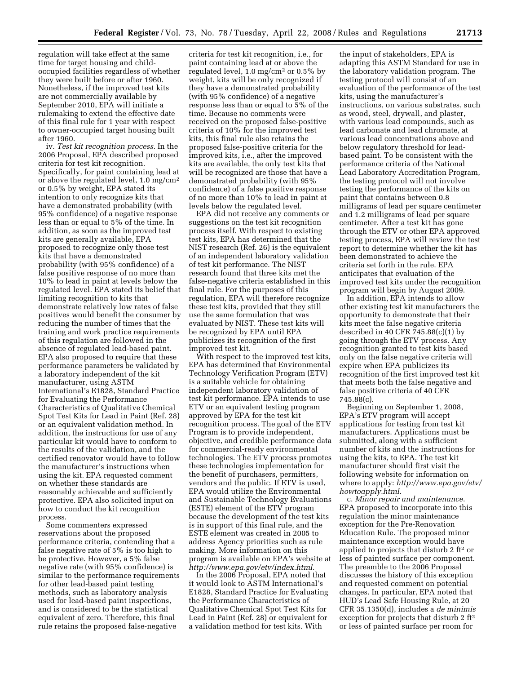regulation will take effect at the same time for target housing and childoccupied facilities regardless of whether they were built before or after 1960. Nonetheless, if the improved test kits are not commercially available by September 2010, EPA will initiate a rulemaking to extend the effective date of this final rule for 1 year with respect to owner-occupied target housing built after 1960.

iv. *Test kit recognition process*. In the 2006 Proposal, EPA described proposed criteria for test kit recognition. Specifically, for paint containing lead at or above the regulated level, 1.0 mg/cm2 or 0.5% by weight, EPA stated its intention to only recognize kits that have a demonstrated probability (with 95% confidence) of a negative response less than or equal to 5% of the time. In addition, as soon as the improved test kits are generally available, EPA proposed to recognize only those test kits that have a demonstrated probability (with 95% confidence) of a false positive response of no more than 10% to lead in paint at levels below the regulated level. EPA stated its belief that limiting recognition to kits that demonstrate relatively low rates of false positives would benefit the consumer by reducing the number of times that the training and work practice requirements of this regulation are followed in the absence of regulated lead-based paint. EPA also proposed to require that these performance parameters be validated by a laboratory independent of the kit manufacturer, using ASTM International's E1828, Standard Practice for Evaluating the Performance Characteristics of Qualitative Chemical Spot Test Kits for Lead in Paint (Ref. 28) or an equivalent validation method. In addition, the instructions for use of any particular kit would have to conform to the results of the validation, and the certified renovator would have to follow the manufacturer's instructions when using the kit. EPA requested comment on whether these standards are reasonably achievable and sufficiently protective. EPA also solicited input on how to conduct the kit recognition process.

Some commenters expressed reservations about the proposed performance criteria, contending that a false negative rate of 5% is too high to be protective. However, a 5% false negative rate (with 95% confidence) is similar to the performance requirements for other lead-based paint testing methods, such as laboratory analysis used for lead-based paint inspections, and is considered to be the statistical equivalent of zero. Therefore, this final rule retains the proposed false-negative

criteria for test kit recognition, i.e., for paint containing lead at or above the regulated level, 1.0 mg/cm2 or 0.5% by weight, kits will be only recognized if they have a demonstrated probability (with 95% confidence) of a negative response less than or equal to 5% of the time. Because no comments were received on the proposed false-positive criteria of 10% for the improved test kits, this final rule also retains the proposed false-positive criteria for the improved kits, i.e., after the improved kits are available, the only test kits that will be recognized are those that have a demonstrated probability (with 95% confidence) of a false positive response of no more than 10% to lead in paint at levels below the regulated level.

EPA did not receive any comments or suggestions on the test kit recognition process itself. With respect to existing test kits, EPA has determined that the NIST research (Ref. 26) is the equivalent of an independent laboratory validation of test kit performance. The NIST research found that three kits met the false-negative criteria established in this final rule. For the purposes of this regulation, EPA will therefore recognize these test kits, provided that they still use the same formulation that was evaluated by NIST. These test kits will be recognized by EPA until EPA publicizes its recognition of the first improved test kit.

With respect to the improved test kits, EPA has determined that Environmental Technology Verification Program (ETV) is a suitable vehicle for obtaining independent laboratory validation of test kit performance. EPA intends to use ETV or an equivalent testing program approved by EPA for the test kit recognition process. The goal of the ETV Program is to provide independent, objective, and credible performance data for commercial-ready environmental technologies. The ETV process promotes these technologies implementation for the benefit of purchasers, permitters, vendors and the public. If ETV is used, EPA would utilize the Environmental and Sustainable Technology Evaluations (ESTE) element of the ETV program because the development of the test kits is in support of this final rule, and the ESTE element was created in 2005 to address Agency priorities such as rule making. More information on this program is available on EPA's website at *<http://www.epa.gov/etv/index.html>*.

In the 2006 Proposal, EPA noted that it would look to ASTM International's E1828, Standard Practice for Evaluating the Performance Characteristics of Qualitative Chemical Spot Test Kits for Lead in Paint (Ref. 28) or equivalent for a validation method for test kits. With

the input of stakeholders, EPA is adapting this ASTM Standard for use in the laboratory validation program. The testing protocol will consist of an evaluation of the performance of the test kits, using the manufacturer's instructions, on various substrates, such as wood, steel, drywall, and plaster, with various lead compounds, such as lead carbonate and lead chromate, at various lead concentrations above and below regulatory threshold for leadbased paint. To be consistent with the performance criteria of the National Lead Laboratory Accreditation Program, the testing protocol will not involve testing the performance of the kits on paint that contains between 0.8 milligrams of lead per square centimeter and 1.2 milligrams of lead per square centimeter. After a test kit has gone through the ETV or other EPA approved testing process, EPA will review the test report to determine whether the kit has been demonstrated to achieve the criteria set forth in the rule. EPA anticipates that evaluation of the improved test kits under the recognition program will begin by August 2009.

In addition, EPA intends to allow other existing test kit manufacturers the opportunity to demonstrate that their kits meet the false negative criteria described in 40 CFR 745.88 $(c)(1)$  by going through the ETV process. Any recognition granted to test kits based only on the false negative criteria will expire when EPA publicizes its recognition of the first improved test kit that meets both the false negative and false positive criteria of 40 CFR 745.88(c).

Beginning on September 1, 2008, EPA's ETV program will accept applications for testing from test kit manufacturers. Applications must be submitted, along with a sufficient number of kits and the instructions for using the kits, to EPA. The test kit manufacturer should first visit the following website for information on where to apply: *[http://www.epa.gov/etv/](http://www.epa.gov/etv/howtoapply.html)  howtoapply.html*.

c. *Minor repair and maintenance*. EPA proposed to incorporate into this regulation the minor maintenance exception for the Pre-Renovation Education Rule. The proposed minor maintenance exception would have applied to projects that disturb 2 ft2 or less of painted surface per component. The preamble to the 2006 Proposal discusses the history of this exception and requested comment on potential changes. In particular, EPA noted that HUD's Lead Safe Housing Rule, at 20 CFR 35.1350(d), includes a *de minimis*  exception for projects that disturb 2 ft<sup>2</sup> or less of painted surface per room for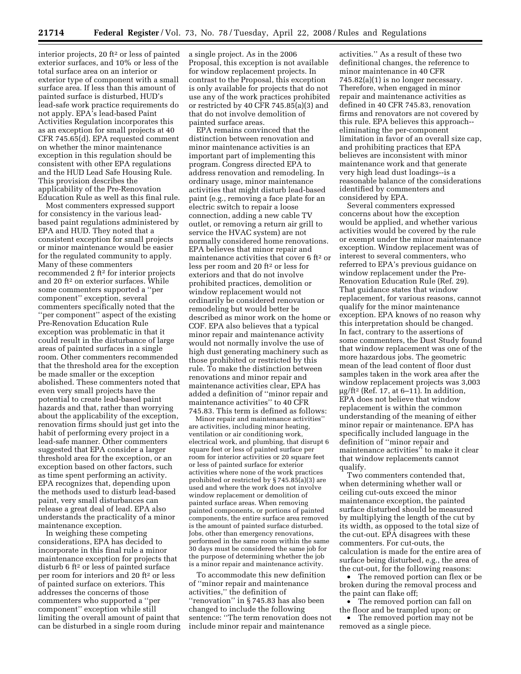interior projects, 20 ft2 or less of painted exterior surfaces, and 10% or less of the total surface area on an interior or exterior type of component with a small surface area. If less than this amount of painted surface is disturbed, HUD's lead-safe work practice requirements do not apply. EPA's lead-based Paint Activities Regulation incorporates this as an exception for small projects at 40 CFR 745.65(d). EPA requested comment on whether the minor maintenance exception in this regulation should be consistent with other EPA regulations and the HUD Lead Safe Housing Rule. This provision describes the applicability of the Pre-Renovation Education Rule as well as this final rule.

Most commenters expressed support for consistency in the various leadbased paint regulations administered by EPA and HUD. They noted that a consistent exception for small projects or minor maintenance would be easier for the regulated community to apply. Many of these commenters recommended 2 ft2 for interior projects and 20 ft<sup>2</sup> on exterior surfaces. While some commenters supported a ''per component'' exception, several commenters specifically noted that the ''per component'' aspect of the existing Pre-Renovation Education Rule exception was problematic in that it could result in the disturbance of large areas of painted surfaces in a single room. Other commenters recommended that the threshold area for the exception be made smaller or the exception abolished. These commenters noted that even very small projects have the potential to create lead-based paint hazards and that, rather than worrying about the applicability of the exception, renovation firms should just get into the habit of performing every project in a lead-safe manner. Other commenters suggested that EPA consider a larger threshold area for the exception, or an exception based on other factors, such as time spent performing an activity. EPA recognizes that, depending upon the methods used to disturb lead-based paint, very small disturbances can release a great deal of lead. EPA also understands the practicality of a minor maintenance exception.

In weighing these competing considerations, EPA has decided to incorporate in this final rule a minor maintenance exception for projects that disturb 6 ft2 or less of painted surface per room for interiors and 20 ft2 or less of painted surface on exteriors. This addresses the concerns of those commenters who supported a ''per component'' exception while still limiting the overall amount of paint that can be disturbed in a single room during a single project. As in the 2006 Proposal, this exception is not available for window replacement projects. In contrast to the Proposal, this exception is only available for projects that do not use any of the work practices prohibited or restricted by 40 CFR 745.85(a)(3) and that do not involve demolition of painted surface areas.

EPA remains convinced that the distinction between renovation and minor maintenance activities is an important part of implementing this program. Congress directed EPA to address renovation and remodeling. In ordinary usage, minor maintenance activities that might disturb lead-based paint (e.g., removing a face plate for an electric switch to repair a loose connection, adding a new cable TV outlet, or removing a return air grill to service the HVAC system) are not normally considered home renovations. EPA believes that minor repair and maintenance activities that cover 6 ft<sup>2</sup> or less per room and 20 ft2 or less for exteriors and that do not involve prohibited practices, demolition or window replacement would not ordinarily be considered renovation or remodeling but would better be described as minor work on the home or COF. EPA also believes that a typical minor repair and maintenance activity would not normally involve the use of high dust generating machinery such as those prohibited or restricted by this rule. To make the distinction between renovations and minor repair and maintenance activities clear, EPA has added a definition of ''minor repair and maintenance activities'' to 40 CFR 745.83. This term is defined as follows:

Minor repair and maintenance activities'' are activities, including minor heating, ventilation or air conditioning work, electrical work, and plumbing, that disrupt 6 square feet or less of painted surface per room for interior activities or 20 square feet or less of painted surface for exterior activities where none of the work practices prohibited or restricted by § 745.85(a)(3) are used and where the work does not involve window replacement or demolition of painted surface areas. When removing painted components, or portions of painted components, the entire surface area removed is the amount of painted surface disturbed. Jobs, other than emergency renovations, performed in the same room within the same 30 days must be considered the same job for the purpose of determining whether the job is a minor repair and maintenance activity.

To accommodate this new definition of ''minor repair and maintenance activities,'' the definition of ''renovation'' in § 745.83 has also been changed to include the following sentence: ''The term renovation does not include minor repair and maintenance

activities.'' As a result of these two definitional changes, the reference to minor maintenance in 40 CFR 745.82(a)(1) is no longer necessary. Therefore, when engaged in minor repair and maintenance activities as defined in 40 CFR 745.83, renovation firms and renovators are not covered by this rule. EPA believes this approach- eliminating the per-component limitation in favor of an overall size cap, and prohibiting practices that EPA believes are inconsistent with minor maintenance work and that generate very high lead dust loadings--is a reasonable balance of the considerations identified by commenters and considered by EPA.

Several commenters expressed concerns about how the exception would be applied, and whether various activities would be covered by the rule or exempt under the minor maintenance exception. Window replacement was of interest to several commenters, who referred to EPA's previous guidance on window replacement under the Pre-Renovation Education Rule (Ref. 29). That guidance states that window replacement, for various reasons, cannot qualify for the minor maintenance exception. EPA knows of no reason why this interpretation should be changed. In fact, contrary to the assertions of some commenters, the Dust Study found that window replacement was one of the more hazardous jobs. The geometric mean of the lead content of floor dust samples taken in the work area after the window replacement projects was 3,003  $\mu$ g/ft<sup>2</sup> (Ref. 17, at 6–11). In addition, EPA does not believe that window replacement is within the common understanding of the meaning of either minor repair or maintenance. EPA has specifically included language in the definition of ''minor repair and maintenance activities'' to make it clear that window replacements cannot qualify.

Two commenters contended that, when determining whether wall or ceiling cut-outs exceed the minor maintenance exception, the painted surface disturbed should be measured by multiplying the length of the cut by its width, as opposed to the total size of the cut-out. EPA disagrees with these commenters. For cut-outs, the calculation is made for the entire area of surface being disturbed, e.g., the area of the cut-out, for the following reasons:

• The removed portion can flex or be broken during the removal process and the paint can flake off;

• The removed portion can fall on the floor and be trampled upon; or

• The removed portion may not be removed as a single piece.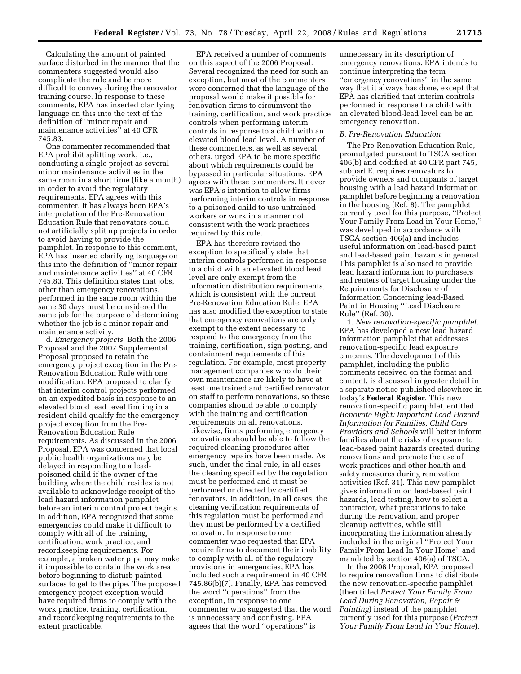Calculating the amount of painted surface disturbed in the manner that the commenters suggested would also complicate the rule and be more difficult to convey during the renovator training course. In response to these comments, EPA has inserted clarifying language on this into the text of the definition of ''minor repair and maintenance activities<sup>"</sup> at 40 CFR 745.83.

One commenter recommended that EPA prohibit splitting work, i.e., conducting a single project as several minor maintenance activities in the same room in a short time (like a month) in order to avoid the regulatory requirements. EPA agrees with this commenter. It has always been EPA's interpretation of the Pre-Renovation Education Rule that renovators could not artificially split up projects in order to avoid having to provide the pamphlet. In response to this comment, EPA has inserted clarifying language on this into the definition of ''minor repair and maintenance activities'' at 40 CFR 745.83. This definition states that jobs, other than emergency renovations, performed in the same room within the same 30 days must be considered the same job for the purpose of determining whether the job is a minor repair and maintenance activity.

d. *Emergency projects*. Both the 2006 Proposal and the 2007 Supplemental Proposal proposed to retain the emergency project exception in the Pre-Renovation Education Rule with one modification. EPA proposed to clarify that interim control projects performed on an expedited basis in response to an elevated blood lead level finding in a resident child qualify for the emergency project exception from the Pre-Renovation Education Rule requirements. As discussed in the 2006 Proposal, EPA was concerned that local public health organizations may be delayed in responding to a leadpoisoned child if the owner of the building where the child resides is not available to acknowledge receipt of the lead hazard information pamphlet before an interim control project begins. In addition, EPA recognized that some emergencies could make it difficult to comply with all of the training, certification, work practice, and recordkeeping requirements. For example, a broken water pipe may make it impossible to contain the work area before beginning to disturb painted surfaces to get to the pipe. The proposed emergency project exception would have required firms to comply with the work practice, training, certification, and recordkeeping requirements to the extent practicable.

EPA received a number of comments on this aspect of the 2006 Proposal. Several recognized the need for such an exception, but most of the commenters were concerned that the language of the proposal would make it possible for renovation firms to circumvent the training, certification, and work practice controls when performing interim controls in response to a child with an elevated blood lead level. A number of these commenters, as well as several others, urged EPA to be more specific about which requirements could be bypassed in particular situations. EPA agrees with these commenters. It never was EPA's intention to allow firms performing interim controls in response to a poisoned child to use untrained workers or work in a manner not consistent with the work practices required by this rule.

EPA has therefore revised the exception to specifically state that interim controls performed in response to a child with an elevated blood lead level are only exempt from the information distribution requirements, which is consistent with the current Pre-Renovation Education Rule. EPA has also modified the exception to state that emergency renovations are only exempt to the extent necessary to respond to the emergency from the training, certification, sign posting, and containment requirements of this regulation. For example, most property management companies who do their own maintenance are likely to have at least one trained and certified renovator on staff to perform renovations, so these companies should be able to comply with the training and certification requirements on all renovations. Likewise, firms performing emergency renovations should be able to follow the required cleaning procedures after emergency repairs have been made. As such, under the final rule, in all cases the cleaning specified by the regulation must be performed and it must be performed or directed by certified renovators. In addition, in all cases, the cleaning verification requirements of this regulation must be performed and they must be performed by a certified renovator. In response to one commenter who requested that EPA require firms to document their inability to comply with all of the regulatory provisions in emergencies, EPA has included such a requirement in 40 CFR 745.86(b)(7). Finally, EPA has removed the word ''operations'' from the exception, in response to one commenter who suggested that the word is unnecessary and confusing. EPA agrees that the word ''operations'' is

unnecessary in its description of emergency renovations. EPA intends to continue interpreting the term ''emergency renovations'' in the same way that it always has done, except that EPA has clarified that interim controls performed in response to a child with an elevated blood-lead level can be an emergency renovation.

#### *B. Pre-Renovation Education*

The Pre-Renovation Education Rule, promulgated pursuant to TSCA section 406(b) and codified at 40 CFR part 745, subpart E, requires renovators to provide owners and occupants of target housing with a lead hazard information pamphlet before beginning a renovation in the housing (Ref. 8). The pamphlet currently used for this purpose, ''Protect Your Family From Lead in Your Home,'' was developed in accordance with TSCA section 406(a) and includes useful information on lead-based paint and lead-based paint hazards in general. This pamphlet is also used to provide lead hazard information to purchasers and renters of target housing under the Requirements for Disclosure of Information Concerning lead-Based Paint in Housing ''Lead Disclosure Rule'' (Ref. 30).

1. *New renovation-specific pamphlet*. EPA has developed a new lead hazard information pamphlet that addresses renovation-specific lead exposure concerns. The development of this pamphlet, including the public comments received on the format and content, is discussed in greater detail in a separate notice published elsewhere in today's **Federal Register**. This new renovation-specific pamphlet, entitled *Renovate Right: Important Lead Hazard Information for Families, Child Care Providers and Schools* will better inform families about the risks of exposure to lead-based paint hazards created during renovations and promote the use of work practices and other health and safety measures during renovation activities (Ref. 31). This new pamphlet gives information on lead-based paint hazards, lead testing, how to select a contractor, what precautions to take during the renovation, and proper cleanup activities, while still incorporating the information already included in the original ''Protect Your Family From Lead In Your Home'' and mandated by section 406(a) of TSCA.

In the 2006 Proposal, EPA proposed to require renovation firms to distribute the new renovation-specific pamphlet (then titled *Protect Your Family From Lead During Renovation, Repair & Painting*) instead of the pamphlet currently used for this purpose (*Protect Your Family From Lead in Your Home*).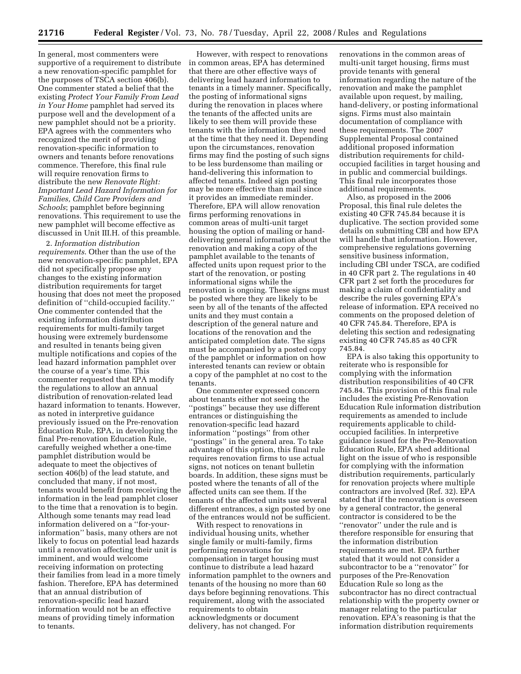In general, most commenters were supportive of a requirement to distribute a new renovation-specific pamphlet for the purposes of TSCA section 406(b). One commenter stated a belief that the existing *Protect Your Family From Lead in Your Home* pamphlet had served its purpose well and the development of a new pamphlet should not be a priority. EPA agrees with the commenters who recognized the merit of providing renovation-specific information to owners and tenants before renovations commence. Therefore, this final rule will require renovation firms to distribute the new *Renovate Right: Important Lead Hazard Information for Families, Child Care Providers and Schools*; pamphlet before beginning renovations. This requirement to use the new pamphlet will become effective as discussed in Unit III.H. of this preamble.

2. *Information distribution requirements*. Other than the use of the new renovation-specific pamphlet, EPA did not specifically propose any changes to the existing information distribution requirements for target housing that does not meet the proposed definition of ''child-occupied facility.'' One commenter contended that the existing information distribution requirements for multi-family target housing were extremely burdensome and resulted in tenants being given multiple notifications and copies of the lead hazard information pamphlet over the course of a year's time. This commenter requested that EPA modify the regulations to allow an annual distribution of renovation-related lead hazard information to tenants. However, as noted in interpretive guidance previously issued on the Pre-renovation Education Rule, EPA, in developing the final Pre-renovation Education Rule, carefully weighed whether a one-time pamphlet distribution would be adequate to meet the objectives of section 406(b) of the lead statute, and concluded that many, if not most, tenants would benefit from receiving the information in the lead pamphlet closer to the time that a renovation is to begin. Although some tenants may read lead information delivered on a ''for-yourinformation'' basis, many others are not likely to focus on potential lead hazards until a renovation affecting their unit is imminent, and would welcome receiving information on protecting their families from lead in a more timely fashion. Therefore, EPA has determined that an annual distribution of renovation-specific lead hazard information would not be an effective means of providing timely information to tenants.

However, with respect to renovations in common areas, EPA has determined that there are other effective ways of delivering lead hazard information to tenants in a timely manner. Specifically, the posting of informational signs during the renovation in places where the tenants of the affected units are likely to see them will provide these tenants with the information they need at the time that they need it. Depending upon the circumstances, renovation firms may find the posting of such signs to be less burdensome than mailing or hand-delivering this information to affected tenants. Indeed sign posting may be more effective than mail since it provides an immediate reminder. Therefore, EPA will allow renovation firms performing renovations in common areas of multi-unit target housing the option of mailing or handdelivering general information about the renovation and making a copy of the pamphlet available to the tenants of affected units upon request prior to the start of the renovation, or posting informational signs while the renovation is ongoing. These signs must be posted where they are likely to be seen by all of the tenants of the affected units and they must contain a description of the general nature and locations of the renovation and the anticipated completion date. The signs must be accompanied by a posted copy of the pamphlet or information on how interested tenants can review or obtain a copy of the pamphlet at no cost to the tenants.

One commenter expressed concern about tenants either not seeing the ''postings'' because they use different entrances or distinguishing the renovation-specific lead hazard information ''postings'' from other ''postings'' in the general area. To take advantage of this option, this final rule requires renovation firms to use actual signs, not notices on tenant bulletin boards. In addition, these signs must be posted where the tenants of all of the affected units can see them. If the tenants of the affected units use several different entrances, a sign posted by one of the entrances would not be sufficient.

With respect to renovations in individual housing units, whether single family or multi-family, firms performing renovations for compensation in target housing must continue to distribute a lead hazard information pamphlet to the owners and tenants of the housing no more than 60 days before beginning renovations. This requirement, along with the associated requirements to obtain acknowledgments or document delivery, has not changed. For

renovations in the common areas of multi-unit target housing, firms must provide tenants with general information regarding the nature of the renovation and make the pamphlet available upon request, by mailing, hand-delivery, or posting informational signs. Firms must also maintain documentation of compliance with these requirements. The 2007 Supplemental Proposal contained additional proposed information distribution requirements for childoccupied facilities in target housing and in public and commercial buildings. This final rule incorporates those additional requirements.

Also, as proposed in the 2006 Proposal, this final rule deletes the existing 40 CFR 745.84 because it is duplicative. The section provided some details on submitting CBI and how EPA will handle that information. However, comprehensive regulations governing sensitive business information, including CBI under TSCA, are codified in 40 CFR part 2. The regulations in 40 CFR part 2 set forth the procedures for making a claim of confidentiality and describe the rules governing EPA's release of information. EPA received no comments on the proposed deletion of 40 CFR 745.84. Therefore, EPA is deleting this section and redesignating existing 40 CFR 745.85 as 40 CFR 745.84.

EPA is also taking this opportunity to reiterate who is responsible for complying with the information distribution responsibilities of 40 CFR 745.84. This provision of this final rule includes the existing Pre-Renovation Education Rule information distribution requirements as amended to include requirements applicable to childoccupied facilities. In interpretive guidance issued for the Pre-Renovation Education Rule, EPA shed additional light on the issue of who is responsible for complying with the information distribution requirements, particularly for renovation projects where multiple contractors are involved (Ref. 32). EPA stated that if the renovation is overseen by a general contractor, the general contractor is considered to be the ''renovator'' under the rule and is therefore responsible for ensuring that the information distribution requirements are met. EPA further stated that it would not consider a subcontractor to be a ''renovator'' for purposes of the Pre-Renovation Education Rule so long as the subcontractor has no direct contractual relationship with the property owner or manager relating to the particular renovation. EPA's reasoning is that the information distribution requirements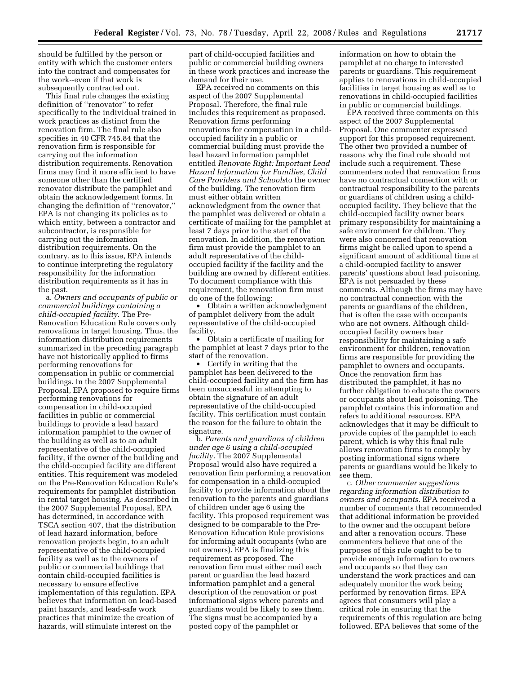should be fulfilled by the person or entity with which the customer enters into the contract and compensates for the work--even if that work is subsequently contracted out.

This final rule changes the existing definition of ''renovator'' to refer specifically to the individual trained in work practices as distinct from the renovation firm. The final rule also specifies in 40 CFR 745.84 that the renovation firm is responsible for carrying out the information distribution requirements. Renovation firms may find it more efficient to have someone other than the certified renovator distribute the pamphlet and obtain the acknowledgement forms. In changing the definition of ''renovator,'' EPA is not changing its policies as to which entity, between a contractor and subcontractor, is responsible for carrying out the information distribution requirements. On the contrary, as to this issue, EPA intends to continue interpreting the regulatory responsibility for the information distribution requirements as it has in the past.

a. *Owners and occupants of public or commercial buildings containing a child-occupied facility.* The Pre-Renovation Education Rule covers only renovations in target housing. Thus, the information distribution requirements summarized in the preceding paragraph have not historically applied to firms performing renovations for compensation in public or commercial buildings. In the 2007 Supplemental Proposal, EPA proposed to require firms performing renovations for compensation in child-occupied facilities in public or commercial buildings to provide a lead hazard information pamphlet to the owner of the building as well as to an adult representative of the child-occupied facility, if the owner of the building and the child-occupied facility are different entities. This requirement was modeled on the Pre-Renovation Education Rule's requirements for pamphlet distribution in rental target housing. As described in the 2007 Supplemental Proposal, EPA has determined, in accordance with TSCA section 407, that the distribution of lead hazard information, before renovation projects begin, to an adult representative of the child-occupied facility as well as to the owners of public or commercial buildings that contain child-occupied facilities is necessary to ensure effective implementation of this regulation. EPA believes that information on lead-based paint hazards, and lead-safe work practices that minimize the creation of hazards, will stimulate interest on the

part of child-occupied facilities and public or commercial building owners in these work practices and increase the demand for their use.

EPA received no comments on this aspect of the 2007 Supplemental Proposal. Therefore, the final rule includes this requirement as proposed. Renovation firms performing renovations for compensation in a childoccupied facility in a public or commercial building must provide the lead hazard information pamphlet entitled *Renovate Right: Important Lead Hazard Information for Families, Child Care Providers and Schools*to the owner of the building. The renovation firm must either obtain written acknowledgment from the owner that the pamphlet was delivered or obtain a certificate of mailing for the pamphlet at least 7 days prior to the start of the renovation. In addition, the renovation firm must provide the pamphlet to an adult representative of the childoccupied facility if the facility and the building are owned by different entities. To document compliance with this requirement, the renovation firm must do one of the following:

• Obtain a written acknowledgment of pamphlet delivery from the adult representative of the child-occupied facility.

• Obtain a certificate of mailing for the pamphlet at least 7 days prior to the start of the renovation.

• Certify in writing that the pamphlet has been delivered to the child-occupied facility and the firm has been unsuccessful in attempting to obtain the signature of an adult representative of the child-occupied facility. This certification must contain the reason for the failure to obtain the signature.

b. *Parents and guardians of children under age 6 using a child-occupied facility.* The 2007 Supplemental Proposal would also have required a renovation firm performing a renovation for compensation in a child-occupied facility to provide information about the renovation to the parents and guardians of children under age 6 using the facility. This proposed requirement was designed to be comparable to the Pre-Renovation Education Rule provisions for informing adult occupants (who are not owners). EPA is finalizing this requirement as proposed. The renovation firm must either mail each parent or guardian the lead hazard information pamphlet and a general description of the renovation or post informational signs where parents and guardians would be likely to see them. The signs must be accompanied by a posted copy of the pamphlet or

information on how to obtain the pamphlet at no charge to interested parents or guardians. This requirement applies to renovations in child-occupied facilities in target housing as well as to renovations in child-occupied facilities in public or commercial buildings.

EPA received three comments on this aspect of the 2007 Supplemental Proposal. One commenter expressed support for this proposed requirement. The other two provided a number of reasons why the final rule should not include such a requirement. These commenters noted that renovation firms have no contractual connection with or contractual responsibility to the parents or guardians of children using a childoccupied facility. They believe that the child-occupied facility owner bears primary responsibility for maintaining a safe environment for children. They were also concerned that renovation firms might be called upon to spend a significant amount of additional time at a child-occupied facility to answer parents' questions about lead poisoning. EPA is not persuaded by these comments. Although the firms may have no contractual connection with the parents or guardians of the children, that is often the case with occupants who are not owners. Although childoccupied facility owners bear responsibility for maintaining a safe environment for children, renovation firms are responsible for providing the pamphlet to owners and occupants. Once the renovation firm has distributed the pamphlet, it has no further obligation to educate the owners or occupants about lead poisoning. The pamphlet contains this information and refers to additional resources. EPA acknowledges that it may be difficult to provide copies of the pamphlet to each parent, which is why this final rule allows renovation firms to comply by posting informational signs where parents or guardians would be likely to see them.

c. *Other commenter suggestions regarding information distribution to owners and occupants.* EPA received a number of comments that recommended that additional information be provided to the owner and the occupant before and after a renovation occurs. These commenters believe that one of the purposes of this rule ought to be to provide enough information to owners and occupants so that they can understand the work practices and can adequately monitor the work being performed by renovation firms. EPA agrees that consumers will play a critical role in ensuring that the requirements of this regulation are being followed. EPA believes that some of the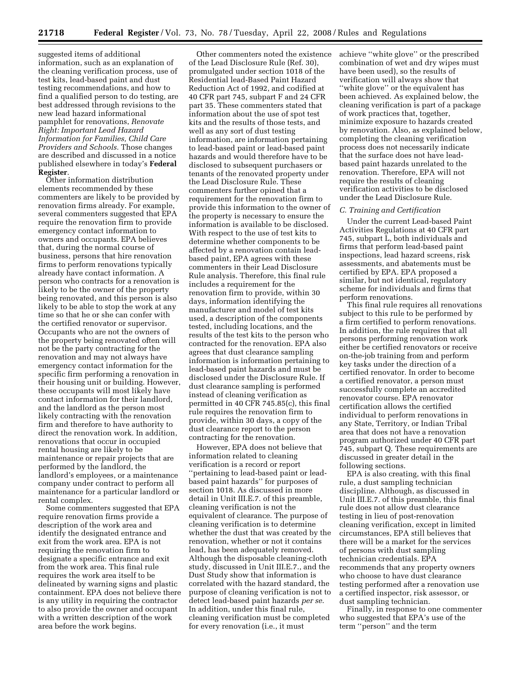suggested items of additional information, such as an explanation of the cleaning verification process, use of test kits, lead-based paint and dust testing recommendations, and how to find a qualified person to do testing, are best addressed through revisions to the new lead hazard informational pamphlet for renovations, *Renovate Right: Important Lead Hazard Information for Families, Child Care Providers and Schools.* Those changes are described and discussed in a notice published elsewhere in today's **Federal Register**.

Other information distribution elements recommended by these commenters are likely to be provided by renovation firms already. For example, several commenters suggested that EPA require the renovation firm to provide emergency contact information to owners and occupants. EPA believes that, during the normal course of business, persons that hire renovation firms to perform renovations typically already have contact information. A person who contracts for a renovation is likely to be the owner of the property being renovated, and this person is also likely to be able to stop the work at any time so that he or she can confer with the certified renovator or supervisor. Occupants who are not the owners of the property being renovated often will not be the party contracting for the renovation and may not always have emergency contact information for the specific firm performing a renovation in their housing unit or building. However, these occupants will most likely have contact information for their landlord, and the landlord as the person most likely contracting with the renovation firm and therefore to have authority to direct the renovation work. In addition, renovations that occur in occupied rental housing are likely to be maintenance or repair projects that are performed by the landlord, the landlord's employees, or a maintenance company under contract to perform all maintenance for a particular landlord or rental complex.

Some commenters suggested that EPA require renovation firms provide a description of the work area and identify the designated entrance and exit from the work area. EPA is not requiring the renovation firm to designate a specific entrance and exit from the work area. This final rule requires the work area itself to be delineated by warning signs and plastic containment. EPA does not believe there is any utility in requiring the contractor to also provide the owner and occupant with a written description of the work area before the work begins.

Other commenters noted the existence of the Lead Disclosure Rule (Ref. 30), promulgated under section 1018 of the Residential lead-Based Paint Hazard Reduction Act of 1992, and codified at 40 CFR part 745, subpart F and 24 CFR part 35. These commenters stated that information about the use of spot test kits and the results of those tests, and well as any sort of dust testing information, are information pertaining to lead-based paint or lead-based paint hazards and would therefore have to be disclosed to subsequent purchasers or tenants of the renovated property under the Lead Disclosure Rule. These commenters further opined that a requirement for the renovation firm to provide this information to the owner of the property is necessary to ensure the information is available to be disclosed. With respect to the use of test kits to determine whether components to be affected by a renovation contain leadbased paint, EPA agrees with these commenters in their Lead Disclosure Rule analysis. Therefore, this final rule includes a requirement for the renovation firm to provide, within 30 days, information identifying the manufacturer and model of test kits used, a description of the components tested, including locations, and the results of the test kits to the person who contracted for the renovation. EPA also agrees that dust clearance sampling information is information pertaining to lead-based paint hazards and must be disclosed under the Disclosure Rule. If dust clearance sampling is performed instead of cleaning verification as permitted in 40 CFR 745.85(c), this final rule requires the renovation firm to provide, within 30 days, a copy of the dust clearance report to the person contracting for the renovation.

However, EPA does not believe that information related to cleaning verification is a record or report ''pertaining to lead-based paint or leadbased paint hazards'' for purposes of section 1018. As discussed in more detail in Unit III.E.7. of this preamble, cleaning verification is not the equivalent of clearance. The purpose of cleaning verification is to determine whether the dust that was created by the renovation, whether or not it contains lead, has been adequately removed. Although the disposable cleaning-cloth study, discussed in Unit III.E.7., and the Dust Study show that information is correlated with the hazard standard, the purpose of cleaning verification is not to detect lead-based paint hazards *per se*. In addition, under this final rule, cleaning verification must be completed for every renovation (i.e., it must

achieve ''white glove'' or the prescribed combination of wet and dry wipes must have been used), so the results of verification will always show that ''white glove'' or the equivalent has been achieved. As explained below, the cleaning verification is part of a package of work practices that, together, minimize exposure to hazards created by renovation. Also, as explained below, completing the cleaning verification process does not necessarily indicate that the surface does not have leadbased paint hazards unrelated to the renovation. Therefore, EPA will not require the results of cleaning verification activities to be disclosed under the Lead Disclosure Rule.

#### *C. Training and Certification*

Under the current Lead-based Paint Activities Regulations at 40 CFR part 745, subpart L, both individuals and firms that perform lead-based paint inspections, lead hazard screens, risk assessments, and abatements must be certified by EPA. EPA proposed a similar, but not identical, regulatory scheme for individuals and firms that perform renovations.

This final rule requires all renovations subject to this rule to be performed by a firm certified to perform renovations. In addition, the rule requires that all persons performing renovation work either be certified renovators or receive on-the-job training from and perform key tasks under the direction of a certified renovator. In order to become a certified renovator, a person must successfully complete an accredited renovator course. EPA renovator certification allows the certified individual to perform renovations in any State, Territory, or Indian Tribal area that does not have a renovation program authorized under 40 CFR part 745, subpart Q. These requirements are discussed in greater detail in the following sections.

EPA is also creating, with this final rule, a dust sampling technician discipline. Although, as discussed in Unit III.E.7. of this preamble, this final rule does not allow dust clearance testing in lieu of post-renovation cleaning verification, except in limited circumstances, EPA still believes that there will be a market for the services of persons with dust sampling technician credentials. EPA recommends that any property owners who choose to have dust clearance testing performed after a renovation use a certified inspector, risk assessor, or dust sampling technician.

Finally, in response to one commenter who suggested that EPA's use of the term ''person'' and the term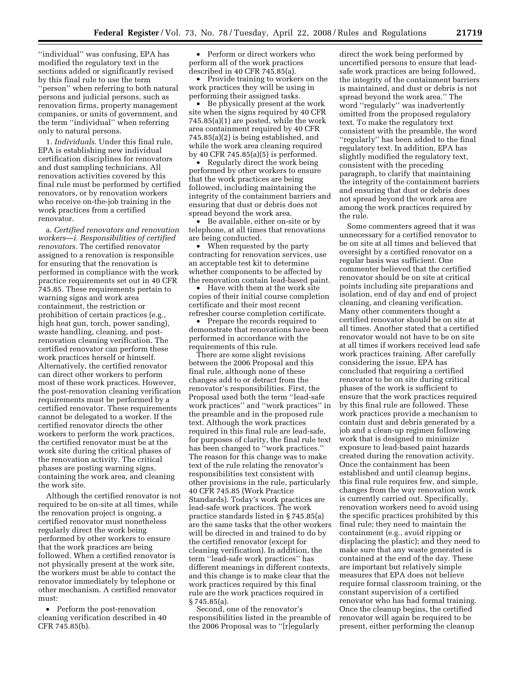''individual'' was confusing, EPA has modified the regulatory text in the sections added or significantly revised by this final rule to use the term ''person'' when referring to both natural persons and judicial persons, such as renovation firms, property management companies, or units of government, and the term ''individual'' when referring only to natural persons.

1. *Individuals*. Under this final rule, EPA is establishing new individual certification disciplines for renovators and dust sampling technicians. All renovation activities covered by this final rule must be performed by certified renovators, or by renovation workers who receive on-the-job training in the work practices from a certified renovator.

a. *Certified renovators and renovation workers*—*i. Responsibilities of certified renovators.* The certified renovator assigned to a renovation is responsible for ensuring that the renovation is performed in compliance with the work practice requirements set out in 40 CFR 745.85. These requirements pertain to warning signs and work area containment, the restriction or prohibition of certain practices (e.g., high heat gun, torch, power sanding), waste handling, cleaning, and postrenovation cleaning verification. The certified renovator can perform these work practices herself or himself. Alternatively, the certified renovator can direct other workers to perform most of these work practices. However, the post-renovation cleaning verification requirements must be performed by a certified renovator. These requirements cannot be delegated to a worker. If the certified renovator directs the other workers to perform the work practices, the certified renovator must be at the work site during the critical phases of the renovation activity. The critical phases are posting warning signs, containing the work area, and cleaning the work site.

Although the certified renovator is not required to be on-site at all times, while the renovation project is ongoing, a certified renovator must nonetheless regularly direct the work being performed by other workers to ensure that the work practices are being followed. When a certified renovator is not physically present at the work site, the workers must be able to contact the renovator immediately by telephone or other mechanism. A certified renovator must:

• Perform the post-renovation cleaning verification described in 40 CFR 745.85(b).

• Perform or direct workers who perform all of the work practices described in 40 CFR 745.85(a).

• Provide training to workers on the work practices they will be using in performing their assigned tasks.

• Be physically present at the work site when the signs required by 40 CFR 745.85(a)(1) are posted, while the work area containment required by 40 CFR 745.85(a)(2) is being established, and while the work area cleaning required by 40 CFR 745.85(a)(5) is performed.

• Regularly direct the work being performed by other workers to ensure that the work practices are being followed, including maintaining the integrity of the containment barriers and ensuring that dust or debris does not spread beyond the work area.

• Be available, either on-site or by telephone, at all times that renovations are being conducted.

• When requested by the party contracting for renovation services, use an acceptable test kit to determine whether components to be affected by the renovation contain lead-based paint.

• Have with them at the work site copies of their initial course completion certificate and their most recent refresher course completion certificate.

• Prepare the records required to demonstrate that renovations have been performed in accordance with the requirements of this rule.

There are some slight revisions between the 2006 Proposal and this final rule, although none of these changes add to or detract from the renovator's responsibilities. First, the Proposal used both the term ''lead-safe work practices'' and ''work practices'' in the preamble and in the proposed rule text. Although the work practices required in this final rule are lead-safe, for purposes of clarity, the final rule text has been changed to ''work practices.'' The reason for this change was to make text of the rule relating the renovator's responsibilities text consistent with other provisions in the rule, particularly 40 CFR 745.85 (Work Practice Standards). Today's work practices are lead-safe work practices. The work practice standards listed in § 745.85(a) are the same tasks that the other workers will be directed in and trained to do by the certified renovator (except for cleaning verification). In addition, the term ''lead-safe work practices'' has different meanings in different contexts, and this change is to make clear that the work practices required by this final rule are the work practices required in § 745.85(a).

Second, one of the renovator's responsibilities listed in the preamble of the 2006 Proposal was to ''[r]egularly

direct the work being performed by uncertified persons to ensure that leadsafe work practices are being followed, the integrity of the containment barriers is maintained, and dust or debris is not spread beyond the work area.'' The word ''regularly'' was inadvertently omitted from the proposed regulatory text. To make the regulatory text consistent with the preamble, the word ''regularly'' has been added to the final regulatory text. In addition, EPA has slightly modified the regulatory text, consistent with the preceding paragraph, to clarify that maintaining the integrity of the containment barriers and ensuring that dust or debris does not spread beyond the work area are among the work practices required by the rule.

Some commenters agreed that it was unnecessary for a certified renovator to be on site at all times and believed that oversight by a certified renovator on a regular basis was sufficient. One commenter believed that the certified renovator should be on site at critical points including site preparations and isolation, end of day and end of project cleaning, and cleaning verification. Many other commenters thought a certified renovator should be on site at all times. Another stated that a certified renovator would not have to be on site at all times if workers received lead safe work practices training. After carefully considering the issue, EPA has concluded that requiring a certified renovator to be on site during critical phases of the work is sufficient to ensure that the work practices required by this final rule are followed. These work practices provide a mechanism to contain dust and debris generated by a job and a clean-up regimen following work that is designed to minimize exposure to lead-based paint hazards created during the renovation activity. Once the containment has been established and until cleanup begins, this final rule requires few, and simple, changes from the way renovation work is currently carried out. Specifically, renovation workers need to avoid using the specific practices prohibited by this final rule; they need to maintain the containment (e.g., avoid ripping or displacing the plastic); and they need to make sure that any waste generated is contained at the end of the day. These are important but relatively simple measures that EPA does not believe require formal classroom training, or the constant supervision of a certified renovator who has had formal training. Once the cleanup begins, the certified renovator will again be required to be present, either performing the cleanup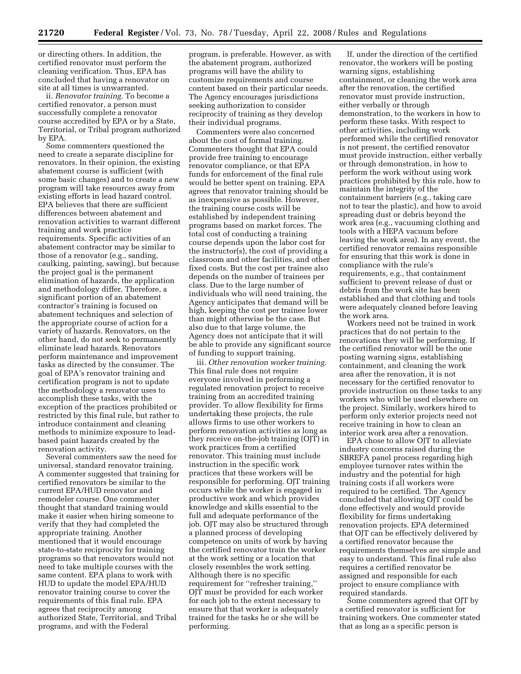or directing others. In addition, the certified renovator must perform the cleaning verification. Thus, EPA has concluded that having a renovator on site at all times is unwarranted.

ii. *Renovator training.* To become a certified renovator, a person must successfully complete a renovator course accredited by EPA or by a State, Territorial, or Tribal program authorized by EPA.

Some commenters questioned the need to create a separate discipline for renovators. In their opinion, the existing abatement course is sufficient (with some basic changes) and to create a new program will take resources away from existing efforts in lead hazard control. EPA believes that there are sufficient differences between abatement and renovation activities to warrant different training and work practice requirements. Specific activities of an abatement contractor may be similar to those of a renovator (e.g., sanding, caulking, painting, sawing), but because the project goal is the permanent elimination of hazards, the application and methodology differ. Therefore, a significant portion of an abatement contractor's training is focused on abatement techniques and selection of the appropriate course of action for a variety of hazards. Renovators, on the other hand, do not seek to permanently eliminate lead hazards. Renovators perform maintenance and improvement tasks as directed by the consumer. The goal of EPA's renovator training and certification program is not to update the methodology a renovator uses to accomplish these tasks, with the exception of the practices prohibited or restricted by this final rule, but rather to introduce containment and cleaning methods to minimize exposure to leadbased paint hazards created by the renovation activity.

Several commenters saw the need for universal, standard renovator training. A commenter suggested that training for certified renovators be similar to the current EPA/HUD renovator and remodeler course. One commenter thought that standard training would make it easier when hiring someone to verify that they had completed the appropriate training. Another mentioned that it would encourage state-to-state reciprocity for training programs so that renovators would not need to take multiple courses with the same content. EPA plans to work with HUD to update the model EPA/HUD renovator training course to cover the requirements of this final rule. EPA agrees that reciprocity among authorized State, Territorial, and Tribal programs, and with the Federal

program, is preferable. However, as with the abatement program, authorized programs will have the ability to customize requirements and course content based on their particular needs. The Agency encourages jurisdictions seeking authorization to consider reciprocity of training as they develop their individual programs.

Commenters were also concerned about the cost of formal training. Commenters thought that EPA could provide free training to encourage renovator compliance, or that EPA funds for enforcement of the final rule would be better spent on training. EPA agrees that renovator training should be as inexpensive as possible. However, the training course costs will be established by independent training programs based on market forces. The total cost of conducting a training course depends upon the labor cost for the instructor(s), the cost of providing a classroom and other facilities, and other fixed costs. But the cost per trainee also depends on the number of trainees per class. Due to the large number of individuals who will need training, the Agency anticipates that demand will be high, keeping the cost per trainee lower than might otherwise be the case. But also due to that large volume, the Agency does not anticipate that it will be able to provide any significant source of funding to support training.

iii. *Other renovation worker training.*  This final rule does not require everyone involved in performing a regulated renovation project to receive training from an accredited training provider. To allow flexibility for firms undertaking these projects, the rule allows firms to use other workers to perform renovation activities as long as they receive on-the-job training (OJT) in work practices from a certified renovator. This training must include instruction in the specific work practices that these workers will be responsible for performing. OJT training occurs while the worker is engaged in productive work and which provides knowledge and skills essential to the full and adequate performance of the job. OJT may also be structured through a planned process of developing competence on units of work by having the certified renovator train the worker at the work setting or a location that closely resembles the work setting. Although there is no specific requirement for ''refresher training,'' OJT must be provided for each worker for each job to the extent necessary to ensure that that worker is adequately trained for the tasks he or she will be performing.

If, under the direction of the certified renovator, the workers will be posting warning signs, establishing containment, or cleaning the work area after the renovation, the certified renovator must provide instruction, either verbally or through demonstration, to the workers in how to perform these tasks. With respect to other activities, including work performed while the certified renovator is not present, the certified renovator must provide instruction, either verbally or through demonstration, in how to perform the work without using work practices prohibited by this rule, how to maintain the integrity of the containment barriers (e.g., taking care not to tear the plastic), and how to avoid spreading dust or debris beyond the work area (e.g., vacuuming clothing and tools with a HEPA vacuum before leaving the work area). In any event, the certified renovator remains responsible for ensuring that this work is done in compliance with the rule's requirements, e.g., that containment sufficient to prevent release of dust or debris from the work site has been established and that clothing and tools were adequately cleaned before leaving the work area.

Workers need not be trained in work practices that do not pertain to the renovations they will be performing. If the certified renovator will be the one posting warning signs, establishing containment, and cleaning the work area after the renovation, it is not necessary for the certified renovator to provide instruction on these tasks to any workers who will be used elsewhere on the project. Similarly, workers hired to perform only exterior projects need not receive training in how to clean an interior work area after a renovation.

EPA chose to allow OJT to alleviate industry concerns raised during the SBREFA panel process regarding high employee turnover rates within the industry and the potential for high training costs if all workers were required to be certified. The Agency concluded that allowing OJT could be done effectively and would provide flexibility for firms undertaking renovation projects. EPA determined that OJT can be effectively delivered by a certified renovator because the requirements themselves are simple and easy to understand. This final rule also requires a certified renovator be assigned and responsible for each project to ensure compliance with required standards.

Some commenters agreed that OJT by a certified renovator is sufficient for training workers. One commenter stated that as long as a specific person is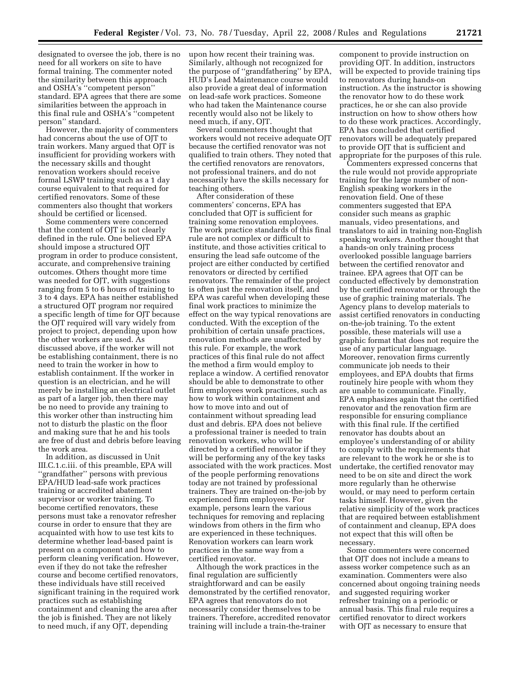designated to oversee the job, there is no need for all workers on site to have formal training. The commenter noted the similarity between this approach and OSHA's ''competent person'' standard. EPA agrees that there are some similarities between the approach in this final rule and OSHA's ''competent person'' standard.

However, the majority of commenters had concerns about the use of OJT to train workers. Many argued that OJT is insufficient for providing workers with the necessary skills and thought renovation workers should receive formal LSWP training such as a 1 day course equivalent to that required for certified renovators. Some of these commenters also thought that workers should be certified or licensed.

Some commenters were concerned that the content of OJT is not clearly defined in the rule. One believed EPA should impose a structured OJT program in order to produce consistent, accurate, and comprehensive training outcomes. Others thought more time was needed for OJT, with suggestions ranging from 5 to 6 hours of training to 3 to 4 days. EPA has neither established a structured OJT program nor required a specific length of time for OJT because the OJT required will vary widely from project to project, depending upon how the other workers are used. As discussed above, if the worker will not be establishing containment, there is no need to train the worker in how to establish containment. If the worker in question is an electrician, and he will merely be installing an electrical outlet as part of a larger job, then there may be no need to provide any training to this worker other than instructing him not to disturb the plastic on the floor and making sure that he and his tools are free of dust and debris before leaving the work area.

In addition, as discussed in Unit III.C.1.c.iii. of this preamble, EPA will ''grandfather'' persons with previous EPA/HUD lead-safe work practices training or accredited abatement supervisor or worker training. To become certified renovators, these persons must take a renovator refresher course in order to ensure that they are acquainted with how to use test kits to determine whether lead-based paint is present on a component and how to perform cleaning verification. However, even if they do not take the refresher course and become certified renovators, these individuals have still received significant training in the required work practices such as establishing containment and cleaning the area after the job is finished. They are not likely to need much, if any OJT, depending

upon how recent their training was. Similarly, although not recognized for the purpose of ''grandfathering'' by EPA, HUD's Lead Maintenance course would also provide a great deal of information on lead-safe work practices. Someone who had taken the Maintenance course recently would also not be likely to need much, if any, OJT.

Several commenters thought that workers would not receive adequate OJT because the certified renovator was not qualified to train others. They noted that the certified renovators are renovators, not professional trainers, and do not necessarily have the skills necessary for teaching others.

After consideration of these commenters' concerns, EPA has concluded that OJT is sufficient for training some renovation employees. The work practice standards of this final rule are not complex or difficult to institute, and those activities critical to ensuring the lead safe outcome of the project are either conducted by certified renovators or directed by certified renovators. The remainder of the project is often just the renovation itself, and EPA was careful when developing these final work practices to minimize the effect on the way typical renovations are conducted. With the exception of the prohibition of certain unsafe practices, renovation methods are unaffected by this rule. For example, the work practices of this final rule do not affect the method a firm would employ to replace a window. A certified renovator should be able to demonstrate to other firm employees work practices, such as how to work within containment and how to move into and out of containment without spreading lead dust and debris. EPA does not believe a professional trainer is needed to train renovation workers, who will be directed by a certified renovator if they will be performing any of the key tasks associated with the work practices. Most of the people performing renovations today are not trained by professional trainers. They are trained on-the-job by experienced firm employees. For example, persons learn the various techniques for removing and replacing windows from others in the firm who are experienced in these techniques. Renovation workers can learn work practices in the same way from a certified renovator.

Although the work practices in the final regulation are sufficiently straightforward and can be easily demonstrated by the certified renovator, EPA agrees that renovators do not necessarily consider themselves to be trainers. Therefore, accredited renovator training will include a train-the-trainer

component to provide instruction on providing OJT. In addition, instructors will be expected to provide training tips to renovators during hands-on instruction. As the instructor is showing the renovator how to do these work practices, he or she can also provide instruction on how to show others how to do these work practices. Accordingly, EPA has concluded that certified renovators will be adequately prepared to provide OJT that is sufficient and appropriate for the purposes of this rule.

Commenters expressed concerns that the rule would not provide appropriate training for the large number of non-English speaking workers in the renovation field. One of these commenters suggested that EPA consider such means as graphic manuals, video presentations, and translators to aid in training non-English speaking workers. Another thought that a hands-on only training process overlooked possible language barriers between the certified renovator and trainee. EPA agrees that OJT can be conducted effectively by demonstration by the certified renovator or through the use of graphic training materials. The Agency plans to develop materials to assist certified renovators in conducting on-the-job training. To the extent possible, these materials will use a graphic format that does not require the use of any particular language. Moreover, renovation firms currently communicate job needs to their employees, and EPA doubts that firms routinely hire people with whom they are unable to communicate. Finally, EPA emphasizes again that the certified renovator and the renovation firm are responsible for ensuring compliance with this final rule. If the certified renovator has doubts about an employee's understanding of or ability to comply with the requirements that are relevant to the work he or she is to undertake, the certified renovator may need to be on site and direct the work more regularly than he otherwise would, or may need to perform certain tasks himself. However, given the relative simplicity of the work practices that are required between establishment of containment and cleanup, EPA does not expect that this will often be necessary.

Some commenters were concerned that OJT does not include a means to assess worker competence such as an examination. Commenters were also concerned about ongoing training needs and suggested requiring worker refresher training on a periodic or annual basis. This final rule requires a certified renovator to direct workers with OJT as necessary to ensure that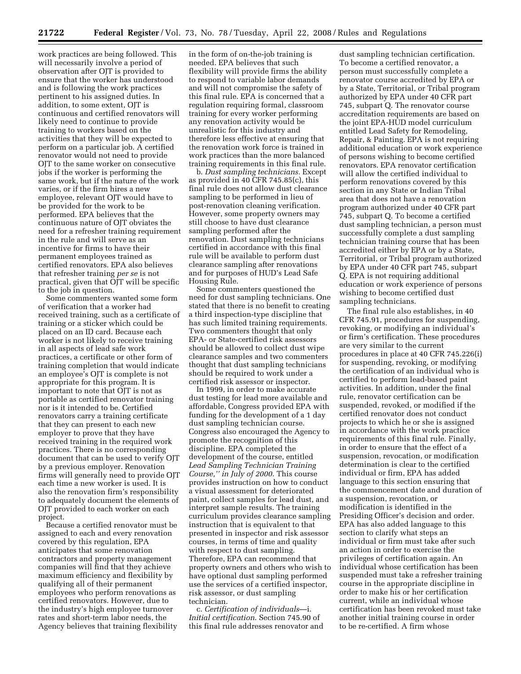work practices are being followed. This will necessarily involve a period of observation after OJT is provided to ensure that the worker has understood and is following the work practices pertinent to his assigned duties. In addition, to some extent, OJT is continuous and certified renovators will likely need to continue to provide training to workers based on the activities that they will be expected to perform on a particular job. A certified renovator would not need to provide OJT to the same worker on consecutive jobs if the worker is performing the same work, but if the nature of the work varies, or if the firm hires a new employee, relevant OJT would have to be provided for the work to be performed. EPA believes that the continuous nature of OJT obviates the need for a refresher training requirement in the rule and will serve as an incentive for firms to have their permanent employees trained as certified renovators. EPA also believes that refresher training *per se* is not practical, given that OJT will be specific to the job in question.

Some commenters wanted some form of verification that a worker had received training, such as a certificate of training or a sticker which could be placed on an ID card. Because each worker is not likely to receive training in all aspects of lead safe work practices, a certificate or other form of training completion that would indicate an employee's OJT is complete is not appropriate for this program. It is important to note that OJT is not as portable as certified renovator training nor is it intended to be. Certified renovators carry a training certificate that they can present to each new employer to prove that they have received training in the required work practices. There is no corresponding document that can be used to verify OJT by a previous employer. Renovation firms will generally need to provide OJT each time a new worker is used. It is also the renovation firm's responsibility to adequately document the elements of OJT provided to each worker on each project.

Because a certified renovator must be assigned to each and every renovation covered by this regulation, EPA anticipates that some renovation contractors and property management companies will find that they achieve maximum efficiency and flexibility by qualifying all of their permanent employees who perform renovations as certified renovators. However, due to the industry's high employee turnover rates and short-term labor needs, the Agency believes that training flexibility

in the form of on-the-job training is needed. EPA believes that such flexibility will provide firms the ability to respond to variable labor demands and will not compromise the safety of this final rule. EPA is concerned that a regulation requiring formal, classroom training for every worker performing any renovation activity would be unrealistic for this industry and therefore less effective at ensuring that the renovation work force is trained in work practices than the more balanced training requirements in this final rule.

b. *Dust sampling technicians.* Except as provided in 40 CFR 745.85(c), this final rule does not allow dust clearance sampling to be performed in lieu of post-renovation cleaning verification. However, some property owners may still choose to have dust clearance sampling performed after the renovation. Dust sampling technicians certified in accordance with this final rule will be available to perform dust clearance sampling after renovations and for purposes of HUD's Lead Safe Housing Rule.

Some commenters questioned the need for dust sampling technicians. One stated that there is no benefit to creating a third inspection-type discipline that has such limited training requirements. Two commenters thought that only EPA- or State-certified risk assessors should be allowed to collect dust wipe clearance samples and two commenters thought that dust sampling technicians should be required to work under a certified risk assessor or inspector.

In 1999, in order to make accurate dust testing for lead more available and affordable, Congress provided EPA with funding for the development of a 1 day dust sampling technician course. Congress also encouraged the Agency to promote the recognition of this discipline. EPA completed the development of the course, entitled *Lead Sampling Technician Training Course,'' in July of 2000*. This course provides instruction on how to conduct a visual assessment for deteriorated paint, collect samples for lead dust, and interpret sample results. The training curriculum provides clearance sampling instruction that is equivalent to that presented in inspector and risk assessor courses, in terms of time and quality with respect to dust sampling. Therefore, EPA can recommend that property owners and others who wish to have optional dust sampling performed use the services of a certified inspector, risk assessor, or dust sampling technician.

c. *Certification of individuals*—i. *Initial certification*. Section 745.90 of this final rule addresses renovator and

dust sampling technician certification. To become a certified renovator, a person must successfully complete a renovator course accredited by EPA or by a State, Territorial, or Tribal program authorized by EPA under 40 CFR part 745, subpart Q. The renovator course accreditation requirements are based on the joint EPA-HUD model curriculum entitled Lead Safety for Remodeling, Repair, & Painting. EPA is not requiring additional education or work experience of persons wishing to become certified renovators. EPA renovator certification will allow the certified individual to perform renovations covered by this section in any State or Indian Tribal area that does not have a renovation program authorized under 40 CFR part 745, subpart Q. To become a certified dust sampling technician, a person must successfully complete a dust sampling technician training course that has been accredited either by EPA or by a State, Territorial, or Tribal program authorized by EPA under 40 CFR part 745, subpart Q. EPA is not requiring additional education or work experience of persons wishing to become certified dust sampling technicians.

The final rule also establishes, in 40 CFR 745.91, procedures for suspending, revoking, or modifying an individual's or firm's certification. These procedures are very similar to the current procedures in place at 40 CFR 745.226(i) for suspending, revoking, or modifying the certification of an individual who is certified to perform lead-based paint activities. In addition, under the final rule, renovator certification can be suspended, revoked, or modified if the certified renovator does not conduct projects to which he or she is assigned in accordance with the work practice requirements of this final rule. Finally, in order to ensure that the effect of a suspension, revocation, or modification determination is clear to the certified individual or firm, EPA has added language to this section ensuring that the commencement date and duration of a suspension, revocation, or modification is identified in the Presiding Officer's decision and order. EPA has also added language to this section to clarify what steps an individual or firm must take after such an action in order to exercise the privileges of certification again. An individual whose certification has been suspended must take a refresher training course in the appropriate discipline in order to make his or her certification current, while an individual whose certification has been revoked must take another initial training course in order to be re-certified. A firm whose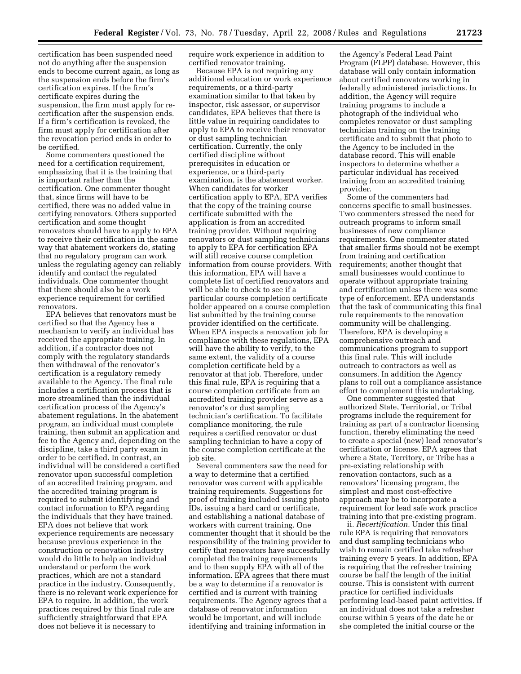certification has been suspended need not do anything after the suspension ends to become current again, as long as the suspension ends before the firm's certification expires. If the firm's certificate expires during the suspension, the firm must apply for recertification after the suspension ends. If a firm's certification is revoked, the firm must apply for certification after the revocation period ends in order to be certified.

Some commenters questioned the need for a certification requirement, emphasizing that it is the training that is important rather than the certification. One commenter thought that, since firms will have to be certified, there was no added value in certifying renovators. Others supported certification and some thought renovators should have to apply to EPA to receive their certification in the same way that abatement workers do, stating that no regulatory program can work unless the regulating agency can reliably identify and contact the regulated individuals. One commenter thought that there should also be a work experience requirement for certified renovators.

EPA believes that renovators must be certified so that the Agency has a mechanism to verify an individual has received the appropriate training. In addition, if a contractor does not comply with the regulatory standards then withdrawal of the renovator's certification is a regulatory remedy available to the Agency. The final rule includes a certification process that is more streamlined than the individual certification process of the Agency's abatement regulations. In the abatement program, an individual must complete training, then submit an application and fee to the Agency and, depending on the discipline, take a third party exam in order to be certified. In contrast, an individual will be considered a certified renovator upon successful completion of an accredited training program, and the accredited training program is required to submit identifying and contact information to EPA regarding the individuals that they have trained. EPA does not believe that work experience requirements are necessary because previous experience in the construction or renovation industry would do little to help an individual understand or perform the work practices, which are not a standard practice in the industry. Consequently, there is no relevant work experience for EPA to require. In addition, the work practices required by this final rule are sufficiently straightforward that EPA does not believe it is necessary to

require work experience in addition to certified renovator training.

Because EPA is not requiring any additional education or work experience requirements, or a third-party examination similar to that taken by inspector, risk assessor, or supervisor candidates, EPA believes that there is little value in requiring candidates to apply to EPA to receive their renovator or dust sampling technician certification. Currently, the only certified discipline without prerequisites in education or experience, or a third-party examination, is the abatement worker. When candidates for worker certification apply to EPA, EPA verifies that the copy of the training course certificate submitted with the application is from an accredited training provider. Without requiring renovators or dust sampling technicians to apply to EPA for certification EPA will still receive course completion information from course providers. With this information, EPA will have a complete list of certified renovators and will be able to check to see if a particular course completion certificate holder appeared on a course completion list submitted by the training course provider identified on the certificate. When EPA inspects a renovation job for compliance with these regulations, EPA will have the ability to verify, to the same extent, the validity of a course completion certificate held by a renovator at that job. Therefore, under this final rule, EPA is requiring that a course completion certificate from an accredited training provider serve as a renovator's or dust sampling technician's certification. To facilitate compliance monitoring, the rule requires a certified renovator or dust sampling technician to have a copy of the course completion certificate at the job site.

Several commenters saw the need for a way to determine that a certified renovator was current with applicable training requirements. Suggestions for proof of training included issuing photo IDs, issuing a hard card or certificate, and establishing a national database of workers with current training. One commenter thought that it should be the responsibility of the training provider to certify that renovators have successfully completed the training requirements and to then supply EPA with all of the information. EPA agrees that there must be a way to determine if a renovator is certified and is current with training requirements. The Agency agrees that a database of renovator information would be important, and will include identifying and training information in

the Agency's Federal Lead Paint Program (FLPP) database. However, this database will only contain information about certified renovators working in federally administered jurisdictions. In addition, the Agency will require training programs to include a photograph of the individual who completes renovator or dust sampling technician training on the training certificate and to submit that photo to the Agency to be included in the database record. This will enable inspectors to determine whether a particular individual has received training from an accredited training provider.

Some of the commenters had concerns specific to small businesses. Two commenters stressed the need for outreach programs to inform small businesses of new compliance requirements. One commenter stated that smaller firms should not be exempt from training and certification requirements; another thought that small businesses would continue to operate without appropriate training and certification unless there was some type of enforcement. EPA understands that the task of communicating this final rule requirements to the renovation community will be challenging. Therefore, EPA is developing a comprehensive outreach and communications program to support this final rule. This will include outreach to contractors as well as consumers. In addition the Agency plans to roll out a compliance assistance effort to complement this undertaking.

One commenter suggested that authorized State, Territorial, or Tribal programs include the requirement for training as part of a contractor licensing function, thereby eliminating the need to create a special (new) lead renovator's certification or license. EPA agrees that where a State, Territory, or Tribe has a pre-existing relationship with renovation contactors, such as a renovators' licensing program, the simplest and most cost-effective approach may be to incorporate a requirement for lead safe work practice training into that pre-existing program.

ii. *Recertification.* Under this final rule EPA is requiring that renovators and dust sampling technicians who wish to remain certified take refresher training every 5 years. In addition, EPA is requiring that the refresher training course be half the length of the initial course. This is consistent with current practice for certified individuals performing lead-based paint activities. If an individual does not take a refresher course within 5 years of the date he or she completed the initial course or the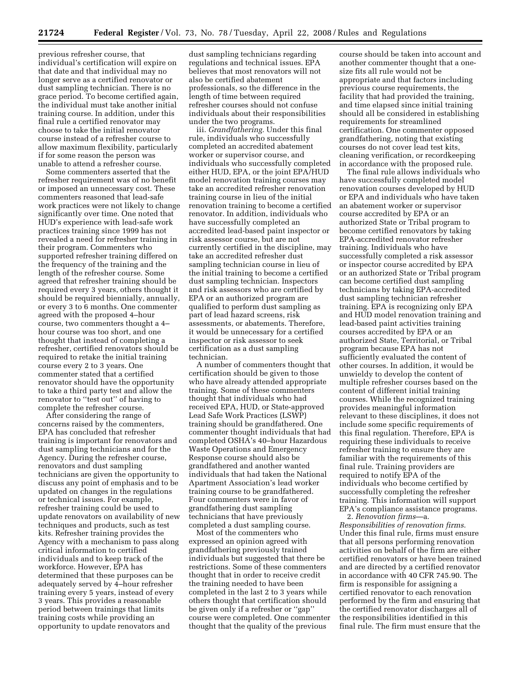previous refresher course, that individual's certification will expire on that date and that individual may no longer serve as a certified renovator or dust sampling technician. There is no grace period. To become certified again, the individual must take another initial training course. In addition, under this final rule a certified renovator may choose to take the initial renovator course instead of a refresher course to allow maximum flexibility, particularly if for some reason the person was unable to attend a refresher course.

Some commenters asserted that the refresher requirement was of no benefit or imposed an unnecessary cost. These commenters reasoned that lead-safe work practices were not likely to change significantly over time. One noted that HUD's experience with lead-safe work practices training since 1999 has not revealed a need for refresher training in their program. Commenters who supported refresher training differed on the frequency of the training and the length of the refresher course. Some agreed that refresher training should be required every 3 years, others thought it should be required biennially, annually, or every 3 to 6 months. One commenter agreed with the proposed 4–hour course, two commenters thought a 4– hour course was too short, and one thought that instead of completing a refresher, certified renovators should be required to retake the initial training course every 2 to 3 years. One commenter stated that a certified renovator should have the opportunity to take a third party test and allow the renovator to ''test out'' of having to complete the refresher course.

After considering the range of concerns raised by the commenters, EPA has concluded that refresher training is important for renovators and dust sampling technicians and for the Agency. During the refresher course, renovators and dust sampling technicians are given the opportunity to discuss any point of emphasis and to be updated on changes in the regulations or technical issues. For example, refresher training could be used to update renovators on availability of new techniques and products, such as test kits. Refresher training provides the Agency with a mechanism to pass along critical information to certified individuals and to keep track of the workforce. However, EPA has determined that these purposes can be adequately served by 4–hour refresher training every 5 years, instead of every 3 years. This provides a reasonable period between trainings that limits training costs while providing an opportunity to update renovators and

dust sampling technicians regarding regulations and technical issues. EPA believes that most renovators will not also be certified abatement professionals, so the difference in the length of time between required refresher courses should not confuse individuals about their responsibilities under the two programs.

iii. *Grandfathering.* Under this final rule, individuals who successfully completed an accredited abatement worker or supervisor course, and individuals who successfully completed either HUD, EPA, or the joint EPA/HUD model renovation training courses may take an accredited refresher renovation training course in lieu of the initial renovation training to become a certified renovator. In addition, individuals who have successfully completed an accredited lead-based paint inspector or risk assessor course, but are not currently certified in the discipline, may take an accredited refresher dust sampling technician course in lieu of the initial training to become a certified dust sampling technician. Inspectors and risk assessors who are certified by EPA or an authorized program are qualified to perform dust sampling as part of lead hazard screens, risk assessments, or abatements. Therefore, it would be unnecessary for a certified inspector or risk assessor to seek certification as a dust sampling technician.

A number of commenters thought that certification should be given to those who have already attended appropriate training. Some of these commenters thought that individuals who had received EPA, HUD, or State-approved Lead Safe Work Practices (LSWP) training should be grandfathered. One commenter thought individuals that had completed OSHA's 40–hour Hazardous Waste Operations and Emergency Response course should also be grandfathered and another wanted individuals that had taken the National Apartment Association's lead worker training course to be grandfathered. Four commenters were in favor of grandfathering dust sampling technicians that have previously completed a dust sampling course.

Most of the commenters who expressed an opinion agreed with grandfathering previously trained individuals but suggested that there be restrictions. Some of these commenters thought that in order to receive credit the training needed to have been completed in the last 2 to 3 years while others thought that certification should be given only if a refresher or ''gap'' course were completed. One commenter thought that the quality of the previous

course should be taken into account and another commenter thought that a onesize fits all rule would not be appropriate and that factors including previous course requirements, the facility that had provided the training, and time elapsed since initial training should all be considered in establishing requirements for streamlined certification. One commenter opposed grandfathering, noting that existing courses do not cover lead test kits, cleaning verification, or recordkeeping in accordance with the proposed rule.

The final rule allows individuals who have successfully completed model renovation courses developed by HUD or EPA and individuals who have taken an abatement worker or supervisor course accredited by EPA or an authorized State or Tribal program to become certified renovators by taking EPA-accredited renovator refresher training. Individuals who have successfully completed a risk assessor or inspector course accredited by EPA or an authorized State or Tribal program can become certified dust sampling technicians by taking EPA-accredited dust sampling technician refresher training. EPA is recognizing only EPA and HUD model renovation training and lead-based paint activities training courses accredited by EPA or an authorized State, Territorial, or Tribal program because EPA has not sufficiently evaluated the content of other courses. In addition, it would be unwieldy to develop the content of multiple refresher courses based on the content of different initial training courses. While the recognized training provides meaningful information relevant to these disciplines, it does not include some specific requirements of this final regulation. Therefore, EPA is requiring these individuals to receive refresher training to ensure they are familiar with the requirements of this final rule. Training providers are required to notify EPA of the individuals who become certified by successfully completing the refresher training. This information will support EPA's compliance assistance programs. 2. *Renovation firms*—a.

*Responsibilities of renovation firms*. Under this final rule, firms must ensure that all persons performing renovation activities on behalf of the firm are either certified renovators or have been trained and are directed by a certified renovator in accordance with 40 CFR 745.90. The firm is responsible for assigning a certified renovator to each renovation performed by the firm and ensuring that the certified renovator discharges all of the responsibilities identified in this final rule. The firm must ensure that the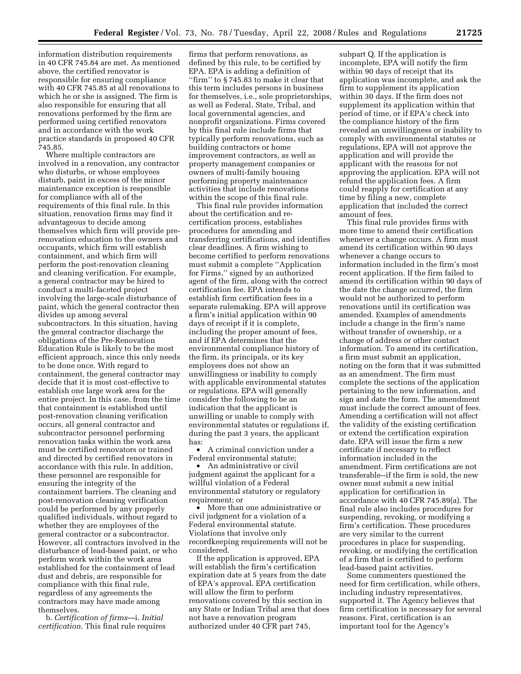information distribution requirements in 40 CFR 745.84 are met. As mentioned above, the certified renovator is responsible for ensuring compliance with 40 CFR 745.85 at all renovations to which he or she is assigned. The firm is also responsible for ensuring that all renovations performed by the firm are performed using certified renovators and in accordance with the work practice standards in proposed 40 CFR 745.85.

Where multiple contractors are involved in a renovation, any contractor who disturbs, or whose employees disturb, paint in excess of the minor maintenance exception is responsible for compliance with all of the requirements of this final rule. In this situation, renovation firms may find it advantageous to decide among themselves which firm will provide prerenovation education to the owners and occupants, which firm will establish containment, and which firm will perform the post-renovation cleaning and cleaning verification. For example, a general contractor may be hired to conduct a multi-faceted project involving the large-scale disturbance of paint, which the general contractor then divides up among several subcontractors. In this situation, having the general contractor discharge the obligations of the Pre-Renovation Education Rule is likely to be the most efficient approach, since this only needs to be done once. With regard to containment, the general contractor may decide that it is most cost-effective to establish one large work area for the entire project. In this case, from the time that containment is established until post-renovation cleaning verification occurs, all general contractor and subcontractor personnel performing renovation tasks within the work area must be certified renovators or trained and directed by certified renovators in accordance with this rule. In addition, these personnel are responsible for ensuring the integrity of the containment barriers. The cleaning and post-renovation cleaning verification could be performed by any properly qualified individuals, without regard to whether they are employees of the general contractor or a subcontractor. However, all contractors involved in the disturbance of lead-based paint, or who perform work within the work area established for the containment of lead dust and debris, are responsible for compliance with this final rule, regardless of any agreements the contractors may have made among themselves.

b. *Certification of firms*—i. *Initial certification*. This final rule requires

firms that perform renovations, as defined by this rule, to be certified by EPA. EPA is adding a definition of "firm" to §745.83 to make it clear that this term includes persons in business for themselves, i.e., sole proprietorships, as well as Federal, State, Tribal, and local governmental agencies, and nonprofit organizations. Firms covered by this final rule include firms that typically perform renovations, such as building contractors or home improvement contractors, as well as property management companies or owners of multi-family housing performing property maintenance activities that include renovations within the scope of this final rule.

This final rule provides information about the certification and recertification process, establishes procedures for amending and transferring certifications, and identifies clear deadlines. A firm wishing to become certified to perform renovations must submit a complete ''Application for Firms,'' signed by an authorized agent of the firm, along with the correct certification fee. EPA intends to establish firm certification fees in a separate rulemaking. EPA will approve a firm's initial application within 90 days of receipt if it is complete, including the proper amount of fees, and if EPA determines that the environmental compliance history of the firm, its principals, or its key employees does not show an unwillingness or inability to comply with applicable environmental statutes or regulations. EPA will generally consider the following to be an indication that the applicant is unwilling or unable to comply with environmental statutes or regulations if, during the past 3 years, the applicant has:

• A criminal conviction under a Federal environmental statute;

• An administrative or civil judgment against the applicant for a willful violation of a Federal environmental statutory or regulatory requirement; or

• More than one administrative or civil judgment for a violation of a Federal environmental statute. Violations that involve only recordkeeping requirements will not be considered.

If the application is approved, EPA will establish the firm's certification expiration date at 5 years from the date of EPA's approval. EPA certification will allow the firm to perform renovations covered by this section in any State or Indian Tribal area that does not have a renovation program authorized under 40 CFR part 745,

subpart Q. If the application is incomplete, EPA will notify the firm within 90 days of receipt that its application was incomplete, and ask the firm to supplement its application within 30 days. If the firm does not supplement its application within that period of time, or if EPA's check into the compliance history of the firm revealed an unwillingness or inability to comply with environmental statutes or regulations, EPA will not approve the application and will provide the applicant with the reasons for not approving the application. EPA will not refund the application fees. A firm could reapply for certification at any time by filing a new, complete application that included the correct amount of fees.

This final rule provides firms with more time to amend their certification whenever a change occurs. A firm must amend its certification within 90 days whenever a change occurs to information included in the firm's most recent application. If the firm failed to amend its certification within 90 days of the date the change occurred, the firm would not be authorized to perform renovations until its certification was amended. Examples of amendments include a change in the firm's name without transfer of ownership, or a change of address or other contact information. To amend its certification, a firm must submit an application, noting on the form that it was submitted as an amendment. The firm must complete the sections of the application pertaining to the new information, and sign and date the form. The amendment must include the correct amount of fees. Amending a certification will not affect the validity of the existing certification or extend the certification expiration date. EPA will issue the firm a new certificate if necessary to reflect information included in the amendment. Firm certifications are not transferable--if the firm is sold, the new owner must submit a new initial application for certification in accordance with 40 CFR 745.89(a). The final rule also includes procedures for suspending, revoking, or modifying a firm's certification. These procedures are very similar to the current procedures in place for suspending, revoking, or modifying the certification of a firm that is certified to perform lead-based paint activities.

Some commenters questioned the need for firm certification, while others, including industry representatives, supported it. The Agency believes that firm certification is necessary for several reasons. First, certification is an important tool for the Agency's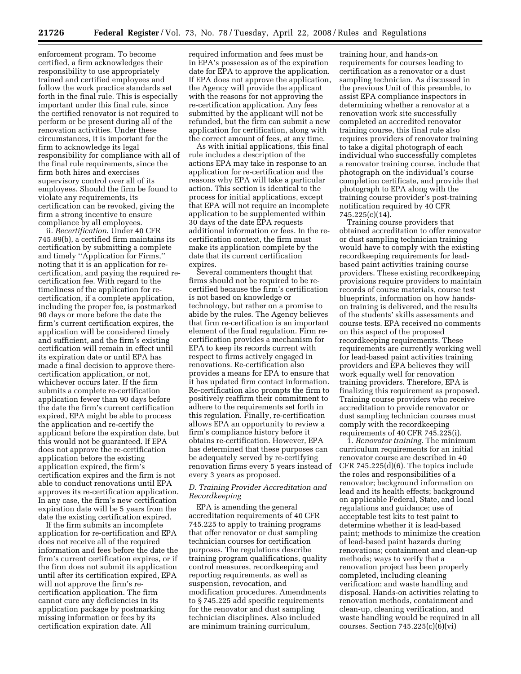enforcement program. To become certified, a firm acknowledges their responsibility to use appropriately trained and certified employees and follow the work practice standards set forth in the final rule. This is especially important under this final rule, since the certified renovator is not required to perform or be present during all of the renovation activities. Under these circumstances, it is important for the firm to acknowledge its legal responsibility for compliance with all of the final rule requirements, since the firm both hires and exercises supervisory control over all of its employees. Should the firm be found to violate any requirements, its certification can be revoked, giving the firm a strong incentive to ensure compliance by all employees.

ii. *Recertification*. Under 40 CFR 745.89(b), a certified firm maintains its certification by submitting a complete and timely ''Application for Firms,'' noting that it is an application for recertification, and paying the required recertification fee. With regard to the timeliness of the application for recertification, if a complete application, including the proper fee, is postmarked 90 days or more before the date the firm's current certification expires, the application will be considered timely and sufficient, and the firm's existing certification will remain in effect until its expiration date or until EPA has made a final decision to approve therecertification application, or not, whichever occurs later. If the firm submits a complete re-certification application fewer than 90 days before the date the firm's current certification expired, EPA might be able to process the application and re-certify the applicant before the expiration date, but this would not be guaranteed. If EPA does not approve the re-certification application before the existing application expired, the firm's certification expires and the firm is not able to conduct renovations until EPA approves its re-certification application. In any case, the firm's new certification expiration date will be 5 years from the date the existing certification expired.

If the firm submits an incomplete application for re-certification and EPA does not receive all of the required information and fees before the date the firm's current certification expires, or if the firm does not submit its application until after its certification expired, EPA will not approve the firm's recertification application. The firm cannot cure any deficiencies in its application package by postmarking missing information or fees by its certification expiration date. All

required information and fees must be in EPA's possession as of the expiration date for EPA to approve the application. If EPA does not approve the application, the Agency will provide the applicant with the reasons for not approving the re-certification application. Any fees submitted by the applicant will not be refunded, but the firm can submit a new application for certification, along with the correct amount of fees, at any time.

As with initial applications, this final rule includes a description of the actions EPA may take in response to an application for re-certification and the reasons why EPA will take a particular action. This section is identical to the process for initial applications, except that EPA will not require an incomplete application to be supplemented within 30 days of the date EPA requests additional information or fees. In the recertification context, the firm must make its application complete by the date that its current certification expires.

Several commenters thought that firms should not be required to be recertified because the firm's certification is not based on knowledge or technology, but rather on a promise to abide by the rules. The Agency believes that firm re-certification is an important element of the final regulation. Firm recertification provides a mechanism for EPA to keep its records current with respect to firms actively engaged in renovations. Re-certification also provides a means for EPA to ensure that it has updated firm contact information. Re-certification also prompts the firm to positively reaffirm their commitment to adhere to the requirements set forth in this regulation. Finally, re-certification allows EPA an opportunity to review a firm's compliance history before it obtains re-certification. However, EPA has determined that these purposes can be adequately served by re-certifying renovation firms every 5 years instead of every 3 years as proposed.

#### *D. Training Provider Accreditation and Recordkeeping*

EPA is amending the general accreditation requirements of 40 CFR 745.225 to apply to training programs that offer renovator or dust sampling technician courses for certification purposes. The regulations describe training program qualifications, quality control measures, recordkeeping and reporting requirements, as well as suspension, revocation, and modification procedures. Amendments to § 745.225 add specific requirements for the renovator and dust sampling technician disciplines. Also included are minimum training curriculum,

training hour, and hands-on requirements for courses leading to certification as a renovator or a dust sampling technician. As discussed in the previous Unit of this preamble, to assist EPA compliance inspectors in determining whether a renovator at a renovation work site successfully completed an accredited renovator training course, this final rule also requires providers of renovator training to take a digital photograph of each individual who successfully completes a renovator training course, include that photograph on the individual's course completion certificate, and provide that photograph to EPA along with the training course provider's post-training notification required by 40 CFR 745.225(c)(14).

Training course providers that obtained accreditation to offer renovator or dust sampling technician training would have to comply with the existing recordkeeping requirements for leadbased paint activities training course providers. These existing recordkeeping provisions require providers to maintain records of course materials, course test blueprints, information on how handson training is delivered, and the results of the students' skills assessments and course tests. EPA received no comments on this aspect of the proposed recordkeeping requirements. These requirements are currently working well for lead-based paint activities training providers and EPA believes they will work equally well for renovation training providers. Therefore, EPA is finalizing this requirement as proposed. Training course providers who receive accreditation to provide renovator or dust sampling technician courses must comply with the recordkeeping requirements of 40 CFR 745.225(i).

1. *Renovator training*. The minimum curriculum requirements for an initial renovator course are described in 40 CFR 745.225(d)(6). The topics include the roles and responsibilities of a renovator; background information on lead and its health effects; background on applicable Federal, State, and local regulations and guidance; use of acceptable test kits to test paint to determine whether it is lead-based paint; methods to minimize the creation of lead-based paint hazards during renovations; containment and clean-up methods; ways to verify that a renovation project has been properly completed, including cleaning verification; and waste handling and disposal. Hands-on activities relating to renovation methods, containment and clean-up, cleaning verification, and waste handling would be required in all courses. Section  $745.225(c)(6)(vi)$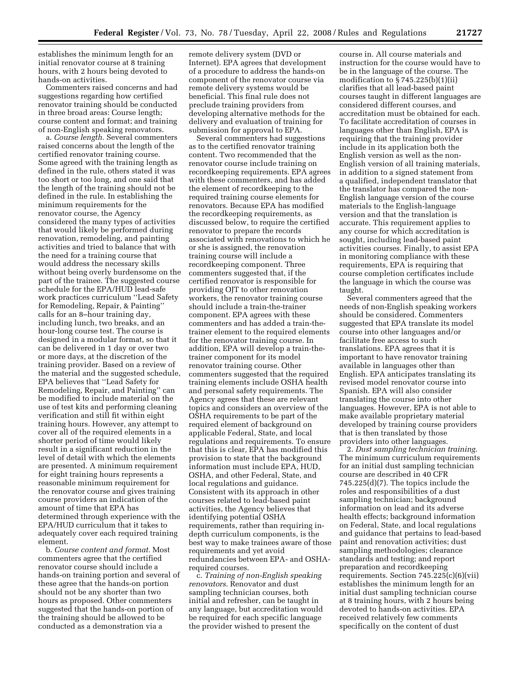establishes the minimum length for an initial renovator course at 8 training hours, with 2 hours being devoted to hands-on activities.

Commenters raised concerns and had suggestions regarding how certified renovator training should be conducted in three broad areas: Course length; course content and format; and training of non-English speaking renovators.

a. *Course length.* Several commenters raised concerns about the length of the certified renovator training course. Some agreed with the training length as defined in the rule, others stated it was too short or too long, and one said that the length of the training should not be defined in the rule. In establishing the minimum requirements for the renovator course, the Agency considered the many types of activities that would likely be performed during renovation, remodeling, and painting activities and tried to balance that with the need for a training course that would address the necessary skills without being overly burdensome on the part of the trainee. The suggested course schedule for the EPA/HUD lead-safe work practices curriculum ''Lead Safety for Remodeling, Repair, & Painting'' calls for an 8–hour training day, including lunch, two breaks, and an hour-long course test. The course is designed in a modular format, so that it can be delivered in 1 day or over two or more days, at the discretion of the training provider. Based on a review of the material and the suggested schedule, EPA believes that ''Lead Safety for Remodeling, Repair, and Painting'' can be modified to include material on the use of test kits and performing cleaning verification and still fit within eight training hours. However, any attempt to cover all of the required elements in a shorter period of time would likely result in a significant reduction in the level of detail with which the elements are presented. A minimum requirement for eight training hours represents a reasonable minimum requirement for the renovator course and gives training course providers an indication of the amount of time that EPA has determined through experience with the EPA/HUD curriculum that it takes to adequately cover each required training element.

b. *Course content and format.* Most commenters agree that the certified renovator course should include a hands-on training portion and several of these agree that the hands-on portion should not be any shorter than two hours as proposed. Other commenters suggested that the hands-on portion of the training should be allowed to be conducted as a demonstration via a

remote delivery system (DVD or Internet). EPA agrees that development of a procedure to address the hands-on component of the renovator course via remote delivery systems would be beneficial. This final rule does not preclude training providers from developing alternative methods for the delivery and evaluation of training for submission for approval to EPA.

Several commenters had suggestions as to the certified renovator training content. Two recommended that the renovator course include training on recordkeeping requirements. EPA agrees with these commenters, and has added the element of recordkeeping to the required training course elements for renovators. Because EPA has modified the recordkeeping requirements, as discussed below, to require the certified renovator to prepare the records associated with renovations to which he or she is assigned, the renovation training course will include a recordkeeping component. Three commenters suggested that, if the certified renovator is responsible for providing OJT to other renovation workers, the renovator training course should include a train-the-trainer component. EPA agrees with these commenters and has added a train-thetrainer element to the required elements for the renovator training course. In addition, EPA will develop a train-thetrainer component for its model renovator training course. Other commenters suggested that the required training elements include OSHA health and personal safety requirements. The Agency agrees that these are relevant topics and considers an overview of the OSHA requirements to be part of the required element of background on applicable Federal, State, and local regulations and requirements. To ensure that this is clear, EPA has modified this provision to state that the background information must include EPA, HUD, OSHA, and other Federal, State, and local regulations and guidance. Consistent with its approach in other courses related to lead-based paint activities, the Agency believes that identifying potential OSHA requirements, rather than requiring indepth curriculum components, is the best way to make trainees aware of those requirements and yet avoid redundancies between EPA- and OSHArequired courses.

c. *Training of non-English speaking renovators*. Renovator and dust sampling technician courses, both initial and refresher, can be taught in any language, but accreditation would be required for each specific language the provider wished to present the

course in. All course materials and instruction for the course would have to be in the language of the course. The modification to § 745.225(b)(1)(ii) clarifies that all lead-based paint courses taught in different languages are considered different courses, and accreditation must be obtained for each. To facilitate accreditation of courses in languages other than English, EPA is requiring that the training provider include in its application both the English version as well as the non-English version of all training materials, in addition to a signed statement from a qualified, independent translator that the translator has compared the non-English language version of the course materials to the English-language version and that the translation is accurate. This requirement applies to any course for which accreditation is sought, including lead-based paint activities courses. Finally, to assist EPA in monitoring compliance with these requirements, EPA is requiring that course completion certificates include the language in which the course was taught.

Several commenters agreed that the needs of non-English speaking workers should be considered. Commenters suggested that EPA translate its model course into other languages and/or facilitate free access to such translations. EPA agrees that it is important to have renovator training available in languages other than English. EPA anticipates translating its revised model renovator course into Spanish. EPA will also consider translating the course into other languages. However, EPA is not able to make available proprietary material developed by training course providers that is then translated by those providers into other languages.

2. *Dust sampling technician training*. The minimum curriculum requirements for an initial dust sampling technician course are described in 40 CFR 745.225(d)(7). The topics include the roles and responsibilities of a dust sampling technician; background information on lead and its adverse health effects; background information on Federal, State, and local regulations and guidance that pertains to lead-based paint and renovation activities; dust sampling methodologies; clearance standards and testing; and report preparation and recordkeeping requirements. Section 745.225(c)(6)(vii) establishes the minimum length for an initial dust sampling technician course at 8 training hours, with 2 hours being devoted to hands-on activities. EPA received relatively few comments specifically on the content of dust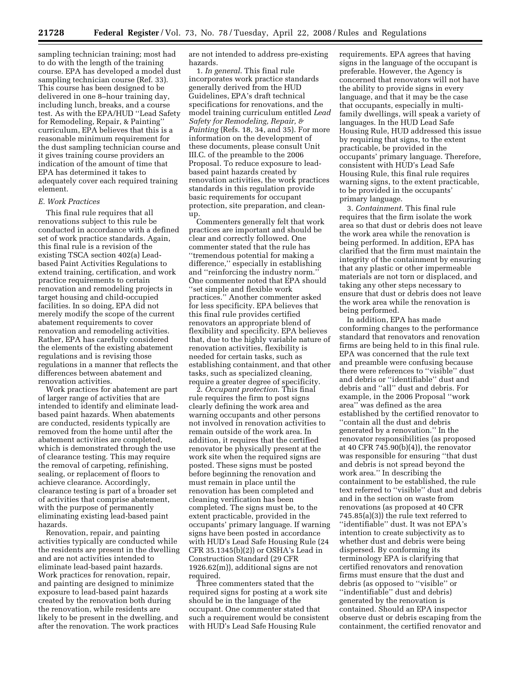sampling technician training; most had to do with the length of the training course. EPA has developed a model dust sampling technician course (Ref. 33). This course has been designed to be delivered in one 8–hour training day, including lunch, breaks, and a course test. As with the EPA/HUD ''Lead Safety for Remodeling, Repair, & Painting'' curriculum, EPA believes that this is a reasonable minimum requirement for the dust sampling technician course and it gives training course providers an indication of the amount of time that EPA has determined it takes to adequately cover each required training element.

### *E. Work Practices*

This final rule requires that all renovations subject to this rule be conducted in accordance with a defined set of work practice standards. Again, this final rule is a revision of the existing TSCA section 402(a) Leadbased Paint Activities Regulations to extend training, certification, and work practice requirements to certain renovation and remodeling projects in target housing and child-occupied facilities. In so doing, EPA did not merely modify the scope of the current abatement requirements to cover renovation and remodeling activities. Rather, EPA has carefully considered the elements of the existing abatement regulations and is revising those regulations in a manner that reflects the differences between abatement and renovation activities.

Work practices for abatement are part of larger range of activities that are intended to identify and eliminate leadbased paint hazards. When abatements are conducted, residents typically are removed from the home until after the abatement activities are completed, which is demonstrated through the use of clearance testing. This may require the removal of carpeting, refinishing, sealing, or replacement of floors to achieve clearance. Accordingly, clearance testing is part of a broader set of activities that comprise abatement, with the purpose of permanently eliminating existing lead-based paint hazards.

Renovation, repair, and painting activities typically are conducted while the residents are present in the dwelling and are not activities intended to eliminate lead-based paint hazards. Work practices for renovation, repair, and painting are designed to minimize exposure to lead-based paint hazards created by the renovation both during the renovation, while residents are likely to be present in the dwelling, and after the renovation. The work practices

are not intended to address pre-existing hazards.

1. *In general*. This final rule incorporates work practice standards generally derived from the HUD Guidelines, EPA's draft technical specifications for renovations, and the model training curriculum entitled *Lead Safety for Remodeling, Repair, & Painting* (Refs. 18, 34, and 35). For more information on the development of these documents, please consult Unit III.C. of the preamble to the 2006 Proposal. To reduce exposure to leadbased paint hazards created by renovation activities, the work practices standards in this regulation provide basic requirements for occupant protection, site preparation, and cleanup.

Commenters generally felt that work practices are important and should be clear and correctly followed. One commenter stated that the rule has ''tremendous potential for making a difference,'' especially in establishing and ''reinforcing the industry norm.'' One commenter noted that EPA should ''set simple and flexible work practices.'' Another commenter asked for less specificity. EPA believes that this final rule provides certified renovators an appropriate blend of flexibility and specificity. EPA believes that, due to the highly variable nature of renovation activities, flexibility is needed for certain tasks, such as establishing containment, and that other tasks, such as specialized cleaning, require a greater degree of specificity.

2. *Occupant protection*. This final rule requires the firm to post signs clearly defining the work area and warning occupants and other persons not involved in renovation activities to remain outside of the work area. In addition, it requires that the certified renovator be physically present at the work site when the required signs are posted. These signs must be posted before beginning the renovation and must remain in place until the renovation has been completed and cleaning verification has been completed. The signs must be, to the extent practicable, provided in the occupants' primary language. If warning signs have been posted in accordance with HUD's Lead Safe Housing Rule (24 CFR 35.1345(b)(2)) or OSHA's Lead in Construction Standard (29 CFR 1926.62(m)), additional signs are not required.

Three commenters stated that the required signs for posting at a work site should be in the language of the occupant. One commenter stated that such a requirement would be consistent with HUD's Lead Safe Housing Rule

requirements. EPA agrees that having signs in the language of the occupant is preferable. However, the Agency is concerned that renovators will not have the ability to provide signs in every language, and that it may be the case that occupants, especially in multifamily dwellings, will speak a variety of languages. In the HUD Lead Safe Housing Rule, HUD addressed this issue by requiring that signs, to the extent practicable, be provided in the occupants' primary language. Therefore, consistent with HUD's Lead Safe Housing Rule, this final rule requires warning signs, to the extent practicable, to be provided in the occupants' primary language.

3. *Containment*. This final rule requires that the firm isolate the work area so that dust or debris does not leave the work area while the renovation is being performed. In addition, EPA has clarified that the firm must maintain the integrity of the containment by ensuring that any plastic or other impermeable materials are not torn or displaced, and taking any other steps necessary to ensure that dust or debris does not leave the work area while the renovation is being performed.

In addition, EPA has made conforming changes to the performance standard that renovators and renovation firms are being held to in this final rule. EPA was concerned that the rule text and preamble were confusing because there were references to ''visible'' dust and debris or ''identifiable'' dust and debris and ''all'' dust and debris. For example, in the 2006 Proposal ''work area'' was defined as the area established by the certified renovator to ''contain all the dust and debris generated by a renovation.'' In the renovator responsibilities (as proposed at 40 CFR 745.90(b)(4)), the renovator was responsible for ensuring ''that dust and debris is not spread beyond the work area.'' In describing the containment to be established, the rule text referred to ''visible'' dust and debris and in the section on waste from renovations (as proposed at 40 CFR 745.85(a)(3)) the rule text referred to ''identifiable'' dust. It was not EPA's intention to create subjectivity as to whether dust and debris were being dispersed. By conforming its terminology EPA is clarifying that certified renovators and renovation firms must ensure that the dust and debris (as opposed to ''visible'' or ''indentifiable'' dust and debris) generated by the renovation is contained. Should an EPA inspector observe dust or debris escaping from the containment, the certified renovator and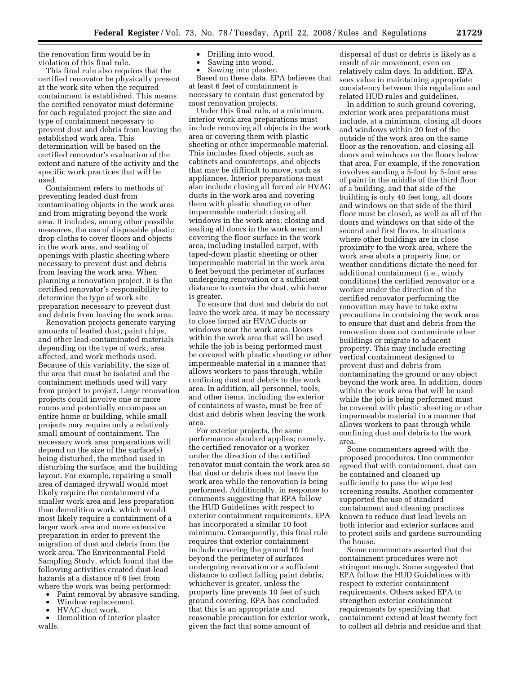the renovation firm would be in violation of this final rule.

This final rule also requires that the certified renovator be physically present at the work site when the required containment is established. This means the certified renovator must determine for each regulated project the size and type of containment necessary to prevent dust and debris from leaving the established work area. This determination will be based on the certified renovator's evaluation of the extent and nature of the activity and the specific work practices that will be used.

Containment refers to methods of preventing leaded dust from contaminating objects in the work area and from migrating beyond the work area. It includes, among other possible measures, the use of disposable plastic drop cloths to cover floors and objects in the work area, and sealing of openings with plastic sheeting where necessary to prevent dust and debris from leaving the work area. When planning a renovation project, it is the certified renovator's responsibility to determine the type of work site preparation necessary to prevent dust and debris from leaving the work area.

Renovation projects generate varying amounts of leaded dust, paint chips, and other lead-contaminated materials depending on the type of work, area affected, and work methods used. Because of this variability, the size of the area that must be isolated and the containment methods used will vary from project to project. Large renovation projects could involve one or more rooms and potentially encompass an entire home or building, while small projects may require only a relatively small amount of containment. The necessary work area preparations will depend on the size of the surface(s) being disturbed, the method used in disturbing the surface, and the building layout. For example, repairing a small area of damaged drywall would most likely require the containment of a smaller work area and less preparation than demolition work, which would most likely require a containment of a larger work area and more extensive preparation in order to prevent the migration of dust and debris from the work area. The Environmental Field Sampling Study, which found that the following activities created dust-lead hazards at a distance of 6 feet from where the work was being performed:

- Paint removal by abrasive sanding.
- Window replacement.
- HVAC duct work.

• Demolition of interior plaster walls.

- Drilling into wood.
	- Sawing into wood.
	- Sawing into plaster.

Based on these data, EPA believes that at least 6 feet of containment is necessary to contain dust generated by most renovation projects.

Under this final rule, at a minimum, interior work area preparations must include removing all objects in the work area or covering them with plastic sheeting or other impermeable material. This includes fixed objects, such as cabinets and countertops, and objects that may be difficult to move, such as appliances. Interior preparations must also include closing all forced air HVAC ducts in the work area and covering them with plastic sheeting or other impermeable material; closing all windows in the work area; closing and sealing all doors in the work area; and covering the floor surface in the work area, including installed carpet, with taped-down plastic sheeting or other impermeable material in the work area 6 feet beyond the perimeter of surfaces undergoing renovation or a sufficient distance to contain the dust, whichever is greater.

To ensure that dust and debris do not leave the work area, it may be necessary to close forced air HVAC ducts or windows near the work area. Doors within the work area that will be used while the job is being performed must be covered with plastic sheeting or other impermeable material in a manner that allows workers to pass through, while confining dust and debris to the work area. In addition, all personnel, tools, and other items, including the exterior of containers of waste, must be free of dust and debris when leaving the work area.

For exterior projects, the same performance standard applies; namely, the certified renovator or a worker under the direction of the certified renovator must contain the work area so that dust or debris does not leave the work area while the renovation is being performed. Additionally, in response to comments suggesting that EPA follow the HUD Guidelines with respect to exterior containment requirements, EPA has incorporated a similar 10 foot minimum. Consequently, this final rule requires that exterior containment include covering the ground 10 feet beyond the perimeter of surfaces undergoing renovation or a sufficient distance to collect falling paint debris, whichever is greater, unless the property line prevents 10 feet of such ground covering. EPA has concluded that this is an appropriate and reasonable precaution for exterior work, given the fact that some amount of

dispersal of dust or debris is likely as a result of air movement, even on relatively calm days. In addition, EPA sees value in maintaining appropriate consistency between this regulation and related HUD rules and guidelines.

In addition to such ground covering, exterior work area preparations must include, at a minimum, closing all doors and windows within 20 feet of the outside of the work area on the same floor as the renovation, and closing all doors and windows on the floors below that area. For example, if the renovation involves sanding a 5-foot by 5-foot area of paint in the middle of the third floor of a building, and that side of the building is only 40 feet long, all doors and windows on that side of the third floor must be closed, as well as all of the doors and windows on that side of the second and first floors. In situations where other buildings are in close proximity to the work area, where the work area abuts a property line, or weather conditions dictate the need for additional containment (i.e., windy conditions) the certified renovator or a worker under the direction of the certified renovator performing the renovation may have to take extra precautions in containing the work area to ensure that dust and debris from the renovation does not contaminate other buildings or migrate to adjacent property. This may include erecting vertical containment designed to prevent dust and debris from contaminating the ground or any object beyond the work area. In addition, doors within the work area that will be used while the job is being performed must be covered with plastic sheeting or other impermeable material in a manner that allows workers to pass through while confining dust and debris to the work area.

Some commenters agreed with the proposed procedures. One commenter agreed that with containment, dust can be contained and cleaned up sufficiently to pass the wipe test screening results. Another commenter supported the use of standard containment and cleaning practices known to reduce dust lead levels on both interior and exterior surfaces and to protect soils and gardens surrounding the house.

Some commenters asserted that the containment procedures were not stringent enough. Some suggested that EPA follow the HUD Guidelines with respect to exterior containment requirements. Others asked EPA to strengthen exterior containment requirements by specifying that containment extend at least twenty feet to collect all debris and residue and that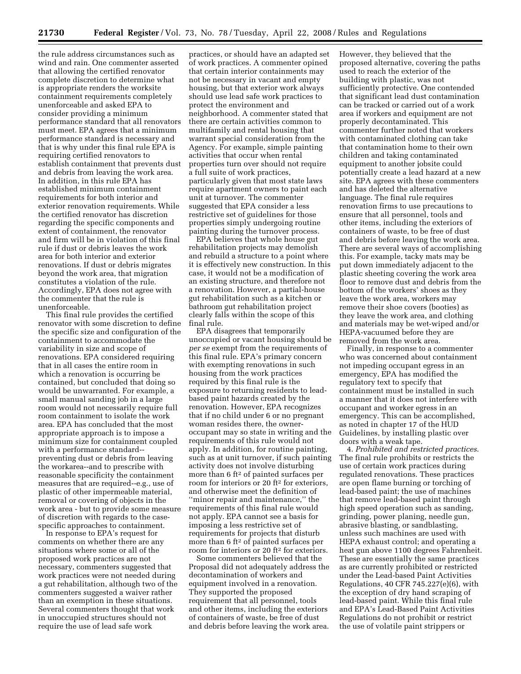the rule address circumstances such as wind and rain. One commenter asserted that allowing the certified renovator complete discretion to determine what is appropriate renders the worksite containment requirements completely unenforceable and asked EPA to consider providing a minimum performance standard that all renovators must meet. EPA agrees that a minimum performance standard is necessary and that is why under this final rule EPA is requiring certified renovators to establish containment that prevents dust and debris from leaving the work area. In addition, in this rule EPA has established minimum containment requirements for both interior and exterior renovation requirements. While the certified renovator has discretion regarding the specific components and extent of containment, the renovator and firm will be in violation of this final rule if dust or debris leaves the work area for both interior and exterior renovations. If dust or debris migrates beyond the work area, that migration constitutes a violation of the rule. Accordingly, EPA does not agree with the commenter that the rule is unenforceable.

This final rule provides the certified renovator with some discretion to define the specific size and configuration of the containment to accommodate the variability in size and scope of renovations. EPA considered requiring that in all cases the entire room in which a renovation is occurring be contained, but concluded that doing so would be unwarranted. For example, a small manual sanding job in a large room would not necessarily require full room containment to isolate the work area. EPA has concluded that the most appropriate approach is to impose a minimum size for containment coupled with a performance standard- preventing dust or debris from leaving the workarea--and to prescribe with reasonable specificity the containment measures that are required--e.g., use of plastic of other impermeable material, removal or covering of objects in the work area - but to provide some measure of discretion with regards to the casespecific approaches to containment.

In response to EPA's request for comments on whether there are any situations where some or all of the proposed work practices are not necessary, commenters suggested that work practices were not needed during a gut rehabilitation, although two of the commenters suggested a waiver rather than an exemption in these situations. Several commenters thought that work in unoccupied structures should not require the use of lead safe work

practices, or should have an adapted set of work practices. A commenter opined that certain interior containments may not be necessary in vacant and empty housing, but that exterior work always should use lead safe work practices to protect the environment and neighborhood. A commenter stated that there are certain activities common to multifamily and rental housing that warrant special consideration from the Agency. For example, simple painting activities that occur when rental properties turn over should not require a full suite of work practices, particularly given that most state laws require apartment owners to paint each unit at turnover. The commenter suggested that EPA consider a less restrictive set of guidelines for those properties simply undergoing routine painting during the turnover process.

EPA believes that whole house gut rehabilitation projects may demolish and rebuild a structure to a point where it is effectively new construction. In this case, it would not be a modification of an existing structure, and therefore not a renovation. However, a partial-house gut rehabilitation such as a kitchen or bathroom gut rehabilitation project clearly falls within the scope of this final rule.

EPA disagrees that temporarily unoccupied or vacant housing should be *per se* exempt from the requirements of this final rule. EPA's primary concern with exempting renovations in such housing from the work practices required by this final rule is the exposure to returning residents to leadbased paint hazards created by the renovation. However, EPA recognizes that if no child under 6 or no pregnant woman resides there, the owneroccupant may so state in writing and the requirements of this rule would not apply. In addition, for routine painting, such as at unit turnover, if such painting activity does not involve disturbing more than 6 ft<sup>2</sup> of painted surfaces per room for interiors or 20 ft2 for exteriors, and otherwise meet the definition of ''minor repair and maintenance,'' the requirements of this final rule would not apply. EPA cannot see a basis for imposing a less restrictive set of requirements for projects that disturb more than 6 ft2 of painted surfaces per room for interiors or 20 ft2 for exteriors.

Some commenters believed that the Proposal did not adequately address the decontamination of workers and equipment involved in a renovation. They supported the proposed requirement that all personnel, tools and other items, including the exteriors of containers of waste, be free of dust and debris before leaving the work area.

However, they believed that the proposed alternative, covering the paths used to reach the exterior of the building with plastic, was not sufficiently protective. One contended that significant lead dust contamination can be tracked or carried out of a work area if workers and equipment are not properly decontaminated. This commenter further noted that workers with contaminated clothing can take that contamination home to their own children and taking contaminated equipment to another jobsite could potentially create a lead hazard at a new site. EPA agrees with these commenters and has deleted the alternative language. The final rule requires renovation firms to use precautions to ensure that all personnel, tools and other items, including the exteriors of containers of waste, to be free of dust and debris before leaving the work area. There are several ways of accomplishing this. For example, tacky mats may be put down immediately adjacent to the plastic sheeting covering the work area floor to remove dust and debris from the bottom of the workers' shoes as they leave the work area, workers may remove their shoe covers (booties) as they leave the work area, and clothing and materials may be wet-wiped and/or HEPA-vacuumed before they are removed from the work area.

Finally, in response to a commenter who was concerned about containment not impeding occupant egress in an emergency, EPA has modified the regulatory text to specify that containment must be installed in such a manner that it does not interfere with occupant and worker egress in an emergency. This can be accomplished, as noted in chapter 17 of the HUD Guidelines, by installing plastic over doors with a weak tape.

4. *Prohibited and restricted practices*. The final rule prohibits or restricts the use of certain work practices during regulated renovations. These practices are open flame burning or torching of lead-based paint; the use of machines that remove lead-based paint through high speed operation such as sanding, grinding, power planing, needle gun, abrasive blasting, or sandblasting, unless such machines are used with HEPA exhaust control; and operating a heat gun above 1100 degrees Fahrenheit. These are essentially the same practices as are currently prohibited or restricted under the Lead-based Paint Activities Regulations, 40 CFR 745.227(e)(6), with the exception of dry hand scraping of lead-based paint. While this final rule and EPA's Lead-Based Paint Activities Regulations do not prohibit or restrict the use of volatile paint strippers or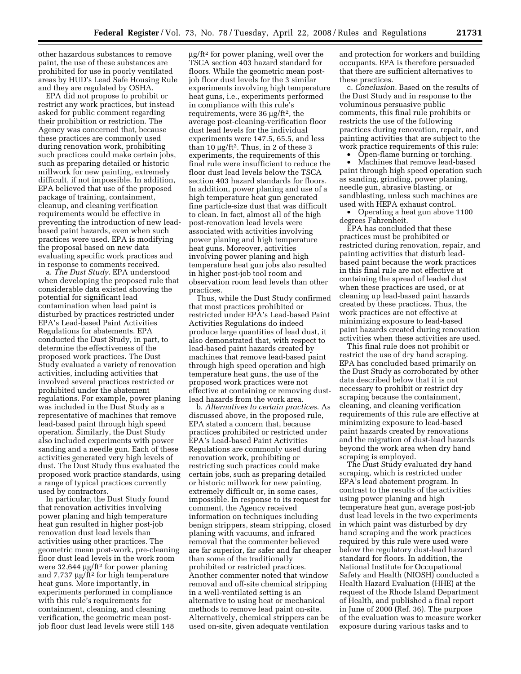other hazardous substances to remove paint, the use of these substances are prohibited for use in poorly ventilated areas by HUD's Lead Safe Housing Rule and they are regulated by OSHA.

EPA did not propose to prohibit or restrict any work practices, but instead asked for public comment regarding their prohibition or restriction. The Agency was concerned that, because these practices are commonly used during renovation work, prohibiting such practices could make certain jobs, such as preparing detailed or historic millwork for new painting, extremely difficult, if not impossible. In addition, EPA believed that use of the proposed package of training, containment, cleanup, and cleaning verification requirements would be effective in preventing the introduction of new leadbased paint hazards, even when such practices were used. EPA is modifying the proposal based on new data evaluating specific work practices and in response to comments received.

a. *The Dust Study*. EPA understood when developing the proposed rule that considerable data existed showing the potential for significant lead contamination when lead paint is disturbed by practices restricted under EPA's Lead-based Paint Activities Regulations for abatements. EPA conducted the Dust Study, in part, to determine the effectiveness of the proposed work practices. The Dust Study evaluated a variety of renovation activities, including activities that involved several practices restricted or prohibited under the abatement regulations. For example, power planing was included in the Dust Study as a representative of machines that remove lead-based paint through high speed operation. Similarly, the Dust Study also included experiments with power sanding and a needle gun. Each of these activities generated very high levels of dust. The Dust Study thus evaluated the proposed work practice standards, using a range of typical practices currently used by contractors.

In particular, the Dust Study found that renovation activities involving power planing and high temperature heat gun resulted in higher post-job renovation dust lead levels than activities using other practices. The geometric mean post-work, pre-cleaning floor dust lead levels in the work room were 32,644 µg/ft<sup>2</sup> for power planing and 7,737  $\mu$ g/ft<sup>2</sup> for high temperature heat guns. More importantly, in experiments performed in compliance with this rule's requirements for containment, cleaning, and cleaning verification, the geometric mean postjob floor dust lead levels were still 148

µg/ft2 for power planing, well over the TSCA section 403 hazard standard for floors. While the geometric mean postjob floor dust levels for the 3 similar experiments involving high temperature heat guns, i.e., experiments performed in compliance with this rule's requirements, were 36 µg/ft2, the average post-cleaning-verification floor dust lead levels for the individual experiments were 147.5, 65.5, and less than 10 µg/ft2. Thus, in 2 of these 3 experiments, the requirements of this final rule were insufficient to reduce the floor dust lead levels below the TSCA section 403 hazard standards for floors. In addition, power planing and use of a high temperature heat gun generated fine particle-size dust that was difficult to clean. In fact, almost all of the high post-renovation lead levels were associated with activities involving power planing and high temperature heat guns. Moreover, activities involving power planing and high temperature heat gun jobs also resulted in higher post-job tool room and observation room lead levels than other practices.

Thus, while the Dust Study confirmed that most practices prohibited or restricted under EPA's Lead-based Paint Activities Regulations do indeed produce large quantities of lead dust, it also demonstrated that, with respect to lead-based paint hazards created by machines that remove lead-based paint through high speed operation and high temperature heat guns, the use of the proposed work practices were not effective at containing or removing dustlead hazards from the work area.

b. *Alternatives to certain practices*. As discussed above, in the proposed rule, EPA stated a concern that, because practices prohibited or restricted under EPA's Lead-based Paint Activities Regulations are commonly used during renovation work, prohibiting or restricting such practices could make certain jobs, such as preparing detailed or historic millwork for new painting, extremely difficult or, in some cases, impossible. In response to its request for comment, the Agency received information on techniques including benign strippers, steam stripping, closed planing with vacuums, and infrared removal that the commenter believed are far superior, far safer and far cheaper than some of the traditionally prohibited or restricted practices. Another commenter noted that window removal and off-site chemical stripping in a well-ventilated setting is an alternative to using heat or mechanical methods to remove lead paint on-site. Alternatively, chemical strippers can be used on-site, given adequate ventilation

and protection for workers and building occupants. EPA is therefore persuaded that there are sufficient alternatives to these practices.

c. *Conclusion.* Based on the results of the Dust Study and in response to the voluminous persuasive public comments, this final rule prohibits or restricts the use of the following practices during renovation, repair, and painting activities that are subject to the work practice requirements of this rule:

• Open-flame burning or torching.

• Machines that remove lead-based paint through high speed operation such as sanding, grinding, power planing, needle gun, abrasive blasting, or sandblasting, unless such machines are used with HEPA exhaust control.

• Operating a heat gun above 1100 degrees Fahrenheit.

EPA has concluded that these practices must be prohibited or restricted during renovation, repair, and painting activities that disturb leadbased paint because the work practices in this final rule are not effective at containing the spread of leaded dust when these practices are used, or at cleaning up lead-based paint hazards created by these practices. Thus, the work practices are not effective at minimizing exposure to lead-based paint hazards created during renovation activities when these activities are used.

This final rule does not prohibit or restrict the use of dry hand scraping. EPA has concluded based primarily on the Dust Study as corroborated by other data described below that it is not necessary to prohibit or restrict dry scraping because the containment, cleaning, and cleaning verification requirements of this rule are effective at minimizing exposure to lead-based paint hazards created by renovations and the migration of dust-lead hazards beyond the work area when dry hand scraping is employed.

The Dust Study evaluated dry hand scraping, which is restricted under EPA's lead abatement program. In contrast to the results of the activities using power planing and high temperature heat gun, average post-job dust lead levels in the two experiments in which paint was disturbed by dry hand scraping and the work practices required by this rule were used were below the regulatory dust-lead hazard standard for floors. In addition, the National Institute for Occupational Safety and Health (NIOSH) conducted a Health Hazard Evaluation (HHE) at the request of the Rhode Island Department of Health, and published a final report in June of 2000 (Ref. 36). The purpose of the evaluation was to measure worker exposure during various tasks and to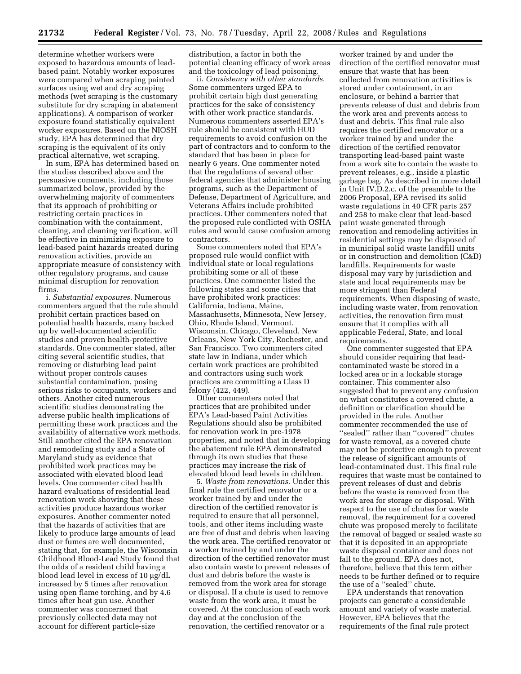determine whether workers were exposed to hazardous amounts of leadbased paint. Notably worker exposures were compared when scraping painted surfaces using wet and dry scraping methods (wet scraping is the customary substitute for dry scraping in abatement applications). A comparison of worker exposure found statistically equivalent worker exposures. Based on the NIOSH study, EPA has determined that dry scraping is the equivalent of its only practical alternative, wet scraping.

In sum, EPA has determined based on the studies described above and the persuasive comments, including those summarized below, provided by the overwhelming majority of commenters that its approach of prohibiting or restricting certain practices in combination with the containment, cleaning, and cleaning verification, will be effective in minimizing exposure to lead-based paint hazards created during renovation activities, provide an appropriate measure of consistency with other regulatory programs, and cause minimal disruption for renovation firms.

i. *Substantial exposures.* Numerous commenters argued that the rule should prohibit certain practices based on potential health hazards, many backed up by well-documented scientific studies and proven health-protective standards. One commenter stated, after citing several scientific studies, that removing or disturbing lead paint without proper controls causes substantial contamination, posing serious risks to occupants, workers and others. Another cited numerous scientific studies demonstrating the adverse public health implications of permitting these work practices and the availability of alternative work methods. Still another cited the EPA renovation and remodeling study and a State of Maryland study as evidence that prohibited work practices may be associated with elevated blood lead levels. One commenter cited health hazard evaluations of residential lead renovation work showing that these activities produce hazardous worker exposures. Another commenter noted that the hazards of activities that are likely to produce large amounts of lead dust or fumes are well documented, stating that, for example, the Wisconsin Childhood Blood-Lead Study found that the odds of a resident child having a blood lead level in excess of 10 µg/dL increased by 5 times after renovation using open flame torching, and by 4.6 times after heat gun use. Another commenter was concerned that previously collected data may not account for different particle-size

distribution, a factor in both the potential cleaning efficacy of work areas and the toxicology of lead poisoning.

ii. *Consistency with other standards*. Some commenters urged EPA to prohibit certain high dust generating practices for the sake of consistency with other work practice standards. Numerous commenters asserted EPA's rule should be consistent with HUD requirements to avoid confusion on the part of contractors and to conform to the standard that has been in place for nearly 6 years. One commenter noted that the regulations of several other federal agencies that administer housing programs, such as the Department of Defense, Department of Agriculture, and Veterans Affairs include prohibited practices. Other commenters noted that the proposed rule conflicted with OSHA rules and would cause confusion among contractors.

Some commenters noted that EPA's proposed rule would conflict with individual state or local regulations prohibiting some or all of these practices. One commenter listed the following states and some cities that have prohibited work practices: California, Indiana, Maine, Massachusetts, Minnesota, New Jersey, Ohio, Rhode Island, Vermont, Wisconsin, Chicago, Cleveland, New Orleans, New York City, Rochester, and San Francisco. Two commenters cited state law in Indiana, under which certain work practices are prohibited and contractors using such work practices are committing a Class D felony (422, 449).

Other commenters noted that practices that are prohibited under EPA's Lead-based Paint Activities Regulations should also be prohibited for renovation work in pre-1978 properties, and noted that in developing the abatement rule EPA demonstrated through its own studies that these practices may increase the risk of elevated blood lead levels in children.

5. *Waste from renovations*. Under this final rule the certified renovator or a worker trained by and under the direction of the certified renovator is required to ensure that all personnel, tools, and other items including waste are free of dust and debris when leaving the work area. The certified renovator or a worker trained by and under the direction of the certified renovator must also contain waste to prevent releases of dust and debris before the waste is removed from the work area for storage or disposal. If a chute is used to remove waste from the work area, it must be covered. At the conclusion of each work day and at the conclusion of the renovation, the certified renovator or a

worker trained by and under the direction of the certified renovator must ensure that waste that has been collected from renovation activities is stored under containment, in an enclosure, or behind a barrier that prevents release of dust and debris from the work area and prevents access to dust and debris. This final rule also requires the certified renovator or a worker trained by and under the direction of the certified renovator transporting lead-based paint waste from a work site to contain the waste to prevent releases, e.g., inside a plastic garbage bag. As described in more detail in Unit IV.D.2.c. of the preamble to the 2006 Proposal, EPA revised its solid waste regulations in 40 CFR parts 257 and 258 to make clear that lead-based paint waste generated through renovation and remodeling activities in residential settings may be disposed of in municipal solid waste landfill units or in construction and demolition (C&D) landfills. Requirements for waste disposal may vary by jurisdiction and state and local requirements may be more stringent than Federal requirements. When disposing of waste, including waste water, from renovation activities, the renovation firm must ensure that it complies with all applicable Federal, State, and local requirements.

One commenter suggested that EPA should consider requiring that leadcontaminated waste be stored in a locked area or in a lockable storage container. This commenter also suggested that to prevent any confusion on what constitutes a covered chute, a definition or clarification should be provided in the rule. Another commenter recommended the use of ''sealed'' rather than ''covered'' chutes for waste removal, as a covered chute may not be protective enough to prevent the release of significant amounts of lead-contaminated dust. This final rule requires that waste must be contained to prevent releases of dust and debris before the waste is removed from the work area for storage or disposal. With respect to the use of chutes for waste removal, the requirement for a covered chute was proposed merely to facilitate the removal of bagged or sealed waste so that it is deposited in an appropriate waste disposal container and does not fall to the ground. EPA does not, therefore, believe that this term either needs to be further defined or to require the use of a ''sealed'' chute.

EPA understands that renovation projects can generate a considerable amount and variety of waste material. However, EPA believes that the requirements of the final rule protect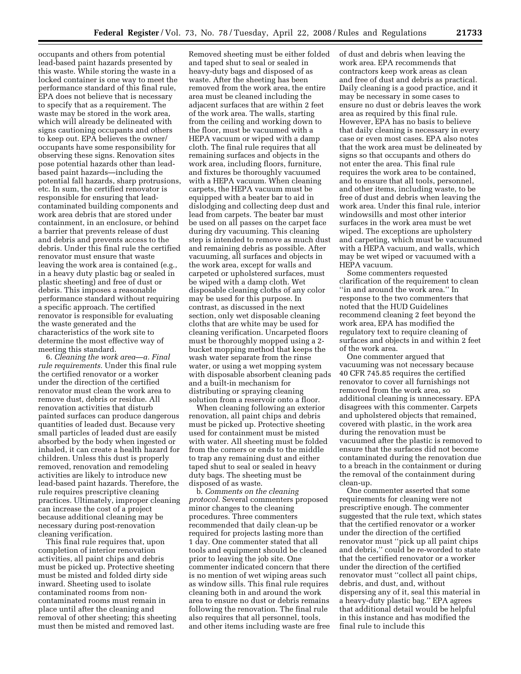occupants and others from potential lead-based paint hazards presented by this waste. While storing the waste in a locked container is one way to meet the performance standard of this final rule, EPA does not believe that is necessary to specify that as a requirement. The waste may be stored in the work area, which will already be delineated with signs cautioning occupants and others to keep out. EPA believes the owner/ occupants have some responsibility for observing these signs. Renovation sites pose potential hazards other than leadbased paint hazards—including the potential fall hazards, sharp protrusions, etc. In sum, the certified renovator is responsible for ensuring that leadcontaminated building components and work area debris that are stored under containment, in an enclosure, or behind a barrier that prevents release of dust and debris and prevents access to the debris. Under this final rule the certified renovator must ensure that waste leaving the work area is contained (e.g., in a heavy duty plastic bag or sealed in plastic sheeting) and free of dust or debris. This imposes a reasonable performance standard without requiring a specific approach. The certified renovator is responsible for evaluating the waste generated and the characteristics of the work site to determine the most effective way of meeting this standard.

6. *Cleaning the work area*—*a. Final rule requirements.* Under this final rule the certified renovator or a worker under the direction of the certified renovator must clean the work area to remove dust, debris or residue. All renovation activities that disturb painted surfaces can produce dangerous quantities of leaded dust. Because very small particles of leaded dust are easily absorbed by the body when ingested or inhaled, it can create a health hazard for children. Unless this dust is properly removed, renovation and remodeling activities are likely to introduce new lead-based paint hazards. Therefore, the rule requires prescriptive cleaning practices. Ultimately, improper cleaning can increase the cost of a project because additional cleaning may be necessary during post-renovation cleaning verification.

This final rule requires that, upon completion of interior renovation activities, all paint chips and debris must be picked up. Protective sheeting must be misted and folded dirty side inward. Sheeting used to isolate contaminated rooms from noncontaminated rooms must remain in place until after the cleaning and removal of other sheeting; this sheeting must then be misted and removed last.

Removed sheeting must be either folded and taped shut to seal or sealed in heavy-duty bags and disposed of as waste. After the sheeting has been removed from the work area, the entire area must be cleaned including the adjacent surfaces that are within 2 feet of the work area. The walls, starting from the ceiling and working down to the floor, must be vacuumed with a HEPA vacuum or wiped with a damp cloth. The final rule requires that all remaining surfaces and objects in the work area, including floors, furniture, and fixtures be thoroughly vacuumed with a HEPA vacuum. When cleaning carpets, the HEPA vacuum must be equipped with a beater bar to aid in dislodging and collecting deep dust and lead from carpets. The beater bar must be used on all passes on the carpet face during dry vacuuming. This cleaning step is intended to remove as much dust and remaining debris as possible. After vacuuming, all surfaces and objects in the work area, except for walls and carpeted or upholstered surfaces, must be wiped with a damp cloth. Wet disposable cleaning cloths of any color may be used for this purpose. In contrast, as discussed in the next section, only wet disposable cleaning cloths that are white may be used for cleaning verification. Uncarpeted floors must be thoroughly mopped using a 2 bucket mopping method that keeps the wash water separate from the rinse water, or using a wet mopping system with disposable absorbent cleaning pads and a built-in mechanism for distributing or spraying cleaning solution from a reservoir onto a floor.

When cleaning following an exterior renovation, all paint chips and debris must be picked up. Protective sheeting used for containment must be misted with water. All sheeting must be folded from the corners or ends to the middle to trap any remaining dust and either taped shut to seal or sealed in heavy duty bags. The sheeting must be disposed of as waste.

b. *Comments on the cleaning protocol.* Several commenters proposed minor changes to the cleaning procedures. Three commenters recommended that daily clean-up be required for projects lasting more than 1 day. One commenter stated that all tools and equipment should be cleaned prior to leaving the job site. One commenter indicated concern that there is no mention of wet wiping areas such as window sills. This final rule requires cleaning both in and around the work area to ensure no dust or debris remains following the renovation. The final rule also requires that all personnel, tools, and other items including waste are free of dust and debris when leaving the work area. EPA recommends that contractors keep work areas as clean and free of dust and debris as practical. Daily cleaning is a good practice, and it may be necessary in some cases to ensure no dust or debris leaves the work area as required by this final rule. However, EPA has no basis to believe that daily cleaning is necessary in every case or even most cases. EPA also notes that the work area must be delineated by signs so that occupants and others do not enter the area. This final rule requires the work area to be contained, and to ensure that all tools, personnel, and other items, including waste, to be free of dust and debris when leaving the work area. Under this final rule, interior windowsills and most other interior surfaces in the work area must be wet wiped. The exceptions are upholstery and carpeting, which must be vacuumed with a HEPA vacuum, and walls, which may be wet wiped or vacuumed with a HEPA vacuum.

Some commenters requested clarification of the requirement to clean ''in and around the work area.'' In response to the two commenters that noted that the HUD Guidelines recommend cleaning 2 feet beyond the work area, EPA has modified the regulatory text to require cleaning of surfaces and objects in and within 2 feet of the work area.

One commenter argued that vacuuming was not necessary because 40 CFR 745.85 requires the certified renovator to cover all furnishings not removed from the work area, so additional cleaning is unnecessary. EPA disagrees with this commenter. Carpets and upholstered objects that remained, covered with plastic, in the work area during the renovation must be vacuumed after the plastic is removed to ensure that the surfaces did not become contaminated during the renovation due to a breach in the containment or during the removal of the containment during clean-up.

One commenter asserted that some requirements for cleaning were not prescriptive enough. The commenter suggested that the rule text, which states that the certified renovator or a worker under the direction of the certified renovator must ''pick up all paint chips and debris,'' could be re-worded to state that the certified renovator or a worker under the direction of the certified renovator must ''collect all paint chips, debris, and dust, and, without dispersing any of it, seal this material in a heavy-duty plastic bag.'' EPA agrees that additional detail would be helpful in this instance and has modified the final rule to include this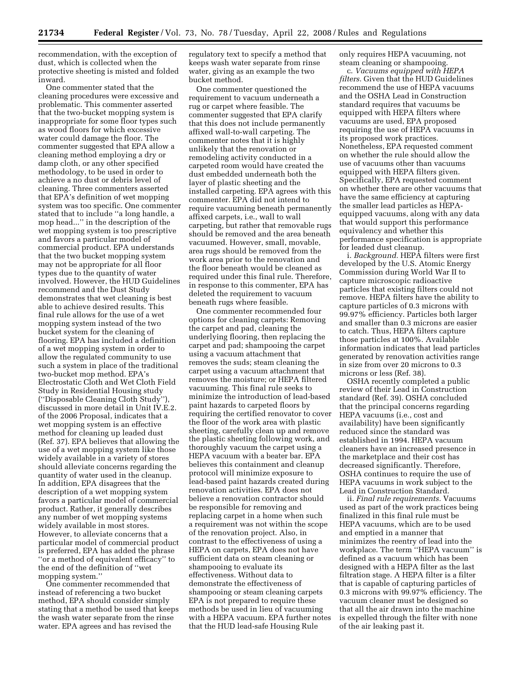recommendation, with the exception of dust, which is collected when the protective sheeting is misted and folded inward.

One commenter stated that the cleaning procedures were excessive and problematic. This commenter asserted that the two-bucket mopping system is inappropriate for some floor types such as wood floors for which excessive water could damage the floor. The commenter suggested that EPA allow a cleaning method employing a dry or damp cloth, or any other specified methodology, to be used in order to achieve a no dust or debris level of cleaning. Three commenters asserted that EPA's definition of wet mopping system was too specific. One commenter stated that to include ''a long handle, a mop head...'' in the description of the wet mopping system is too prescriptive and favors a particular model of commercial product. EPA understands that the two bucket mopping system may not be appropriate for all floor types due to the quantity of water involved. However, the HUD Guidelines recommend and the Dust Study demonstrates that wet cleaning is best able to achieve desired results. This final rule allows for the use of a wet mopping system instead of the two bucket system for the cleaning of flooring. EPA has included a definition of a wet mopping system in order to allow the regulated community to use such a system in place of the traditional two-bucket mop method. EPA's Electrostatic Cloth and Wet Cloth Field Study in Residential Housing study (''Disposable Cleaning Cloth Study''), discussed in more detail in Unit IV.E.2. of the 2006 Proposal, indicates that a wet mopping system is an effective method for cleaning up leaded dust (Ref. 37). EPA believes that allowing the use of a wet mopping system like those widely available in a variety of stores should alleviate concerns regarding the quantity of water used in the cleanup. In addition, EPA disagrees that the description of a wet mopping system favors a particular model of commercial product. Rather, it generally describes any number of wet mopping systems widely available in most stores. However, to alleviate concerns that a particular model of commercial product is preferred, EPA has added the phrase ''or a method of equivalent efficacy'' to the end of the definition of ''wet mopping system.''

One commenter recommended that instead of referencing a two bucket method, EPA should consider simply stating that a method be used that keeps the wash water separate from the rinse water. EPA agrees and has revised the

regulatory text to specify a method that keeps wash water separate from rinse water, giving as an example the two bucket method.

One commenter questioned the requirement to vacuum underneath a rug or carpet where feasible. The commenter suggested that EPA clarify that this does not include permanently affixed wall-to-wall carpeting. The commenter notes that it is highly unlikely that the renovation or remodeling activity conducted in a carpeted room would have created the dust embedded underneath both the layer of plastic sheeting and the installed carpeting. EPA agrees with this commenter. EPA did not intend to require vacuuming beneath permanently affixed carpets, i.e., wall to wall carpeting, but rather that removable rugs should be removed and the area beneath vacuumed. However, small, movable, area rugs should be removed from the work area prior to the renovation and the floor beneath would be cleaned as required under this final rule. Therefore, in response to this commenter, EPA has deleted the requirement to vacuum beneath rugs where feasible.

One commenter recommended four options for cleaning carpets: Removing the carpet and pad, cleaning the underlying flooring, then replacing the carpet and pad; shampooing the carpet using a vacuum attachment that removes the suds; steam cleaning the carpet using a vacuum attachment that removes the moisture; or HEPA filtered vacuuming. This final rule seeks to minimize the introduction of lead-based paint hazards to carpeted floors by requiring the certified renovator to cover the floor of the work area with plastic sheeting, carefully clean up and remove the plastic sheeting following work, and thoroughly vacuum the carpet using a HEPA vacuum with a beater bar. EPA believes this containment and cleanup protocol will minimize exposure to lead-based paint hazards created during renovation activities. EPA does not believe a renovation contractor should be responsible for removing and replacing carpet in a home when such a requirement was not within the scope of the renovation project. Also, in contrast to the effectiveness of using a HEPA on carpets, EPA does not have sufficient data on steam cleaning or shampooing to evaluate its effectiveness. Without data to demonstrate the effectiveness of shampooing or steam cleaning carpets EPA is not prepared to require these methods be used in lieu of vacuuming with a HEPA vacuum. EPA further notes that the HUD lead-safe Housing Rule

only requires HEPA vacuuming, not steam cleaning or shampooing.

c. *Vacuums equipped with HEPA filters.* Given that the HUD Guidelines recommend the use of HEPA vacuums and the OSHA Lead in Construction standard requires that vacuums be equipped with HEPA filters where vacuums are used, EPA proposed requiring the use of HEPA vacuums in its proposed work practices. Nonetheless, EPA requested comment on whether the rule should allow the use of vacuums other than vacuums equipped with HEPA filters given. Specifically, EPA requested comment on whether there are other vacuums that have the same efficiency at capturing the smaller lead particles as HEPAequipped vacuums, along with any data that would support this performance equivalency and whether this performance specification is appropriate for leaded dust cleanup.

i. *Background.* HEPA filters were first developed by the U.S. Atomic Energy Commission during World War II to capture microscopic radioactive particles that existing filters could not remove. HEPA filters have the ability to capture particles of 0.3 microns with 99.97% efficiency. Particles both larger and smaller than 0.3 microns are easier to catch. Thus, HEPA filters capture those particles at 100%. Available information indicates that lead particles generated by renovation activities range in size from over 20 microns to 0.3 microns or less (Ref. 38).

OSHA recently completed a public review of their Lead in Construction standard (Ref. 39). OSHA concluded that the principal concerns regarding HEPA vacuums (i.e., cost and availability) have been significantly reduced since the standard was established in 1994. HEPA vacuum cleaners have an increased presence in the marketplace and their cost has decreased significantly. Therefore, OSHA continues to require the use of HEPA vacuums in work subject to the Lead in Construction Standard.

ii. *Final rule requirements.* Vacuums used as part of the work practices being finalized in this final rule must be HEPA vacuums, which are to be used and emptied in a manner that minimizes the reentry of lead into the workplace. The term "HEPA vacuum" is defined as a vacuum which has been designed with a HEPA filter as the last filtration stage. A HEPA filter is a filter that is capable of capturing particles of 0.3 microns with 99.97% efficiency. The vacuum cleaner must be designed so that all the air drawn into the machine is expelled through the filter with none of the air leaking past it.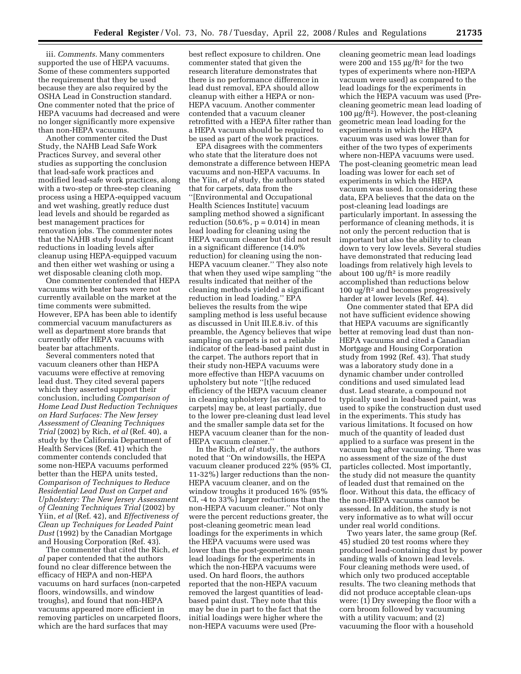iii. *Comments*. Many commenters supported the use of HEPA vacuums. Some of these commenters supported the requirement that they be used because they are also required by the OSHA Lead in Construction standard. One commenter noted that the price of HEPA vacuums had decreased and were no longer significantly more expensive than non-HEPA vacuums.

Another commenter cited the Dust Study, the NAHB Lead Safe Work Practices Survey, and several other studies as supporting the conclusion that lead-safe work practices and modified lead-safe work practices, along with a two-step or three-step cleaning process using a HEPA-equipped vacuum and wet washing, greatly reduce dust lead levels and should be regarded as best management practices for renovation jobs. The commenter notes that the NAHB study found significant reductions in loading levels after cleanup using HEPA-equipped vacuum and then either wet washing or using a wet disposable cleaning cloth mop.

One commenter contended that HEPA vacuums with beater bars were not currently available on the market at the time comments were submitted. However, EPA has been able to identify commercial vacuum manufacturers as well as department store brands that currently offer HEPA vacuums with beater bar attachments.

Several commenters noted that vacuum cleaners other than HEPA vacuums were effective at removing lead dust. They cited several papers which they asserted support their conclusion, including *Comparison of Home Lead Dust Reduction Techniques on Hard Surfaces: The New Jersey Assessment of Cleaning Techniques Trial* (2002) by Rich, *et al* (Ref. 40), a study by the California Department of Health Services (Ref. 41) which the commenter contends concluded that some non-HEPA vacuums performed better than the HEPA units tested, *Comparison of Techniques to Reduce Residential Lead Dust on Carpet and Upholstery: The New Jersey Assessment of Cleaning Techniques Trial* (2002) by Yiin, *et al* (Ref. 42), and *Effectiveness of Clean up Techniques for Leaded Paint Dust* (1992) by the Canadian Mortgage and Housing Corporation (Ref. 43).

The commenter that cited the Rich, *et al* paper contended that the authors found no clear difference between the efficacy of HEPA and non-HEPA vacuums on hard surfaces (non-carpeted floors, windowsills, and window troughs), and found that non-HEPA vacuums appeared more efficient in removing particles on uncarpeted floors, which are the hard surfaces that may

best reflect exposure to children. One commenter stated that given the research literature demonstrates that there is no performance difference in lead dust removal, EPA should allow cleanup with either a HEPA or non-HEPA vacuum. Another commenter contended that a vacuum cleaner retrofitted with a HEPA filter rather than a HEPA vacuum should be required to be used as part of the work practices.

EPA disagrees with the commenters who state that the literature does not demonstrate a difference between HEPA vacuums and non-HEPA vacuums. In the Yiin, *et al* study, the authors stated that for carpets, data from the ''[Environmental and Occupational Health Sciences Institute] vacuum sampling method showed a significant reduction (50.6%,  $p = 0.014$ ) in mean lead loading for cleaning using the HEPA vacuum cleaner but did not result in a significant difference (14.0% reduction) for cleaning using the non-HEPA vacuum cleaner.'' They also note that when they used wipe sampling ''the results indicated that neither of the cleaning methods yielded a significant reduction in lead loading.'' EPA believes the results from the wipe sampling method is less useful because as discussed in Unit III.E.8.iv. of this preamble, the Agency believes that wipe sampling on carpets is not a reliable indicator of the lead-based paint dust in the carpet. The authors report that in their study non-HEPA vacuums were more effective than HEPA vacuums on upholstery but note ''[t]he reduced efficiency of the HEPA vacuum cleaner in cleaning upholstery [as compared to carpets] may be, at least partially, due to the lower pre-cleaning dust lead level and the smaller sample data set for the HEPA vacuum cleaner than for the non-HEPA vacuum cleaner.''

In the Rich, *et al* study, the authors noted that ''On windowsills, the HEPA vacuum cleaner produced 22% (95% CI, 11-32%) larger reductions than the non-HEPA vacuum cleaner, and on the window troughs it produced 16% (95% CI, -4 to 33%) larger reductions than the non-HEPA vacuum cleaner.'' Not only were the percent reductions greater, the post-cleaning geometric mean lead loadings for the experiments in which the HEPA vacuums were used was lower than the post-geometric mean lead loadings for the experiments in which the non-HEPA vacuums were used. On hard floors, the authors reported that the non-HEPA vacuum removed the largest quantities of leadbased paint dust. They note that this may be due in part to the fact that the initial loadings were higher where the non-HEPA vacuums were used (Pre-

cleaning geometric mean lead loadings were 200 and 155  $\mu$ g/ft<sup>2</sup> for the two types of experiments where non-HEPA vacuum were used) as compared to the lead loadings for the experiments in which the HEPA vacuum was used (Precleaning geometric mean lead loading of 100 µg/ft2). However, the post-cleaning geometric mean lead loading for the experiments in which the HEPA vacuum was used was lower than for either of the two types of experiments where non-HEPA vacuums were used. The post-cleaning geometric mean lead loading was lower for each set of experiments in which the HEPA vacuum was used. In considering these data, EPA believes that the data on the post-cleaning lead loadings are particularly important. In assessing the performance of cleaning methods, it is not only the percent reduction that is important but also the ability to clean down to very low levels. Several studies have demonstrated that reducing lead loadings from relatively high levels to about 100 ug/ft<sup>2</sup> is more readily accomplished than reductions below 100 ug/ft2 and becomes progressively harder at lower levels (Ref. 44).

One commenter stated that EPA did not have sufficient evidence showing that HEPA vacuums are significantly better at removing lead dust than non-HEPA vacuums and cited a Canadian Mortgage and Housing Corporation study from 1992 (Ref. 43). That study was a laboratory study done in a dynamic chamber under controlled conditions and used simulated lead dust. Lead stearate, a compound not typically used in lead-based paint, was used to spike the construction dust used in the experiments. This study has various limitations. It focused on how much of the quantity of leaded dust applied to a surface was present in the vacuum bag after vacuuming. There was no assessment of the size of the dust particles collected. Most importantly, the study did not measure the quantity of leaded dust that remained on the floor. Without this data, the efficacy of the non-HEPA vacuums cannot be assessed. In addition, the study is not very informative as to what will occur under real world conditions.

Two years later, the same group (Ref. 45) studied 20 test rooms where they produced lead-containing dust by power sanding walls of known lead levels. Four cleaning methods were used, of which only two produced acceptable results. The two cleaning methods that did not produce acceptable clean-ups were: (1) Dry sweeping the floor with a corn broom followed by vacuuming with a utility vacuum; and  $(2)$ vacuuming the floor with a household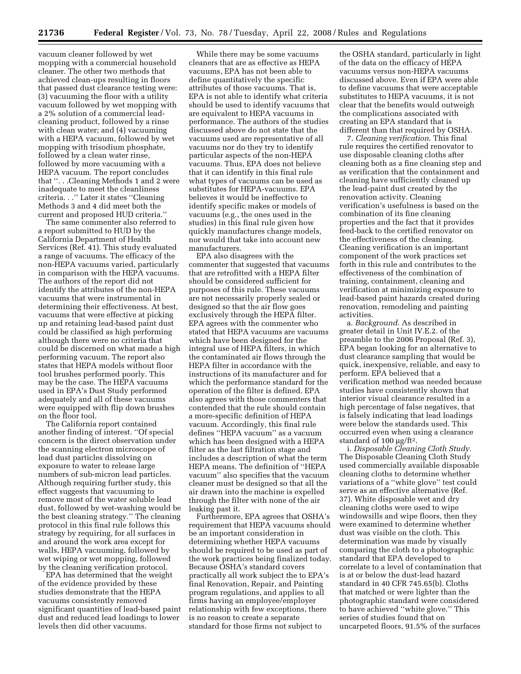vacuum cleaner followed by wet mopping with a commercial household cleaner. The other two methods that achieved clean-ups resulting in floors that passed dust clearance testing were: (3) vacuuming the floor with a utility vacuum followed by wet mopping with a 2% solution of a commercial leadcleaning product, followed by a rinse with clean water; and (4) vacuuming with a HEPA vacuum, followed by wet mopping with trisodium phosphate, followed by a clean water rinse, followed by more vacuuming with a HEPA vacuum. The report concludes that ''. . .Cleaning Methods 1 and 2 were inadequate to meet the cleanliness criteria. . .'' Later it states ''Cleaning Methods 3 and 4 did meet both the current and proposed HUD criteria.''

The same commenter also referred to a report submitted to HUD by the California Department of Health Services (Ref. 41). This study evaluated a range of vacuums. The efficacy of the non-HEPA vacuums varied, particularly in comparison with the HEPA vacuums. The authors of the report did not identify the attributes of the non-HEPA vacuums that were instrumental in determining their effectiveness. At best, vacuums that were effective at picking up and retaining lead-based paint dust could be classified as high performing although there were no criteria that could be discerned on what made a high performing vacuum. The report also states that HEPA models without floor tool brushes performed poorly. This may be the case. The HEPA vacuums used in EPA's Dust Study performed adequately and all of these vacuums were equipped with flip down brushes on the floor tool.

The California report contained another finding of interest. ''Of special concern is the direct observation under the scanning electron microscope of lead dust particles dissolving on exposure to water to release large numbers of sub-micron lead particles. Although requiring further study, this effect suggests that vacuuming to remove most of the water soluble lead dust, followed by wet-washing would be the best cleaning strategy.'' The cleaning protocol in this final rule follows this strategy by requiring, for all surfaces in and around the work area except for walls, HEPA vacuuming, followed by wet wiping or wet mopping, followed by the cleaning verification protocol.

EPA has determined that the weight of the evidence provided by these studies demonstrate that the HEPA vacuums consistently removed significant quantities of lead-based paint dust and reduced lead loadings to lower levels then did other vacuums.

While there may be some vacuums cleaners that are as effective as HEPA vacuums, EPA has not been able to define quantitatively the specific attributes of those vacuums. That is, EPA is not able to identify what criteria should be used to identify vacuums that are equivalent to HEPA vacuums in performance. The authors of the studies discussed above do not state that the vacuums used are representative of all vacuums nor do they try to identify particular aspects of the non-HEPA vacuums. Thus, EPA does not believe that it can identify in this final rule what types of vacuums can be used as substitutes for HEPA-vacuums. EPA believes it would be ineffective to identify specific makes or models of vacuums (e.g., the ones used in the studies) in this final rule given how quickly manufactures change models, nor would that take into account new manufacturers.

EPA also disagrees with the commenter that suggested that vacuums that are retrofitted with a HEPA filter should be considered sufficient for purposes of this rule. These vacuums are not necessarily properly sealed or designed so that the air flow goes exclusively through the HEPA filter. EPA agrees with the commenter who stated that HEPA vacuums are vacuums which have been designed for the integral use of HEPA filters, in which the contaminated air flows through the HEPA filter in accordance with the instructions of its manufacturer and for which the performance standard for the operation of the filter is defined. EPA also agrees with those commenters that contended that the rule should contain a more-specific definition of HEPA vacuum. Accordingly, this final rule defines ''HEPA vacuum'' as a vacuum which has been designed with a HEPA filter as the last filtration stage and includes a description of what the term HEPA means. The definition of ''HEPA vacuum'' also specifies that the vacuum cleaner must be designed so that all the air drawn into the machine is expelled through the filter with none of the air leaking past it.

Furthermore, EPA agrees that OSHA's requirement that HEPA vacuums should be an important consideration in determining whether HEPA vacuums should be required to be used as part of the work practices being finalized today. Because OSHA's standard covers practically all work subject the to EPA's final Renovation, Repair, and Painting program regulations, and applies to all firms having an employee/employer relationship with few exceptions, there is no reason to create a separate standard for those firms not subject to

the OSHA standard, particularly in light of the data on the efficacy of HEPA vacuums versus non-HEPA vacuums discussed above. Even if EPA were able to define vacuums that were acceptable substitutes to HEPA vacuums, it is not clear that the benefits would outweigh the complications associated with creating an EPA standard that is different than that required by OSHA.

7. *Cleaning verification*. This final rule requires the certified renovator to use disposable cleaning cloths after cleaning both as a fine cleaning step and as verification that the containment and cleaning have sufficiently cleaned up the lead-paint dust created by the renovation activity. Cleaning verification's usefulness is based on the combination of its fine cleaning properties and the fact that it provides feed-back to the certified renovator on the effectiveness of the cleaning. Cleaning verification is an important component of the work practices set forth in this rule and contributes to the effectiveness of the combination of training, containment, cleaning and verification at minimizing exposure to lead-based paint hazards created during renovation, remodeling and painting activities.

a. *Background.* As described in greater detail in Unit IV.E.2. of the preamble to the 2006 Proposal (Ref. 3), EPA began looking for an alternative to dust clearance sampling that would be quick, inexpensive, reliable, and easy to perform. EPA believed that a verification method was needed because studies have consistently shown that interior visual clearance resulted in a high percentage of false negatives, that is falsely indicating that lead loadings were below the standards used. This occurred even when using a clearance standard of 100 µg/ft<sup>2</sup>.

i. *Disposable Cleaning Cloth Study.*  The Disposable Cleaning Cloth Study used commercially available disposable cleaning cloths to determine whether variations of a ''white glove'' test could serve as an effective alternative (Ref. 37). White disposable wet and dry cleaning cloths were used to wipe windowsills and wipe floors, then they were examined to determine whether dust was visible on the cloth. This determination was made by visually comparing the cloth to a photographic standard that EPA developed to correlate to a level of contamination that is at or below the dust-lead hazard standard in 40 CFR 745.65(b). Cloths that matched or were lighter than the photographic standard were considered to have achieved ''white glove.'' This series of studies found that on uncarpeted floors, 91.5% of the surfaces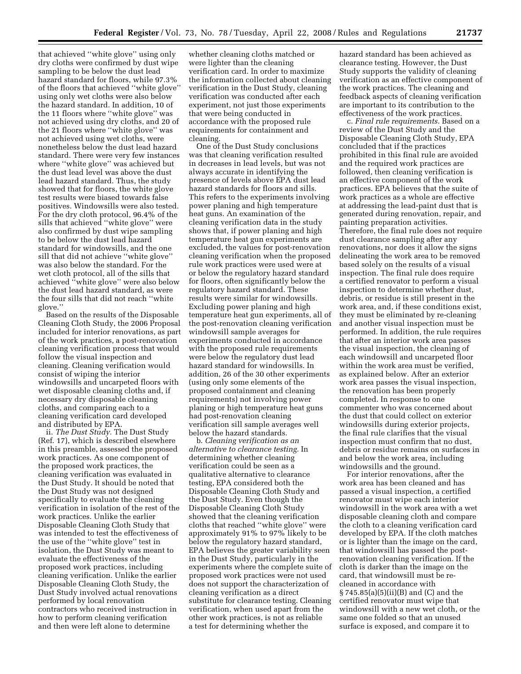that achieved ''white glove'' using only dry cloths were confirmed by dust wipe sampling to be below the dust lead hazard standard for floors, while 97.3% of the floors that achieved ''white glove'' using only wet cloths were also below the hazard standard. In addition, 10 of the 11 floors where ''white glove'' was not achieved using dry cloths, and 20 of the 21 floors where ''white glove'' was not achieved using wet cloths, were nonetheless below the dust lead hazard standard. There were very few instances where ''white glove'' was achieved but the dust lead level was above the dust lead hazard standard. Thus, the study showed that for floors, the white glove test results were biased towards false positives. Windowsills were also tested. For the dry cloth protocol, 96.4% of the sills that achieved ''white glove'' were also confirmed by dust wipe sampling to be below the dust lead hazard standard for windowsills, and the one sill that did not achieve ''white glove'' was also below the standard. For the wet cloth protocol, all of the sills that achieved ''white glove'' were also below the dust lead hazard standard, as were the four sills that did not reach ''white glove.''

Based on the results of the Disposable Cleaning Cloth Study, the 2006 Proposal included for interior renovations, as part of the work practices, a post-renovation cleaning verification process that would follow the visual inspection and cleaning. Cleaning verification would consist of wiping the interior windowsills and uncarpeted floors with wet disposable cleaning cloths and, if necessary dry disposable cleaning cloths, and comparing each to a cleaning verification card developed and distributed by EPA.

ii. *The Dust Study.* The Dust Study (Ref. 17), which is described elsewhere in this preamble, assessed the proposed work practices. As one component of the proposed work practices, the cleaning verification was evaluated in the Dust Study. It should be noted that the Dust Study was not designed specifically to evaluate the cleaning verification in isolation of the rest of the work practices. Unlike the earlier Disposable Cleaning Cloth Study that was intended to test the effectiveness of the use of the ''white glove'' test in isolation, the Dust Study was meant to evaluate the effectiveness of the proposed work practices, including cleaning verification. Unlike the earlier Disposable Cleaning Cloth Study, the Dust Study involved actual renovations performed by local renovation contractors who received instruction in how to perform cleaning verification and then were left alone to determine

whether cleaning cloths matched or were lighter than the cleaning verification card. In order to maximize the information collected about cleaning verification in the Dust Study, cleaning verification was conducted after each experiment, not just those experiments that were being conducted in accordance with the proposed rule requirements for containment and cleaning.

One of the Dust Study conclusions was that cleaning verification resulted in decreases in lead levels, but was not always accurate in identifying the presence of levels above EPA dust lead hazard standards for floors and sills. This refers to the experiments involving power planing and high temperature heat guns. An examination of the cleaning verification data in the study shows that, if power planing and high temperature heat gun experiments are excluded, the values for post-renovation cleaning verification when the proposed rule work practices were used were at or below the regulatory hazard standard for floors, often significantly below the regulatory hazard standard. These results were similar for windowsills. Excluding power planing and high temperature heat gun experiments, all of the post-renovation cleaning verification windowsill sample averages for experiments conducted in accordance with the proposed rule requirements were below the regulatory dust lead hazard standard for windowsills. In addition, 26 of the 30 other experiments (using only some elements of the proposed containment and cleaning requirements) not involving power planing or high temperature heat guns had post-renovation cleaning verification sill sample averages well below the hazard standards.

b. *Cleaning verification as an alternative to clearance testing.* In determining whether cleaning verification could be seen as a qualitative alternative to clearance testing, EPA considered both the Disposable Cleaning Cloth Study and the Dust Study. Even though the Disposable Cleaning Cloth Study showed that the cleaning verification cloths that reached ''white glove'' were approximately 91% to 97% likely to be below the regulatory hazard standard, EPA believes the greater variability seen in the Dust Study, particularly in the experiments where the complete suite of proposed work practices were not used does not support the characterization of cleaning verification as a direct substitute for clearance testing. Cleaning verification, when used apart from the other work practices, is not as reliable a test for determining whether the

hazard standard has been achieved as clearance testing. However, the Dust Study supports the validity of cleaning verification as an effective component of the work practices. The cleaning and feedback aspects of cleaning verification are important to its contribution to the effectiveness of the work practices.

c. *Final rule requirements*. Based on a review of the Dust Study and the Disposable Cleaning Cloth Study, EPA concluded that if the practices prohibited in this final rule are avoided and the required work practices are followed, then cleaning verification is an effective component of the work practices. EPA believes that the suite of work practices as a whole are effective at addressing the lead-paint dust that is generated during renovation, repair, and painting preparation activities. Therefore, the final rule does not require dust clearance sampling after any renovations, nor does it allow the signs delineating the work area to be removed based solely on the results of a visual inspection. The final rule does require a certified renovator to perform a visual inspection to determine whether dust, debris, or residue is still present in the work area, and, if these conditions exist, they must be eliminated by re-cleaning and another visual inspection must be performed. In addition, the rule requires that after an interior work area passes the visual inspection, the cleaning of each windowsill and uncarpeted floor within the work area must be verified, as explained below. After an exterior work area passes the visual inspection, the renovation has been properly completed. In response to one commenter who was concerned about the dust that could collect on exterior windowsills during exterior projects, the final rule clarifies that the visual inspection must confirm that no dust, debris or residue remains on surfaces in and below the work area, including windowsills and the ground.

For interior renovations, after the work area has been cleaned and has passed a visual inspection, a certified renovator must wipe each interior windowsill in the work area with a wet disposable cleaning cloth and compare the cloth to a cleaning verification card developed by EPA. If the cloth matches or is lighter than the image on the card, that windowsill has passed the postrenovation cleaning verification. If the cloth is darker than the image on the card, that windowsill must be recleaned in accordance with § 745.85(a)(5)(ii)(B) and (C) and the certified renovator must wipe that windowsill with a new wet cloth, or the same one folded so that an unused surface is exposed, and compare it to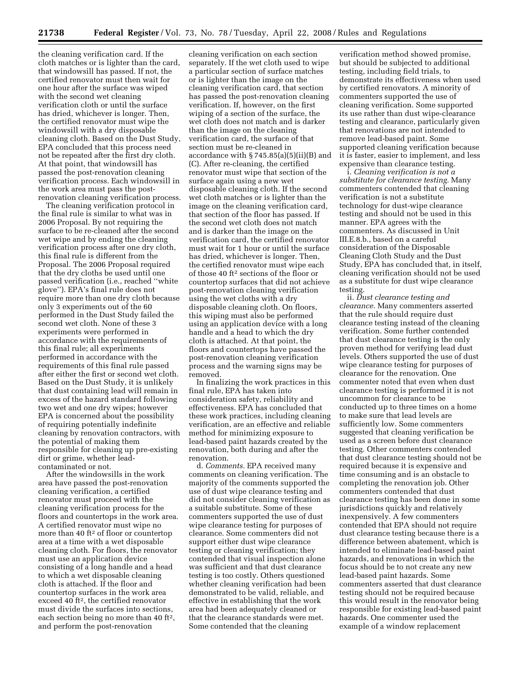the cleaning verification card. If the cloth matches or is lighter than the card, that windowsill has passed. If not, the certified renovator must then wait for one hour after the surface was wiped with the second wet cleaning verification cloth or until the surface has dried, whichever is longer. Then, the certified renovator must wipe the windowsill with a dry disposable cleaning cloth. Based on the Dust Study, EPA concluded that this process need not be repeated after the first dry cloth. At that point, that windowsill has passed the post-renovation cleaning verification process. Each windowsill in the work area must pass the postrenovation cleaning verification process.

The cleaning verification protocol in the final rule is similar to what was in 2006 Proposal. By not requiring the surface to be re-cleaned after the second wet wipe and by ending the cleaning verification process after one dry cloth, this final rule is different from the Proposal. The 2006 Proposal required that the dry cloths be used until one passed verification (i.e., reached ''white glove''). EPA's final rule does not require more than one dry cloth because only 3 experiments out of the 60 performed in the Dust Study failed the second wet cloth. None of these 3 experiments were performed in accordance with the requirements of this final rule; all experiments performed in accordance with the requirements of this final rule passed after either the first or second wet cloth. Based on the Dust Study, it is unlikely that dust containing lead will remain in excess of the hazard standard following two wet and one dry wipes; however EPA is concerned about the possibility of requiring potentially indefinite cleaning by renovation contractors, with the potential of making them responsible for cleaning up pre-existing dirt or grime, whether leadcontaminated or not.

After the windowsills in the work area have passed the post-renovation cleaning verification, a certified renovator must proceed with the cleaning verification process for the floors and countertops in the work area. A certified renovator must wipe no more than 40 ft<sup>2</sup> of floor or countertop area at a time with a wet disposable cleaning cloth. For floors, the renovator must use an application device consisting of a long handle and a head to which a wet disposable cleaning cloth is attached. If the floor and countertop surfaces in the work area exceed 40 ft2, the certified renovator must divide the surfaces into sections, each section being no more than 40 ft2, and perform the post-renovation

cleaning verification on each section separately. If the wet cloth used to wipe a particular section of surface matches or is lighter than the image on the cleaning verification card, that section has passed the post-renovation cleaning verification. If, however, on the first wiping of a section of the surface, the wet cloth does not match and is darker than the image on the cleaning verification card, the surface of that section must be re-cleaned in accordance with § 745.85(a)(5)(ii)(B) and (C). After re-cleaning, the certified renovator must wipe that section of the surface again using a new wet disposable cleaning cloth. If the second wet cloth matches or is lighter than the image on the cleaning verification card, that section of the floor has passed. If the second wet cloth does not match and is darker than the image on the verification card, the certified renovator must wait for 1 hour or until the surface has dried, whichever is longer. Then, the certified renovator must wipe each of those 40 ft2 sections of the floor or countertop surfaces that did not achieve post-renovation cleaning verification using the wet cloths with a dry disposable cleaning cloth. On floors, this wiping must also be performed using an application device with a long handle and a head to which the dry cloth is attached. At that point, the floors and countertops have passed the post-renovation cleaning verification process and the warning signs may be removed.

In finalizing the work practices in this final rule, EPA has taken into consideration safety, reliability and effectiveness. EPA has concluded that these work practices, including cleaning verification, are an effective and reliable method for minimizing exposure to lead-based paint hazards created by the renovation, both during and after the renovation.

d. *Comments.* EPA received many comments on cleaning verification. The majority of the comments supported the use of dust wipe clearance testing and did not consider cleaning verification as a suitable substitute. Some of these commenters supported the use of dust wipe clearance testing for purposes of clearance. Some commenters did not support either dust wipe clearance testing or cleaning verification; they contended that visual inspection alone was sufficient and that dust clearance testing is too costly. Others questioned whether cleaning verification had been demonstrated to be valid, reliable, and effective in establishing that the work area had been adequately cleaned or that the clearance standards were met. Some contended that the cleaning

verification method showed promise, but should be subjected to additional testing, including field trials, to demonstrate its effectiveness when used by certified renovators. A minority of commenters supported the use of cleaning verification. Some supported its use rather than dust wipe-clearance testing and clearance, particularly given that renovations are not intended to remove lead-based paint. Some supported cleaning verification because it is faster, easier to implement, and less expensive than clearance testing.

i. *Cleaning verification is not a substitute for clearance testing.* Many commenters contended that cleaning verification is not a substitute technology for dust-wipe clearance testing and should not be used in this manner. EPA agrees with the commenters. As discussed in Unit III.E.8.b., based on a careful consideration of the Disposable Cleaning Cloth Study and the Dust Study, EPA has concluded that, in itself, cleaning verification should not be used as a substitute for dust wipe clearance testing.

ii. *Dust clearance testing and clearance.* Many commenters asserted that the rule should require dust clearance testing instead of the cleaning verification. Some further contended that dust clearance testing is the only proven method for verifying lead dust levels. Others supported the use of dust wipe clearance testing for purposes of clearance for the renovation. One commenter noted that even when dust clearance testing is performed it is not uncommon for clearance to be conducted up to three times on a home to make sure that lead levels are sufficiently low. Some commenters suggested that cleaning verification be used as a screen before dust clearance testing. Other commenters contended that dust clearance testing should not be required because it is expensive and time consuming and is an obstacle to completing the renovation job. Other commenters contended that dust clearance testing has been done in some jurisdictions quickly and relatively inexpensively. A few commenters contended that EPA should not require dust clearance testing because there is a difference between abatement, which is intended to eliminate lead-based paint hazards, and renovations in which the focus should be to not create any new lead-based paint hazards. Some commenters asserted that dust clearance testing should not be required because this would result in the renovator being responsible for existing lead-based paint hazards. One commenter used the example of a window replacement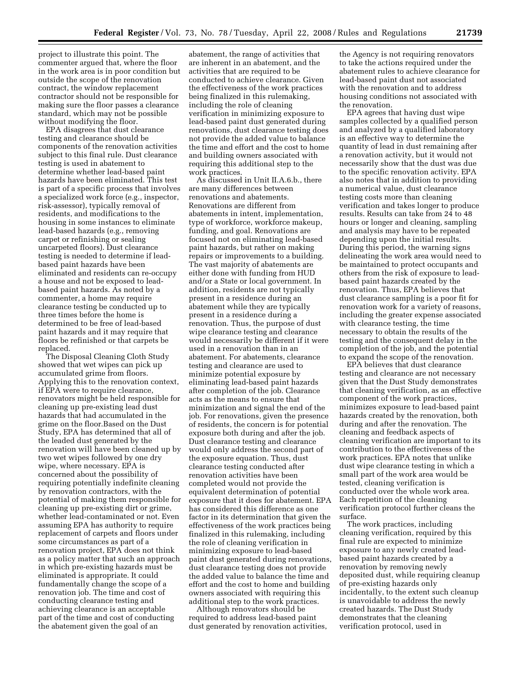project to illustrate this point. The commenter argued that, where the floor in the work area is in poor condition but outside the scope of the renovation contract, the window replacement contractor should not be responsible for making sure the floor passes a clearance standard, which may not be possible without modifying the floor.

EPA disagrees that dust clearance testing and clearance should be components of the renovation activities subject to this final rule. Dust clearance testing is used in abatement to determine whether lead-based paint hazards have been eliminated. This test is part of a specific process that involves a specialized work force (e.g., inspector, risk-assessor), typically removal of residents, and modifications to the housing in some instances to eliminate lead-based hazards (e.g., removing carpet or refinishing or sealing uncarpeted floors). Dust clearance testing is needed to determine if leadbased paint hazards have been eliminated and residents can re-occupy a house and not be exposed to leadbased paint hazards. As noted by a commenter, a home may require clearance testing be conducted up to three times before the home is determined to be free of lead-based paint hazards and it may require that floors be refinished or that carpets be replaced.

The Disposal Cleaning Cloth Study showed that wet wipes can pick up accumulated grime from floors. Applying this to the renovation context, if EPA were to require clearance, renovators might be held responsible for cleaning up pre-existing lead dust hazards that had accumulated in the grime on the floor.Based on the Dust Study, EPA has determined that all of the leaded dust generated by the renovation will have been cleaned up by two wet wipes followed by one dry wipe, where necessary. EPA is concerned about the possibility of requiring potentially indefinite cleaning by renovation contractors, with the potential of making them responsible for cleaning up pre-existing dirt or grime, whether lead-contaminated or not. Even assuming EPA has authority to require replacement of carpets and floors under some circumstances as part of a renovation project, EPA does not think as a policy matter that such an approach in which pre-existing hazards must be eliminated is appropriate. It could fundamentally change the scope of a renovation job. The time and cost of conducting clearance testing and achieving clearance is an acceptable part of the time and cost of conducting the abatement given the goal of an

abatement, the range of activities that are inherent in an abatement, and the activities that are required to be conducted to achieve clearance. Given the effectiveness of the work practices being finalized in this rulemaking, including the role of cleaning verification in minimizing exposure to lead-based paint dust generated during renovations, dust clearance testing does not provide the added value to balance the time and effort and the cost to home and building owners associated with requiring this additional step to the work practices.

As discussed in Unit II.A.6.b., there are many differences between renovations and abatements. Renovations are different from abatements in intent, implementation, type of workforce, workforce makeup, funding, and goal. Renovations are focused not on eliminating lead-based paint hazards, but rather on making repairs or improvements to a building. The vast majority of abatements are either done with funding from HUD and/or a State or local government. In addition, residents are not typically present in a residence during an abatement while they are typically present in a residence during a renovation. Thus, the purpose of dust wipe clearance testing and clearance would necessarily be different if it were used in a renovation than in an abatement. For abatements, clearance testing and clearance are used to minimize potential exposure by eliminating lead-based paint hazards after completion of the job. Clearance acts as the means to ensure that minimization and signal the end of the job. For renovations, given the presence of residents, the concern is for potential exposure both during and after the job. Dust clearance testing and clearance would only address the second part of the exposure equation. Thus, dust clearance testing conducted after renovation activities have been completed would not provide the equivalent determination of potential exposure that it does for abatement. EPA has considered this difference as one factor in its determination that given the effectiveness of the work practices being finalized in this rulemaking, including the role of cleaning verification in minimizing exposure to lead-based paint dust generated during renovations, dust clearance testing does not provide the added value to balance the time and effort and the cost to home and building owners associated with requiring this additional step to the work practices.

Although renovators should be required to address lead-based paint dust generated by renovation activities,

the Agency is not requiring renovators to take the actions required under the abatement rules to achieve clearance for lead-based paint dust not associated with the renovation and to address housing conditions not associated with the renovation.

EPA agrees that having dust wipe samples collected by a qualified person and analyzed by a qualified laboratory is an effective way to determine the quantity of lead in dust remaining after a renovation activity, but it would not necessarily show that the dust was due to the specific renovation activity. EPA also notes that in addition to providing a numerical value, dust clearance testing costs more than cleaning verification and takes longer to produce results. Results can take from 24 to 48 hours or longer and cleaning, sampling and analysis may have to be repeated depending upon the initial results. During this period, the warning signs delineating the work area would need to be maintained to protect occupants and others from the risk of exposure to leadbased paint hazards created by the renovation. Thus, EPA believes that dust clearance sampling is a poor fit for renovation work for a variety of reasons, including the greater expense associated with clearance testing, the time necessary to obtain the results of the testing and the consequent delay in the completion of the job, and the potential to expand the scope of the renovation.

EPA believes that dust clearance testing and clearance are not necessary given that the Dust Study demonstrates that cleaning verification, as an effective component of the work practices, minimizes exposure to lead-based paint hazards created by the renovation, both during and after the renovation. The cleaning and feedback aspects of cleaning verification are important to its contribution to the effectiveness of the work practices. EPA notes that unlike dust wipe clearance testing in which a small part of the work area would be tested, cleaning verification is conducted over the whole work area. Each repetition of the cleaning verification protocol further cleans the surface.

The work practices, including cleaning verification, required by this final rule are expected to minimize exposure to any newly created leadbased paint hazards created by a renovation by removing newly deposited dust, while requiring cleanup of pre-existing hazards only incidentally, to the extent such cleanup is unavoidable to address the newly created hazards. The Dust Study demonstrates that the cleaning verification protocol, used in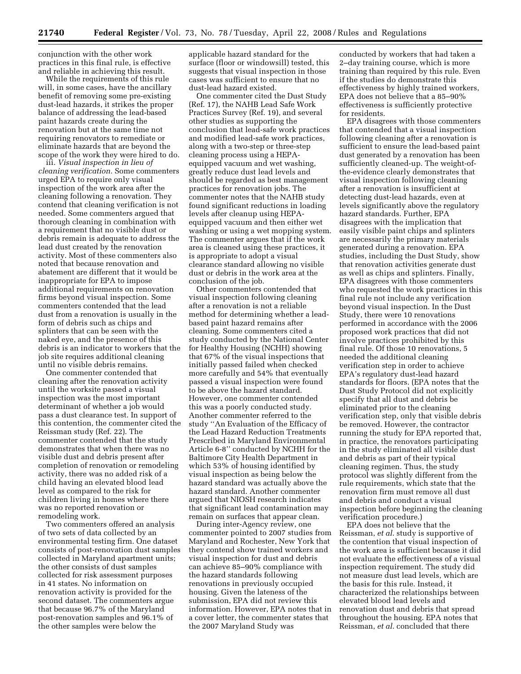conjunction with the other work practices in this final rule, is effective and reliable in achieving this result.

While the requirements of this rule will, in some cases, have the ancillary benefit of removing some pre-existing dust-lead hazards, it strikes the proper balance of addressing the lead-based paint hazards create during the renovation but at the same time not requiring renovators to remediate or eliminate hazards that are beyond the scope of the work they were hired to do.

iii. *Visual inspection in lieu of cleaning verification.* Some commenters urged EPA to require only visual inspection of the work area after the cleaning following a renovation. They contend that cleaning verification is not needed. Some commenters argued that thorough cleaning in combination with a requirement that no visible dust or debris remain is adequate to address the lead dust created by the renovation activity. Most of these commenters also noted that because renovation and abatement are different that it would be inappropriate for EPA to impose additional requirements on renovation firms beyond visual inspection. Some commenters contended that the lead dust from a renovation is usually in the form of debris such as chips and splinters that can be seen with the naked eye, and the presence of this debris is an indicator to workers that the job site requires additional cleaning until no visible debris remains.

One commenter contended that cleaning after the renovation activity until the worksite passed a visual inspection was the most important determinant of whether a job would pass a dust clearance test. In support of this contention, the commenter cited the Reissman study (Ref. 22). The commenter contended that the study demonstrates that when there was no visible dust and debris present after completion of renovation or remodeling activity, there was no added risk of a child having an elevated blood lead level as compared to the risk for children living in homes where there was no reported renovation or remodeling work.

Two commenters offered an analysis of two sets of data collected by an environmental testing firm. One dataset consists of post-renovation dust samples collected in Maryland apartment units; the other consists of dust samples collected for risk assessment purposes in 41 states. No information on renovation activity is provided for the second dataset. The commenters argue that because 96.7% of the Maryland post-renovation samples and 96.1% of the other samples were below the

applicable hazard standard for the surface (floor or windowsill) tested, this suggests that visual inspection in those cases was sufficient to ensure that no dust-lead hazard existed.

One commenter cited the Dust Study (Ref. 17), the NAHB Lead Safe Work Practices Survey (Ref. 19), and several other studies as supporting the conclusion that lead-safe work practices and modified lead-safe work practices, along with a two-step or three-step cleaning process using a HEPAequipped vacuum and wet washing, greatly reduce dust lead levels and should be regarded as best management practices for renovation jobs. The commenter notes that the NAHB study found significant reductions in loading levels after cleanup using HEPAequipped vacuum and then either wet washing or using a wet mopping system. The commenter argues that if the work area is cleaned using these practices, it is appropriate to adopt a visual clearance standard allowing no visible dust or debris in the work area at the conclusion of the job.

Other commenters contended that visual inspection following cleaning after a renovation is not a reliable method for determining whether a leadbased paint hazard remains after cleaning. Some commenters cited a study conducted by the National Center for Healthy Housing (NCHH) showing that 67% of the visual inspections that initially passed failed when checked more carefully and 54% that eventually passed a visual inspection were found to be above the hazard standard. However, one commenter contended this was a poorly conducted study. Another commenter referred to the study ''An Evaluation of the Efficacy of the Lead Hazard Reduction Treatments Prescribed in Maryland Environmental Article 6-8'' conducted by NCHH for the Baltimore City Health Department in which 53% of housing identified by visual inspection as being below the hazard standard was actually above the hazard standard. Another commenter argued that NIOSH research indicates that significant lead contamination may remain on surfaces that appear clean.

During inter-Agency review, one commenter pointed to 2007 studies from Maryland and Rochester, New York that they contend show trained workers and visual inspection for dust and debris can achieve 85–90% compliance with the hazard standards following renovations in previously occupied housing. Given the lateness of the submission, EPA did not review this information. However, EPA notes that in a cover letter, the commenter states that the 2007 Maryland Study was

conducted by workers that had taken a 2–day training course, which is more training than required by this rule. Even if the studies do demonstrate this effectiveness by highly trained workers, EPA does not believe that a 85–90% effectiveness is sufficiently protective for residents.

EPA disagrees with those commenters that contended that a visual inspection following cleaning after a renovation is sufficient to ensure the lead-based paint dust generated by a renovation has been sufficiently cleaned-up. The weight-ofthe-evidence clearly demonstrates that visual inspection following cleaning after a renovation is insufficient at detecting dust-lead hazards, even at levels significantly above the regulatory hazard standards. Further, EPA disagrees with the implication that easily visible paint chips and splinters are necessarily the primary materials generated during a renovation. EPA studies, including the Dust Study, show that renovation activities generate dust as well as chips and splinters. Finally, EPA disagrees with those commenters who requested the work practices in this final rule not include any verification beyond visual inspection. In the Dust Study, there were 10 renovations performed in accordance with the 2006 proposed work practices that did not involve practices prohibited by this final rule. Of those 10 renovations, 5 needed the additional cleaning verification step in order to achieve EPA's regulatory dust-lead hazard standards for floors. (EPA notes that the Dust Study Protocol did not explicitly specify that all dust and debris be eliminated prior to the cleaning verification step, only that visible debris be removed. However, the contractor running the study for EPA reported that, in practice, the renovators participating in the study eliminated all visible dust and debris as part of their typical cleaning regimen. Thus, the study protocol was slightly different from the rule requirements, which state that the renovation firm must remove all dust and debris and conduct a visual inspection before beginning the cleaning verification procedure.)

EPA does not believe that the Reissman, *et al*. study is supportive of the contention that visual inspection of the work area is sufficient because it did not evaluate the effectiveness of a visual inspection requirement. The study did not measure dust lead levels, which are the basis for this rule. Instead, it characterized the relationships between elevated blood lead levels and renovation dust and debris that spread throughout the housing. EPA notes that Reissman, *et al*. concluded that there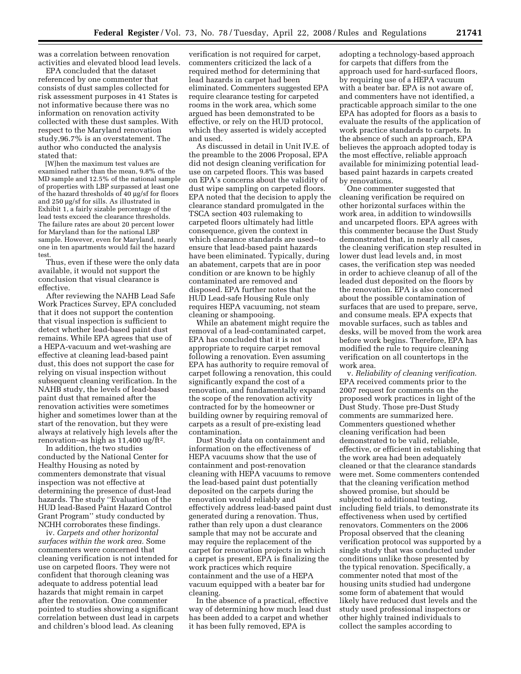was a correlation between renovation activities and elevated blood lead levels.

EPA concluded that the dataset referenced by one commenter that consists of dust samples collected for risk assessment purposes in 41 States is not informative because there was no information on renovation activity collected with these dust samples. With respect to the Maryland renovation study,96.7% is an overstatement. The author who conducted the analysis stated that:

[W]hen the maximum test values are examined rather than the mean, 9.8% of the MD sample and 12.5% of the national sample of properties with LBP surpassed at least one of the hazard thresholds of 40 µg/sf for floors and 250 µg/sf for sills. As illustrated in Exhibit 1, a fairly sizable percentage of the lead tests exceed the clearance thresholds. The failure rates are about 20 percent lower for Maryland than for the national LBP sample. However, even for Maryland, nearly one in ten apartments would fail the hazard test.

Thus, even if these were the only data available, it would not support the conclusion that visual clearance is effective.

After reviewing the NAHB Lead Safe Work Practices Survey, EPA concluded that it does not support the contention that visual inspection is sufficient to detect whether lead-based paint dust remains. While EPA agrees that use of a HEPA-vacuum and wet-washing are effective at cleaning lead-based paint dust, this does not support the case for relying on visual inspection without subsequent cleaning verification. In the NAHB study, the levels of lead-based paint dust that remained after the renovation activities were sometimes higher and sometimes lower than at the start of the renovation, but they were always at relatively high levels after the renovation--as high as 11,400 ug/ft2.

In addition, the two studies conducted by the National Center for Healthy Housing as noted by commenters demonstrate that visual inspection was not effective at determining the presence of dust-lead hazards. The study ''Evaluation of the HUD lead-Based Paint Hazard Control Grant Program'' study conducted by NCHH corroborates these findings.

iv. *Carpets and other horizontal surfaces within the work area.* Some commenters were concerned that cleaning verification is not intended for use on carpeted floors. They were not confident that thorough cleaning was adequate to address potential lead hazards that might remain in carpet after the renovation. One commenter pointed to studies showing a significant correlation between dust lead in carpets and children's blood lead. As cleaning

verification is not required for carpet, commenters criticized the lack of a required method for determining that lead hazards in carpet had been eliminated. Commenters suggested EPA require clearance testing for carpeted rooms in the work area, which some argued has been demonstrated to be effective, or rely on the HUD protocol, which they asserted is widely accepted and used.

As discussed in detail in Unit IV.E. of the preamble to the 2006 Proposal, EPA did not design cleaning verification for use on carpeted floors. This was based on EPA's concerns about the validity of dust wipe sampling on carpeted floors. EPA noted that the decision to apply the clearance standard promulgated in the TSCA section 403 rulemaking to carpeted floors ultimately had little consequence, given the context in which clearance standards are used--to ensure that lead-based paint hazards have been eliminated. Typically, during an abatement, carpets that are in poor condition or are known to be highly contaminated are removed and disposed. EPA further notes that the HUD Lead-safe Housing Rule only requires HEPA vacuuming, not steam cleaning or shampooing.

While an abatement might require the removal of a lead-contaminated carpet, EPA has concluded that it is not appropriate to require carpet removal following a renovation. Even assuming EPA has authority to require removal of carpet following a renovation, this could significantly expand the cost of a renovation, and fundamentally expand the scope of the renovation activity contracted for by the homeowner or building owner by requiring removal of carpets as a result of pre-existing lead contamination.

Dust Study data on containment and information on the effectiveness of HEPA vacuums show that the use of containment and post-renovation cleaning with HEPA vacuums to remove the lead-based paint dust potentially deposited on the carpets during the renovation would reliably and effectively address lead-based paint dust generated during a renovation. Thus, rather than rely upon a dust clearance sample that may not be accurate and may require the replacement of the carpet for renovation projects in which a carpet is present, EPA is finalizing the work practices which require containment and the use of a HEPA vacuum equipped with a beater bar for cleaning.

In the absence of a practical, effective way of determining how much lead dust has been added to a carpet and whether it has been fully removed, EPA is

adopting a technology-based approach for carpets that differs from the approach used for hard-surfaced floors, by requiring use of a HEPA vacuum with a beater bar. EPA is not aware of, and commenters have not identified, a practicable approach similar to the one EPA has adopted for floors as a basis to evaluate the results of the application of work practice standards to carpets. In the absence of such an approach, EPA believes the approach adopted today is the most effective, reliable approach available for minimizing potential leadbased paint hazards in carpets created by renovations.

One commenter suggested that cleaning verification be required on other horizontal surfaces within the work area, in addition to windowsills and uncarpeted floors. EPA agrees with this commenter because the Dust Study demonstrated that, in nearly all cases, the cleaning verification step resulted in lower dust lead levels and, in most cases, the verification step was needed in order to achieve cleanup of all of the leaded dust deposited on the floors by the renovation. EPA is also concerned about the possible contamination of surfaces that are used to prepare, serve, and consume meals. EPA expects that movable surfaces, such as tables and desks, will be moved from the work area before work begins. Therefore, EPA has modified the rule to require cleaning verification on all countertops in the work area.

v. *Reliability of cleaning verification*. EPA received comments prior to the 2007 request for comments on the proposed work practices in light of the Dust Study. Those pre-Dust Study comments are summarized here. Commenters questioned whether cleaning verification had been demonstrated to be valid, reliable, effective, or efficient in establishing that the work area had been adequately cleaned or that the clearance standards were met. Some commenters contended that the cleaning verification method showed promise, but should be subjected to additional testing, including field trials, to demonstrate its effectiveness when used by certified renovators. Commenters on the 2006 Proposal observed that the cleaning verification protocol was supported by a single study that was conducted under conditions unlike those presented by the typical renovation. Specifically, a commenter noted that most of the housing units studied had undergone some form of abatement that would likely have reduced dust levels and the study used professional inspectors or other highly trained individuals to collect the samples according to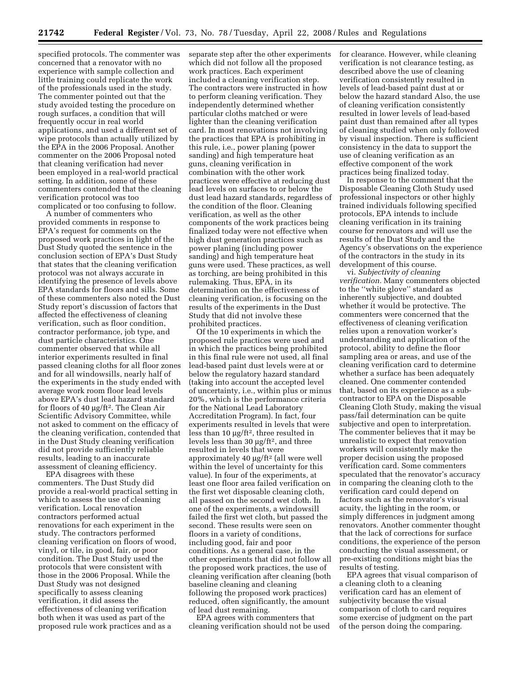specified protocols. The commenter was concerned that a renovator with no experience with sample collection and little training could replicate the work of the professionals used in the study. The commenter pointed out that the study avoided testing the procedure on rough surfaces, a condition that will frequently occur in real world applications, and used a different set of wipe protocols than actually utilized by the EPA in the 2006 Proposal. Another commenter on the 2006 Proposal noted that cleaning verification had never been employed in a real-world practical setting. In addition, some of these commenters contended that the cleaning verification protocol was too complicated or too confusing to follow.

A number of commenters who provided comments in response to EPA's request for comments on the proposed work practices in light of the Dust Study quoted the sentence in the conclusion section of EPA's Dust Study that states that the cleaning verification protocol was not always accurate in identifying the presence of levels above EPA standards for floors and sills. Some of these commenters also noted the Dust Study report's discussion of factors that affected the effectiveness of cleaning verification, such as floor condition, contractor performance, job type, and dust particle characteristics. One commenter observed that while all interior experiments resulted in final passed cleaning cloths for all floor zones and for all windowsills, nearly half of the experiments in the study ended with average work room floor lead levels above EPA's dust lead hazard standard for floors of 40 µg/ft2. The Clean Air Scientific Advisory Committee, while not asked to comment on the efficacy of the cleaning verification, contended that in the Dust Study cleaning verification did not provide sufficiently reliable results, leading to an inaccurate assessment of cleaning efficiency.

EPA disagrees with these commenters. The Dust Study did provide a real-world practical setting in which to assess the use of cleaning verification. Local renovation contractors performed actual renovations for each experiment in the study. The contractors performed cleaning verification on floors of wood, vinyl, or tile, in good, fair, or poor condition. The Dust Study used the protocols that were consistent with those in the 2006 Proposal. While the Dust Study was not designed specifically to assess cleaning verification, it did assess the effectiveness of cleaning verification both when it was used as part of the proposed rule work practices and as a

separate step after the other experiments which did not follow all the proposed work practices. Each experiment included a cleaning verification step. The contractors were instructed in how to perform cleaning verification. They independently determined whether particular cloths matched or were lighter than the cleaning verification card. In most renovations not involving the practices that EPA is prohibiting in this rule, i.e., power planing (power sanding) and high temperature heat guns, cleaning verification in combination with the other work practices were effective at reducing dust lead levels on surfaces to or below the dust lead hazard standards, regardless of the condition of the floor. Cleaning verification, as well as the other components of the work practices being finalized today were not effective when high dust generation practices such as power planing (including power sanding) and high temperature heat guns were used. These practices, as well as torching, are being prohibited in this rulemaking. Thus, EPA, in its determination on the effectiveness of cleaning verification, is focusing on the results of the experiments in the Dust Study that did not involve these prohibited practices.

Of the 10 experiments in which the proposed rule practices were used and in which the practices being prohibited in this final rule were not used, all final lead-based paint dust levels were at or below the regulatory hazard standard (taking into account the accepted level of uncertainty, i.e., within plus or minus 20%, which is the performance criteria for the National Lead Laboratory Accreditation Program). In fact, four experiments resulted in levels that were less than 10 μg/ft<sup>2</sup>, three resulted in levels less than 30 µg/ft2, and three resulted in levels that were approximately 40 µg/ft2 (all were well within the level of uncertainty for this value). In four of the experiments, at least one floor area failed verification on the first wet disposable cleaning cloth, all passed on the second wet cloth. In one of the experiments, a windowsill failed the first wet cloth, but passed the second. These results were seen on floors in a variety of conditions, including good, fair and poor conditions. As a general case, in the other experiments that did not follow all the proposed work practices, the use of cleaning verification after cleaning (both baseline cleaning and cleaning following the proposed work practices) reduced, often significantly, the amount of lead dust remaining.

EPA agrees with commenters that cleaning verification should not be used for clearance. However, while cleaning verification is not clearance testing, as described above the use of cleaning verification consistently resulted in levels of lead-based paint dust at or below the hazard standard Also, the use of cleaning verification consistently resulted in lower levels of lead-based paint dust than remained after all types of cleaning studied when only followed by visual inspection. There is sufficient consistency in the data to support the use of cleaning verification as an effective component of the work practices being finalized today.

In response to the comment that the Disposable Cleaning Cloth Study used professional inspectors or other highly trained individuals following specified protocols, EPA intends to include cleaning verification in its training course for renovators and will use the results of the Dust Study and the Agency's observations on the experience of the contractors in the study in its development of this course.

vi. *Subjectivity of cleaning verification.* Many commenters objected to the ''white glove'' standard as inherently subjective, and doubted whether it would be protective. The commenters were concerned that the effectiveness of cleaning verification relies upon a renovation worker's understanding and application of the protocol, ability to define the floor sampling area or areas, and use of the cleaning verification card to determine whether a surface has been adequately cleaned. One commenter contended that, based on its experience as a subcontractor to EPA on the Disposable Cleaning Cloth Study, making the visual pass/fail determination can be quite subjective and open to interpretation. The commenter believes that it may be unrealistic to expect that renovation workers will consistently make the proper decision using the proposed verification card. Some commenters speculated that the renovator's accuracy in comparing the cleaning cloth to the verification card could depend on factors such as the renovator's visual acuity, the lighting in the room, or simply differences in judgment among renovators. Another commenter thought that the lack of corrections for surface conditions, the experience of the person conducting the visual assessment, or pre-existing conditions might bias the results of testing.

EPA agrees that visual comparison of a cleaning cloth to a cleaning verification card has an element of subjectivity because the visual comparison of cloth to card requires some exercise of judgment on the part of the person doing the comparing.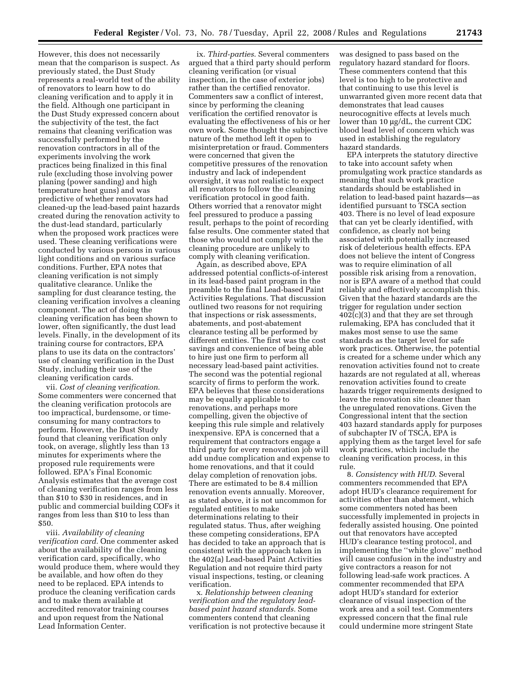However, this does not necessarily mean that the comparison is suspect. As previously stated, the Dust Study represents a real-world test of the ability of renovators to learn how to do cleaning verification and to apply it in the field. Although one participant in the Dust Study expressed concern about the subjectivity of the test, the fact remains that cleaning verification was successfully performed by the renovation contractors in all of the experiments involving the work practices being finalized in this final rule (excluding those involving power planing (power sanding) and high temperature heat guns) and was predictive of whether renovators had cleaned-up the lead-based paint hazards created during the renovation activity to the dust-lead standard, particularly when the proposed work practices were used. These cleaning verifications were conducted by various persons in various light conditions and on various surface conditions. Further, EPA notes that cleaning verification is not simply qualitative clearance. Unlike the sampling for dust clearance testing, the cleaning verification involves a cleaning component. The act of doing the cleaning verification has been shown to lower, often significantly, the dust lead levels. Finally, in the development of its training course for contractors, EPA plans to use its data on the contractors' use of cleaning verification in the Dust Study, including their use of the cleaning verification cards.

vii. *Cost of cleaning verification*. Some commenters were concerned that the cleaning verification protocols are too impractical, burdensome, or timeconsuming for many contractors to perform. However, the Dust Study found that cleaning verification only took, on average, slightly less than 13 minutes for experiments where the proposed rule requirements were followed. EPA's Final Economic Analysis estimates that the average cost of cleaning verification ranges from less than \$10 to \$30 in residences, and in public and commercial building COFs it ranges from less than \$10 to less than \$50.

viii. *Availability of cleaning verification card*. One commenter asked about the availability of the cleaning verification card, specifically, who would produce them, where would they be available, and how often do they need to be replaced. EPA intends to produce the cleaning verification cards and to make them available at accredited renovator training courses and upon request from the National Lead Information Center.

ix. *Third-parties*. Several commenters argued that a third party should perform cleaning verification (or visual inspection, in the case of exterior jobs) rather than the certified renovator. Commenters saw a conflict of interest, since by performing the cleaning verification the certified renovator is evaluating the effectiveness of his or her own work. Some thought the subjective nature of the method left it open to misinterpretation or fraud. Commenters were concerned that given the competitive pressures of the renovation industry and lack of independent oversight, it was not realistic to expect all renovators to follow the cleaning verification protocol in good faith. Others worried that a renovator might feel pressured to produce a passing result, perhaps to the point of recording false results. One commenter stated that those who would not comply with the cleaning procedure are unlikely to comply with cleaning verification.

Again, as described above, EPA addressed potential conflicts-of-interest in its lead-based paint program in the preamble to the final Lead-based Paint Activities Regulations. That discussion outlined two reasons for not requiring that inspections or risk assessments, abatements, and post-abatement clearance testing all be performed by different entities. The first was the cost savings and convenience of being able to hire just one firm to perform all necessary lead-based paint activities. The second was the potential regional scarcity of firms to perform the work. EPA believes that these considerations may be equally applicable to renovations, and perhaps more compelling, given the objective of keeping this rule simple and relatively inexpensive. EPA is concerned that a requirement that contractors engage a third party for every renovation job will add undue complication and expense to home renovations, and that it could delay completion of renovation jobs. There are estimated to be 8.4 million renovation events annually. Moreover, as stated above, it is not uncommon for regulated entities to make determinations relating to their regulated status. Thus, after weighing these competing considerations, EPA has decided to take an approach that is consistent with the approach taken in the 402(a) Lead-based Paint Activities Regulation and not require third party visual inspections, testing, or cleaning verification.

x. *Relationship between cleaning verification and the regulatory leadbased paint hazard standards.* Some commenters contend that cleaning verification is not protective because it

was designed to pass based on the regulatory hazard standard for floors. These commenters contend that this level is too high to be protective and that continuing to use this level is unwarranted given more recent data that demonstrates that lead causes neurocognitive effects at levels much lower than 10 µg/dL, the current CDC blood lead level of concern which was used in establishing the regulatory hazard standards.

EPA interprets the statutory directive to take into account safety when promulgating work practice standards as meaning that such work practice standards should be established in relation to lead-based paint hazards—as identified pursuant to TSCA section 403. There is no level of lead exposure that can yet be clearly identified, with confidence, as clearly not being associated with potentially increased risk of deleterious health effects. EPA does not believe the intent of Congress was to require elimination of all possible risk arising from a renovation, nor is EPA aware of a method that could reliably and effectively accomplish this. Given that the hazard standards are the trigger for regulation under section 402(c)(3) and that they are set through rulemaking, EPA has concluded that it makes most sense to use the same standards as the target level for safe work practices. Otherwise, the potential is created for a scheme under which any renovation activities found not to create hazards are not regulated at all, whereas renovation activities found to create hazards trigger requirements designed to leave the renovation site cleaner than the unregulated renovations. Given the Congressional intent that the section 403 hazard standards apply for purposes of subchapter IV of TSCA, EPA is applying them as the target level for safe work practices, which include the cleaning verification process, in this rule.

8. *Consistency with HUD*. Several commenters recommended that EPA adopt HUD's clearance requirement for activities other than abatement, which some commenters noted has been successfully implemented in projects in federally assisted housing. One pointed out that renovators have accepted HUD's clearance testing protocol, and implementing the ''white glove'' method will cause confusion in the industry and give contractors a reason for not following lead-safe work practices. A commenter recommended that EPA adopt HUD's standard for exterior clearance of visual inspection of the work area and a soil test. Commenters expressed concern that the final rule could undermine more stringent State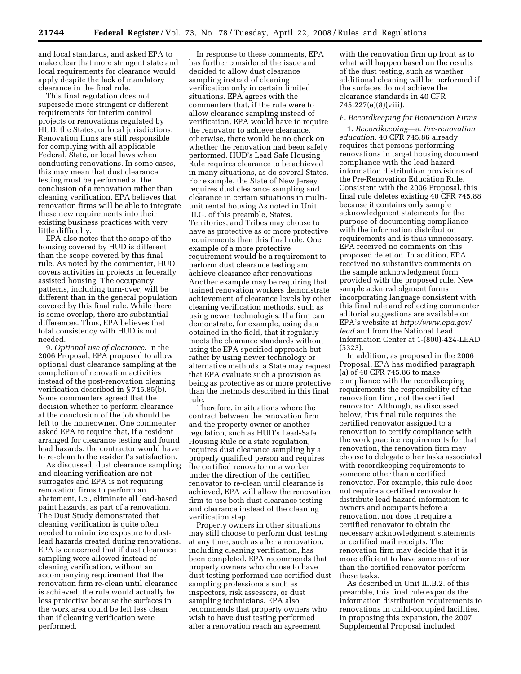and local standards, and asked EPA to make clear that more stringent state and local requirements for clearance would apply despite the lack of mandatory clearance in the final rule.

This final regulation does not supersede more stringent or different requirements for interim control projects or renovations regulated by HUD, the States, or local jurisdictions. Renovation firms are still responsible for complying with all applicable Federal, State, or local laws when conducting renovations. In some cases, this may mean that dust clearance testing must be performed at the conclusion of a renovation rather than cleaning verification. EPA believes that renovation firms will be able to integrate these new requirements into their existing business practices with very little difficulty.

EPA also notes that the scope of the housing covered by HUD is different than the scope covered by this final rule. As noted by the commenter, HUD covers activities in projects in federally assisted housing. The occupancy patterns, including turn-over, will be different than in the general population covered by this final rule. While there is some overlap, there are substantial differences. Thus, EPA believes that total consistency with HUD is not needed.

9. *Optional use of clearance*. In the 2006 Proposal, EPA proposed to allow optional dust clearance sampling at the completion of renovation activities instead of the post-renovation cleaning verification described in § 745.85(b). Some commenters agreed that the decision whether to perform clearance at the conclusion of the job should be left to the homeowner. One commenter asked EPA to require that, if a resident arranged for clearance testing and found lead hazards, the contractor would have to re-clean to the resident's satisfaction.

As discussed, dust clearance sampling and cleaning verification are not surrogates and EPA is not requiring renovation firms to perform an abatement, i.e., eliminate all lead-based paint hazards, as part of a renovation. The Dust Study demonstrated that cleaning verification is quite often needed to minimize exposure to dustlead hazards created during renovations. EPA is concerned that if dust clearance sampling were allowed instead of cleaning verification, without an accompanying requirement that the renovation firm re-clean until clearance is achieved, the rule would actually be less protective because the surfaces in the work area could be left less clean than if cleaning verification were performed.

In response to these comments, EPA has further considered the issue and decided to allow dust clearance sampling instead of cleaning verification only in certain limited situations. EPA agrees with the commenters that, if the rule were to allow clearance sampling instead of verification, EPA would have to require the renovator to achieve clearance, otherwise, there would be no check on whether the renovation had been safely performed. HUD's Lead Safe Housing Rule requires clearance to be achieved in many situations, as do several States. For example, the State of New Jersey requires dust clearance sampling and clearance in certain situations in multiunit rental housing.As noted in Unit III.G. of this preamble, States, Territories, and Tribes may choose to have as protective as or more protective requirements than this final rule. One example of a more protective requirement would be a requirement to perform dust clearance testing and achieve clearance after renovations. Another example may be requiring that trained renovation workers demonstrate achievement of clearance levels by other cleaning verification methods, such as using newer technologies. If a firm can demonstrate, for example, using data obtained in the field, that it regularly meets the clearance standards without using the EPA specified approach but rather by using newer technology or alternative methods, a State may request that EPA evaluate such a provision as being as protective as or more protective than the methods described in this final rule.

Therefore, in situations where the contract between the renovation firm and the property owner or another regulation, such as HUD's Lead-Safe Housing Rule or a state regulation, requires dust clearance sampling by a properly qualified person and requires the certified renovator or a worker under the direction of the certified renovator to re-clean until clearance is achieved, EPA will allow the renovation firm to use both dust clearance testing and clearance instead of the cleaning verification step.

Property owners in other situations may still choose to perform dust testing at any time, such as after a renovation, including cleaning verification, has been completed. EPA recommends that property owners who choose to have dust testing performed use certified dust sampling professionals such as inspectors, risk assessors, or dust sampling technicians. EPA also recommends that property owners who wish to have dust testing performed after a renovation reach an agreement

with the renovation firm up front as to what will happen based on the results of the dust testing, such as whether additional cleaning will be performed if the surfaces do not achieve the clearance standards in 40 CFR 745.227(e)(8)(viii).

# *F. Recordkeeping for Renovation Firms*

1. *Recordkeeping*—a. *Pre-renovation education.* 40 CFR 745.86 already requires that persons performing renovations in target housing document compliance with the lead hazard information distribution provisions of the Pre-Renovation Education Rule. Consistent with the 2006 Proposal, this final rule deletes existing 40 CFR 745.88 because it contains only sample acknowledgment statements for the purpose of documenting compliance with the information distribution requirements and is thus unnecessary. EPA received no comments on this proposed deletion. In addition, EPA received no substantive comments on the sample acknowledgment form provided with the proposed rule. New sample acknowledgment forms incorporating language consistent with this final rule and reflecting commenter editorial suggestions are available on EPA's website at *http://www.epa.gov/ lead* [and from the National Lead](http://www.epa.gov/lead)  Information Center at 1-(800)-424-LEAD (5323).

In addition, as proposed in the 2006 Proposal, EPA has modified paragraph (a) of 40 CFR 745.86 to make compliance with the recordkeeping requirements the responsibility of the renovation firm, not the certified renovator. Although, as discussed below, this final rule requires the certified renovator assigned to a renovation to certify compliance with the work practice requirements for that renovation, the renovation firm may choose to delegate other tasks associated with recordkeeping requirements to someone other than a certified renovator. For example, this rule does not require a certified renovator to distribute lead hazard information to owners and occupants before a renovation, nor does it require a certified renovator to obtain the necessary acknowledgment statements or certified mail receipts. The renovation firm may decide that it is more efficient to have someone other than the certified renovator perform these tasks.

As described in Unit III.B.2. of this preamble, this final rule expands the information distribution requirements to renovations in child-occupied facilities. In proposing this expansion, the 2007 Supplemental Proposal included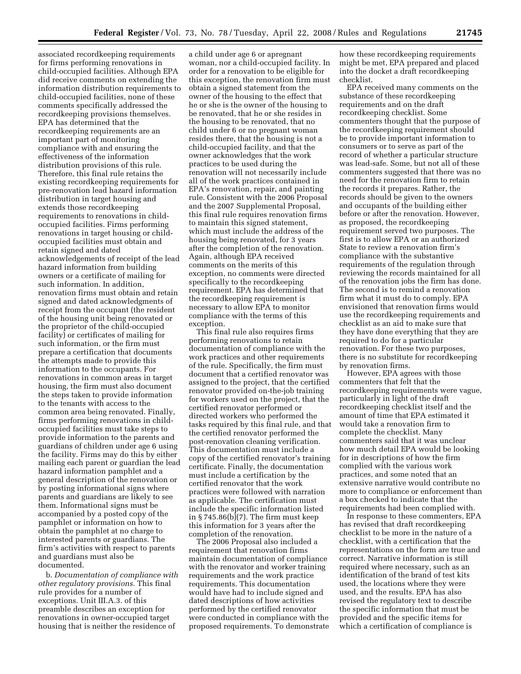associated recordkeeping requirements for firms performing renovations in child-occupied facilities. Although EPA did receive comments on extending the information distribution requirements to child-occupied facilities, none of these comments specifically addressed the recordkeeping provisions themselves. EPA has determined that the recordkeeping requirements are an important part of monitoring compliance with and ensuring the effectiveness of the information distribution provisions of this rule. Therefore, this final rule retains the existing recordkeeping requirements for pre-renovation lead hazard information distribution in target housing and extends those recordkeeping requirements to renovations in childoccupied facilities. Firms performing renovations in target housing or childoccupied facilities must obtain and retain signed and dated acknowledgements of receipt of the lead hazard information from building owners or a certificate of mailing for such information. In addition, renovation firms must obtain and retain signed and dated acknowledgments of receipt from the occupant (the resident of the housing unit being renovated or the proprietor of the child-occupied facility) or certificates of mailing for such information, or the firm must prepare a certification that documents the attempts made to provide this information to the occupants. For renovations in common areas in target housing, the firm must also document the steps taken to provide information to the tenants with access to the common area being renovated. Finally, firms performing renovations in childoccupied facilities must take steps to provide information to the parents and guardians of children under age 6 using the facility. Firms may do this by either mailing each parent or guardian the lead hazard information pamphlet and a general description of the renovation or by posting informational signs where parents and guardians are likely to see them. Informational signs must be accompanied by a posted copy of the pamphlet or information on how to obtain the pamphlet at no charge to interested parents or guardians. The firm's activities with respect to parents and guardians must also be documented.

b. *Documentation of compliance with other regulatory provisions.* This final rule provides for a number of exceptions. Unit III.A.3. of this preamble describes an exception for renovations in owner-occupied target housing that is neither the residence of

a child under age 6 or apregnant woman, nor a child-occupied facility. In order for a renovation to be eligible for this exception, the renovation firm must obtain a signed statement from the owner of the housing to the effect that he or she is the owner of the housing to be renovated, that he or she resides in the housing to be renovated, that no child under 6 or no pregnant woman resides there, that the housing is not a child-occupied facility, and that the owner acknowledges that the work practices to be used during the renovation will not necessarily include all of the work practices contained in EPA's renovation, repair, and painting rule. Consistent with the 2006 Proposal and the 2007 Supplemental Proposal, this final rule requires renovation firms to maintain this signed statement, which must include the address of the housing being renovated, for 3 years after the completion of the renovation. Again, although EPA received comments on the merits of this exception, no comments were directed specifically to the recordkeeping requirement. EPA has determined that the recordkeeping requirement is necessary to allow EPA to monitor compliance with the terms of this exception.

This final rule also requires firms performing renovations to retain documentation of compliance with the work practices and other requirements of the rule. Specifically, the firm must document that a certified renovator was assigned to the project, that the certified renovator provided on-the-job training for workers used on the project, that the certified renovator performed or directed workers who performed the tasks required by this final rule, and that the certified renovator performed the post-renovation cleaning verification. This documentation must include a copy of the certified renovator's training certificate. Finally, the documentation must include a certification by the certified renovator that the work practices were followed with narration as applicable. The certification must include the specific information listed in § 745.86(b)(7). The firm must keep this information for 3 years after the completion of the renovation.

The 2006 Proposal also included a requirement that renovation firms maintain documentation of compliance with the renovator and worker training requirements and the work practice requirements. This documentation would have had to include signed and dated descriptions of how activities performed by the certified renovator were conducted in compliance with the proposed requirements. To demonstrate

how these recordkeeping requirements might be met, EPA prepared and placed into the docket a draft recordkeeping checklist.

EPA received many comments on the substance of these recordkeeping requirements and on the draft recordkeeping checklist. Some commenters thought that the purpose of the recordkeeping requirement should be to provide important information to consumers or to serve as part of the record of whether a particular structure was lead-safe. Some, but not all of these commenters suggested that there was no need for the renovation firm to retain the records it prepares. Rather, the records should be given to the owners and occupants of the building either before or after the renovation. However, as proposed, the recordkeeping requirement served two purposes. The first is to allow EPA or an authorized State to review a renovation firm's compliance with the substantive requirements of the regulation through reviewing the records maintained for all of the renovation jobs the firm has done. The second is to remind a renovation firm what it must do to comply. EPA envisioned that renovation firms would use the recordkeeping requirements and checklist as an aid to make sure that they have done everything that they are required to do for a particular renovation. For these two purposes, there is no substitute for recordkeeping by renovation firms.

However, EPA agrees with those commenters that felt that the recordkeeping requirements were vague, particularly in light of the draft recordkeeping checklist itself and the amount of time that EPA estimated it would take a renovation firm to complete the checklist. Many commenters said that it was unclear how much detail EPA would be looking for in descriptions of how the firm complied with the various work practices, and some noted that an extensive narrative would contribute no more to compliance or enforcement than a box checked to indicate that the requirements had been complied with.

In response to these commenters, EPA has revised that draft recordkeeping checklist to be more in the nature of a checklist, with a certification that the representations on the form are true and correct. Narrative information is still required where necessary, such as an identification of the brand of test kits used, the locations where they were used, and the results. EPA has also revised the regulatory text to describe the specific information that must be provided and the specific items for which a certification of compliance is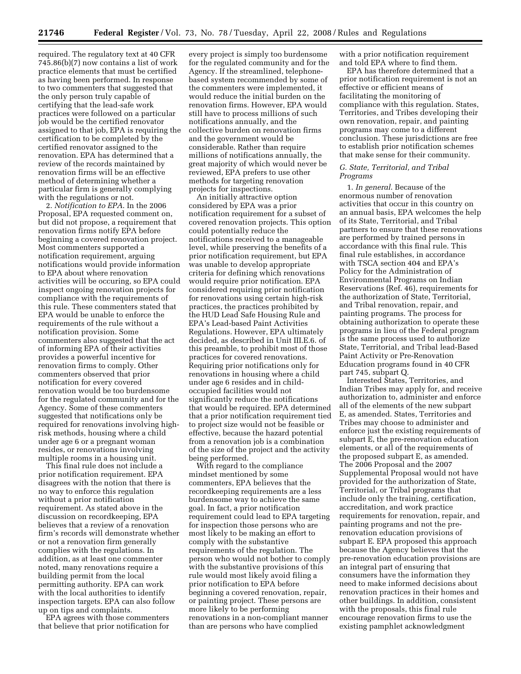required. The regulatory text at 40 CFR 745.86(b)(7) now contains a list of work practice elements that must be certified as having been performed. In response to two commenters that suggested that the only person truly capable of certifying that the lead-safe work practices were followed on a particular job would be the certified renovator assigned to that job, EPA is requiring the certification to be completed by the certified renovator assigned to the renovation. EPA has determined that a review of the records maintained by renovation firms will be an effective method of determining whether a particular firm is generally complying with the regulations or not.

2. *Notification to EPA*. In the 2006 Proposal, EPA requested comment on, but did not propose, a requirement that renovation firms notify EPA before beginning a covered renovation project. Most commenters supported a notification requirement, arguing notifications would provide information to EPA about where renovation activities will be occuring, so EPA could inspect ongoing renovation projects for compliance with the requirements of this rule. These commenters stated that EPA would be unable to enforce the requirements of the rule without a notification provision. Some commenters also suggested that the act of informing EPA of their activities provides a powerful incentive for renovation firms to comply. Other commenters observed that prior notification for every covered renovation would be too burdensome for the regulated community and for the Agency. Some of these commenters suggested that notifications only be required for renovations involving highrisk methods, housing where a child under age 6 or a pregnant woman resides, or renovations involving multiple rooms in a housing unit.

This final rule does not include a prior notification requirement. EPA disagrees with the notion that there is no way to enforce this regulation without a prior notification requirement. As stated above in the discussion on recordkeeping, EPA believes that a review of a renovation firm's records will demonstrate whether or not a renovation firm generally complies with the regulations. In addition, as at least one commenter noted, many renovations require a building permit from the local permitting authority. EPA can work with the local authorities to identify inspection targets. EPA can also follow up on tips and complaints.

EPA agrees with those commenters that believe that prior notification for

every project is simply too burdensome for the regulated community and for the Agency. If the streamlined, telephonebased system recommended by some of the commenters were implemented, it would reduce the initial burden on the renovation firms. However, EPA would still have to process millions of such notifications annually, and the collective burden on renovation firms and the government would be considerable. Rather than require millions of notifications annually, the great majority of which would never be reviewed, EPA prefers to use other methods for targeting renovation projects for inspections.

An initially attractive option considered by EPA was a prior notification requirement for a subset of covered renovation projects. This option could potentially reduce the notifications received to a manageable level, while preserving the benefits of a prior notification requirement, but EPA was unable to develop appropriate criteria for defining which renovations would require prior notification. EPA considered requiring prior notification for renovations using certain high-risk practices, the practices prohibited by the HUD Lead Safe Housing Rule and EPA's Lead-based Paint Activities Regulations. However, EPA ultimately decided, as described in Unit III.E.6. of this preamble, to prohibit most of those practices for covered renovations. Requiring prior notifications only for renovations in housing where a child under age 6 resides and in childoccupied facilities would not significantly reduce the notifications that would be required. EPA determined that a prior notification requirement tied to project size would not be feasible or effective, because the hazard potential from a renovation job is a combination of the size of the project and the activity being performed.

With regard to the compliance mindset mentioned by some commenters, EPA believes that the recordkeeping requirements are a less burdensome way to achieve the same goal. In fact, a prior notification requirement could lead to EPA targeting for inspection those persons who are most likely to be making an effort to comply with the substantive requirements of the regulation. The person who would not bother to comply with the substantive provisions of this rule would most likely avoid filing a prior notification to EPA before beginning a covered renovation, repair, or painting project. These persons are more likely to be performing renovations in a non-compliant manner than are persons who have complied

with a prior notification requirement and told EPA where to find them.

EPA has therefore determined that a prior notification requirement is not an effective or efficient means of facilitating the monitoring of compliance with this regulation. States, Territories, and Tribes developing their own renovation, repair, and painting programs may come to a different conclusion. These jurisdictions are free to establish prior notification schemes that make sense for their community.

## *G. State, Territorial, and Tribal Programs*

1. *In general*. Because of the enormous number of renovation activities that occur in this country on an annual basis, EPA welcomes the help of its State, Territorial, and Tribal partners to ensure that these renovations are performed by trained persons in accordance with this final rule. This final rule establishes, in accordance with TSCA section 404 and EPA's Policy for the Administration of Environmental Programs on Indian Reservations (Ref. 46), requirements for the authorization of State, Territorial, and Tribal renovation, repair, and painting programs. The process for obtaining authorization to operate these programs in lieu of the Federal program is the same process used to authorize State, Territorial, and Tribal lead-Based Paint Activity or Pre-Renovation Education programs found in 40 CFR part 745, subpart Q.

Interested States, Territories, and Indian Tribes may apply for, and receive authorization to, administer and enforce all of the elements of the new subpart E, as amended. States, Territories and Tribes may choose to administer and enforce just the existing requirements of subpart E, the pre-renovation education elements, or all of the requirements of the proposed subpart E, as amended. The 2006 Proposal and the 2007 Supplemental Proposal would not have provided for the authorization of State, Territorial, or Tribal programs that include only the training, certification, accreditation, and work practice requirements for renovation, repair, and painting programs and not the prerenovation education provisions of subpart E. EPA proposed this approach because the Agency believes that the pre-renovation education provisions are an integral part of ensuring that consumers have the information they need to make informed decisions about renovation practices in their homes and other buildings. In addition, consistent with the proposals, this final rule encourage renovation firms to use the existing pamphlet acknowledgment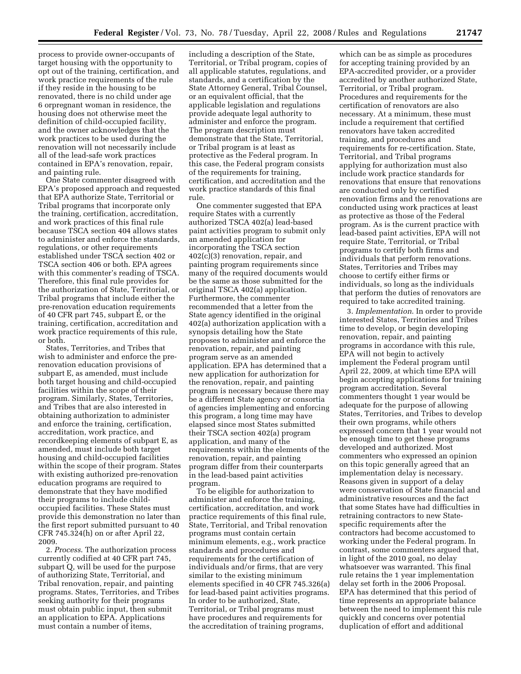process to provide owner-occupants of target housing with the opportunity to opt out of the training, certification, and work practice requirements of the rule if they reside in the housing to be renovated, there is no child under age 6 orpregnant woman in residence, the housing does not otherwise meet the definition of child-occupied facility, and the owner acknowledges that the work practices to be used during the renovation will not necessarily include all of the lead-safe work practices contained in EPA's renovation, repair, and painting rule.

One State commenter disagreed with EPA's proposed approach and requested that EPA authorize State, Territorial or Tribal programs that incorporate only the training, certification, accreditation, and work practices of this final rule because TSCA section 404 allows states to administer and enforce the standards, regulations, or other requirements established under TSCA section 402 or TSCA section 406 or both. EPA agrees with this commenter's reading of TSCA. Therefore, this final rule provides for the authorization of State, Territorial, or Tribal programs that include either the pre-renovation education requirements of 40 CFR part 745, subpart E, or the training, certification, accreditation and work practice requirements of this rule, or both.

States, Territories, and Tribes that wish to administer and enforce the prerenovation education provisions of subpart E, as amended, must include both target housing and child-occupied facilities within the scope of their program. Similarly, States, Territories, and Tribes that are also interested in obtaining authorization to administer and enforce the training, certification, accreditation, work practice, and recordkeeping elements of subpart E, as amended, must include both target housing and child-occupied facilities within the scope of their program. States with existing authorized pre-renovation education programs are required to demonstrate that they have modified their programs to include childoccupied facilities. These States must provide this demonstration no later than the first report submitted pursuant to 40 CFR 745.324(h) on or after April 22, 2009.

2. *Process*. The authorization process currently codified at 40 CFR part 745, subpart Q, will be used for the purpose of authorizing State, Territorial, and Tribal renovation, repair, and painting programs. States, Territories, and Tribes seeking authority for their programs must obtain public input, then submit an application to EPA. Applications must contain a number of items,

including a description of the State, Territorial, or Tribal program, copies of all applicable statutes, regulations, and standards, and a certification by the State Attorney General, Tribal Counsel, or an equivalent official, that the applicable legislation and regulations provide adequate legal authority to administer and enforce the program. The program description must demonstrate that the State, Territorial, or Tribal program is at least as protective as the Federal program. In this case, the Federal program consists of the requirements for training, certification, and accreditation and the work practice standards of this final rule.

One commenter suggested that EPA require States with a currently authorized TSCA 402(a) lead-based paint activities program to submit only an amended application for incorporating the TSCA section 402(c)(3) renovation, repair, and painting program requirements since many of the required documents would be the same as those submitted for the original TSCA 402(a) application. Furthermore, the commenter recommended that a letter from the State agency identified in the original 402(a) authorization application with a synopsis detailing how the State proposes to administer and enforce the renovation, repair, and painting program serve as an amended application. EPA has determined that a new application for authorization for the renovation, repair, and painting program is necessary because there may be a different State agency or consortia of agencies implementing and enforcing this program, a long time may have elapsed since most States submitted their TSCA section 402(a) program application, and many of the requirements within the elements of the renovation, repair, and painting program differ from their counterparts in the lead-based paint activities program.

To be eligible for authorization to administer and enforce the training, certification, accreditation, and work practice requirements of this final rule, State, Territorial, and Tribal renovation programs must contain certain minimum elements, e.g., work practice standards and procedures and requirements for the certification of individuals and/or firms, that are very similar to the existing minimum elements specified in 40 CFR 745.326(a) for lead-based paint activities programs. In order to be authorized, State, Territorial, or Tribal programs must have procedures and requirements for the accreditation of training programs,

which can be as simple as procedures for accepting training provided by an EPA-accredited provider, or a provider accredited by another authorized State, Territorial, or Tribal program. Procedures and requirements for the certification of renovators are also necessary. At a minimum, these must include a requirement that certified renovators have taken accredited training, and procedures and requirements for re-certification. State, Territorial, and Tribal programs applying for authorization must also include work practice standards for renovations that ensure that renovations are conducted only by certified renovation firms and the renovations are conducted using work practices at least as protective as those of the Federal program. As is the current practice with lead-based paint activities, EPA will not require State, Territorial, or Tribal programs to certify both firms and individuals that perform renovations. States, Territories and Tribes may choose to certify either firms or individuals, so long as the individuals that perform the duties of renovators are required to take accredited training.

3. *Implementation*. In order to provide interested States, Territories and Tribes time to develop, or begin developing renovation, repair, and painting programs in accordance with this rule, EPA will not begin to actively implement the Federal program until April 22, 2009, at which time EPA will begin accepting applications for training program accreditation. Several commenters thought 1 year would be adequate for the purpose of allowing States, Territories, and Tribes to develop their own programs, while others expressed concern that 1 year would not be enough time to get these programs developed and authorized. Most commenters who expressed an opinion on this topic generally agreed that an implementation delay is necessary. Reasons given in support of a delay were conservation of State financial and administrative resources and the fact that some States have had difficulties in retraining contractors to new Statespecific requirements after the contractors had become accustomed to working under the Federal program. In contrast, some commenters argued that, in light of the 2010 goal, no delay whatsoever was warranted. This final rule retains the 1 year implementation delay set forth in the 2006 Proposal. EPA has determined that this period of time represents an appropriate balance between the need to implement this rule quickly and concerns over potential duplication of effort and additional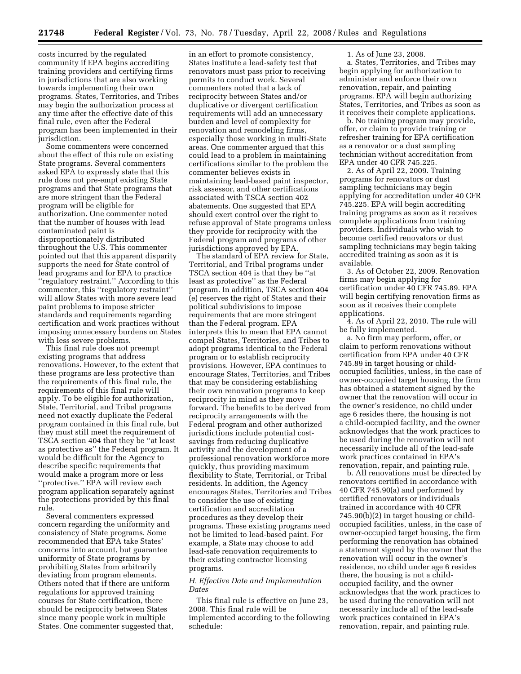costs incurred by the regulated community if EPA begins accrediting training providers and certifying firms in jurisdictions that are also working towards implementing their own programs. States, Territories, and Tribes may begin the authorization process at any time after the effective date of this final rule, even after the Federal program has been implemented in their jurisdiction.

Some commenters were concerned about the effect of this rule on existing State programs. Several commenters asked EPA to expressly state that this rule does not pre-empt existing State programs and that State programs that are more stringent than the Federal program will be eligible for authorization. One commenter noted that the number of houses with lead contaminated paint is disproportionately distributed throughout the U.S. This commenter pointed out that this apparent disparity supports the need for State control of lead programs and for EPA to practice ''regulatory restraint.'' According to this commenter, this ''regulatory restraint'' will allow States with more severe lead paint problems to impose stricter standards and requirements regarding certification and work practices without imposing unnecessary burdens on States with less severe problems.

This final rule does not preempt existing programs that address renovations. However, to the extent that these programs are less protective than the requirements of this final rule, the requirements of this final rule will apply. To be eligible for authorization, State, Territorial, and Tribal programs need not exactly duplicate the Federal program contained in this final rule, but they must still meet the requirement of TSCA section 404 that they be ''at least as protective as'' the Federal program. It would be difficult for the Agency to describe specific requirements that would make a program more or less ''protective.'' EPA will review each program application separately against the protections provided by this final rule.

Several commenters expressed concern regarding the uniformity and consistency of State programs. Some recommended that EPA take States' concerns into account, but guarantee uniformity of State programs by prohibiting States from arbitrarily deviating from program elements. Others noted that if there are uniform regulations for approved training courses for State certification, there should be reciprocity between States since many people work in multiple States. One commenter suggested that,

in an effort to promote consistency, States institute a lead-safety test that renovators must pass prior to receiving permits to conduct work. Several commenters noted that a lack of reciprocity between States and/or duplicative or divergent certification requirements will add an unnecessary burden and level of complexity for renovation and remodeling firms, especially those working in multi-State areas. One commenter argued that this could lead to a problem in maintaining certifications similar to the problem the commenter believes exists in maintaining lead-based paint inspector, risk assessor, and other certifications associated with TSCA section 402 abatements. One suggested that EPA should exert control over the right to refuse approval of State programs unless they provide for reciprocity with the Federal program and programs of other jurisdictions approved by EPA.

The standard of EPA review for State, Territorial, and Tribal programs under TSCA section 404 is that they be ''at least as protective'' as the Federal program. In addition, TSCA section 404 (e) reserves the right of States and their political subdivisions to impose requirements that are more stringent than the Federal program. EPA interprets this to mean that EPA cannot compel States, Territories, and Tribes to adopt programs identical to the Federal program or to establish reciprocity provisions. However, EPA continues to encourage States, Territories, and Tribes that may be considering establishing their own renovation programs to keep reciprocity in mind as they move forward. The benefits to be derived from reciprocity arrangements with the Federal program and other authorized jurisdictions include potential costsavings from reducing duplicative activity and the development of a professional renovation workforce more quickly, thus providing maximum flexibility to State, Territorial, or Tribal residents. In addition, the Agency encourages States, Territories and Tribes to consider the use of existing certification and accreditation procedures as they develop their programs. These existing programs need not be limited to lead-based paint. For example, a State may choose to add lead-safe renovation requirements to their existing contractor licensing programs.

## *H. Effective Date and Implementation Dates*

This final rule is effective on June 23, 2008. This final rule will be implemented according to the following schedule:

1. As of June 23, 2008.

a. States, Territories, and Tribes may begin applying for authorization to administer and enforce their own renovation, repair, and painting programs. EPA will begin authorizing States, Territories, and Tribes as soon as it receives their complete applications.

b. No training program may provide, offer, or claim to provide training or refresher training for EPA certification as a renovator or a dust sampling technician without accreditation from EPA under 40 CFR 745.225.

2. As of April 22, 2009. Training programs for renovators or dust sampling technicians may begin applying for accreditation under 40 CFR 745.225. EPA will begin accrediting training programs as soon as it receives complete applications from training providers. Individuals who wish to become certified renovators or dust sampling technicians may begin taking accredited training as soon as it is available.

3. As of October 22, 2009. Renovation firms may begin applying for certification under 40 CFR 745.89. EPA will begin certifying renovation firms as soon as it receives their complete applications.

4. As of April 22, 2010. The rule will be fully implemented.

a. No firm may perform, offer, or claim to perform renovations without certification from EPA under 40 CFR 745.89 in target housing or childoccupied facilities, unless, in the case of owner-occupied target housing, the firm has obtained a statement signed by the owner that the renovation will occur in the owner's residence, no child under age 6 resides there, the housing is not a child-occupied facility, and the owner acknowledges that the work practices to be used during the renovation will not necessarily include all of the lead-safe work practices contained in EPA's renovation, repair, and painting rule.

b. All renovations must be directed by renovators certified in accordance with 40 CFR 745.90(a) and performed by certified renovators or individuals trained in accordance with 40 CFR 745.90(b)(2) in target housing or childoccupied facilities, unless, in the case of owner-occupied target housing, the firm performing the renovation has obtained a statement signed by the owner that the renovation will occur in the owner's residence, no child under age 6 resides there, the housing is not a childoccupied facility, and the owner acknowledges that the work practices to be used during the renovation will not necessarily include all of the lead-safe work practices contained in EPA's renovation, repair, and painting rule.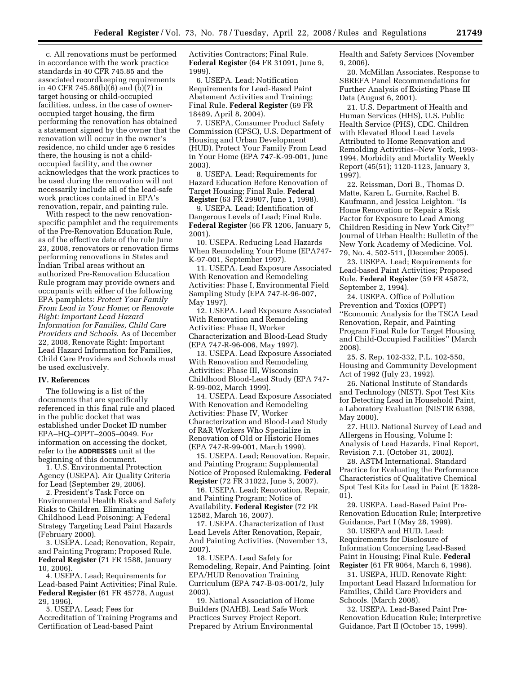c. All renovations must be performed in accordance with the work practice standards in 40 CFR 745.85 and the associated recordkeeping requirements in 40 CFR 745.86(b)( $\vec{6}$ ) and ( $\vec{b}$ )(7) in target housing or child-occupied facilities, unless, in the case of owneroccupied target housing, the firm performing the renovation has obtained a statement signed by the owner that the renovation will occur in the owner's residence, no child under age 6 resides there, the housing is not a childoccupied facility, and the owner acknowledges that the work practices to be used during the renovation will not necessarily include all of the lead-safe work practices contained in EPA's renovation, repair, and painting rule.

With respect to the new renovationspecific pamphlet and the requirements of the Pre-Renovation Education Rule, as of the effective date of the rule June 23, 2008, renovators or renovation firms performing renovations in States and Indian Tribal areas without an authorized Pre-Renovation Education Rule program may provide owners and occupants with either of the following EPA pamphlets: *Protect Your Family From Lead in Your Home*; or *Renovate Right: Important Lead Hazard Information for Families, Child Care Providers and Schools*. As of December 22, 2008, Renovate Right: Important Lead Hazard Information for Families, Child Care Providers and Schools must be used exclusively.

#### **IV. References**

The following is a list of the documents that are specifically referenced in this final rule and placed in the public docket that was established under Docket ID number EPA–HQ–OPPT–2005–0049. For information on accessing the docket, refer to the **ADDRESSES** unit at the beginning of this document.

1. U.S. Environmental Protection Agency (USEPA). Air Quality Criteria for Lead (September 29, 2006).

2. President's Task Force on Environmental Health Risks and Safety Risks to Children. Eliminating Childhood Lead Poisoning: A Federal Strategy Targeting Lead Paint Hazards (February 2000).

3. USEPA. Lead; Renovation, Repair, and Painting Program; Proposed Rule. **Federal Register** (71 FR 1588, January 10, 2006).

4. USEPA. Lead; Requirements for Lead-based Paint Activities; Final Rule. **Federal Register** (61 FR 45778, August 29, 1996).

5. USEPA. Lead; Fees for Accreditation of Training Programs and Certification of Lead-based Paint

Activities Contractors; Final Rule. **Federal Register** (64 FR 31091, June 9, 1999).

6. USEPA. Lead; Notification Requirements for Lead-Based Paint Abatement Activities and Training; Final Rule. **Federal Register** (69 FR 18489, April 8, 2004).

7. USEPA, Consumer Product Safety Commission (CPSC), U.S. Department of Housing and Urban Development (HUD). Protect Your Family From Lead in Your Home (EPA 747-K-99-001, June 2003).

8. USEPA. Lead; Requirements for Hazard Education Before Renovation of Target Housing; Final Rule. **Federal Register** (63 FR 29907, June 1, 1998).

9. USEPA. Lead; Identification of Dangerous Levels of Lead; Final Rule. **Federal Register** (66 FR 1206, January 5, 2001).

10. USEPA. Reducing Lead Hazards When Remodeling Your Home (EPA747- K-97-001, September 1997).

11. USEPA. Lead Exposure Associated With Renovation and Remodeling Activities: Phase I, Environmental Field Sampling Study (EPA 747-R-96-007, May 1997).

12. USEPA. Lead Exposure Associated With Renovation and Remodeling Activities: Phase II, Worker Characterization and Blood-Lead Study (EPA 747-R-96-006, May 1997).

13. USEPA. Lead Exposure Associated With Renovation and Remodeling Activities: Phase III, Wisconsin Childhood Blood-Lead Study (EPA 747- R-99-002, March 1999).

14. USEPA. Lead Exposure Associated With Renovation and Remodeling Activities: Phase IV, Worker Characterization and Blood-Lead Study of R&R Workers Who Specialize in Renovation of Old or Historic Homes (EPA 747-R-99-001, March 1999).

15. USEPA. Lead; Renovation, Repair, and Painting Program; Supplemental Notice of Proposed Rulemaking. **Federal Register** (72 FR 31022, June 5, 2007).

16. USEPA. Lead; Renovation, Repair, and Painting Program; Notice of Availability. **Federal Register** (72 FR 12582, March 16, 2007).

17. USEPA. Characterization of Dust Lead Levels After Renovation, Repair, And Painting Activities. (November 13, 2007).

18. USEPA. Lead Safety for Remodeling, Repair, And Painting. Joint EPA/HUD Renovation Training Curriculum (EPA 747-B-03-001/2, July 2003).

19. National Association of Home Builders (NAHB). Lead Safe Work Practices Survey Project Report. Prepared by Atrium Environmental

Health and Safety Services (November 9, 2006).

20. McMillan Associates. Response to SBREFA Panel Recommendations for Further Analysis of Existing Phase III Data (August 6, 2001).

21. U.S. Department of Health and Human Services (HHS), U.S. Public Health Service (PHS), CDC. Children with Elevated Blood Lead Levels Attributed to Home Renovation and Remolding Activities--New York, 1993- 1994. Morbidity and Mortality Weekly Report (45(51); 1120-1123, January 3, 1997).

22. Reissman, Dori B., Thomas D. Matte, Karen L. Gurnite, Rachel B. Kaufmann, and Jessica Leighton. ''Is Home Renovation or Repair a Risk Factor for Exposure to Lead Among Children Residing in New York City?'' Journal of Urban Health: Bulletin of the New York Academy of Medicine. Vol. 79, No. 4, 502-511, (December 2005).

23. USEPA. Lead; Requirements for Lead-based Paint Activities; Proposed Rule. **Federal Register** (59 FR 45872, September 2, 1994).

24. USEPA. Office of Pollution Prevention and Toxics (OPPT) ''Economic Analysis for the TSCA Lead Renovation, Repair, and Painting Program Final Rule for Target Housing and Child-Occupied Facilities'' (March 2008).

25. S. Rep. 102-332, P.L. 102-550, Housing and Community Development Act of 1992 (July 23, 1992).

26. National Institute of Standards and Technology (NIST). Spot Test Kits for Detecting Lead in Household Paint, a Laboratory Evaluation (NISTIR 6398, May 2000).

27. HUD. National Survey of Lead and Allergens in Housing, Volume I: Analysis of Lead Hazards, Final Report, Revision 7.1. (October 31, 2002).

28. ASTM International. Standard Practice for Evaluating the Performance Characteristics of Qualitative Chemical Spot Test Kits for Lead in Paint (E 1828- 01).

29. USEPA. Lead-Based Paint Pre-Renovation Education Rule; Interpretive Guidance, Part I (May 28, 1999).

30. USEPA and HUD. Lead; Requirements for Disclosure of Information Concerning Lead-Based Paint in Housing; Final Rule. **Federal Register** (61 FR 9064, March 6, 1996).

31. USEPA, HUD. Renovate Right: Important Lead Hazard Information for Families, Child Care Providers and Schools. (March 2008).

32. USEPA. Lead-Based Paint Pre-Renovation Education Rule; Interpretive Guidance, Part II (October 15, 1999).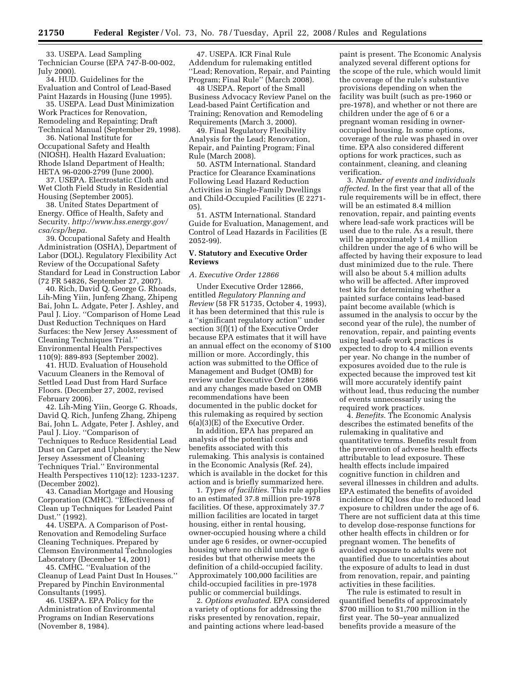33. USEPA. Lead Sampling Technician Course (EPA 747-B-00-002, July 2000).

34. HUD. Guidelines for the Evaluation and Control of Lead-Based Paint Hazards in Housing (June 1995).

35. USEPA. Lead Dust Minimization Work Practices for Renovation, Remodeling and Repainting; Draft Technical Manual (September 29, 1998).

36. National Institute for Occupational Safety and Health (NIOSH). Health Hazard Evaluation; Rhode Island Department of Health; HETA 96-0200-2799 (June 2000).

37. USEPA. Electrostatic Cloth and Wet Cloth Field Study in Residential Housing (September 2005).

38. United States Department of Energy. Office of Health, Safety and Security. *[http://www.hss.energy.gov/](http://www.hss.energy.gov/csa/csp/hepa)  csa/csp/hepa.* 

39. Occupational Safety and Health Administration (OSHA), Department of Labor (DOL). Regulatory Flexibility Act Review of the Occupational Safety Standard for Lead in Construction Labor (72 FR 54826, September 27, 2007).

40. Rich, David Q. George G. Rhoads, Lih-Ming Yiin, Junfeng Zhang, Zhipeng Bai, John L. Adgate, Peter J. Ashley, and Paul J. Lioy. ''Comparison of Home Lead Dust Reduction Techniques on Hard Surfaces: the New Jersey Assessment of Cleaning Techniques Trial.'' Environmental Health Perspectives 110(9): 889-893 (September 2002).

41. HUD. Evaluation of Household Vacuum Cleaners in the Removal of Settled Lead Dust from Hard Surface Floors. (December 27, 2002, revised February 2006).

42. Lih-Ming Yiin, George G. Rhoads, David Q. Rich, Junfeng Zhang, Zhipeng Bai, John L. Adgate, Peter J. Ashley, and Paul J. Lioy. ''Comparison of Techniques to Reduce Residential Lead Dust on Carpet and Upholstery: the New Jersey Assessment of Cleaning Techniques Trial.'' Environmental Health Perspectives 110(12): 1233-1237. (December 2002).

43. Canadian Mortgage and Housing Corporation (CMHC). ''Effectiveness of Clean up Techniques for Leaded Paint Dust.'' (1992).

44. USEPA. A Comparison of Post-Renovation and Remodeling Surface Cleaning Techniques. Prepared by Clemson Environmental Technologies Laboratory (December 14, 2001)

45. CMHC. ''Evaluation of the Cleanup of Lead Paint Dust In Houses.'' Prepared by Pinchin Environmental Consultants (1995).

46. USEPA. EPA Policy for the Administration of Environmental Programs on Indian Reservations (November 8, 1984).

47. USEPA. ICR Final Rule Addendum for rulemaking entitled ''Lead; Renovation, Repair, and Painting Program; Final Rule'' (March 2008).

48 USEPA. Report of the Small Business Advocacy Review Panel on the Lead-based Paint Certification and Training; Renovation and Remodeling Requirements (March 3, 2000).

49. Final Regulatory Flexibility Analysis for the Lead; Renovation, Repair, and Painting Program; Final Rule (March 2008).

50. ASTM International. Standard Practice for Clearance Examinations Following Lead Hazard Reduction Activities in Single-Family Dwellings and Child-Occupied Facilities (E 2271- 05).

51. ASTM International. Standard Guide for Evaluation, Management, and Control of Lead Hazards in Facilities (E 2052-99).

### **V. Statutory and Executive Order Reviews**

#### *A. Executive Order 12866*

Under Executive Order 12866, entitled *Regulatory Planning and Review* (58 FR 51735, October 4, 1993), it has been determined that this rule is a ''significant regulatory action'' under section 3(f)(1) of the Executive Order because EPA estimates that it will have an annual effect on the economy of \$100 million or more. Accordingly, this action was submitted to the Office of Management and Budget (OMB) for review under Executive Order 12866 and any changes made based on OMB recommendations have been documented in the public docket for this rulemaking as required by section 6(a)(3)(E) of the Executive Order.

In addition, EPA has prepared an analysis of the potential costs and benefits associated with this rulemaking. This analysis is contained in the Economic Analysis (Ref. 24), which is available in the docket for this action and is briefly summarized here.

1. *Types of facilities*. This rule applies to an estimated 37.8 million pre-1978 facilities. Of these, approximately 37.7 million facilities are located in target housing, either in rental housing, owner-occupied housing where a child under age 6 resides, or owner-occupied housing where no child under age 6 resides but that otherwise meets the definition of a child-occupied facility. Approximately 100,000 facilities are child-occupied facilities in pre-1978 public or commercial buildings.

2. *Options evaluated*. EPA considered a variety of options for addressing the risks presented by renovation, repair, and painting actions where lead-based

paint is present. The Economic Analysis analyzed several different options for the scope of the rule, which would limit the coverage of the rule's substantive provisions depending on when the facility was built (such as pre-1960 or pre-1978), and whether or not there are children under the age of 6 or a pregnant woman residing in owneroccupied housing. In some options, coverage of the rule was phased in over time. EPA also considered different options for work practices, such as containment, cleaning, and cleaning verification.

3. *Number of events and individuals affected*. In the first year that all of the rule requirements will be in effect, there will be an estimated 8.4 million renovation, repair, and painting events where lead-safe work practices will be used due to the rule. As a result, there will be approximately 1.4 million children under the age of 6 who will be affected by having their exposure to lead dust minimized due to the rule. There will also be about 5.4 million adults who will be affected. After improved test kits for determining whether a painted surface contains lead-based paint become available (which is assumed in the analysis to occur by the second year of the rule), the number of renovation, repair, and painting events using lead-safe work practices is expected to drop to 4.4 million events per year. No change in the number of exposures avoided due to the rule is expected because the improved test kit will more accurately identify paint without lead, thus reducing the number of events unnecessarily using the required work practices.

4. *Benefits*. The Economic Analysis describes the estimated benefits of the rulemaking in qualitative and quantitative terms. Benefits result from the prevention of adverse health effects attributable to lead exposure. These health effects include impaired cognitive function in children and several illnesses in children and adults. EPA estimated the benefits of avoided incidence of IQ loss due to reduced lead exposure to children under the age of 6. There are not sufficient data at this time to develop dose-response functions for other health effects in children or for pregnant women. The benefits of avoided exposure to adults were not quantified due to uncertainties about the exposure of adults to lead in dust from renovation, repair, and painting activities in these facilities.

The rule is estimated to result in quantified benefits of approximately \$700 million to \$1,700 million in the first year. The 50–year annualized benefits provide a measure of the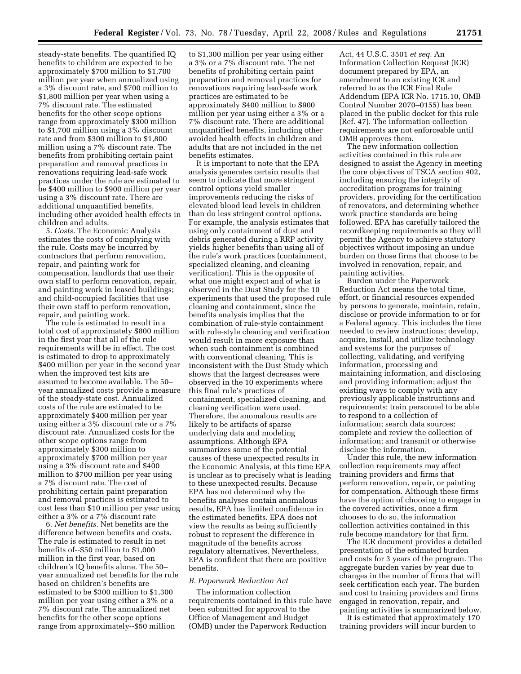steady-state benefits. The quantified IQ benefits to children are expected to be approximately \$700 million to \$1,700 million per year when annualized using a 3% discount rate, and \$700 million to \$1,800 million per year when using a 7% discount rate. The estimated benefits for the other scope options range from approximately \$300 million to \$1,700 million using a 3% discount rate and from \$300 million to \$1,800 million using a 7% discount rate. The benefits from prohibiting certain paint preparation and removal practices in renovations requiring lead-safe work practices under the rule are estimated to be \$400 million to \$900 million per year using a 3% discount rate. There are additional unquantified benefits, including other avoided health effects in children and adults.

5. *Costs*. The Economic Analysis estimates the costs of complying with the rule. Costs may be incurred by contractors that perform renovation, repair, and painting work for compensation, landlords that use their own staff to perform renovation, repair, and painting work in leased buildings; and child-occupied facilities that use their own staff to perform renovation, repair, and painting work.

The rule is estimated to result in a total cost of approximately \$800 million in the first year that all of the rule requirements will be in effect. The cost is estimated to drop to approximately \$400 million per year in the second year when the improved test kits are assumed to become available. The 50– year annualized costs provide a measure of the steady-state cost. Annualized costs of the rule are estimated to be approximately \$400 million per year using either a 3% discount rate or a 7% discount rate. Annualized costs for the other scope options range from approximately \$300 million to approximately \$700 million per year using a 3% discount rate and \$400 million to \$700 million per year using a 7% discount rate. The cost of prohibiting certain paint preparation and removal practices is estimated to cost less than \$10 million per year using either a 3% or a 7% discount rate

6. *Net benefits*. Net benefits are the difference between benefits and costs. The rule is estimated to result in net benefits of--\$50 million to \$1,000 million in the first year, based on children's IQ benefits alone. The 50– year annualized net benefits for the rule based on children's benefits are estimated to be \$300 million to \$1,300 million per year using either a 3% or a 7% discount rate. The annualized net benefits for the other scope options range from approximately--\$50 million

to \$1,300 million per year using either a 3% or a 7% discount rate. The net benefits of prohibiting certain paint preparation and removal practices for renovations requiring lead-safe work practices are estimated to be approximately \$400 million to \$900 million per year using either a 3% or a 7% discount rate. There are additional unquantified benefits, including other avoided health effects in children and adults that are not included in the net benefits estimates.

It is important to note that the EPA analysis generates certain results that seem to indicate that more stringent control options yield smaller improvements reducing the risks of elevated blood lead levels in children than do less stringent control options. For example, the analysis estimates that using only containment of dust and debris generated during a RRP activity yields higher benefits than using all of the rule's work practices (containment, specialized cleaning, and cleaning verification). This is the opposite of what one might expect and of what is observed in the Dust Study for the 10 experiments that used the proposed rule cleaning and containment, since the benefits analysis implies that the combination of rule-style containment with rule-style cleaning and verification would result in more exposure than when such containment is combined with conventional cleaning. This is inconsistent with the Dust Study which shows that the largest decreases were observed in the 10 experiments where this final rule's practices of containment, specialized cleaning, and cleaning verification were used. Therefore, the anomalous results are likely to be artifacts of sparse underlying data and modeling assumptions. Although EPA summarizes some of the potential causes of these unexpected results in the Economic Analysis, at this time EPA is unclear as to precisely what is leading to these unexpected results. Because EPA has not determined why the benefits analyses contain anomalous results, EPA has limited confidence in the estimated benefits. EPA does not view the results as being sufficiently robust to represent the difference in magnitude of the benefits across regulatory alternatives. Nevertheless, EPA is confident that there are positive benefits.

## *B. Paperwork Reduction Act*

The information collection requirements contained in this rule have been submitted for approval to the Office of Management and Budget (OMB) under the Paperwork Reduction

Act, 44 U.S.C. 3501 *et seq.* An Information Collection Request (ICR) document prepared by EPA, an amendment to an existing ICR and referred to as the ICR Final Rule Addendum (EPA ICR No. 1715.10, OMB Control Number 2070–0155) has been placed in the public docket for this rule (Ref. 47). The information collection requirements are not enforceable until OMB approves them.

The new information collection activities contained in this rule are designed to assist the Agency in meeting the core objectives of TSCA section 402, including ensuring the integrity of accreditation programs for training providers, providing for the certification of renovators, and determining whether work practice standards are being followed. EPA has carefully tailored the recordkeeping requirements so they will permit the Agency to achieve statutory objectives without imposing an undue burden on those firms that choose to be involved in renovation, repair, and painting activities.

Burden under the Paperwork Reduction Act means the total time, effort, or financial resources expended by persons to generate, maintain, retain, disclose or provide information to or for a Federal agency. This includes the time needed to review instructions; develop, acquire, install, and utilize technology and systems for the purposes of collecting, validating, and verifying information, processing and maintaining information, and disclosing and providing information; adjust the existing ways to comply with any previously applicable instructions and requirements; train personnel to be able to respond to a collection of information; search data sources; complete and review the collection of information; and transmit or otherwise disclose the information.

Under this rule, the new information collection requirements may affect training providers and firms that perform renovation, repair, or painting for compensation. Although these firms have the option of choosing to engage in the covered activities, once a firm chooses to do so, the information collection activities contained in this rule become mandatory for that firm.

The ICR document provides a detailed presentation of the estimated burden and costs for 3 years of the program. The aggregate burden varies by year due to changes in the number of firms that will seek certification each year. The burden and cost to training providers and firms engaged in renovation, repair, and painting activities is summarized below.

It is estimated that approximately 170 training providers will incur burden to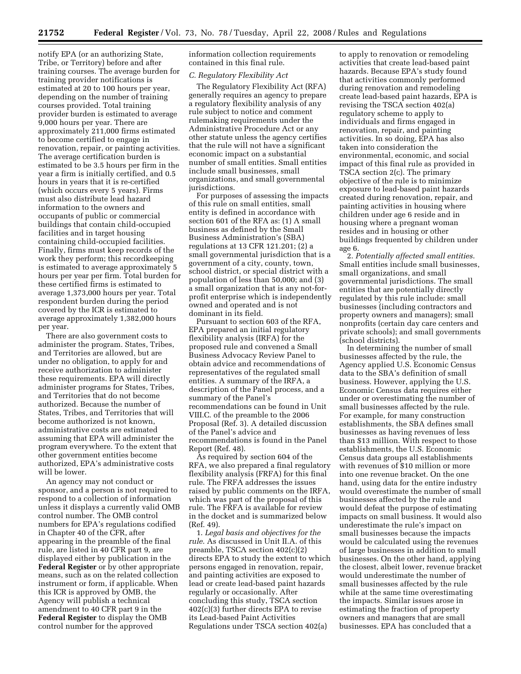notify EPA (or an authorizing State, Tribe, or Territory) before and after training courses. The average burden for training provider notifications is estimated at 20 to 100 hours per year, depending on the number of training courses provided. Total training provider burden is estimated to average 9,000 hours per year. There are approximately 211,000 firms estimated to become certified to engage in renovation, repair, or painting activities. The average certification burden is estimated to be 3.5 hours per firm in the year a firm is initially certified, and 0.5 hours in years that it is re-certified (which occurs every 5 years). Firms must also distribute lead hazard information to the owners and occupants of public or commercial buildings that contain child-occupied facilities and in target housing containing child-occupied facilities. Finally, firms must keep records of the work they perform; this recordkeeping is estimated to average approximately 5 hours per year per firm. Total burden for these certified firms is estimated to average 1,373,000 hours per year. Total respondent burden during the period covered by the ICR is estimated to average approximately 1,382,000 hours per year.

There are also government costs to administer the program. States, Tribes, and Territories are allowed, but are under no obligation, to apply for and receive authorization to administer these requirements. EPA will directly administer programs for States, Tribes, and Territories that do not become authorized. Because the number of States, Tribes, and Territories that will become authorized is not known, administrative costs are estimated assuming that EPA will administer the program everywhere. To the extent that other government entities become authorized, EPA's administrative costs will be lower.

An agency may not conduct or sponsor, and a person is not required to respond to a collection of information unless it displays a currently valid OMB control number. The OMB control numbers for EPA's regulations codified in Chapter 40 of the CFR, after appearing in the preamble of the final rule, are listed in 40 CFR part 9, are displayed either by publication in the **Federal Register** or by other appropriate means, such as on the related collection instrument or form, if applicable. When this ICR is approved by OMB, the Agency will publish a technical amendment to 40 CFR part 9 in the **Federal Register** to display the OMB control number for the approved

information collection requirements contained in this final rule.

### *C. Regulatory Flexibility Act*

The Regulatory Flexibility Act (RFA) generally requires an agency to prepare a regulatory flexibility analysis of any rule subject to notice and comment rulemaking requirements under the Administrative Procedure Act or any other statute unless the agency certifies that the rule will not have a significant economic impact on a substantial number of small entities. Small entities include small businesses, small organizations, and small governmental jurisdictions.

For purposes of assessing the impacts of this rule on small entities, small entity is defined in accordance with section 601 of the RFA as: (1) A small business as defined by the Small Business Administration's (SBA) regulations at 13 CFR 121.201; (2) a small governmental jurisdiction that is a government of a city, county, town, school district, or special district with a population of less than 50,000; and (3) a small organization that is any not-forprofit enterprise which is independently owned and operated and is not dominant in its field.

Pursuant to section 603 of the RFA, EPA prepared an initial regulatory flexibility analysis (IRFA) for the proposed rule and convened a Small Business Advocacy Review Panel to obtain advice and recommendations of representatives of the regulated small entities. A summary of the IRFA, a description of the Panel process, and a summary of the Panel's recommendations can be found in Unit VIII.C. of the preamble to the 2006 Proposal (Ref. 3). A detailed discussion of the Panel's advice and recommendations is found in the Panel Report (Ref. 48).

As required by section 604 of the RFA, we also prepared a final regulatory flexibility analysis (FRFA) for this final rule. The FRFA addresses the issues raised by public comments on the IRFA, which was part of the proposal of this rule. The FRFA is available for review in the docket and is summarized below (Ref. 49).

1. *Legal basis and objectives for the rule*. As discussed in Unit II.A. of this preamble, TSCA section 402(c)(2) directs EPA to study the extent to which persons engaged in renovation, repair, and painting activities are exposed to lead or create lead-based paint hazards regularly or occasionally. After concluding this study, TSCA section 402(c)(3) further directs EPA to revise its Lead-based Paint Activities Regulations under TSCA section 402(a)

to apply to renovation or remodeling activities that create lead-based paint hazards. Because EPA's study found that activities commonly performed during renovation and remodeling create lead-based paint hazards, EPA is revising the TSCA section 402(a) regulatory scheme to apply to individuals and firms engaged in renovation, repair, and painting activities. In so doing, EPA has also taken into consideration the environmental, economic, and social impact of this final rule as provided in TSCA section 2(c). The primary objective of the rule is to minimize exposure to lead-based paint hazards created during renovation, repair, and painting activities in housing where children under age 6 reside and in housing where a pregnant woman resides and in housing or other buildings frequented by children under age 6.

2. *Potentially affected small entities*. Small entities include small businesses, small organizations, and small governmental jurisdictions. The small entities that are potentially directly regulated by this rule include: small businesses (including contractors and property owners and managers); small nonprofits (certain day care centers and private schools); and small governments (school districts).

In determining the number of small businesses affected by the rule, the Agency applied U.S. Economic Census data to the SBA's definition of small business. However, applying the U.S. Economic Census data requires either under or overestimating the number of small businesses affected by the rule. For example, for many construction establishments, the SBA defines small businesses as having revenues of less than \$13 million. With respect to those establishments, the U.S. Economic Census data groups all establishments with revenues of \$10 million or more into one revenue bracket. On the one hand, using data for the entire industry would overestimate the number of small businesses affected by the rule and would defeat the purpose of estimating impacts on small business. It would also underestimate the rule's impact on small businesses because the impacts would be calculated using the revenues of large businesses in addition to small businesses. On the other hand, applying the closest, albeit lower, revenue bracket would underestimate the number of small businesses affected by the rule while at the same time overestimating the impacts. Similar issues arose in estimating the fraction of property owners and managers that are small businesses. EPA has concluded that a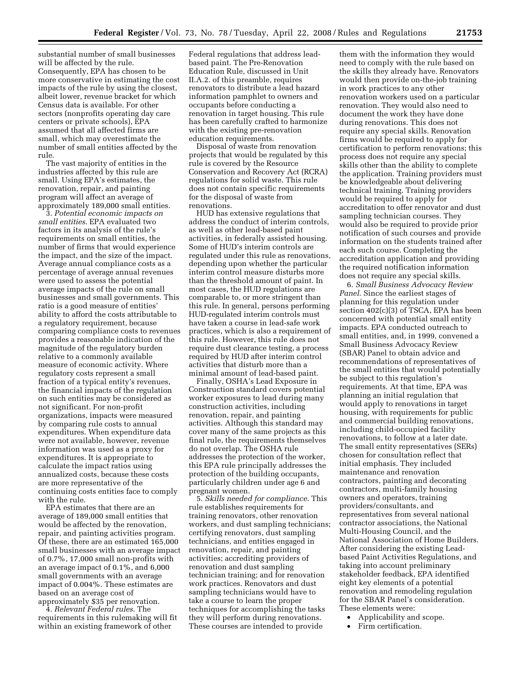substantial number of small businesses will be affected by the rule. Consequently, EPA has chosen to be more conservative in estimating the cost impacts of the rule by using the closest, albeit lower, revenue bracket for which Census data is available. For other sectors (nonprofits operating day care centers or private schools), EPA assumed that all affected firms are small, which may overestimate the number of small entities affected by the rule.

The vast majority of entities in the industries affected by this rule are small. Using EPA's estimates, the renovation, repair, and painting program will affect an average of approximately 189,000 small entities.

3. *Potential economic impacts on small entities*. EPA evaluated two factors in its analysis of the rule's requirements on small entities, the number of firms that would experience the impact, and the size of the impact. Average annual compliance costs as a percentage of average annual revenues were used to assess the potential average impacts of the rule on small businesses and small governments. This ratio is a good measure of entities' ability to afford the costs attributable to a regulatory requirement, because comparing compliance costs to revenues provides a reasonable indication of the magnitude of the regulatory burden relative to a commonly available measure of economic activity. Where regulatory costs represent a small fraction of a typical entity's revenues, the financial impacts of the regulation on such entities may be considered as not significant. For non-profit organizations, impacts were measured by comparing rule costs to annual expenditures. When expenditure data were not available, however, revenue information was used as a proxy for expenditures. It is appropriate to calculate the impact ratios using annualized costs, because these costs are more representative of the continuing costs entities face to comply with the rule.

EPA estimates that there are an average of 189,000 small entities that would be affected by the renovation, repair, and painting activities program. Of these, there are an estimated 165,000 small businesses with an average impact of 0.7%, 17,000 small non-profits with an average impact of 0.1%, and 6,000 small governments with an average impact of 0.004%. These estimates are based on an average cost of approximately \$35 per renovation.

4. *Relevant Federal rules*. The requirements in this rulemaking will fit within an existing framework of other

Federal regulations that address leadbased paint. The Pre-Renovation Education Rule, discussed in Unit II.A.2. of this preamble, requires renovators to distribute a lead hazard information pamphlet to owners and occupants before conducting a renovation in target housing. This rule has been carefully crafted to harmonize with the existing pre-renovation education requirements.

Disposal of waste from renovation projects that would be regulated by this rule is covered by the Resource Conservation and Recovery Act (RCRA) regulations for solid waste. This rule does not contain specific requirements for the disposal of waste from renovations.

HUD has extensive regulations that address the conduct of interim controls, as well as other lead-based paint activities, in federally assisted housing. Some of HUD's interim controls are regulated under this rule as renovations, depending upon whether the particular interim control measure disturbs more than the threshold amount of paint. In most cases, the HUD regulations are comparable to, or more stringent than this rule. In general, persons performing HUD-regulated interim controls must have taken a course in lead-safe work practices, which is also a requirement of this rule. However, this rule does not require dust clearance testing, a process required by HUD after interim control activities that disturb more than a minimal amount of lead-based paint.

Finally, OSHA's Lead Exposure in Construction standard covers potential worker exposures to lead during many construction activities, including renovation, repair, and painting activities. Although this standard may cover many of the same projects as this final rule, the requirements themselves do not overlap. The OSHA rule addresses the protection of the worker, this EPA rule principally addresses the protection of the building occupants, particularly children under age 6 and pregnant women.

5. *Skills needed for compliance*. This rule establishes requirements for training renovators, other renovation workers, and dust sampling technicians; certifying renovators, dust sampling technicians, and entities engaged in renovation, repair, and painting activities; accrediting providers of renovation and dust sampling technician training; and for renovation work practices. Renovators and dust sampling technicians would have to take a course to learn the proper techniques for accomplishing the tasks they will perform during renovations. These courses are intended to provide

them with the information they would need to comply with the rule based on the skills they already have. Renovators would then provide on-the-job training in work practices to any other renovation workers used on a particular renovation. They would also need to document the work they have done during renovations. This does not require any special skills. Renovation firms would be required to apply for certification to perform renovations; this process does not require any special skills other than the ability to complete the application. Training providers must be knowledgeable about delivering technical training. Training providers would be required to apply for accreditation to offer renovator and dust sampling technician courses. They would also be required to provide prior notification of such courses and provide information on the students trained after each such course. Completing the accreditation application and providing the required notification information does not require any special skills.

6. *Small Business Advocacy Review Panel*. Since the earliest stages of planning for this regulation under section 402(c)(3) of TSCA, EPA has been concerned with potential small entity impacts. EPA conducted outreach to small entities, and, in 1999, convened a Small Business Advocacy Review (SBAR) Panel to obtain advice and recommendations of representatives of the small entities that would potentially be subject to this regulation's requirements. At that time, EPA was planning an initial regulation that would apply to renovations in target housing, with requirements for public and commercial building renovations, including child-occupied facility renovations, to follow at a later date. The small entity representatives (SERs) chosen for consultation reflect that initial emphasis. They included maintenance and renovation contractors, painting and decorating contractors, multi-family housing owners and operators, training providers/consultants, and representatives from several national contractor associations, the National Multi-Housing Council, and the National Association of Home Builders. After considering the existing Leadbased Paint Activities Regulations, and taking into account preliminary stakeholder feedback, EPA identified eight key elements of a potential renovation and remodeling regulation for the SBAR Panel's consideration. These elements were:

- Applicability and scope.
- Firm certification.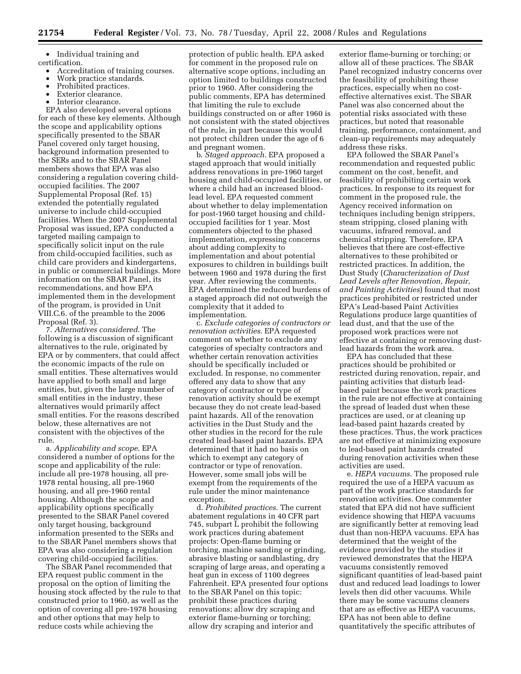• Individual training and certification.

- Accreditation of training courses.
- Work practice standards.
- Prohibited practices.
- Exterior clearance.
- Interior clearance.

EPA also developed several options for each of these key elements. Although the scope and applicability options specifically presented to the SBAR Panel covered only target housing, background information presented to the SERs and to the SBAR Panel members shows that EPA was also considering a regulation covering childoccupied facilities. The 2007 Supplemental Proposal (Ref. 15) extended the potentially regulated universe to include child-occupied facilities. When the 2007 Supplemental Proposal was issued, EPA conducted a targeted mailing campaign to specifically solicit input on the rule from child-occupied facilities, such as child care providers and kindergartens, in public or commercial buildings. More information on the SBAR Panel, its recommendations, and how EPA implemented them in the development of the program, is provided in Unit VIII.C.6. of the preamble to the 2006 Proposal (Ref. 3).

7. *Alternatives considered*. The following is a discussion of significant alternatives to the rule, originated by EPA or by commenters, that could affect the economic impacts of the rule on small entities. These alternatives would have applied to both small and large entities, but, given the large number of small entities in the industry, these alternatives would primarily affect small entities. For the reasons described below, these alternatives are not consistent with the objectives of the rule.

a. *Applicability and scope*. EPA considered a number of options for the scope and applicability of the rule: include all pre-1978 housing, all pre-1978 rental housing, all pre-1960 housing, and all pre-1960 rental housing. Although the scope and applicability options specifically presented to the SBAR Panel covered only target housing, background information presented to the SERs and to the SBAR Panel members shows that EPA was also considering a regulation covering child-occupied facilities.

The SBAR Panel recommended that EPA request public comment in the proposal on the option of limiting the housing stock affected by the rule to that constructed prior to 1960, as well as the option of covering all pre-1978 housing and other options that may help to reduce costs while achieving the

protection of public health. EPA asked for comment in the proposed rule on alternative scope options, including an option limited to buildings constructed prior to 1960. After considering the public comments, EPA has determined that limiting the rule to exclude buildings constructed on or after 1960 is not consistent with the stated objectives of the rule, in part because this would not protect children under the age of 6 and pregnant women.

b. *Staged approach*. EPA proposed a staged approach that would initially address renovations in pre-1960 target housing and child-occupied facilities, or where a child had an increased bloodlead level. EPA requested comment about whether to delay implementation for post-1960 target housing and childoccupied facilities for 1 year. Most commenters objected to the phased implementation, expressing concerns about adding complexity to implementation and about potential exposures to children in buildings built between 1960 and 1978 during the first year. After reviewing the comments, EPA determined the reduced burdens of a staged approach did not outweigh the complexity that it added to implementation.

c. *Exclude categories of contractors or renovation activities*. EPA requested comment on whether to exclude any categories of specialty contractors and whether certain renovation activities should be specifically included or excluded. In response, no commenter offered any data to show that any category of contractor or type of renovation activity should be exempt because they do not create lead-based paint hazards. All of the renovation activities in the Dust Study and the other studies in the record for the rule created lead-based paint hazards. EPA determined that it had no basis on which to exempt any category of contractor or type of renovation. However, some small jobs will be exempt from the requirements of the rule under the minor maintenance exception.

d. *Prohibited practices*. The current abatement regulations in 40 CFR part 745, subpart L prohibit the following work practices during abatement projects: Open-flame burning or torching, machine sanding or grinding, abrasive blasting or sandblasting, dry scraping of large areas, and operating a heat gun in excess of 1100 degrees Fahrenheit. EPA presented four options to the SBAR Panel on this topic: prohibit these practices during renovations; allow dry scraping and exterior flame-burning or torching; allow dry scraping and interior and

exterior flame-burning or torching; or allow all of these practices. The SBAR Panel recognized industry concerns over the feasibility of prohibiting these practices, especially when no costeffective alternatives exist. The SBAR Panel was also concerned about the potential risks associated with these practices, but noted that reasonable training, performance, containment, and clean-up requirements may adequately address these risks.

EPA followed the SBAR Panel's recommendation and requested public comment on the cost, benefit, and feasibility of prohibiting certain work practices. In response to its request for comment in the proposed rule, the Agency received information on techniques including benign strippers, steam stripping, closed planing with vacuums, infrared removal, and chemical stripping. Therefore, EPA believes that there are cost-effective alternatives to these prohibited or restricted practices. In addition, the Dust Study (*Characterization of Dust Lead Levels after Renovation, Repair, and Painting Activities*) found that most practices prohibited or restricted under EPA's Lead-based Paint Activities Regulations produce large quantities of lead dust, and that the use of the proposed work practices were not effective at containing or removing dustlead hazards from the work area.

EPA has concluded that these practices should be prohibited or restricted during renovation, repair, and painting activities that disturb leadbased paint because the work practices in the rule are not effective at containing the spread of leaded dust when these practices are used, or at cleaning up lead-based paint hazards created by these practices. Thus, the work practices are not effective at minimizing exposure to lead-based paint hazards created during renovation activities when these activities are used.

e. *HEPA vacuums*. The proposed rule required the use of a HEPA vacuum as part of the work practice standards for renovation activities. One commenter stated that EPA did not have sufficient evidence showing that HEPA vacuums are significantly better at removing lead dust than non-HEPA vacuums. EPA has determined that the weight of the evidence provided by the studies it reviewed demonstrates that the HEPA vacuums consistently removed significant quantities of lead-based paint dust and reduced lead loadings to lower levels then did other vacuums. While there may be some vacuums cleaners that are as effective as HEPA vacuums, EPA has not been able to define quantitatively the specific attributes of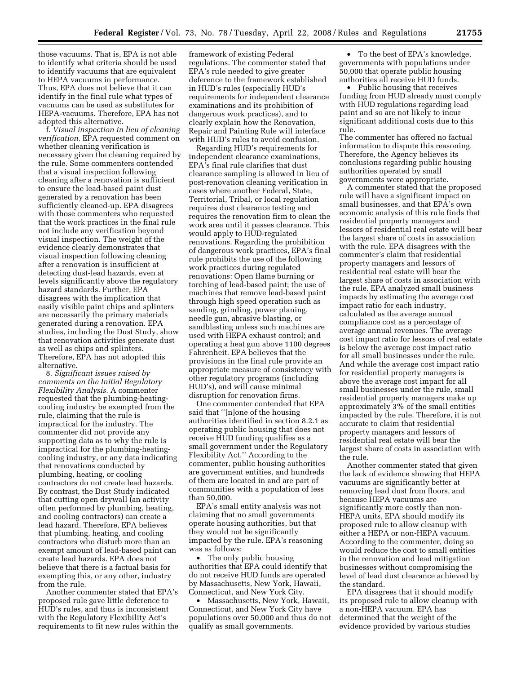those vacuums. That is, EPA is not able to identify what criteria should be used to identify vacuums that are equivalent to HEPA vacuums in performance. Thus, EPA does not believe that it can identify in the final rule what types of vacuums can be used as substitutes for HEPA-vacuums. Therefore, EPA has not adopted this alternative.

f. *Visual inspection in lieu of cleaning verification*. EPA requested comment on whether cleaning verification is necessary given the cleaning required by the rule. Some commenters contended that a visual inspection following cleaning after a renovation is sufficient to ensure the lead-based paint dust generated by a renovation has been sufficiently cleaned-up. EPA disagrees with those commenters who requested that the work practices in the final rule not include any verification beyond visual inspection. The weight of the evidence clearly demonstrates that visual inspection following cleaning after a renovation is insufficient at detecting dust-lead hazards, even at levels significantly above the regulatory hazard standards. Further, EPA disagrees with the implication that easily visible paint chips and splinters are necessarily the primary materials generated during a renovation. EPA studies, including the Dust Study, show that renovation activities generate dust as well as chips and splinters. Therefore, EPA has not adopted this alternative.

8. *Significant issues raised by comments on the Initial Regulatory Flexibility Analysis*. A commenter requested that the plumbing-heatingcooling industry be exempted from the rule, claiming that the rule is impractical for the industry. The commenter did not provide any supporting data as to why the rule is impractical for the plumbing-heatingcooling industry, or any data indicating that renovations conducted by plumbing, heating, or cooling contractors do not create lead hazards. By contrast, the Dust Study indicated that cutting open drywall (an activity often performed by plumbing, heating, and cooling contractors) can create a lead hazard. Therefore, EPA believes that plumbing, heating, and cooling contractors who disturb more than an exempt amount of lead-based paint can create lead hazards. EPA does not believe that there is a factual basis for exempting this, or any other, industry from the rule.

Another commenter stated that EPA's proposed rule gave little deference to HUD's rules, and thus is inconsistent with the Regulatory Flexibility Act's requirements to fit new rules within the

framework of existing Federal regulations. The commenter stated that EPA's rule needed to give greater deference to the framework established in HUD's rules (especially HUD's requirements for independent clearance examinations and its prohibition of dangerous work practices), and to clearly explain how the Renovation, Repair and Painting Rule will interface with HUD's rules to avoid confusion.

Regarding HUD's requirements for independent clearance examinations, EPA's final rule clarifies that dust clearance sampling is allowed in lieu of post-renovation cleaning verification in cases where another Federal, State, Territorial, Tribal, or local regulation requires dust clearance testing and requires the renovation firm to clean the work area until it passes clearance. This would apply to HUD-regulated renovations. Regarding the prohibition of dangerous work practices, EPA's final rule prohibits the use of the following work practices during regulated renovations: Open flame burning or torching of lead-based paint; the use of machines that remove lead-based paint through high speed operation such as sanding, grinding, power planing, needle gun, abrasive blasting, or sandblasting unless such machines are used with HEPA exhaust control; and operating a heat gun above 1100 degrees Fahrenheit. EPA believes that the provisions in the final rule provide an appropriate measure of consistency with other regulatory programs (including HUD's), and will cause minimal disruption for renovation firms.

One commenter contended that EPA said that ''[n]one of the housing authorities identified in section 8.2.1 as operating public housing that does not receive HUD funding qualifies as a small government under the Regulatory Flexibility Act.'' According to the commenter, public housing authorities are government entities, and hundreds of them are located in and are part of communities with a population of less than 50,000.

EPA's small entity analysis was not claiming that no small governments operate housing authorities, but that they would not be significantly impacted by the rule. EPA's reasoning was as follows:

• The only public housing authorities that EPA could identify that do not receive HUD funds are operated by Massachusetts, New York, Hawaii, Connecticut, and New York City.

• Massachusetts, New York, Hawaii, Connecticut, and New York City have populations over 50,000 and thus do not qualify as small governments.

• To the best of EPA's knowledge, governments with populations under 50,000 that operate public housing authorities all receive HUD funds.

• Public housing that receives funding from HUD already must comply with HUD regulations regarding lead paint and so are not likely to incur significant additional costs due to this rule.

The commenter has offered no factual information to dispute this reasoning. Therefore, the Agency believes its conclusions regarding public housing authorities operated by small governments were appropriate.

A commenter stated that the proposed rule will have a significant impact on small businesses, and that EPA's own economic analysis of this rule finds that residential property managers and lessors of residential real estate will bear the largest share of costs in association with the rule. EPA disagrees with the commenter's claim that residential property managers and lessors of residential real estate will bear the largest share of costs in association with the rule. EPA analyzed small business impacts by estimating the average cost impact ratio for each industry, calculated as the average annual compliance cost as a percentage of average annual revenues. The average cost impact ratio for lessors of real estate is below the average cost impact ratio for all small businesses under the rule. And while the average cost impact ratio for residential property managers is above the average cost impact for all small businesses under the rule, small residential property managers make up approximately 3% of the small entities impacted by the rule. Therefore, it is not accurate to claim that residential property managers and lessors of residential real estate will bear the largest share of costs in association with the rule.

Another commenter stated that given the lack of evidence showing that HEPA vacuums are significantly better at removing lead dust from floors, and because HEPA vacuums are significantly more costly than non-HEPA units, EPA should modify its proposed rule to allow cleanup with either a HEPA or non-HEPA vacuum. According to the commenter, doing so would reduce the cost to small entities in the renovation and lead mitigation businesses without compromising the level of lead dust clearance achieved by the standard.

EPA disagrees that it should modify its proposed rule to allow cleanup with a non-HEPA vacuum. EPA has determined that the weight of the evidence provided by various studies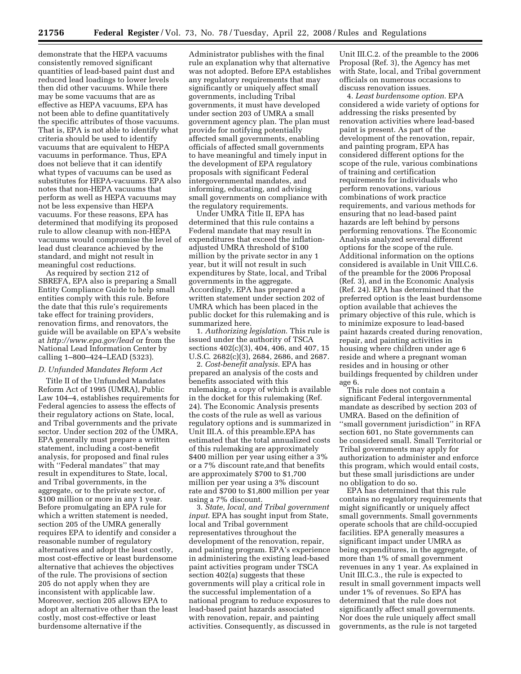demonstrate that the HEPA vacuums consistently removed significant quantities of lead-based paint dust and reduced lead loadings to lower levels then did other vacuums. While there may be some vacuums that are as effective as HEPA vacuums, EPA has not been able to define quantitatively the specific attributes of those vacuums. That is, EPA is not able to identify what criteria should be used to identify vacuums that are equivalent to HEPA vacuums in performance. Thus, EPA does not believe that it can identify what types of vacuums can be used as substitutes for HEPA-vacuums. EPA also notes that non-HEPA vacuums that perform as well as HEPA vacuums may not be less expensive than HEPA vacuums. For these reasons, EPA has determined that modifying its proposed rule to allow cleanup with non-HEPA vacuums would compromise the level of lead dust clearance achieved by the standard, and might not result in meaningful cost reductions.

As required by section 212 of SBREFA, EPA also is preparing a Small Entity Compliance Guide to help small entities comply with this rule. Before the date that this rule's requirements take effect for training providers, renovation firms, and renovators, the guide will be available on EPA's website at *<http://www.epa.gov/lead>*or from the National Lead Information Center by calling 1–800–424–LEAD (5323).

### *D. Unfunded Mandates Reform Act*

Title II of the Unfunded Mandates Reform Act of 1995 (UMRA), Public Law 104–4, establishes requirements for Federal agencies to assess the effects of their regulatory actions on State, local, and Tribal governments and the private sector. Under section 202 of the UMRA, EPA generally must prepare a written statement, including a cost-benefit analysis, for proposed and final rules with ''Federal mandates'' that may result in expenditures to State, local, and Tribal governments, in the aggregate, or to the private sector, of \$100 million or more in any 1 year. Before promulgating an EPA rule for which a written statement is needed, section 205 of the UMRA generally requires EPA to identify and consider a reasonable number of regulatory alternatives and adopt the least costly, most cost-effective or least burdensome alternative that achieves the objectives of the rule. The provisions of section 205 do not apply when they are inconsistent with applicable law. Moreover, section 205 allows EPA to adopt an alternative other than the least costly, most cost-effective or least burdensome alternative if the

Administrator publishes with the final rule an explanation why that alternative was not adopted. Before EPA establishes any regulatory requirements that may significantly or uniquely affect small governments, including Tribal governments, it must have developed under section 203 of UMRA a small government agency plan. The plan must provide for notifying potentially affected small governments, enabling officials of affected small governments to have meaningful and timely input in the development of EPA regulatory proposals with significant Federal intergovernmental mandates, and informing, educating, and advising small governments on compliance with the regulatory requirements.

Under UMRA Title II, EPA has determined that this rule contains a Federal mandate that may result in expenditures that exceed the inflationadjusted UMRA threshold of \$100 million by the private sector in any 1 year, but it will not result in such expenditures by State, local, and Tribal governments in the aggregate. Accordingly, EPA has prepared a written statement under section 202 of UMRA which has been placed in the public docket for this rulemaking and is summarized here.

1. *Authorizing legislation*. This rule is issued under the authority of TSCA sections 402(c)(3), 404, 406, and 407, 15 U.S.C. 2682(c)(3), 2684, 2686, and 2687.

2. *Cost-benefit analysis*. EPA has prepared an analysis of the costs and benefits associated with this rulemaking, a copy of which is available in the docket for this rulemaking (Ref. 24). The Economic Analysis presents the costs of the rule as well as various regulatory options and is summarized in Unit III.A. of this preamble.EPA has estimated that the total annualized costs of this rulemaking are approximately \$400 million per year using either a 3% or a 7% discount rate,and that benefits are approximately \$700 to \$1,700 million per year using a 3% discount rate and \$700 to \$1,800 million per year using a 7% discount.

3. *State, local, and Tribal government input*. EPA has sought input from State, local and Tribal government representatives throughout the development of the renovation, repair, and painting program. EPA's experience in administering the existing lead-based paint activities program under TSCA section 402(a) suggests that these governments will play a critical role in the successful implementation of a national program to reduce exposures to lead-based paint hazards associated with renovation, repair, and painting activities. Consequently, as discussed in

Unit III.C.2. of the preamble to the 2006 Proposal (Ref. 3), the Agency has met with State, local, and Tribal government officials on numerous occasions to discuss renovation issues.

4. *Least burdensome option*. EPA considered a wide variety of options for addressing the risks presented by renovation activities where lead-based paint is present. As part of the development of the renovation, repair, and painting program, EPA has considered different options for the scope of the rule, various combinations of training and certification requirements for individuals who perform renovations, various combinations of work practice requirements, and various methods for ensuring that no lead-based paint hazards are left behind by persons performing renovations. The Economic Analysis analyzed several different options for the scope of the rule. Additional information on the options considered is available in Unit VIII.C.6. of the preamble for the 2006 Proposal (Ref. 3), and in the Economic Analysis (Ref. 24). EPA has determined that the preferred option is the least burdensome option available that achieves the primary objective of this rule, which is to minimize exposure to lead-based paint hazards created during renovation, repair, and painting activities in housing where children under age 6 reside and where a pregnant woman resides and in housing or other buildings frequented by children under age 6.

This rule does not contain a significant Federal intergovernmental mandate as described by section 203 of UMRA. Based on the definition of ''small government jurisdiction'' in RFA section 601, no State governments can be considered small. Small Territorial or Tribal governments may apply for authorization to administer and enforce this program, which would entail costs, but these small jurisdictions are under no obligation to do so.

EPA has determined that this rule contains no regulatory requirements that might significantly or uniquely affect small governments. Small governments operate schools that are child-occupied facilities. EPA generally measures a significant impact under UMRA as being expenditures, in the aggregate, of more than 1% of small government revenues in any 1 year. As explained in Unit III.C.3., the rule is expected to result in small government impacts well under 1% of revenues. So EPA has determined that the rule does not significantly affect small governments. Nor does the rule uniquely affect small governments, as the rule is not targeted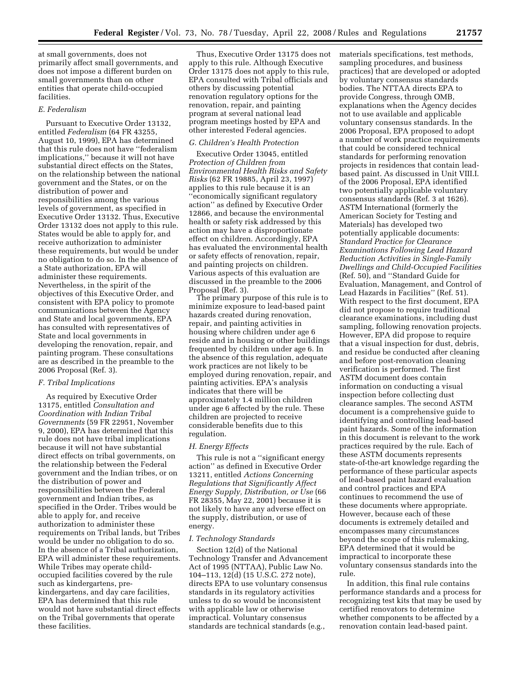at small governments, does not primarily affect small governments, and does not impose a different burden on small governments than on other entities that operate child-occupied facilities.

#### *E. Federalism*

Pursuant to Executive Order 13132, entitled *Federalism* (64 FR 43255, August 10, 1999), EPA has determined that this rule does not have ''federalism implications,'' because it will not have substantial direct effects on the States, on the relationship between the national government and the States, or on the distribution of power and responsibilities among the various levels of government, as specified in Executive Order 13132. Thus, Executive Order 13132 does not apply to this rule. States would be able to apply for, and receive authorization to administer these requirements, but would be under no obligation to do so. In the absence of a State authorization, EPA will administer these requirements. Nevertheless, in the spirit of the objectives of this Executive Order, and consistent with EPA policy to promote communications between the Agency and State and local governments, EPA has consulted with representatives of State and local governments in developing the renovation, repair, and painting program. These consultations are as described in the preamble to the 2006 Proposal (Ref. 3).

## *F. Tribal Implications*

As required by Executive Order 13175, entitled *Consultation and Coordination with Indian Tribal Governments* (59 FR 22951, November 9, 2000), EPA has determined that this rule does not have tribal implications because it will not have substantial direct effects on tribal governments, on the relationship between the Federal government and the Indian tribes, or on the distribution of power and responsibilities between the Federal government and Indian tribes, as specified in the Order. Tribes would be able to apply for, and receive authorization to administer these requirements on Tribal lands, but Tribes would be under no obligation to do so. In the absence of a Tribal authorization, EPA will administer these requirements. While Tribes may operate childoccupied facilities covered by the rule such as kindergartens, prekindergartens, and day care facilities, EPA has determined that this rule would not have substantial direct effects on the Tribal governments that operate these facilities.

Thus, Executive Order 13175 does not apply to this rule. Although Executive Order 13175 does not apply to this rule, EPA consulted with Tribal officials and others by discussing potential renovation regulatory options for the renovation, repair, and painting program at several national lead program meetings hosted by EPA and other interested Federal agencies.

#### *G. Children's Health Protection*

Executive Order 13045, entitled *Protection of Children from Environmental Health Risks and Safety Risks* (62 FR 19885, April 23, 1997) applies to this rule because it is an ''economically significant regulatory action'' as defined by Executive Order 12866, and because the environmental health or safety risk addressed by this action may have a disproportionate effect on children. Accordingly, EPA has evaluated the environmental health or safety effects of renovation, repair, and painting projects on children. Various aspects of this evaluation are discussed in the preamble to the 2006 Proposal (Ref. 3).

The primary purpose of this rule is to minimize exposure to lead-based paint hazards created during renovation, repair, and painting activities in housing where children under age 6 reside and in housing or other buildings frequented by children under age 6. In the absence of this regulation, adequate work practices are not likely to be employed during renovation, repair, and painting activities. EPA's analysis indicates that there will be approximately 1.4 million children under age 6 affected by the rule. These children are projected to receive considerable benefits due to this regulation.

#### *H. Energy Effects*

This rule is not a ''significant energy action'' as defined in Executive Order 13211, entitled *Actions Concerning Regulations that Significantly Affect Energy Supply, Distribution, or Use* (66 FR 28355, May 22, 2001) because it is not likely to have any adverse effect on the supply, distribution, or use of energy.

### *I. Technology Standards*

Section 12(d) of the National Technology Transfer and Advancement Act of 1995 (NTTAA), Public Law No. 104–113, 12(d) (15 U.S.C. 272 note), directs EPA to use voluntary consensus standards in its regulatory activities unless to do so would be inconsistent with applicable law or otherwise impractical. Voluntary consensus standards are technical standards (e.g.,

materials specifications, test methods, sampling procedures, and business practices) that are developed or adopted by voluntary consensus standards bodies. The NTTAA directs EPA to provide Congress, through OMB, explanations when the Agency decides not to use available and applicable voluntary consensus standards. In the 2006 Proposal, EPA proposed to adopt a number of work practice requirements that could be considered technical standards for performing renovation projects in residences that contain leadbased paint. As discussed in Unit VIII.I. of the 2006 Proposal, EPA identified two potentially applicable voluntary consensus standards (Ref. 3 at 1626). ASTM International (formerly the American Society for Testing and Materials) has developed two potentially applicable documents: *Standard Practice for Clearance Examinations Following Lead Hazard Reduction Activities in Single-Family Dwellings and Child-Occupied Facilities*  (Ref. 50), and ''Standard Guide for Evaluation, Management, and Control of Lead Hazards in Facilities'' (Ref. 51). With respect to the first document, EPA did not propose to require traditional clearance examinations, including dust sampling, following renovation projects. However, EPA did propose to require that a visual inspection for dust, debris, and residue be conducted after cleaning and before post-renovation cleaning verification is performed. The first ASTM document does contain information on conducting a visual inspection before collecting dust clearance samples. The second ASTM document is a comprehensive guide to identifying and controlling lead-based paint hazards. Some of the information in this document is relevant to the work practices required by the rule. Each of these ASTM documents represents state-of-the-art knowledge regarding the performance of these particular aspects of lead-based paint hazard evaluation and control practices and EPA continues to recommend the use of these documents where appropriate. However, because each of these documents is extremely detailed and encompasses many circumstances beyond the scope of this rulemaking, EPA determined that it would be impractical to incorporate these voluntary consensus standards into the rule.

In addition, this final rule contains performance standards and a process for recognizing test kits that may be used by certified renovators to determine whether components to be affected by a renovation contain lead-based paint.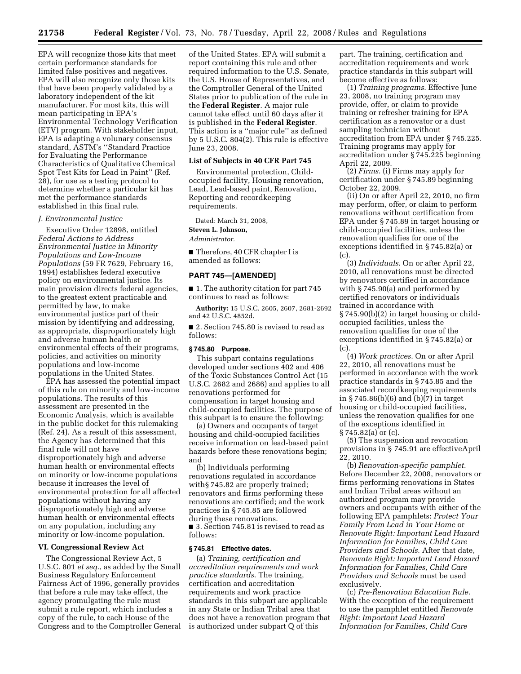EPA will recognize those kits that meet certain performance standards for limited false positives and negatives. EPA will also recognize only those kits that have been properly validated by a laboratory independent of the kit manufacturer. For most kits, this will mean participating in EPA's Environmental Technology Verification (ETV) program. With stakeholder input, EPA is adapting a volunary consensus standard, ASTM's ''Standard Practice for Evaluating the Performance Characteristics of Qualitative Chemical Spot Test Kits for Lead in Paint'' (Ref. 28), for use as a testing protocol to determine whether a particular kit has met the performance standards established in this final rule.

### *J. Environmental Justice*

Executive Order 12898, entitled *Federal Actions to Address Environmental Justice in Minority Populations and Low-Income Populations* (59 FR 7629, February 16, 1994) establishes federal executive policy on environmental justice. Its main provision directs federal agencies, to the greatest extent practicable and permitted by law, to make environmental justice part of their mission by identifying and addressing, as appropriate, disproportionately high and adverse human health or environmental effects of their programs, policies, and activities on minority populations and low-income populations in the United States.

EPA has assessed the potential impact of this rule on minority and low-income populations. The results of this assessment are presented in the Economic Analysis, which is available in the public docket for this rulemaking (Ref. 24). As a result of this assessment, the Agency has determined that this final rule will not have disproportionately high and adverse human health or environmental effects on minority or low-income populations because it increases the level of environmental protection for all affected populations without having any disproportionately high and adverse human health or environmental effects on any population, including any minority or low-income population.

## **VI. Congressional Review Act**

The Congressional Review Act, 5 U.S.C. 801 *et seq.*, as added by the Small Business Regulatory Enforcement Fairness Act of 1996, generally provides that before a rule may take effect, the agency promulgating the rule must submit a rule report, which includes a copy of the rule, to each House of the Congress and to the Comptroller General of the United States. EPA will submit a report containing this rule and other required information to the U.S. Senate, the U.S. House of Representatives, and the Comptroller General of the United States prior to publication of the rule in the **Federal Register**. A major rule cannot take effect until 60 days after it is published in the **Federal Register**. This action is a ''major rule'' as defined by 5 U.S.C. 804(2). This rule is effective June 23, 2008.

#### **List of Subjects in 40 CFR Part 745**

Environmental protection, Childoccupied facility, Housing renovation, Lead, Lead-based paint, Renovation, Reporting and recordkeeping requirements.

Dated: March 31, 2008,

#### **Steven L. Johnson,**

*Administrator.* 

■ Therefore, 40 CFR chapter I is amended as follows:

#### **PART 745—[AMENDED]**

■ 1. The authority citation for part 745 continues to read as follows:

**Authority:** 15 U.S.C. 2605, 2607, 2681-2692 and 42 U.S.C. 4852d.

■ 2. Section 745.80 is revised to read as follows:

## **§ 745.80 Purpose.**

This subpart contains regulations developed under sections 402 and 406 of the Toxic Substances Control Act (15 U.S.C. 2682 and 2686) and applies to all renovations performed for compensation in target housing and child-occupied facilities. The purpose of this subpart is to ensure the following:

(a) Owners and occupants of target housing and child-occupied facilities receive information on lead-based paint hazards before these renovations begin; and

(b) Individuals performing renovations regulated in accordance with§ 745.82 are properly trained; renovators and firms performing these renovations are certified; and the work practices in § 745.85 are followed during these renovations. ■ 3. Section 745.81 is revised to read as

follows:

#### **§ 745.81 Effective dates.**

(a) *Training, certification and accreditation requirements and work practice standards*. The training, certification and accreditation requirements and work practice standards in this subpart are applicable in any State or Indian Tribal area that does not have a renovation program that is authorized under subpart Q of this

part. The training, certification and accreditation requirements and work practice standards in this subpart will become effective as follows:

(1) *Training programs*. Effective June 23, 2008, no training program may provide, offer, or claim to provide training or refresher training for EPA certification as a renovator or a dust sampling technician without accreditation from EPA under § 745.225. Training programs may apply for accreditation under § 745.225 beginning April 22, 2009.

(2) *Firms*. (i) Firms may apply for certification under § 745.89 beginning October 22, 2009.

(ii) On or after April 22, 2010, no firm may perform, offer, or claim to perform renovations without certification from EPA under § 745.89 in target housing or child-occupied facilities, unless the renovation qualifies for one of the exceptions identified in § 745.82(a) or (c).

(3) *Individuals*. On or after April 22, 2010, all renovations must be directed by renovators certified in accordance with § 745.90(a) and performed by certified renovators or individuals trained in accordance with § 745.90(b)(2) in target housing or childoccupied facilities, unless the renovation qualifies for one of the exceptions identified in § 745.82(a) or (c).

(4) *Work practices*. On or after April 22, 2010, all renovations must be performed in accordance with the work practice standards in § 745.85 and the associated recordkeeping requirements in § 745.86(b)(6) and (b)(7) in target housing or child-occupied facilities, unless the renovation qualifies for one of the exceptions identified in § 745.82(a) or (c).

(5) The suspension and revocation provisions in § 745.91 are effectiveApril 22, 2010.

(b) *Renovation-specific pamphlet*. Before December 22, 2008, renovators or firms performing renovations in States and Indian Tribal areas without an authorized program may provide owners and occupants with either of the following EPA pamphlets: *Protect Your Family From Lead in Your Home* or *Renovate Right: Important Lead Hazard Information for Families, Child Care Providers and Schools*. After that date, *Renovate Right: Important Lead Hazard Information for Families, Child Care Providers and Schools* must be used exclusively.

(c) *Pre-Renovation Education Rule*. With the exception of the requirement to use the pamphlet entitled *Renovate Right: Important Lead Hazard Information for Families, Child Care*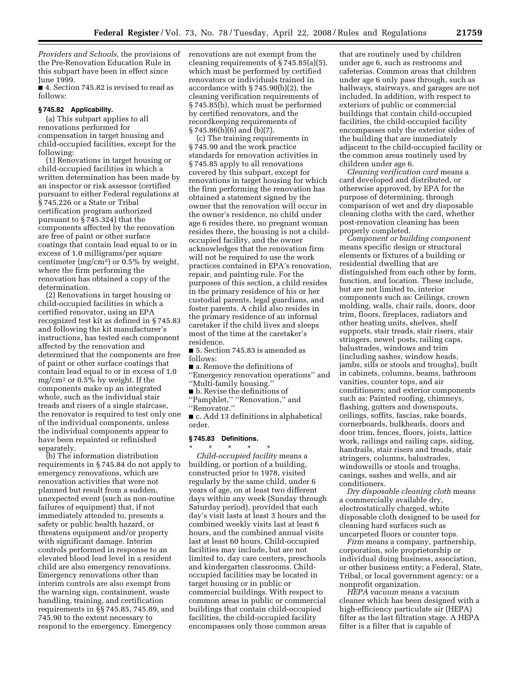*Providers and Schools*, the provisions of the Pre-Renovation Education Rule in this subpart have been in effect since June 1999.

■ 4. Section 745.82 is revised to read as follows:

#### **§ 745.82 Applicability.**

(a) This subpart applies to all renovations performed for compensation in target housing and child-occupied facilities, except for the following:

(1) Renovations in target housing or child-occupied facilities in which a written determination has been made by an inspector or risk assessor (certified pursuant to either Federal regulations at § 745.226 or a State or Tribal certification program authorized pursuant to § 745.324) that the components affected by the renovation are free of paint or other surface coatings that contain lead equal to or in excess of 1.0 milligrams/per square centimeter (mg/cm2) or 0.5% by weight, where the firm performing the renovation has obtained a copy of the determination.

(2) Renovations in target housing or child-occupied facilities in which a certified renovator, using an EPA recognized test kit as defined in § 745.83 and following the kit manufacturer's instructions, has tested each component affected by the renovation and determined that the components are free of paint or other surface coatings that contain lead equal to or in excess of 1.0 mg/cm<sup>2</sup> or  $0.5\%$  by weight. If the components make up an integrated whole, such as the individual stair treads and risers of a single staircase, the renovator is required to test only one of the individual components, unless the individual components appear to have been repainted or refinished separately.

(b) The information distribution requirements in § 745.84 do not apply to emergency renovations, which are renovation activities that were not planned but result from a sudden, unexpected event (such as non-routine failures of equipment) that, if not immediately attended to, presents a safety or public health hazard, or threatens equipment and/or property with significant damage. Interim controls performed in response to an elevated blood lead level in a resident child are also emergency renovations. Emergency renovations other than interim controls are also exempt from the warning sign, containment, waste handling, training, and certification requirements in §§ 745.85, 745.89, and 745.90 to the extent necessary to respond to the emergency. Emergency

renovations are not exempt from the cleaning requirements of § 745.85(a)(5), which must be performed by certified renovators or individuals trained in accordance with § 745.90(b)(2), the cleaning verification requirements of § 745.85(b), which must be performed by certified renovators, and the recordkeeping requirements of § 745.86(b)(6) and (b)(7).

(c) The training requirements in § 745.90 and the work practice standards for renovation activities in § 745.85 apply to all renovations covered by this subpart, except for renovations in target housing for which the firm performing the renovation has obtained a statement signed by the owner that the renovation will occur in the owner's residence, no child under age 6 resides there, no pregnant woman resides there, the housing is not a childoccupied facility, and the owner acknowledges that the renovation firm will not be required to use the work practices contained in EPA's renovation, repair, and painting rule. For the purposes of this section, a child resides in the primary residence of his or her custodial parents, legal guardians, and foster parents. A child also resides in the primary residence of an informal caretaker if the child lives and sleeps most of the time at the caretaker's residence.

■ 5. Section 745.83 is amended as follows:

■ a. Remove the definitions of

''Emergency renovation operations'' and ''Multi-family housing.''

■ b. Revise the definitions of ''Pamphlet,'' ''Renovation,'' and

''Renovator.''

■ c. Add 13 definitions in alphabetical order.

### **§ 745.83 Definitions.**

\* \* \* \* \* *Child-occupied facility* means a building, or portion of a building, constructed prior to 1978, visited regularly by the same child, under 6 years of age, on at least two different days within any week (Sunday through Saturday period), provided that each day's visit lasts at least 3 hours and the combined weekly visits last at least 6 hours, and the combined annual visits last at least 60 hours. Child-occupied facilities may include, but are not limited to, day care centers, preschools and kindergarten classrooms. Childoccupied facilities may be located in target housing or in public or commercial buildings. With respect to common areas in public or commercial buildings that contain child-occupied facilities, the child-occupied facility encompasses only those common areas

that are routinely used by children under age 6, such as restrooms and cafeterias. Common areas that children under age 6 only pass through, such as hallways, stairways, and garages are not included. In addition, with respect to exteriors of public or commercial buildings that contain child-occupied facilities, the child-occupied facility encompasses only the exterior sides of the building that are immediately adjacent to the child-occupied facility or the common areas routinely used by children under age 6.

*Cleaning verification card* means a card developed and distributed, or otherwise approved, by EPA for the purpose of determining, through comparison of wet and dry disposable cleaning cloths with the card, whether post-renovation cleaning has been properly completed.

*Component or building component*  means specific design or structural elements or fixtures of a building or residential dwelling that are distinguished from each other by form, function, and location. These include, but are not limited to, interior components such as: Ceilings, crown molding, walls, chair rails, doors, door trim, floors, fireplaces, radiators and other heating units, shelves, shelf supports, stair treads, stair risers, stair stringers, newel posts, railing caps, balustrades, windows and trim (including sashes, window heads, jambs, sills or stools and troughs), built in cabinets, columns, beams, bathroom vanities, counter tops, and air conditioners; and exterior components such as: Painted roofing, chimneys, flashing, gutters and downspouts, ceilings, soffits, fascias, rake boards, cornerboards, bulkheads, doors and door trim, fences, floors, joists, lattice work, railings and railing caps, siding, handrails, stair risers and treads, stair stringers, columns, balustrades, windowsills or stools and troughs, casings, sashes and wells, and air conditioners.

*Dry disposable cleaning cloth* means a commercially available dry, electrostatically charged, white disposable cloth designed to be used for cleaning hard surfaces such as uncarpeted floors or counter tops.

*Firm* means a company, partnership, corporation, sole proprietorship or individual doing business, association, or other business entity; a Federal, State, Tribal, or local government agency; or a nonprofit organization.

*HEPA vacuum* means a vacuum cleaner which has been designed with a high-efficiency particulate air (HEPA) filter as the last filtration stage. A HEPA filter is a filter that is capable of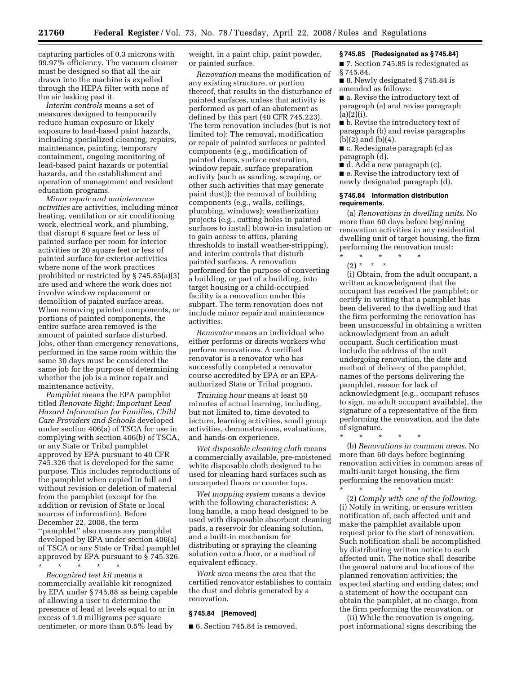capturing particles of 0.3 microns with 99.97% efficiency. The vacuum cleaner must be designed so that all the air drawn into the machine is expelled through the HEPA filter with none of the air leaking past it.

*Interim controls* means a set of measures designed to temporarily reduce human exposure or likely exposure to lead-based paint hazards, including specialized cleaning, repairs, maintenance, painting, temporary containment, ongoing monitoring of lead-based paint hazards or potential hazards, and the establishment and operation of management and resident education programs.

*Minor repair and maintenance activities* are activities, including minor heating, ventilation or air conditioning work, electrical work, and plumbing, that disrupt 6 square feet or less of painted surface per room for interior activities or 20 square feet or less of painted surface for exterior activities where none of the work practices prohibited or restricted by § 745.85(a)(3) are used and where the work does not involve window replacement or demolition of painted surface areas. When removing painted components, or portions of painted components, the entire surface area removed is the amount of painted surface disturbed. Jobs, other than emergency renovations, performed in the same room within the same 30 days must be considered the same job for the purpose of determining whether the job is a minor repair and maintenance activity.

*Pamphlet* means the EPA pamphlet titled *Renovate Right: Important Lead Hazard Information for Families, Child Care Providers and Schools* developed under section 406(a) of TSCA for use in complying with section 406(b) of TSCA, or any State or Tribal pamphlet approved by EPA pursuant to 40 CFR 745.326 that is developed for the same purpose. This includes reproductions of the pamphlet when copied in full and without revision or deletion of material from the pamphlet (except for the addition or revision of State or local sources of information). Before December 22, 2008, the term ''pamphlet'' also means any pamphlet developed by EPA under section 406(a) of TSCA or any State or Tribal pamphlet approved by EPA pursuant to § 745.326.

\* \* \* \* \*

*Recognized test kit* means a commercially available kit recognized by EPA under § 745.88 as being capable of allowing a user to determine the presence of lead at levels equal to or in excess of 1.0 milligrams per square centimeter, or more than 0.5% lead by

weight, in a paint chip, paint powder, or painted surface.

*Renovation* means the modification of any existing structure, or portion thereof, that results in the disturbance of painted surfaces, unless that activity is performed as part of an abatement as defined by this part (40 CFR 745.223). The term renovation includes (but is not limited to): The removal, modification or repair of painted surfaces or painted components (e.g., modification of painted doors, surface restoration, window repair, surface preparation activity (such as sanding, scraping, or other such activities that may generate paint dust)); the removal of building components (e.g., walls, ceilings, plumbing, windows); weatherization projects (e.g., cutting holes in painted surfaces to install blown-in insulation or to gain access to attics, planing thresholds to install weather-stripping), and interim controls that disturb painted surfaces. A renovation performed for the purpose of converting a building, or part of a building, into target housing or a child-occupied facility is a renovation under this subpart. The term renovation does not include minor repair and maintenance activities.

*Renovator* means an individual who either performs or directs workers who perform renovations. A certified renovator is a renovator who has successfully completed a renovator course accredited by EPA or an EPAauthorized State or Tribal program.

*Training hour* means at least 50 minutes of actual learning, including, but not limited to, time devoted to lecture, learning activities, small group activities, demonstrations, evaluations, and hands-on experience.

*Wet disposable cleaning cloth* means a commercially available, pre-moistened white disposable cloth designed to be used for cleaning hard surfaces such as uncarpeted floors or counter tops.

*Wet mopping system* means a device with the following characteristics: A long handle, a mop head designed to be used with disposable absorbent cleaning pads, a reservoir for cleaning solution, and a built-in mechanism for distributing or spraying the cleaning solution onto a floor, or a method of equivalent efficacy.

*Work area* means the area that the certified renovator establishes to contain the dust and debris generated by a renovation.

### **§ 745.84 [Removed]**

■ 6. Section 745.84 is removed.

## **§ 745.85 [Redesignated as § 745.84]**

- 7. Section 745.85 is redesignated as § 745.84.
- 8. Newly designated § 745.84 is amended as follows:

■ a. Revise the introductory text of paragraph (a) and revise paragraph  $(a)(2)(i).$ 

■ b. Revise the introductory text of paragraph (b) and revise paragraphs (b)(2) and (b)(4).

■ c. Redesignate paragraph (c) as paragraph (d).

■ d. Add a new paragraph (c).

■ e. Revise the introductory text of newly designated paragraph (d).

### **§ 745.84 Information distribution requirements.**

(a) *Renovations in dwelling units*. No more than 60 days before beginning renovation activities in any residential dwelling unit of target housing, the firm performing the renovation must:

\* \* \* \* \*  $(2) * * * *$ 

(i) Obtain, from the adult occupant, a written acknowledgment that the occupant has received the pamphlet; or certify in writing that a pamphlet has been delivered to the dwelling and that the firm performing the renovation has been unsuccessful in obtaining a written acknowledgment from an adult occupant. Such certification must include the address of the unit undergoing renovation, the date and method of delivery of the pamphlet, names of the persons delivering the pamphlet, reason for lack of acknowledgment (e.g., occupant refuses to sign, no adult occupant available), the signature of a representative of the firm performing the renovation, and the date of signature.

\* \* \* \* \* (b) *Renovations in common areas*. No more than 60 days before beginning renovation activities in common areas of multi-unit target housing, the firm performing the renovation must:

\* \* \* \* \*

(2) *Comply with one of the following*. (i) Notify in writing, or ensure written notification of, each affected unit and make the pamphlet available upon request prior to the start of renovation. Such notification shall be accomplished by distributing written notice to each affected unit. The notice shall describe the general nature and locations of the planned renovation activities; the expected starting and ending dates; and a statement of how the occupant can obtain the pamphlet, at no charge, from the firm performing the renovation, or

(ii) While the renovation is ongoing, post informational signs describing the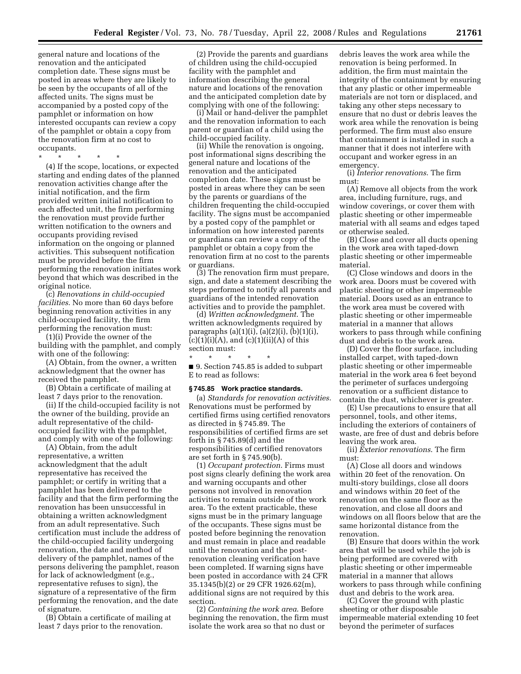general nature and locations of the renovation and the anticipated completion date. These signs must be posted in areas where they are likely to be seen by the occupants of all of the affected units. The signs must be accompanied by a posted copy of the pamphlet or information on how interested occupants can review a copy of the pamphlet or obtain a copy from the renovation firm at no cost to occupants.

\* \* \* \* \*

(4) If the scope, locations, or expected starting and ending dates of the planned renovation activities change after the initial notification, and the firm provided written initial notification to each affected unit, the firm performing the renovation must provide further written notification to the owners and occupants providing revised information on the ongoing or planned activities. This subsequent notification must be provided before the firm performing the renovation initiates work beyond that which was described in the original notice.

(c) *Renovations in child-occupied facilities*. No more than 60 days before beginning renovation activities in any child-occupied facility, the firm performing the renovation must:

(1)(i) Provide the owner of the building with the pamphlet, and comply with one of the following:

(A) Obtain, from the owner, a written acknowledgment that the owner has received the pamphlet.

(B) Obtain a certificate of mailing at least 7 days prior to the renovation.

(ii) If the child-occupied facility is not the owner of the building, provide an adult representative of the childoccupied facility with the pamphlet, and comply with one of the following:

(A) Obtain, from the adult representative, a written acknowledgment that the adult representative has received the pamphlet; or certify in writing that a pamphlet has been delivered to the facility and that the firm performing the renovation has been unsuccessful in obtaining a written acknowledgment from an adult representative. Such certification must include the address of the child-occupied facility undergoing renovation, the date and method of delivery of the pamphlet, names of the persons delivering the pamphlet, reason for lack of acknowledgment (e.g., representative refuses to sign), the signature of a representative of the firm performing the renovation, and the date of signature.

(B) Obtain a certificate of mailing at least 7 days prior to the renovation.

(2) Provide the parents and guardians of children using the child-occupied facility with the pamphlet and information describing the general nature and locations of the renovation and the anticipated completion date by complying with one of the following:

(i) Mail or hand-deliver the pamphlet and the renovation information to each parent or guardian of a child using the child-occupied facility.

(ii) While the renovation is ongoing, post informational signs describing the general nature and locations of the renovation and the anticipated completion date. These signs must be posted in areas where they can be seen by the parents or guardians of the children frequenting the child-occupied facility. The signs must be accompanied by a posted copy of the pamphlet or information on how interested parents or guardians can review a copy of the pamphlet or obtain a copy from the renovation firm at no cost to the parents or guardians.

(3) The renovation firm must prepare, sign, and date a statement describing the steps performed to notify all parents and guardians of the intended renovation activities and to provide the pamphlet.

(d) *Written acknowledgment*. The written acknowledgments required by paragraphs (a)(1)(i), (a)(2)(i), (b)(1)(i),  $(c)(1)(i)(A)$ , and  $(c)(1)(ii)(A)$  of this section must:

\* \* \* \* \* ■ 9. Section 745.85 is added to subpart E to read as follows:

### **§ 745.85 Work practice standards.**

(a) *Standards for renovation activities*. Renovations must be performed by certified firms using certified renovators as directed in § 745.89. The responsibilities of certified firms are set forth in § 745.89(d) and the responsibilities of certified renovators are set forth in § 745.90(b).

(1) *Occupant protection*. Firms must post signs clearly defining the work area and warning occupants and other persons not involved in renovation activities to remain outside of the work area. To the extent practicable, these signs must be in the primary language of the occupants. These signs must be posted before beginning the renovation and must remain in place and readable until the renovation and the postrenovation cleaning verification have been completed. If warning signs have been posted in accordance with 24 CFR 35.1345(b)(2) or 29 CFR 1926.62(m), additional signs are not required by this section.

(2) *Containing the work area*. Before beginning the renovation, the firm must isolate the work area so that no dust or

debris leaves the work area while the renovation is being performed. In addition, the firm must maintain the integrity of the containment by ensuring that any plastic or other impermeable materials are not torn or displaced, and taking any other steps necessary to ensure that no dust or debris leaves the work area while the renovation is being performed. The firm must also ensure that containment is installed in such a manner that it does not interfere with occupant and worker egress in an emergency.

(i) *Interior renovations*. The firm must:

(A) Remove all objects from the work area, including furniture, rugs, and window coverings, or cover them with plastic sheeting or other impermeable material with all seams and edges taped or otherwise sealed.

(B) Close and cover all ducts opening in the work area with taped-down plastic sheeting or other impermeable material.

(C) Close windows and doors in the work area. Doors must be covered with plastic sheeting or other impermeable material. Doors used as an entrance to the work area must be covered with plastic sheeting or other impermeable material in a manner that allows workers to pass through while confining dust and debris to the work area.

(D) Cover the floor surface, including installed carpet, with taped-down plastic sheeting or other impermeable material in the work area 6 feet beyond the perimeter of surfaces undergoing renovation or a sufficient distance to contain the dust, whichever is greater.

(E) Use precautions to ensure that all personnel, tools, and other items, including the exteriors of containers of waste, are free of dust and debris before leaving the work area.

(ii) *Exterior renovations*. The firm must:

(A) Close all doors and windows within 20 feet of the renovation. On multi-story buildings, close all doors and windows within 20 feet of the renovation on the same floor as the renovation, and close all doors and windows on all floors below that are the same horizontal distance from the renovation.

(B) Ensure that doors within the work area that will be used while the job is being performed are covered with plastic sheeting or other impermeable material in a manner that allows workers to pass through while confining dust and debris to the work area.

(C) Cover the ground with plastic sheeting or other disposable impermeable material extending 10 feet beyond the perimeter of surfaces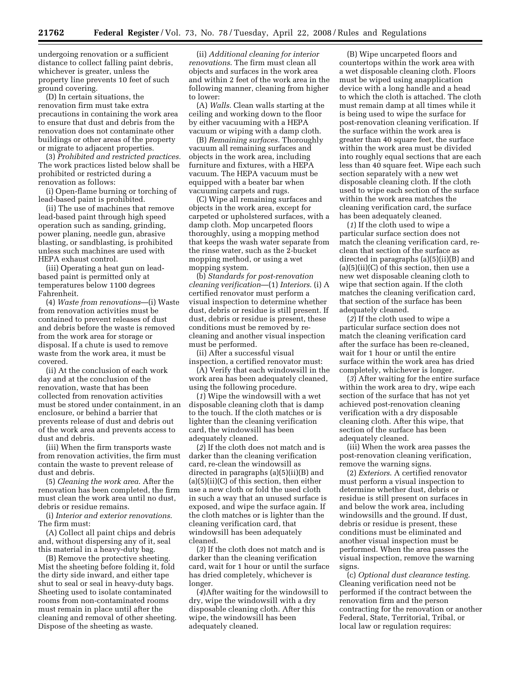undergoing renovation or a sufficient distance to collect falling paint debris, whichever is greater, unless the property line prevents 10 feet of such ground covering.

(D) In certain situations, the renovation firm must take extra precautions in containing the work area to ensure that dust and debris from the renovation does not contaminate other buildings or other areas of the property or migrate to adjacent properties.

(3) *Prohibited and restricted practices.*  The work practices listed below shall be prohibited or restricted during a renovation as follows:

(i) Open-flame burning or torching of lead-based paint is prohibited.

(ii) The use of machines that remove lead-based paint through high speed operation such as sanding, grinding, power planing, needle gun, abrasive blasting, or sandblasting, is prohibited unless such machines are used with HEPA exhaust control.

(iii) Operating a heat gun on leadbased paint is permitted only at temperatures below 1100 degrees Fahrenheit.

(4) *Waste from renovations*—(i) Waste from renovation activities must be contained to prevent releases of dust and debris before the waste is removed from the work area for storage or disposal. If a chute is used to remove waste from the work area, it must be covered.

(ii) At the conclusion of each work day and at the conclusion of the renovation, waste that has been collected from renovation activities must be stored under containment, in an enclosure, or behind a barrier that prevents release of dust and debris out of the work area and prevents access to dust and debris.

(iii) When the firm transports waste from renovation activities, the firm must contain the waste to prevent release of dust and debris.

(5) *Cleaning the work area*. After the renovation has been completed, the firm must clean the work area until no dust, debris or residue remains.

(i) *Interior and exterior renovations*. The firm must:

(A) Collect all paint chips and debris and, without dispersing any of it, seal this material in a heavy-duty bag.

(B) Remove the protective sheeting. Mist the sheeting before folding it, fold the dirty side inward, and either tape shut to seal or seal in heavy-duty bags. Sheeting used to isolate contaminated rooms from non-contaminated rooms must remain in place until after the cleaning and removal of other sheeting. Dispose of the sheeting as waste.

(ii) *Additional cleaning for interior renovations*. The firm must clean all objects and surfaces in the work area and within 2 feet of the work area in the following manner, cleaning from higher to lower:

(A) *Walls*. Clean walls starting at the ceiling and working down to the floor by either vacuuming with a HEPA vacuum or wiping with a damp cloth.

(B) *Remaining surfaces*. Thoroughly vacuum all remaining surfaces and objects in the work area, including furniture and fixtures, with a HEPA vacuum. The HEPA vacuum must be equipped with a beater bar when vacuuming carpets and rugs.

(C) Wipe all remaining surfaces and objects in the work area, except for carpeted or upholstered surfaces, with a damp cloth. Mop uncarpeted floors thoroughly, using a mopping method that keeps the wash water separate from the rinse water, such as the 2-bucket mopping method, or using a wet mopping system.

(b) *Standards for post-renovation cleaning verification*—(1) *Interiors*. (i) A certified renovator must perform a visual inspection to determine whether dust, debris or residue is still present. If dust, debris or residue is present, these conditions must be removed by recleaning and another visual inspection must be performed.

(ii) After a successful visual inspection, a certified renovator must:

(A) Verify that each windowsill in the work area has been adequately cleaned, using the following procedure.

(*1*) Wipe the windowsill with a wet disposable cleaning cloth that is damp to the touch. If the cloth matches or is lighter than the cleaning verification card, the windowsill has been adequately cleaned.

(*2*) If the cloth does not match and is darker than the cleaning verification card, re-clean the windowsill as directed in paragraphs (a)(5)(ii)(B) and  $(a)(5)(ii)(C)$  of this section, then either use a new cloth or fold the used cloth in such a way that an unused surface is exposed, and wipe the surface again. If the cloth matches or is lighter than the cleaning verification card, that windowsill has been adequately cleaned.

(*3*) If the cloth does not match and is darker than the cleaning verification card, wait for 1 hour or until the surface has dried completely, whichever is longer.

(*4*)After waiting for the windowsill to dry, wipe the windowsill with a dry disposable cleaning cloth. After this wipe, the windowsill has been adequately cleaned.

(B) Wipe uncarpeted floors and countertops within the work area with a wet disposable cleaning cloth. Floors must be wiped using anapplication device with a long handle and a head to which the cloth is attached. The cloth must remain damp at all times while it is being used to wipe the surface for post-renovation cleaning verification. If the surface within the work area is greater than 40 square feet, the surface within the work area must be divided into roughly equal sections that are each less than 40 square feet. Wipe each such section separately with a new wet disposable cleaning cloth. If the cloth used to wipe each section of the surface within the work area matches the cleaning verification card, the surface has been adequately cleaned.

(*1*) If the cloth used to wipe a particular surface section does not match the cleaning verification card, reclean that section of the surface as directed in paragraphs (a)(5)(ii)(B) and  $(a)(5)(ii)(C)$  of this section, then use a new wet disposable cleaning cloth to wipe that section again. If the cloth matches the cleaning verification card, that section of the surface has been adequately cleaned.

(*2*) If the cloth used to wipe a particular surface section does not match the cleaning verification card after the surface has been re-cleaned, wait for 1 hour or until the entire surface within the work area has dried completely, whichever is longer.

(*3*) After waiting for the entire surface within the work area to dry, wipe each section of the surface that has not yet achieved post-renovation cleaning verification with a dry disposable cleaning cloth. After this wipe, that section of the surface has been adequately cleaned.

(iii) When the work area passes the post-renovation cleaning verification, remove the warning signs.

(2) *Exteriors*. A certified renovator must perform a visual inspection to determine whether dust, debris or residue is still present on surfaces in and below the work area, including windowsills and the ground. If dust, debris or residue is present, these conditions must be eliminated and another visual inspection must be performed. When the area passes the visual inspection, remove the warning signs.

(c) *Optional dust clearance testing*. Cleaning verification need not be performed if the contract between the renovation firm and the person contracting for the renovation or another Federal, State, Territorial, Tribal, or local law or regulation requires: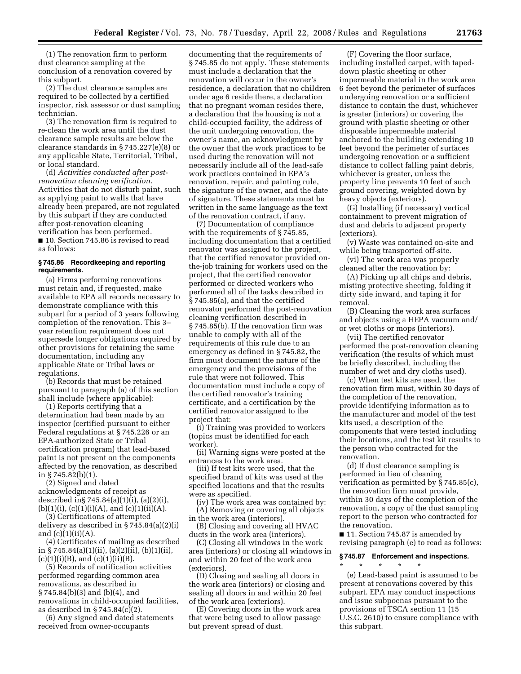(1) The renovation firm to perform dust clearance sampling at the conclusion of a renovation covered by this subpart.

(2) The dust clearance samples are required to be collected by a certified inspector, risk assessor or dust sampling technician.

(3) The renovation firm is required to re-clean the work area until the dust clearance sample results are below the clearance standards in § 745.227(e)(8) or any applicable State, Territorial, Tribal, or local standard.

(d) *Activities conducted after postrenovation cleaning verification*. Activities that do not disturb paint, such as applying paint to walls that have already been prepared, are not regulated by this subpart if they are conducted after post-renovation cleaning verification has been performed. ■ 10. Section 745.86 is revised to read as follows:

# **§ 745.86 Recordkeeping and reporting requirements.**

(a) Firms performing renovations must retain and, if requested, make available to EPA all records necessary to demonstrate compliance with this subpart for a period of 3 years following completion of the renovation. This 3– year retention requirement does not supersede longer obligations required by other provisions for retaining the same documentation, including any applicable State or Tribal laws or regulations.

(b) Records that must be retained pursuant to paragraph (a) of this section shall include (where applicable):

(1) Reports certifying that a determination had been made by an inspector (certified pursuant to either Federal regulations at § 745.226 or an EPA-authorized State or Tribal certification program) that lead-based paint is not present on the components affected by the renovation, as described in § 745.82(b)(1).

(2) Signed and dated acknowledgments of receipt as described in§ 745.84(a)(1)(i), (a)(2)(i),  $(b)(1)(i)$ ,  $(c)(1)(i)(A)$ , and  $(c)(1)(ii)(A)$ .

(3) Certifications of attempted delivery as described in § 745.84(a)(2)(i) and  $(c)(1)(ii)(A)$ .

(4) Certificates of mailing as described in § 745.84(a)(1)(ii), (a)(2)(ii), (b)(1)(ii),  $(c)(1)(i)(B)$ , and  $(c)(1)(ii)(B)$ .

(5) Records of notification activities performed regarding common area renovations, as described in § 745.84(b)(3) and (b)(4), and renovations in child-occupied facilities, as described in § 745.84(c)(2).

(6) Any signed and dated statements received from owner-occupants

documenting that the requirements of § 745.85 do not apply. These statements must include a declaration that the renovation will occur in the owner's residence, a declaration that no children under age 6 reside there, a declaration that no pregnant woman resides there, a declaration that the housing is not a child-occupied facility, the address of the unit undergoing renovation, the owner's name, an acknowledgment by the owner that the work practices to be used during the renovation will not necessarily include all of the lead-safe work practices contained in EPA's renovation, repair, and painting rule, the signature of the owner, and the date of signature. These statements must be written in the same language as the text of the renovation contract, if any.

(7) Documentation of compliance with the requirements of § 745.85, including documentation that a certified renovator was assigned to the project, that the certified renovator provided onthe-job training for workers used on the project, that the certified renovator performed or directed workers who performed all of the tasks described in § 745.85(a), and that the certified renovator performed the post-renovation cleaning verification described in § 745.85(b). If the renovation firm was unable to comply with all of the requirements of this rule due to an emergency as defined in § 745.82, the firm must document the nature of the emergency and the provisions of the rule that were not followed. This documentation must include a copy of the certified renovator's training certificate, and a certification by the certified renovator assigned to the project that:

(i) Training was provided to workers (topics must be identified for each worker).

(ii) Warning signs were posted at the entrances to the work area.

(iii) If test kits were used, that the specified brand of kits was used at the specified locations and that the results were as specified.

(iv) The work area was contained by: (A) Removing or covering all objects in the work area (interiors).

(B) Closing and covering all HVAC ducts in the work area (interiors).

(C) Closing all windows in the work area (interiors) or closing all windows in and within 20 feet of the work area (exteriors).

(D) Closing and sealing all doors in the work area (interiors) or closing and sealing all doors in and within 20 feet of the work area (exteriors).

(E) Covering doors in the work area that were being used to allow passage but prevent spread of dust.

(F) Covering the floor surface, including installed carpet, with tapeddown plastic sheeting or other impermeable material in the work area 6 feet beyond the perimeter of surfaces undergoing renovation or a sufficient distance to contain the dust, whichever is greater (interiors) or covering the ground with plastic sheeting or other disposable impermeable material anchored to the building extending 10 feet beyond the perimeter of surfaces undergoing renovation or a sufficient distance to collect falling paint debris, whichever is greater, unless the property line prevents 10 feet of such ground covering, weighted down by heavy objects (exteriors).

(G) Installing (if necessary) vertical containment to prevent migration of dust and debris to adjacent property (exteriors).

(v) Waste was contained on-site and while being transported off-site.

(vi) The work area was properly cleaned after the renovation by:

(A) Picking up all chips and debris, misting protective sheeting, folding it dirty side inward, and taping it for removal.

(B) Cleaning the work area surfaces and objects using a HEPA vacuum and/ or wet cloths or mops (interiors).

(vii) The certified renovator performed the post-renovation cleaning verification (the results of which must be briefly described, including the number of wet and dry cloths used).

(c) When test kits are used, the renovation firm must, within 30 days of the completion of the renovation, provide identifying information as to the manufacturer and model of the test kits used, a description of the components that were tested including their locations, and the test kit results to the person who contracted for the renovation.

(d) If dust clearance sampling is performed in lieu of cleaning verification as permitted by § 745.85(c), the renovation firm must provide, within 30 days of the completion of the renovation, a copy of the dust sampling report to the person who contracted for the renovation.

■ 11. Section 745.87 is amended by revising paragraph (e) to read as follows:

# **§ 745.87 Enforcement and inspections.**

\* \* \* \* \* (e) Lead-based paint is assumed to be present at renovations covered by this subpart. EPA may conduct inspections and issue subpoenas pursuant to the provisions of TSCA section 11 (15 U.S.C. 2610) to ensure compliance with this subpart.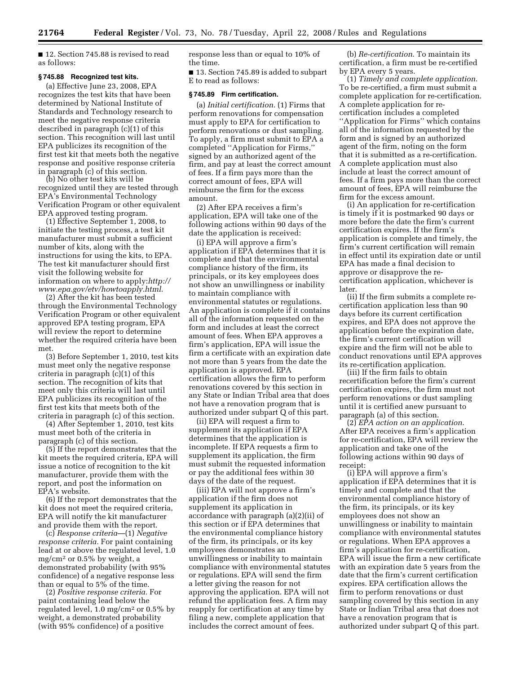■ 12. Section 745.88 is revised to read as follows:

## **§ 745.88 Recognized test kits.**

(a) Effective June 23, 2008, EPA recognizes the test kits that have been determined by National Institute of Standards and Technology research to meet the negative response criteria described in paragraph (c)(1) of this section. This recognition will last until EPA publicizes its recognition of the first test kit that meets both the negative response and positive response criteria in paragraph (c) of this section.

(b) No other test kits will be recognized until they are tested through EPA's Environmental Technology Verification Program or other equivalent EPA approved testing program.

(1) Effective September 1, 2008, to initiate the testing process, a test kit manufacturer must submit a sufficient number of kits, along with the instructions for using the kits, to EPA. The test kit manufacturer should first visit the following website for information on where to apply:*http:// [www.epa.gov/etv/howtoapply.html](http://www.epa.gov/etv/howtoapply.html)*.

(2) After the kit has been tested through the Environmental Technology Verification Program or other equivalent approved EPA testing program, EPA will review the report to determine whether the required criteria have been met.

(3) Before September 1, 2010, test kits must meet only the negative response criteria in paragraph (c)(1) of this section. The recognition of kits that meet only this criteria will last until EPA publicizes its recognition of the first test kits that meets both of the criteria in paragraph (c) of this section.

(4) After September 1, 2010, test kits must meet both of the criteria in paragraph (c) of this section.

(5) If the report demonstrates that the kit meets the required criteria, EPA will issue a notice of recognition to the kit manufacturer, provide them with the report, and post the information on EPA's website.

(6) If the report demonstrates that the kit does not meet the required criteria, EPA will notify the kit manufacturer and provide them with the report.

(c) *Response criteria*—(1) *Negative response criteria.* For paint containing lead at or above the regulated level, 1.0 mg/cm2 or 0.5% by weight, a demonstrated probability (with 95% confidence) of a negative response less than or equal to 5% of the time.

(2) *Positive response criteria.* For paint containing lead below the regulated level, 1.0 mg/cm2 or 0.5% by weight, a demonstrated probability (with 95% confidence) of a positive

response less than or equal to 10% of the time.

■ 13. Section 745.89 is added to subpart E to read as follows:

# **§ 745.89 Firm certification.**

(a) *Initial certification*. (1) Firms that perform renovations for compensation must apply to EPA for certification to perform renovations or dust sampling. To apply, a firm must submit to EPA a completed ''Application for Firms,'' signed by an authorized agent of the firm, and pay at least the correct amount of fees. If a firm pays more than the correct amount of fees, EPA will reimburse the firm for the excess amount.

(2) After EPA receives a firm's application, EPA will take one of the following actions within 90 days of the date the application is received:

(i) EPA will approve a firm's application if EPA determines that it is complete and that the environmental compliance history of the firm, its principals, or its key employees does not show an unwillingness or inability to maintain compliance with environmental statutes or regulations. An application is complete if it contains all of the information requested on the form and includes at least the correct amount of fees. When EPA approves a firm's application, EPA will issue the firm a certificate with an expiration date not more than 5 years from the date the application is approved. EPA certification allows the firm to perform renovations covered by this section in any State or Indian Tribal area that does not have a renovation program that is authorized under subpart Q of this part.

(ii) EPA will request a firm to supplement its application if EPA determines that the application is incomplete. If EPA requests a firm to supplement its application, the firm must submit the requested information or pay the additional fees within 30 days of the date of the request.

(iii) EPA will not approve a firm's application if the firm does not supplement its application in accordance with paragraph (a)(2)(ii) of this section or if EPA determines that the environmental compliance history of the firm, its principals, or its key employees demonstrates an unwillingness or inability to maintain compliance with environmental statutes or regulations. EPA will send the firm a letter giving the reason for not approving the application. EPA will not refund the application fees. A firm may reapply for certification at any time by filing a new, complete application that includes the correct amount of fees.

(b) *Re-certification*. To maintain its certification, a firm must be re-certified by EPA every 5 years.

(1) *Timely and complete application*. To be re-certified, a firm must submit a complete application for re-certification. A complete application for recertification includes a completed ''Application for Firms'' which contains all of the information requested by the form and is signed by an authorized agent of the firm, noting on the form that it is submitted as a re-certification. A complete application must also include at least the correct amount of fees. If a firm pays more than the correct amount of fees, EPA will reimburse the firm for the excess amount.

(i) An application for re-certification is timely if it is postmarked 90 days or more before the date the firm's current certification expires. If the firm's application is complete and timely, the firm's current certification will remain in effect until its expiration date or until EPA has made a final decision to approve or disapprove the recertification application, whichever is later.

(ii) If the firm submits a complete recertification application less than 90 days before its current certification expires, and EPA does not approve the application before the expiration date, the firm's current certification will expire and the firm will not be able to conduct renovations until EPA approves its re-certification application.

(iii) If the firm fails to obtain recertification before the firm's current certification expires, the firm must not perform renovations or dust sampling until it is certified anew pursuant to paragraph (a) of this section.

(2) *EPA action on an application*. After EPA receives a firm's application for re-certification, EPA will review the application and take one of the following actions within 90 days of receipt:

(i) EPA will approve a firm's application if EPA determines that it is timely and complete and that the environmental compliance history of the firm, its principals, or its key employees does not show an unwillingness or inability to maintain compliance with environmental statutes or regulations. When EPA approves a firm's application for re-certification, EPA will issue the firm a new certificate with an expiration date 5 years from the date that the firm's current certification expires. EPA certification allows the firm to perform renovations or dust sampling covered by this section in any State or Indian Tribal area that does not have a renovation program that is authorized under subpart Q of this part.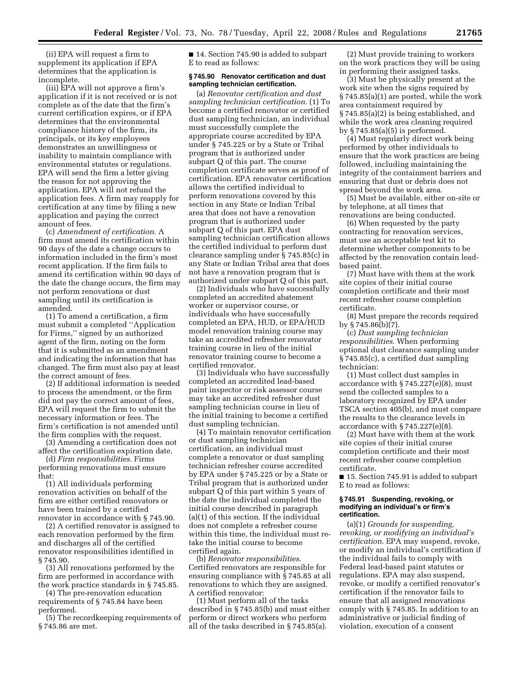(ii) EPA will request a firm to supplement its application if EPA determines that the application is incomplete.

(iii) EPA will not approve a firm's application if it is not received or is not complete as of the date that the firm's current certification expires, or if EPA determines that the environmental compliance history of the firm, its principals, or its key employees demonstrates an unwillingness or inability to maintain compliance with environmental statutes or regulations. EPA will send the firm a letter giving the reason for not approving the application. EPA will not refund the application fees. A firm may reapply for certification at any time by filing a new application and paying the correct amount of fees.

(c) *Amendment of certification*. A firm must amend its certification within 90 days of the date a change occurs to information included in the firm's most recent application. If the firm fails to amend its certification within 90 days of the date the change occurs, the firm may not perform renovations or dust sampling until its certification is amended.

(1) To amend a certification, a firm must submit a completed ''Application for Firms,'' signed by an authorized agent of the firm, noting on the form that it is submitted as an amendment and indicating the information that has changed. The firm must also pay at least the correct amount of fees.

(2) If additional information is needed to process the amendment, or the firm did not pay the correct amount of fees, EPA will request the firm to submit the necessary information or fees. The firm's certification is not amended until the firm complies with the request.

(3) Amending a certification does not affect the certification expiration date.

(d) *Firm responsibilities*. Firms performing renovations must ensure that:

(1) All individuals performing renovation activities on behalf of the firm are either certified renovators or have been trained by a certified renovator in accordance with § 745.90.

(2) A certified renovator is assigned to each renovation performed by the firm and discharges all of the certified renovator responsibilities identified in § 745.90.

(3) All renovations performed by the firm are performed in accordance with the work practice standards in § 745.85.

(4) The pre-renovation education requirements of § 745.84 have been performed.

(5) The recordkeeping requirements of § 745.86 are met.

■ 14. Section 745.90 is added to subpart E to read as follows:

# **§ 745.90 Renovator certification and dust sampling technician certification.**

(a) *Renovator certification and dust sampling technician certification*. (1) To become a certified renovator or certified dust sampling technician, an individual must successfully complete the appropriate course accredited by EPA under § 745.225 or by a State or Tribal program that is authorized under subpart Q of this part. The course completion certificate serves as proof of certification. EPA renovator certification allows the certified individual to perform renovations covered by this section in any State or Indian Tribal area that does not have a renovation program that is authorized under subpart Q of this part. EPA dust sampling technician certification allows the certified individual to perform dust clearance sampling under § 745.85(c) in any State or Indian Tribal area that does not have a renovation program that is authorized under subpart Q of this part.

(2) Individuals who have successfully completed an accredited abatement worker or supervisor course, or individuals who have successfully completed an EPA, HUD, or EPA/HUD model renovation training course may take an accredited refresher renovator training course in lieu of the initial renovator training course to become a certified renovator.

(3) Individuals who have successfully completed an accredited lead-based paint inspector or risk assessor course may take an accredited refresher dust sampling technician course in lieu of the initial training to become a certified dust sampling technician.

(4) To maintain renovator certification or dust sampling technician certification, an individual must complete a renovator or dust sampling technician refresher course accredited by EPA under § 745.225 or by a State or Tribal program that is authorized under subpart Q of this part within 5 years of the date the individual completed the initial course described in paragraph (a)(1) of this section. If the individual does not complete a refresher course within this time, the individual must retake the initial course to become certified again.

(b) *Renovator responsibilities*. Certified renovators are responsible for ensuring compliance with § 745.85 at all renovations to which they are assigned. A certified renovator:

(1) Must perform all of the tasks described in § 745.85(b) and must either perform or direct workers who perform all of the tasks described in § 745.85(a).

(2) Must provide training to workers on the work practices they will be using in performing their assigned tasks.

(3) Must be physically present at the work site when the signs required by § 745.85(a)(1) are posted, while the work area containment required by § 745.85(a)(2) is being established, and while the work area cleaning required by § 745.85(a)(5) is performed.

(4) Must regularly direct work being performed by other individuals to ensure that the work practices are being followed, including maintaining the integrity of the containment barriers and ensuring that dust or debris does not spread beyond the work area.

(5) Must be available, either on-site or by telephone, at all times that renovations are being conducted.

(6) When requested by the party contracting for renovation services, must use an acceptable test kit to determine whether components to be affected by the renovation contain leadbased paint.

(7) Must have with them at the work site copies of their initial course completion certificate and their most recent refresher course completion certificate.

(8) Must prepare the records required by § 745.86(b)(7).

(c) *Dust sampling technician responsibilities*. When performing optional dust clearance sampling under § 745.85(c), a certified dust sampling technician:

(1) Must collect dust samples in accordance with  $\S 745.227(e)(8)$ , must send the collected samples to a laboratory recognized by EPA under TSCA section 405(b), and must compare the results to the clearance levels in accordance with  $\S 745.227(e)(8)$ .

(2) Must have with them at the work site copies of their initial course completion certificate and their most recent refresher course completion certificate.

■ 15. Section 745.91 is added to subpart E to read as follows:

# **§ 745.91 Suspending, revoking, or modifying an individual's or firm's certification.**

(a)(1) *Grounds for suspending, revoking, or modifying an individual's certification*. EPA may suspend, revoke, or modify an individual's certification if the individual fails to comply with Federal lead-based paint statutes or regulations. EPA may also suspend, revoke, or modify a certified renovator's certification if the renovator fails to ensure that all assigned renovations comply with § 745.85. In addition to an administrative or judicial finding of violation, execution of a consent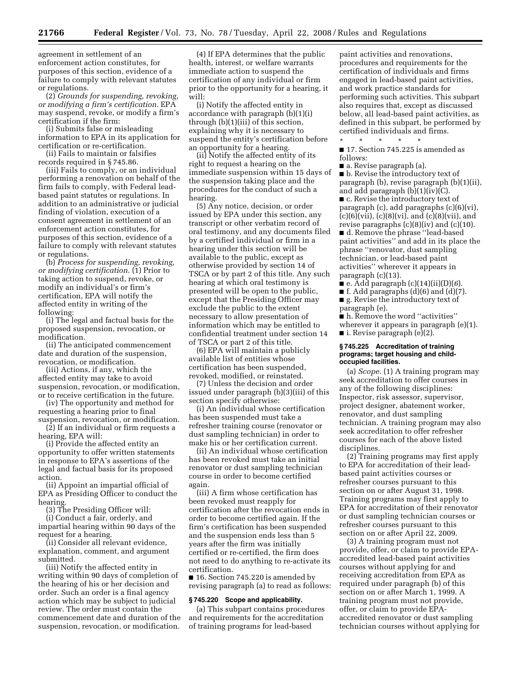agreement in settlement of an enforcement action constitutes, for purposes of this section, evidence of a failure to comply with relevant statutes or regulations.

(2) *Grounds for suspending, revoking, or modifying a firm's certification*. EPA may suspend, revoke, or modify a firm's certification if the firm:

(i) Submits false or misleading information to EPA in its application for certification or re-certification.

(ii) Fails to maintain or falsifies records required in § 745.86.

(iii) Fails to comply, or an individual performing a renovation on behalf of the firm fails to comply, with Federal leadbased paint statutes or regulations. In addition to an administrative or judicial finding of violation, execution of a consent agreement in settlement of an enforcement action constitutes, for purposes of this section, evidence of a failure to comply with relevant statutes or regulations.

(b) *Process for suspending, revoking, or modifying certification*. (1) Prior to taking action to suspend, revoke, or modify an individual's or firm's certification, EPA will notify the affected entity in writing of the following:

(i) The legal and factual basis for the proposed suspension, revocation, or modification.

(ii) The anticipated commencement date and duration of the suspension, revocation, or modification.

(iii) Actions, if any, which the affected entity may take to avoid suspension, revocation, or modification, or to receive certification in the future.

(iv) The opportunity and method for requesting a hearing prior to final suspension, revocation, or modification.

(2) If an individual or firm requests a hearing, EPA will:

(i) Provide the affected entity an opportunity to offer written statements in response to EPA's assertions of the legal and factual basis for its proposed action.

(ii) Appoint an impartial official of EPA as Presiding Officer to conduct the hearing.

(3) The Presiding Officer will:

(i) Conduct a fair, orderly, and impartial hearing within 90 days of the request for a hearing.

(ii) Consider all relevant evidence, explanation, comment, and argument submitted.

(iii) Notify the affected entity in writing within 90 days of completion of the hearing of his or her decision and order. Such an order is a final agency action which may be subject to judicial review. The order must contain the commencement date and duration of the suspension, revocation, or modification.

(4) If EPA determines that the public health, interest, or welfare warrants immediate action to suspend the certification of any individual or firm prior to the opportunity for a hearing, it will:

(i) Notify the affected entity in accordance with paragraph (b)(1)(i) through (b)(1)(iii) of this section, explaining why it is necessary to suspend the entity's certification before an opportunity for a hearing.

(ii) Notify the affected entity of its right to request a hearing on the immediate suspension within 15 days of the suspension taking place and the procedures for the conduct of such a hearing.

(5) Any notice, decision, or order issued by EPA under this section, any transcript or other verbatim record of oral testimony, and any documents filed by a certified individual or firm in a hearing under this section will be available to the public, except as otherwise provided by section 14 of TSCA or by part 2 of this title. Any such hearing at which oral testimony is presented will be open to the public, except that the Presiding Officer may exclude the public to the extent necessary to allow presentation of information which may be entitled to confidential treatment under section 14 of TSCA or part 2 of this title.

(6) EPA will maintain a publicly available list of entities whose certification has been suspended, revoked, modified, or reinstated.

(7) Unless the decision and order issued under paragraph (b)(3)(iii) of this section specify otherwise:

(i) An individual whose certification has been suspended must take a refresher training course (renovator or dust sampling technician) in order to make his or her certification current.

(ii) An individual whose certification has been revoked must take an initial renovator or dust sampling technician course in order to become certified again.

(iii) A firm whose certification has been revoked must reapply for certification after the revocation ends in order to become certified again. If the firm's certification has been suspended and the suspension ends less than 5 years after the firm was initially certified or re-certified, the firm does not need to do anything to re-activate its certification.

■ 16. Section 745.220 is amended by revising paragraph (a) to read as follows:

# **§ 745.220 Scope and applicability.**

(a) This subpart contains procedures and requirements for the accreditation of training programs for lead-based

paint activities and renovations, procedures and requirements for the certification of individuals and firms engaged in lead-based paint activities, and work practice standards for performing such activities. This subpart also requires that, except as discussed below, all lead-based paint activities, as defined in this subpart, be performed by certified individuals and firms.

\* \* \* \* \* ■ 17. Section 745.225 is amended as follows:

■ a. Revise paragraph (a).

■ b. Revise the introductory text of paragraph (b), revise paragraph (b)(1)(ii), and add paragraph  $(b)(1)(iv)(C)$ .

■ c. Revise the introductory text of paragraph (c), add paragraphs (c)(6)(vi),  $(c)(6)(vii)$ ,  $(c)(8)(vi)$ , and  $(c)(8)(vii)$ , and revise paragraphs  $(c)(8)(iv)$  and  $(c)(10)$ . ■ d. Remove the phrase ''lead-based paint activities'' and add in its place the phrase ''renovator, dust sampling technician, or lead-based paint activities'' wherever it appears in paragraph (c)(13).

■ e. Add paragraph (c)(14)(ii)(D)(*6*).

 $\blacksquare$  f. Add paragraphs (d)(6) and (d)(7). ■ g. Revise the introductory text of

paragraph (e).

■ h. Remove the word "activities" wherever it appears in paragraph  $(e)(1)$ . ■ i. Revise paragraph (e)(2).

# **§ 745.225 Accreditation of training programs; target housing and childoccupied facilities.**

(a) *Scope*. (1) A training program may seek accreditation to offer courses in any of the following disciplines: Inspector, risk assessor, supervisor, project designer, abatement worker, renovator, and dust sampling technician. A training program may also seek accreditation to offer refresher courses for each of the above listed disciplines.

(2) Training programs may first apply to EPA for accreditation of their leadbased paint activities courses or refresher courses pursuant to this section on or after August 31, 1998. Training programs may first apply to EPA for accreditation of their renovator or dust sampling technician courses or refresher courses pursuant to this section on or after April 22, 2009.

(3) A training program must not provide, offer, or claim to provide EPAaccredited lead-based paint activities courses without applying for and receiving accreditation from EPA as required under paragraph (b) of this section on or after March 1, 1999. A training program must not provide, offer, or claim to provide EPAaccredited renovator or dust sampling technician courses without applying for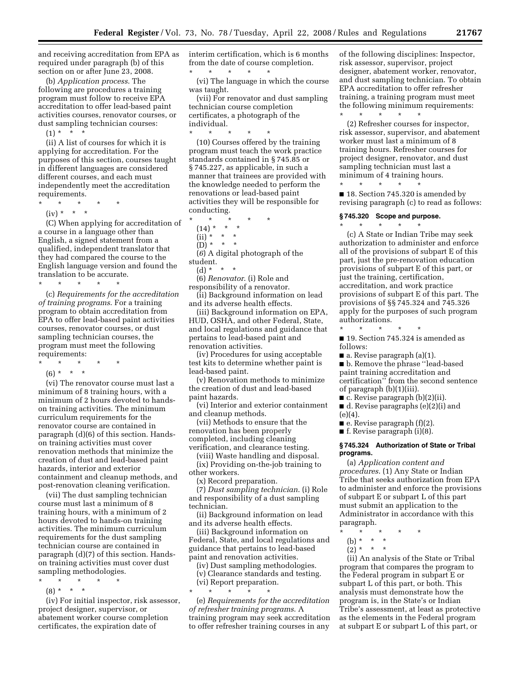and receiving accreditation from EPA as required under paragraph (b) of this section on or after June 23, 2008.

(b) *Application process*. The following are procedures a training program must follow to receive EPA accreditation to offer lead-based paint activities courses, renovator courses, or dust sampling technician courses:

 $(1) * * * *$ 

(ii) A list of courses for which it is applying for accreditation. For the purposes of this section, courses taught in different languages are considered different courses, and each must independently meet the accreditation requirements.

- \* \* \* \* \*
- $(iv) * * * * *$

(C) When applying for accreditation of a course in a language other than English, a signed statement from a qualified, independent translator that they had compared the course to the English language version and found the translation to be accurate.

\* \* \* \* \* (c) *Requirements for the accreditation of training programs*. For a training program to obtain accreditation from EPA to offer lead-based paint activities courses, renovator courses, or dust sampling technician courses, the program must meet the following requirements:

- \* \* \* \* \*
- $(6) * * * * *$

(vi) The renovator course must last a minimum of 8 training hours, with a minimum of 2 hours devoted to handson training activities. The minimum curriculum requirements for the renovator course are contained in paragraph (d)(6) of this section. Handson training activities must cover renovation methods that minimize the creation of dust and lead-based paint hazards, interior and exterior containment and cleanup methods, and post-renovation cleaning verification.

(vii) The dust sampling technician course must last a minimum of 8 training hours, with a minimum of 2 hours devoted to hands-on training activities. The minimum curriculum requirements for the dust sampling technician course are contained in paragraph (d)(7) of this section. Handson training activities must cover dust sampling methodologies.

- \* \* \* \* \*
	- $(8) * * * * *$

(iv) For initial inspector, risk assessor, project designer, supervisor, or abatement worker course completion certificates, the expiration date of

interim certification, which is 6 months from the date of course completion. \* \* \* \* \*

(vi) The language in which the course was taught.

(vii) For renovator and dust sampling technician course completion certificates, a photograph of the individual.

\* \* \* \* \*

(10) Courses offered by the training program must teach the work practice standards contained in § 745.85 or § 745.227, as applicable, in such a manner that trainees are provided with the knowledge needed to perform the renovations or lead-based paint activities they will be responsible for conducting.

- \* \* \* \* \*
	- $(14) * * * *$
	- $(ii)$ <sup>\*</sup> \* \*
	- $(D) * * * * *$

(*6*) A digital photograph of the student.

(d) \* \* \*

(6) *Renovator*. (i) Role and responsibility of a renovator.

(ii) Background information on lead and its adverse health effects.

(iii) Background information on EPA, HUD, OSHA, and other Federal, State, and local regulations and guidance that pertains to lead-based paint and renovation activities.

(iv) Procedures for using acceptable test kits to determine whether paint is lead-based paint.

(v) Renovation methods to minimize the creation of dust and lead-based paint hazards.

(vi) Interior and exterior containment and cleanup methods.

(vii) Methods to ensure that the renovation has been properly completed, including cleaning verification, and clearance testing.

(viii) Waste handling and disposal. (ix) Providing on-the-job training to other workers.

(x) Record preparation.

(7) *Dust sampling technician*. (i) Role and responsibility of a dust sampling technician.

(ii) Background information on lead and its adverse health effects.

(iii) Background information on Federal, State, and local regulations and guidance that pertains to lead-based paint and renovation activities.

(iv) Dust sampling methodologies.

- (v) Clearance standards and testing.
- (vi) Report preparation. \* \* \* \* \*

(e) *Requirements for the accreditation of refresher training programs*. A training program may seek accreditation to offer refresher training courses in any

of the following disciplines: Inspector, risk assessor, supervisor, project designer, abatement worker, renovator, and dust sampling technician. To obtain EPA accreditation to offer refresher training, a training program must meet the following minimum requirements: \* \* \* \* \*

(2) Refresher courses for inspector, risk assessor, supervisor, and abatement worker must last a minimum of 8 training hours. Refresher courses for project designer, renovator, and dust sampling technician must last a minimum of 4 training hours. \* \* \* \* \*

■ 18. Section 745.320 is amended by revising paragraph (c) to read as follows:

# **§ 745.320 Scope and purpose.**

\* \* \* \* \* (c) A State or Indian Tribe may seek authorization to administer and enforce all of the provisions of subpart E of this part, just the pre-renovation education provisions of subpart E of this part, or just the training, certification, accreditation, and work practice provisions of subpart E of this part. The provisions of §§ 745.324 and 745.326 apply for the purposes of such program authorizations.

■ 19. Section 745.324 is amended as follows:

■ a. Revise paragraph (a)(1).

\* \* \* \* \*

■ b. Remove the phrase "lead-based paint training accreditation and certification'' from the second sentence of paragraph (b)(1)(iii).

 $\blacksquare$  c. Revise paragraph (b)(2)(ii). ■ d. Revise paragraphs (e)(2)(i) and  $(e)(4).$ 

 $\blacksquare$  e. Revise paragraph (f)(2). ■ f. Revise paragraph (i)(8).

# **§ 745.324 Authorization of State or Tribal programs.**

(a) *Application content and procedures*. (1) Any State or Indian Tribe that seeks authorization from EPA to administer and enforce the provisions of subpart E or subpart L of this part must submit an application to the Administrator in accordance with this paragraph.

- \* \* \* \* \*
	- (b) \* \* \*
	- $(2) * * *$

(ii) An analysis of the State or Tribal program that compares the program to the Federal program in subpart E or subpart L of this part, or both. This analysis must demonstrate how the program is, in the State's or Indian Tribe's assessment, at least as protective as the elements in the Federal program at subpart E or subpart L of this part, or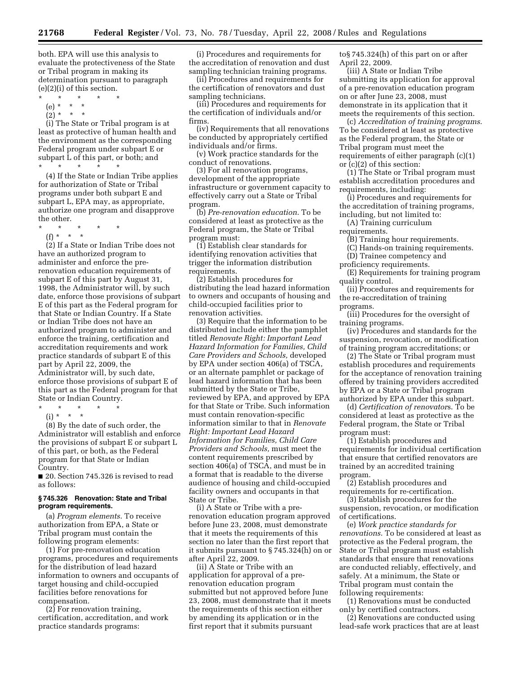both. EPA will use this analysis to evaluate the protectiveness of the State or Tribal program in making its determination pursuant to paragraph (e)(2)(i) of this section.

\* \* \* \* \* (e) \* \* \*  $(2) * * * *$ 

(i) The State or Tribal program is at least as protective of human health and the environment as the corresponding Federal program under subpart E or subpart L of this part, or both; and \* \* \* \* \*

(4) If the State or Indian Tribe applies for authorization of State or Tribal programs under both subpart E and subpart L, EPA may, as appropriate, authorize one program and disapprove the other.

\* \* \* \* \*

(f) \* \* \* (2) If a State or Indian Tribe does not have an authorized program to administer and enforce the prerenovation education requirements of subpart E of this part by August 31, 1998, the Administrator will, by such date, enforce those provisions of subpart E of this part as the Federal program for that State or Indian Country. If a State or Indian Tribe does not have an authorized program to administer and enforce the training, certification and accreditation requirements and work practice standards of subpart E of this part by April 22, 2009, the Administrator will, by such date, enforce those provisions of subpart E of this part as the Federal program for that State or Indian Country.

 $\star$   $\qquad$   $\star$   $\qquad$   $\star$  $(i) * * * * *$ 

(8) By the date of such order, the Administrator will establish and enforce the provisions of subpart E or subpart L of this part, or both, as the Federal program for that State or Indian Country.

■ 20. Section 745.326 is revised to read as follows:

# **§ 745.326 Renovation: State and Tribal program requirements.**

(a) *Program elements*. To receive authorization from EPA, a State or Tribal program must contain the following program elements:

(1) For pre-renovation education programs, procedures and requirements for the distribution of lead hazard information to owners and occupants of target housing and child-occupied facilities before renovations for compensation.

(2) For renovation training, certification, accreditation, and work practice standards programs:

(i) Procedures and requirements for the accreditation of renovation and dust sampling technician training programs.

(ii) Procedures and requirements for the certification of renovators and dust sampling technicians.

(iii) Procedures and requirements for the certification of individuals and/or firms.

(iv) Requirements that all renovations be conducted by appropriately certified individuals and/or firms.

(v) Work practice standards for the conduct of renovations.

(3) For all renovation programs, development of the appropriate infrastructure or government capacity to effectively carry out a State or Tribal program.

(b) *Pre-renovation education*. To be considered at least as protective as the Federal program, the State or Tribal program must:

(1) Establish clear standards for identifying renovation activities that trigger the information distribution requirements.

(2) Establish procedures for distributing the lead hazard information to owners and occupants of housing and child-occupied facilities prior to renovation activities.

(3) Require that the information to be distributed include either the pamphlet titled *Renovate Right: Important Lead Hazard Information for Families, Child Care Providers and Schools,* developed by EPA under section 406(a) of TSCA, or an alternate pamphlet or package of lead hazard information that has been submitted by the State or Tribe, reviewed by EPA, and approved by EPA for that State or Tribe. Such information must contain renovation-specific information similar to that in *Renovate Right: Important Lead Hazard Information for Families, Child Care Providers and Schools,* must meet the content requirements prescribed by section 406(a) of TSCA, and must be in a format that is readable to the diverse audience of housing and child-occupied facility owners and occupants in that State or Tribe.

(i) A State or Tribe with a prerenovation education program approved before June 23, 2008, must demonstrate that it meets the requirements of this section no later than the first report that it submits pursuant to § 745.324(h) on or after April 22, 2009.

(ii) A State or Tribe with an application for approval of a prerenovation education program submitted but not approved before June 23, 2008, must demonstrate that it meets the requirements of this section either by amending its application or in the first report that it submits pursuant

to§ 745.324(h) of this part on or after April 22, 2009.

(iii) A State or Indian Tribe submitting its application for approval of a pre-renovation education program on or after June 23, 2008, must demonstrate in its application that it meets the requirements of this section.

(c) *Accreditation of training programs*. To be considered at least as protective as the Federal program, the State or Tribal program must meet the requirements of either paragraph (c)(1) or (c)(2) of this section:

(1) The State or Tribal program must establish accreditation procedures and requirements, including:

(i) Procedures and requirements for the accreditation of training programs, including, but not limited to:

(A) Training curriculum

requirements.

(B) Training hour requirements.

(C) Hands-on training requirements.

(D) Trainee competency and

proficiency requirements.

(E) Requirements for training program quality control.

(ii) Procedures and requirements for the re-accreditation of training programs.

(iii) Procedures for the oversight of training programs.

(iv) Procedures and standards for the suspension, revocation, or modification of training program accreditations; or

(2) The State or Tribal program must establish procedures and requirements for the acceptance of renovation training offered by training providers accredited by EPA or a State or Tribal program authorized by EPA under this subpart.

(d) *Certification of renovator*s. To be considered at least as protective as the Federal program, the State or Tribal program must:

(1) Establish procedures and requirements for individual certification that ensure that certified renovators are trained by an accredited training program.

(2) Establish procedures and requirements for re-certification.

(3) Establish procedures for the suspension, revocation, or modification of certifications.

(e) *Work practice standards for renovations*. To be considered at least as protective as the Federal program, the State or Tribal program must establish standards that ensure that renovations are conducted reliably, effectively, and safely. At a minimum, the State or Tribal program must contain the following requirements:

(1) Renovations must be conducted only by certified contractors.

(2) Renovations are conducted using lead-safe work practices that are at least